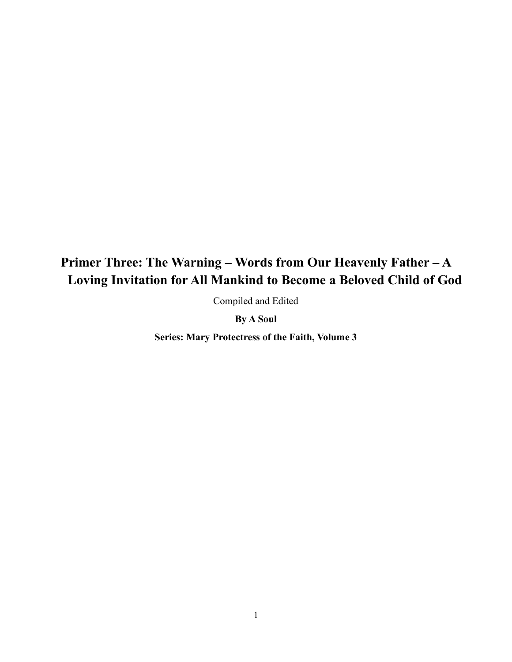# **Primer Three: The Warning – Words from Our Heavenly Father – A Loving Invitation for All Mankind to Become a Beloved Child of God**

Compiled and Edited

**By A Soul**

**Series: Mary Protectress of the Faith, Volume 3**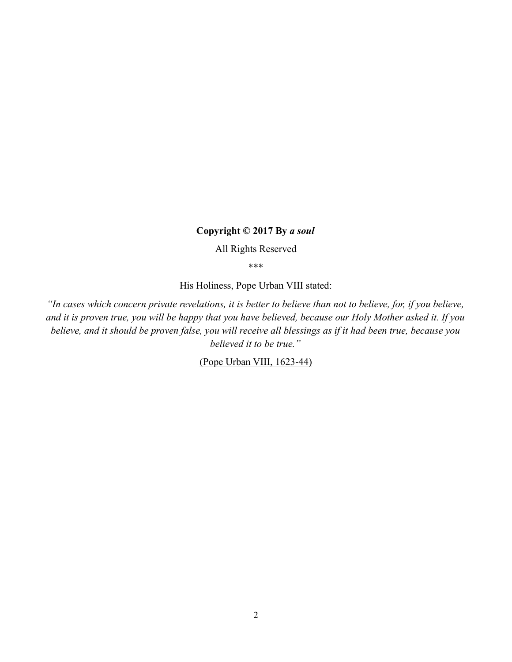#### **Copyright © 2017 By** *a soul*

All Rights Reserved

\*\*\*

His Holiness, Pope Urban VIII stated:

*"In cases which concern private revelations, it is better to believe than not to believe, for, if you believe, and it is proven true, you will be happy that you have believed, because our Holy Mother asked it. If you believe, and it should be proven false, you will receive all blessings as if it had been true, because you believed it to be true."*

(Pope Urban VIII, 1623-44)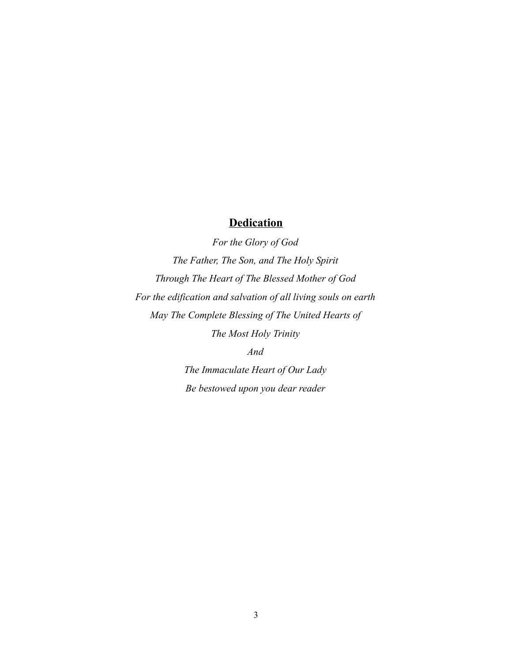# **Dedication**

*For the Glory of God The Father, The Son, and The Holy Spirit Through The Heart of The Blessed Mother of God For the edification and salvation of all living souls on earth May The Complete Blessing of The United Hearts of The Most Holy Trinity*

*And*

*The Immaculate Heart of Our Lady Be bestowed upon you dear reader*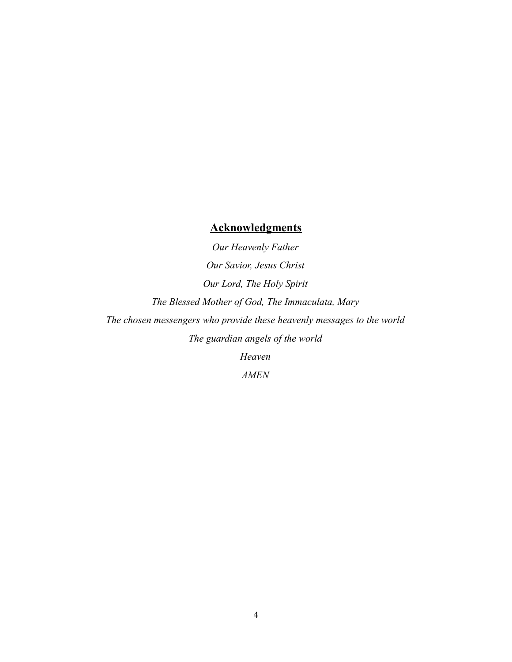# **Acknowledgments**

*Our Heavenly Father Our Savior, Jesus Christ Our Lord, The Holy Spirit The Blessed Mother of God, The Immaculata, Mary The chosen messengers who provide these heavenly messages to the world The guardian angels of the world Heaven AMEN*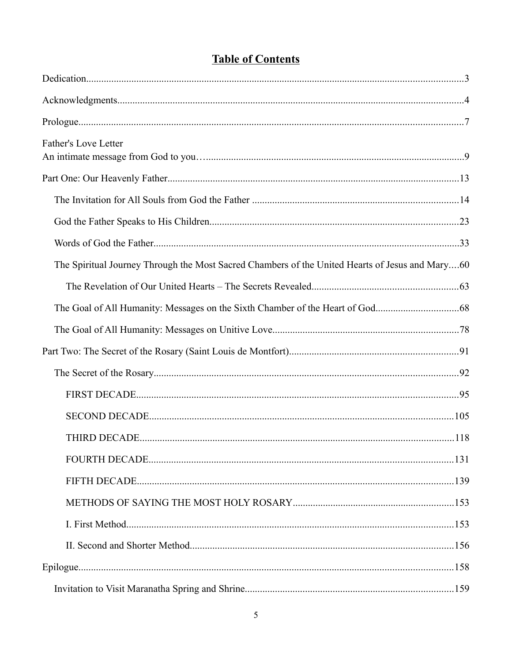| <b>Father's Love Letter</b>                                                                     |  |
|-------------------------------------------------------------------------------------------------|--|
|                                                                                                 |  |
|                                                                                                 |  |
|                                                                                                 |  |
|                                                                                                 |  |
| The Spiritual Journey Through the Most Sacred Chambers of the United Hearts of Jesus and Mary60 |  |
|                                                                                                 |  |
|                                                                                                 |  |
|                                                                                                 |  |
|                                                                                                 |  |
|                                                                                                 |  |
|                                                                                                 |  |
|                                                                                                 |  |
|                                                                                                 |  |
|                                                                                                 |  |
|                                                                                                 |  |
|                                                                                                 |  |
|                                                                                                 |  |
|                                                                                                 |  |
|                                                                                                 |  |
|                                                                                                 |  |

# **Table of Contents**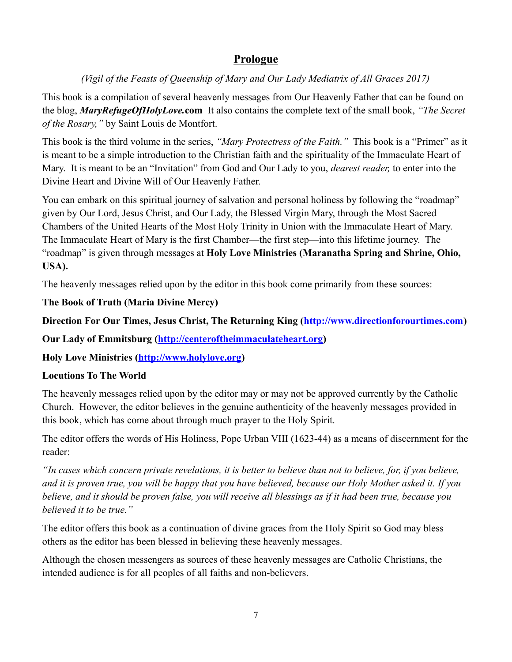# **Prologue**

# *(Vigil of the Feasts of Queenship of Mary and Our Lady Mediatrix of All Graces 2017)*

This book is a compilation of several heavenly messages from Our Heavenly Father that can be found on the blog, *MaryRefugeOfHolyLove.***com** It also contains the complete text of the small book, *"The Secret of the Rosary,"* by Saint Louis de Montfort.

This book is the third volume in the series, *"Mary Protectress of the Faith."* This book is a "Primer" as it is meant to be a simple introduction to the Christian faith and the spirituality of the Immaculate Heart of Mary. It is meant to be an "Invitation" from God and Our Lady to you, *dearest reader,* to enter into the Divine Heart and Divine Will of Our Heavenly Father.

You can embark on this spiritual journey of salvation and personal holiness by following the "roadmap" given by Our Lord, Jesus Christ, and Our Lady, the Blessed Virgin Mary, through the Most Sacred Chambers of the United Hearts of the Most Holy Trinity in Union with the Immaculate Heart of Mary. The Immaculate Heart of Mary is the first Chamber—the first step—into this lifetime journey. The "roadmap" is given through messages at **Holy Love Ministries (Maranatha Spring and Shrine, Ohio, USA).**

The heavenly messages relied upon by the editor in this book come primarily from these sources:

# **The Book of Truth (Maria Divine Mercy)**

**Direction For Our Times, Jesus Christ, The Returning King [\(http://www.directionforourtimes.com\)](http://www.directionforourtimes.com/)** 

**Our Lady of Emmitsburg [\(http://centeroftheimmaculateheart.org\)](http://centeroftheimmaculateheart.org/)**

**Holy Love Ministries [\(http://www.holylove.org\)](http://www.holylove.org/)**

# **Locutions To The World**

The heavenly messages relied upon by the editor may or may not be approved currently by the Catholic Church. However, the editor believes in the genuine authenticity of the heavenly messages provided in this book, which has come about through much prayer to the Holy Spirit.

The editor offers the words of His Holiness, Pope Urban VIII (1623-44) as a means of discernment for the reader:

*"In cases which concern private revelations, it is better to believe than not to believe, for, if you believe, and it is proven true, you will be happy that you have believed, because our Holy Mother asked it. If you believe, and it should be proven false, you will receive all blessings as if it had been true, because you believed it to be true."*

The editor offers this book as a continuation of divine graces from the Holy Spirit so God may bless others as the editor has been blessed in believing these heavenly messages.

Although the chosen messengers as sources of these heavenly messages are Catholic Christians, the intended audience is for all peoples of all faiths and non-believers.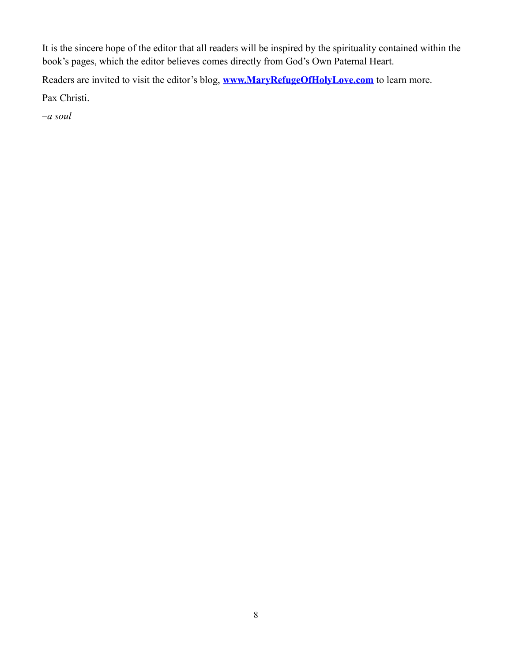It is the sincere hope of the editor that all readers will be inspired by the spirituality contained within the book's pages, which the editor believes comes directly from God's Own Paternal Heart.

Readers are invited to visit the editor's blog, **[www.MaryRefugeOfHolyLove.com](http://maryrefugeofholylove.com/)** to learn more.

Pax Christi.

*–a soul*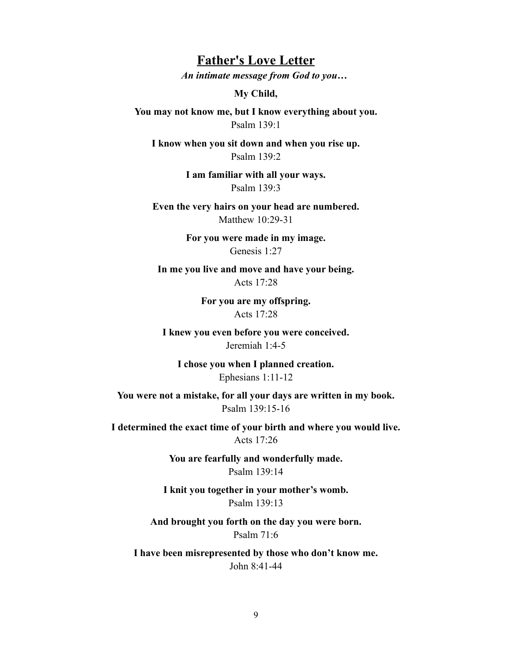**Father's Love Letter**

*An intimate message from God to you…*

**My Child,**

**You may not know me, but I know everything about you.** Psalm 139:1

**I know when you sit down and when you rise up.** Psalm 139:2

> **I am familiar with all your ways.** Psalm 139:3

**Even the very hairs on your head are numbered.** Matthew 10:29-31

> **For you were made in my image.** Genesis 1:27

**In me you live and move and have your being.** Acts  $17.28$ 

> **For you are my offspring.** Acts 17:28

**I knew you even before you were conceived.** Jeremiah 1:4-5

**I chose you when I planned creation.** Ephesians 1:11-12

**You were not a mistake, for all your days are written in my book.** Psalm 139:15-16

**I determined the exact time of your birth and where you would live.** Acts 17:26

> **You are fearfully and wonderfully made.** Psalm 139:14

**I knit you together in your mother's womb.** Psalm 139:13

**And brought you forth on the day you were born.** Psalm 71:6

**I have been misrepresented by those who don't know me.** John 8:41-44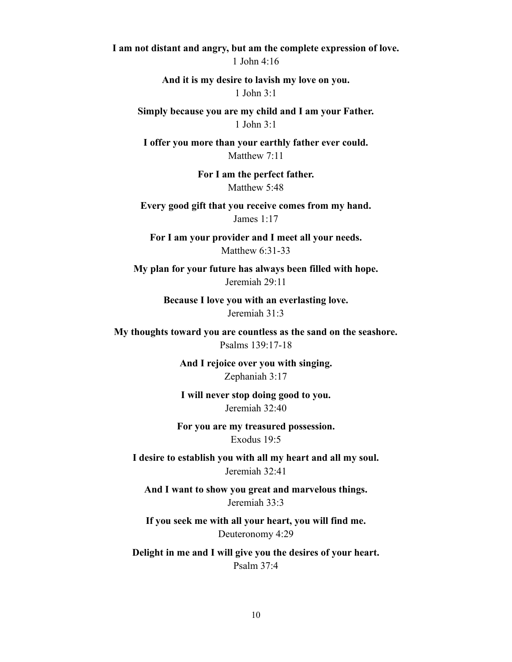**I am not distant and angry, but am the complete expression of love.** 1 John 4:16

> **And it is my desire to lavish my love on you.** 1 John 3:1

**Simply because you are my child and I am your Father.** 1 John 3:1

**I offer you more than your earthly father ever could.** Matthew 7:11

> **For I am the perfect father.** Matthew 5:48

**Every good gift that you receive comes from my hand.** James 1:17

**For I am your provider and I meet all your needs.** Matthew 6:31-33

**My plan for your future has always been filled with hope.** Jeremiah 29:11

> **Because I love you with an everlasting love.** Jeremiah 31:3

**My thoughts toward you are countless as the sand on the seashore.** Psalms 139:17-18

> **And I rejoice over you with singing.** Zephaniah 3:17

**I will never stop doing good to you.** Jeremiah 32:40

**For you are my treasured possession.** Exodus 19:5

**I desire to establish you with all my heart and all my soul.** Jeremiah 32:41

**And I want to show you great and marvelous things.** Jeremiah 33:3

**If you seek me with all your heart, you will find me.** Deuteronomy 4:29

**Delight in me and I will give you the desires of your heart.** Psalm 37:4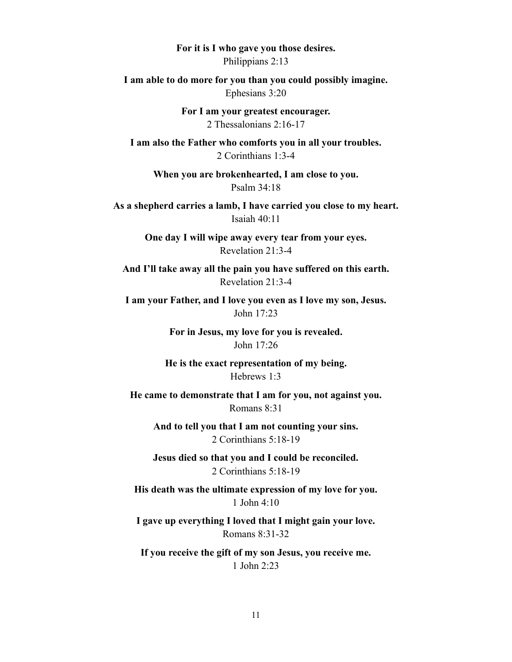**For it is I who gave you those desires.** Philippians 2:13

**I am able to do more for you than you could possibly imagine.** Ephesians 3:20

> **For I am your greatest encourager.** 2 Thessalonians 2:16-17

**I am also the Father who comforts you in all your troubles.** 2 Corinthians 1:3-4

**When you are brokenhearted, I am close to you.** Psalm 34:18

**As a shepherd carries a lamb, I have carried you close to my heart.** Isaiah 40:11

> **One day I will wipe away every tear from your eyes.** Revelation 21:3-4

**And I'll take away all the pain you have suffered on this earth.** Revelation 21:3-4

**I am your Father, and I love you even as I love my son, Jesus.** John 17:23

> **For in Jesus, my love for you is revealed.** John 17:26

**He is the exact representation of my being.** Hebrews 1:3

**He came to demonstrate that I am for you, not against you.** Romans 8:31

**And to tell you that I am not counting your sins.** 2 Corinthians 5:18-19

**Jesus died so that you and I could be reconciled.** 2 Corinthians 5:18-19

**His death was the ultimate expression of my love for you.** 1 John 4:10

**I gave up everything I loved that I might gain your love.** Romans 8:31-32

**If you receive the gift of my son Jesus, you receive me.** 1 John 2:23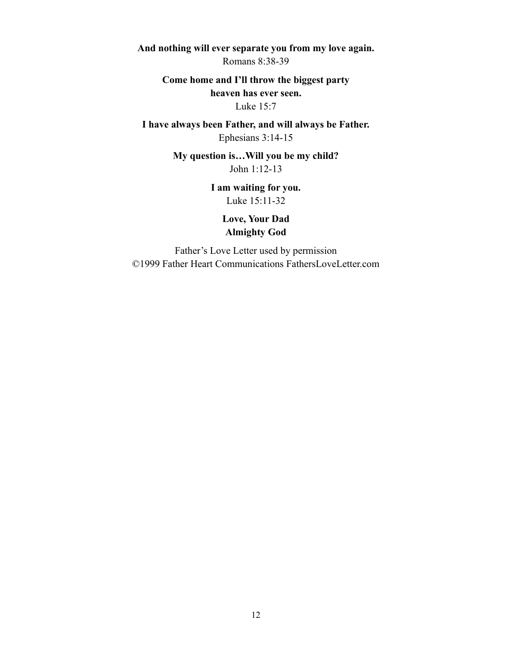**And nothing will ever separate you from my love again.** Romans 8:38-39

> **Come home and I'll throw the biggest party heaven has ever seen.** Luke 15:7

**I have always been Father, and will always be Father.** Ephesians 3:14-15

> **My question is…Will you be my child?** John 1:12-13

> > **I am waiting for you.** Luke 15:11-32

> > > **Love, Your Dad Almighty God**

Father's Love Letter used by permission ©1999 Father Heart Communications FathersLoveLetter.com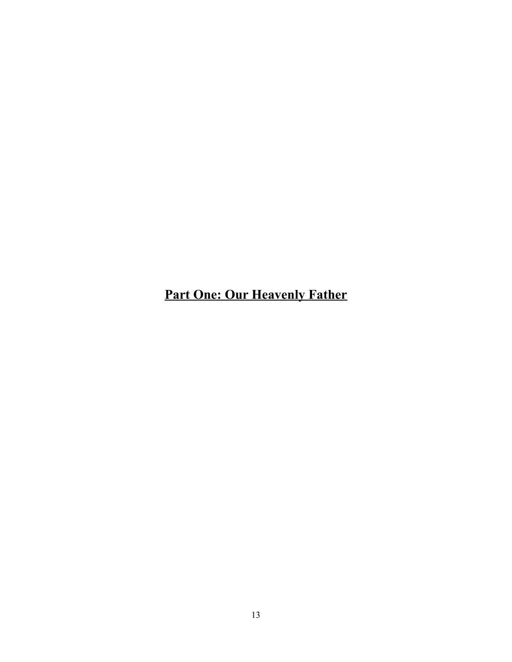**Part One: Our Heavenly Father**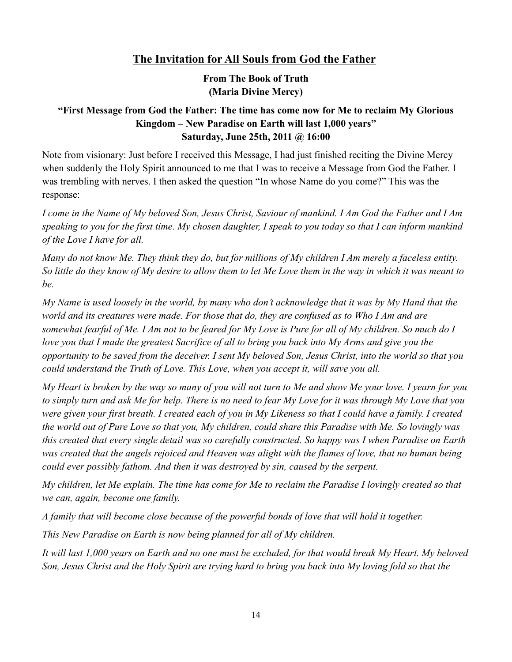# **The Invitation for All Souls from God the Father**

**From The Book of Truth (Maria Divine Mercy)**

# **"First Message from God the Father: The time has come now for Me to reclaim My Glorious Kingdom – New Paradise on Earth will last 1,000 years" Saturday, June 25th, 2011 @ 16:00**

Note from visionary: Just before I received this Message, I had just finished reciting the Divine Mercy when suddenly the Holy Spirit announced to me that I was to receive a Message from God the Father. I was trembling with nerves. I then asked the question "In whose Name do you come?" This was the response:

*I come in the Name of My beloved Son, Jesus Christ, Saviour of mankind. I Am God the Father and I Am speaking to you for the first time. My chosen daughter, I speak to you today so that I can inform mankind of the Love I have for all.*

*Many do not know Me. They think they do, but for millions of My children I Am merely a faceless entity. So little do they know of My desire to allow them to let Me Love them in the way in which it was meant to be.*

*My Name is used loosely in the world, by many who don't acknowledge that it was by My Hand that the world and its creatures were made. For those that do, they are confused as to Who I Am and are somewhat fearful of Me. I Am not to be feared for My Love is Pure for all of My children. So much do I love you that I made the greatest Sacrifice of all to bring you back into My Arms and give you the opportunity to be saved from the deceiver. I sent My beloved Son, Jesus Christ, into the world so that you could understand the Truth of Love. This Love, when you accept it, will save you all.*

*My Heart is broken by the way so many of you will not turn to Me and show Me your love. I yearn for you to simply turn and ask Me for help. There is no need to fear My Love for it was through My Love that you were given your first breath. I created each of you in My Likeness so that I could have a family. I created the world out of Pure Love so that you, My children, could share this Paradise with Me. So lovingly was this created that every single detail was so carefully constructed. So happy was I when Paradise on Earth was created that the angels rejoiced and Heaven was alight with the flames of love, that no human being could ever possibly fathom. And then it was destroyed by sin, caused by the serpent.*

*My children, let Me explain. The time has come for Me to reclaim the Paradise I lovingly created so that we can, again, become one family.*

*A family that will become close because of the powerful bonds of love that will hold it together.*

*This New Paradise on Earth is now being planned for all of My children.*

*It will last 1,000 years on Earth and no one must be excluded, for that would break My Heart. My beloved Son, Jesus Christ and the Holy Spirit are trying hard to bring you back into My loving fold so that the*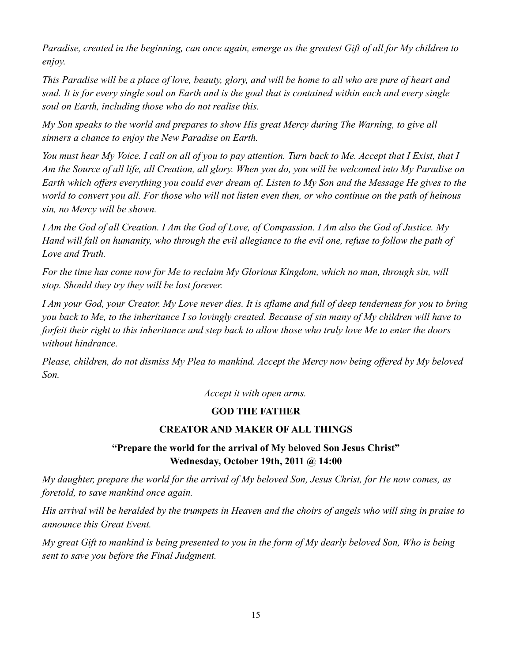*Paradise, created in the beginning, can once again, emerge as the greatest Gift of all for My children to enjoy.*

*This Paradise will be a place of love, beauty, glory, and will be home to all who are pure of heart and soul. It is for every single soul on Earth and is the goal that is contained within each and every single soul on Earth, including those who do not realise this.*

*My Son speaks to the world and prepares to show His great Mercy during The Warning, to give all sinners a chance to enjoy the New Paradise on Earth.*

*You must hear My Voice. I call on all of you to pay attention. Turn back to Me. Accept that I Exist, that I Am the Source of all life, all Creation, all glory. When you do, you will be welcomed into My Paradise on Earth which offers everything you could ever dream of. Listen to My Son and the Message He gives to the world to convert you all. For those who will not listen even then, or who continue on the path of heinous sin, no Mercy will be shown.*

*I Am the God of all Creation. I Am the God of Love, of Compassion. I Am also the God of Justice. My Hand will fall on humanity, who through the evil allegiance to the evil one, refuse to follow the path of Love and Truth.*

*For the time has come now for Me to reclaim My Glorious Kingdom, which no man, through sin, will stop. Should they try they will be lost forever.*

*I Am your God, your Creator. My Love never dies. It is aflame and full of deep tenderness for you to bring you back to Me, to the inheritance I so lovingly created. Because of sin many of My children will have to forfeit their right to this inheritance and step back to allow those who truly love Me to enter the doors without hindrance.*

*Please, children, do not dismiss My Plea to mankind. Accept the Mercy now being offered by My beloved Son.*

*Accept it with open arms.*

#### **GOD THE FATHER**

#### **CREATOR AND MAKER OF ALL THINGS**

# **"Prepare the world for the arrival of My beloved Son Jesus Christ" Wednesday, October 19th, 2011 @ 14:00**

*My daughter, prepare the world for the arrival of My beloved Son, Jesus Christ, for He now comes, as foretold, to save mankind once again.*

*His arrival will be heralded by the trumpets in Heaven and the choirs of angels who will sing in praise to announce this Great Event.*

*My great Gift to mankind is being presented to you in the form of My dearly beloved Son, Who is being sent to save you before the Final Judgment.*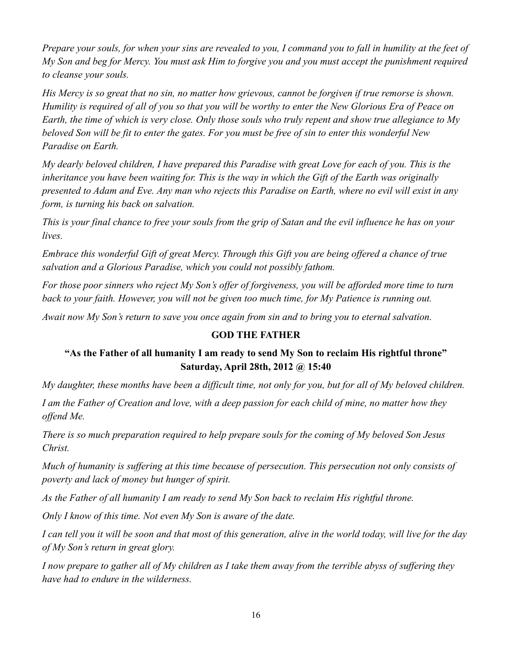*Prepare your souls, for when your sins are revealed to you, I command you to fall in humility at the feet of My Son and beg for Mercy. You must ask Him to forgive you and you must accept the punishment required to cleanse your souls.*

*His Mercy is so great that no sin, no matter how grievous, cannot be forgiven if true remorse is shown. Humility is required of all of you so that you will be worthy to enter the New Glorious Era of Peace on Earth, the time of which is very close. Only those souls who truly repent and show true allegiance to My beloved Son will be fit to enter the gates. For you must be free of sin to enter this wonderful New Paradise on Earth.*

*My dearly beloved children, I have prepared this Paradise with great Love for each of you. This is the inheritance you have been waiting for. This is the way in which the Gift of the Earth was originally presented to Adam and Eve. Any man who rejects this Paradise on Earth, where no evil will exist in any form, is turning his back on salvation.*

*This is your final chance to free your souls from the grip of Satan and the evil influence he has on your lives.*

*Embrace this wonderful Gift of great Mercy. Through this Gift you are being offered a chance of true salvation and a Glorious Paradise, which you could not possibly fathom.*

*For those poor sinners who reject My Son's offer of forgiveness, you will be afforded more time to turn back to your faith. However, you will not be given too much time, for My Patience is running out.*

*Await now My Son's return to save you once again from sin and to bring you to eternal salvation.*

#### **GOD THE FATHER**

# **"As the Father of all humanity I am ready to send My Son to reclaim His rightful throne" Saturday, April 28th, 2012 @ 15:40**

*My daughter, these months have been a difficult time, not only for you, but for all of My beloved children.*

*I am the Father of Creation and love, with a deep passion for each child of mine, no matter how they offend Me.*

*There is so much preparation required to help prepare souls for the coming of My beloved Son Jesus Christ.*

*Much of humanity is suffering at this time because of persecution. This persecution not only consists of poverty and lack of money but hunger of spirit.*

*As the Father of all humanity I am ready to send My Son back to reclaim His rightful throne.*

*Only I know of this time. Not even My Son is aware of the date.*

*I can tell you it will be soon and that most of this generation, alive in the world today, will live for the day of My Son's return in great glory.*

*I now prepare to gather all of My children as I take them away from the terrible abyss of suffering they have had to endure in the wilderness.*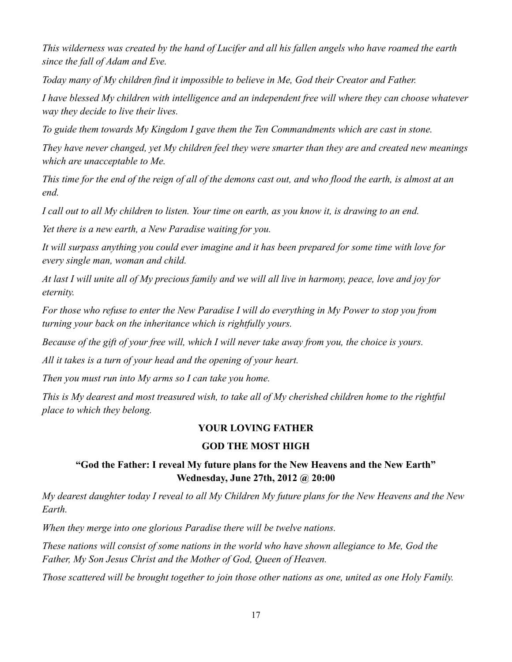*This wilderness was created by the hand of Lucifer and all his fallen angels who have roamed the earth since the fall of Adam and Eve.*

*Today many of My children find it impossible to believe in Me, God their Creator and Father.*

*I have blessed My children with intelligence and an independent free will where they can choose whatever way they decide to live their lives.*

*To guide them towards My Kingdom I gave them the Ten Commandments which are cast in stone.*

*They have never changed, yet My children feel they were smarter than they are and created new meanings which are unacceptable to Me.*

*This time for the end of the reign of all of the demons cast out, and who flood the earth, is almost at an end.*

*I call out to all My children to listen. Your time on earth, as you know it, is drawing to an end.*

*Yet there is a new earth, a New Paradise waiting for you.*

*It will surpass anything you could ever imagine and it has been prepared for some time with love for every single man, woman and child.*

*At last I will unite all of My precious family and we will all live in harmony, peace, love and joy for eternity.*

*For those who refuse to enter the New Paradise I will do everything in My Power to stop you from turning your back on the inheritance which is rightfully yours.*

*Because of the gift of your free will, which I will never take away from you, the choice is yours.*

*All it takes is a turn of your head and the opening of your heart.*

*Then you must run into My arms so I can take you home.*

*This is My dearest and most treasured wish, to take all of My cherished children home to the rightful place to which they belong.*

# **YOUR LOVING FATHER**

# **GOD THE MOST HIGH**

# **"God the Father: I reveal My future plans for the New Heavens and the New Earth" Wednesday, June 27th, 2012 @ 20:00**

*My dearest daughter today I reveal to all My Children My future plans for the New Heavens and the New Earth.*

*When they merge into one glorious Paradise there will be twelve nations.*

*These nations will consist of some nations in the world who have shown allegiance to Me, God the Father, My Son Jesus Christ and the Mother of God, Queen of Heaven.*

*Those scattered will be brought together to join those other nations as one, united as one Holy Family.*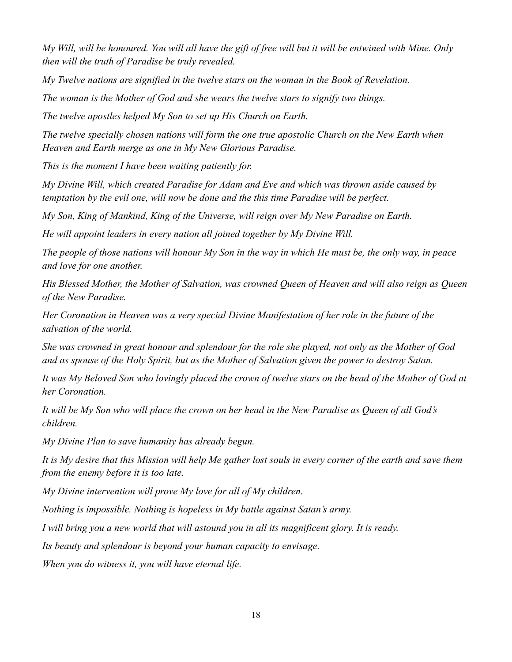*My Will, will be honoured. You will all have the gift of free will but it will be entwined with Mine. Only then will the truth of Paradise be truly revealed.*

*My Twelve nations are signified in the twelve stars on the woman in the Book of Revelation.*

*The woman is the Mother of God and she wears the twelve stars to signify two things.*

*The twelve apostles helped My Son to set up His Church on Earth.*

*The twelve specially chosen nations will form the one true apostolic Church on the New Earth when Heaven and Earth merge as one in My New Glorious Paradise.*

*This is the moment I have been waiting patiently for.*

*My Divine Will, which created Paradise for Adam and Eve and which was thrown aside caused by temptation by the evil one, will now be done and the this time Paradise will be perfect.*

*My Son, King of Mankind, King of the Universe, will reign over My New Paradise on Earth.*

*He will appoint leaders in every nation all joined together by My Divine Will.*

*The people of those nations will honour My Son in the way in which He must be, the only way, in peace and love for one another.*

*His Blessed Mother, the Mother of Salvation, was crowned Queen of Heaven and will also reign as Queen of the New Paradise.*

*Her Coronation in Heaven was a very special Divine Manifestation of her role in the future of the salvation of the world.*

*She was crowned in great honour and splendour for the role she played, not only as the Mother of God and as spouse of the Holy Spirit, but as the Mother of Salvation given the power to destroy Satan.*

*It was My Beloved Son who lovingly placed the crown of twelve stars on the head of the Mother of God at her Coronation.*

*It will be My Son who will place the crown on her head in the New Paradise as Queen of all God's children.*

*My Divine Plan to save humanity has already begun.*

*It is My desire that this Mission will help Me gather lost souls in every corner of the earth and save them from the enemy before it is too late.*

*My Divine intervention will prove My love for all of My children.*

*Nothing is impossible. Nothing is hopeless in My battle against Satan's army.*

*I will bring you a new world that will astound you in all its magnificent glory. It is ready.*

*Its beauty and splendour is beyond your human capacity to envisage.*

*When you do witness it, you will have eternal life.*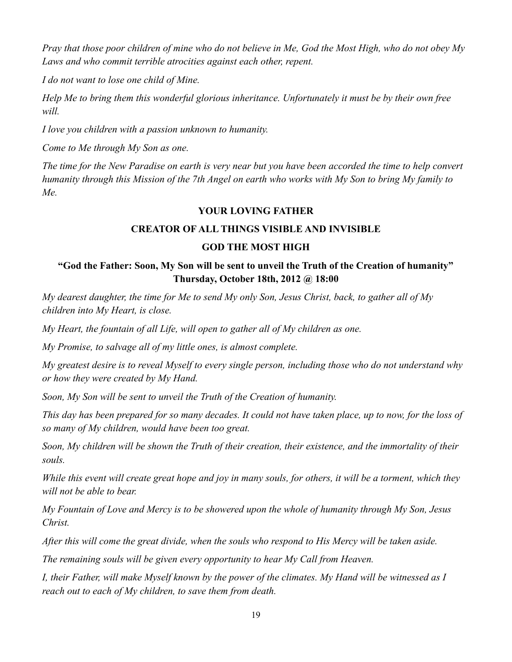*Pray that those poor children of mine who do not believe in Me, God the Most High, who do not obey My Laws and who commit terrible atrocities against each other, repent.*

*I do not want to lose one child of Mine.*

*Help Me to bring them this wonderful glorious inheritance. Unfortunately it must be by their own free will.*

*I love you children with a passion unknown to humanity.*

*Come to Me through My Son as one.*

*The time for the New Paradise on earth is very near but you have been accorded the time to help convert humanity through this Mission of the 7th Angel on earth who works with My Son to bring My family to Me.*

# **YOUR LOVING FATHER**

# **CREATOR OF ALL THINGS VISIBLE AND INVISIBLE**

# **GOD THE MOST HIGH**

# **"God the Father: Soon, My Son will be sent to unveil the Truth of the Creation of humanity" Thursday, October 18th, 2012 @ 18:00**

*My dearest daughter, the time for Me to send My only Son, Jesus Christ, back, to gather all of My children into My Heart, is close.*

*My Heart, the fountain of all Life, will open to gather all of My children as one.*

*My Promise, to salvage all of my little ones, is almost complete.*

*My greatest desire is to reveal Myself to every single person, including those who do not understand why or how they were created by My Hand.*

*Soon, My Son will be sent to unveil the Truth of the Creation of humanity.*

*This day has been prepared for so many decades. It could not have taken place, up to now, for the loss of so many of My children, would have been too great.*

*Soon, My children will be shown the Truth of their creation, their existence, and the immortality of their souls.*

*While this event will create great hope and joy in many souls, for others, it will be a torment, which they will not be able to bear.*

*My Fountain of Love and Mercy is to be showered upon the whole of humanity through My Son, Jesus Christ.*

*After this will come the great divide, when the souls who respond to His Mercy will be taken aside.*

*The remaining souls will be given every opportunity to hear My Call from Heaven.*

*I, their Father, will make Myself known by the power of the climates. My Hand will be witnessed as I reach out to each of My children, to save them from death.*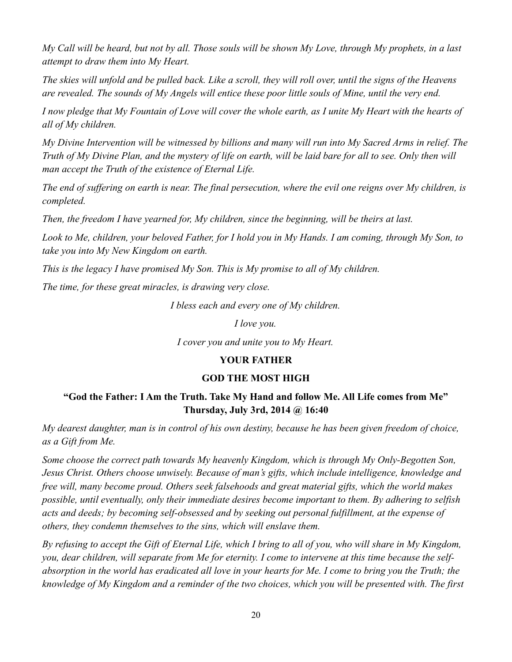*My Call will be heard, but not by all. Those souls will be shown My Love, through My prophets, in a last attempt to draw them into My Heart.*

*The skies will unfold and be pulled back. Like a scroll, they will roll over, until the signs of the Heavens are revealed. The sounds of My Angels will entice these poor little souls of Mine, until the very end.*

*I now pledge that My Fountain of Love will cover the whole earth, as I unite My Heart with the hearts of all of My children.*

*My Divine Intervention will be witnessed by billions and many will run into My Sacred Arms in relief. The Truth of My Divine Plan, and the mystery of life on earth, will be laid bare for all to see. Only then will man accept the Truth of the existence of Eternal Life.*

*The end of suffering on earth is near. The final persecution, where the evil one reigns over My children, is completed.*

*Then, the freedom I have yearned for, My children, since the beginning, will be theirs at last.*

*Look to Me, children, your beloved Father, for I hold you in My Hands. I am coming, through My Son, to take you into My New Kingdom on earth.*

*This is the legacy I have promised My Son. This is My promise to all of My children.*

*The time, for these great miracles, is drawing very close.*

*I bless each and every one of My children.*

*I love you.*

*I cover you and unite you to My Heart.*

#### **YOUR FATHER**

#### **GOD THE MOST HIGH**

#### **"God the Father: I Am the Truth. Take My Hand and follow Me. All Life comes from Me" Thursday, July 3rd, 2014 @ 16:40**

*My dearest daughter, man is in control of his own destiny, because he has been given freedom of choice, as a Gift from Me.*

*Some choose the correct path towards My heavenly Kingdom, which is through My Only-Begotten Son, Jesus Christ. Others choose unwisely. Because of man's gifts, which include intelligence, knowledge and free will, many become proud. Others seek falsehoods and great material gifts, which the world makes possible, until eventually, only their immediate desires become important to them. By adhering to selfish acts and deeds; by becoming self-obsessed and by seeking out personal fulfillment, at the expense of others, they condemn themselves to the sins, which will enslave them.*

*By refusing to accept the Gift of Eternal Life, which I bring to all of you, who will share in My Kingdom, you, dear children, will separate from Me for eternity. I come to intervene at this time because the selfabsorption in the world has eradicated all love in your hearts for Me. I come to bring you the Truth; the knowledge of My Kingdom and a reminder of the two choices, which you will be presented with. The first*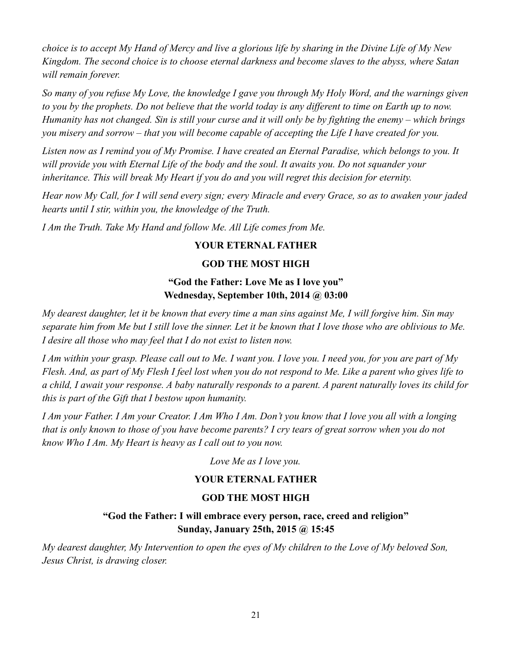*choice is to accept My Hand of Mercy and live a glorious life by sharing in the Divine Life of My New Kingdom. The second choice is to choose eternal darkness and become slaves to the abyss, where Satan will remain forever.*

*So many of you refuse My Love, the knowledge I gave you through My Holy Word, and the warnings given to you by the prophets. Do not believe that the world today is any different to time on Earth up to now. Humanity has not changed. Sin is still your curse and it will only be by fighting the enemy – which brings you misery and sorrow – that you will become capable of accepting the Life I have created for you.*

*Listen now as I remind you of My Promise. I have created an Eternal Paradise, which belongs to you. It will provide you with Eternal Life of the body and the soul. It awaits you. Do not squander your inheritance. This will break My Heart if you do and you will regret this decision for eternity.*

*Hear now My Call, for I will send every sign; every Miracle and every Grace, so as to awaken your jaded hearts until I stir, within you, the knowledge of the Truth.*

*I Am the Truth. Take My Hand and follow Me. All Life comes from Me.*

#### **YOUR ETERNAL FATHER**

#### **GOD THE MOST HIGH**

#### **"God the Father: Love Me as I love you" Wednesday, September 10th, 2014 @ 03:00**

*My dearest daughter, let it be known that every time a man sins against Me, I will forgive him. Sin may separate him from Me but I still love the sinner. Let it be known that I love those who are oblivious to Me. I desire all those who may feel that I do not exist to listen now.*

*I Am within your grasp. Please call out to Me. I want you. I love you. I need you, for you are part of My Flesh. And, as part of My Flesh I feel lost when you do not respond to Me. Like a parent who gives life to a child, I await your response. A baby naturally responds to a parent. A parent naturally loves its child for this is part of the Gift that I bestow upon humanity.*

*I Am your Father. I Am your Creator. I Am Who I Am. Don't you know that I love you all with a longing that is only known to those of you have become parents? I cry tears of great sorrow when you do not know Who I Am. My Heart is heavy as I call out to you now.*

*Love Me as I love you.*

#### **YOUR ETERNAL FATHER**

#### **GOD THE MOST HIGH**

#### **"God the Father: I will embrace every person, race, creed and religion" Sunday, January 25th, 2015 @ 15:45**

*My dearest daughter, My Intervention to open the eyes of My children to the Love of My beloved Son, Jesus Christ, is drawing closer.*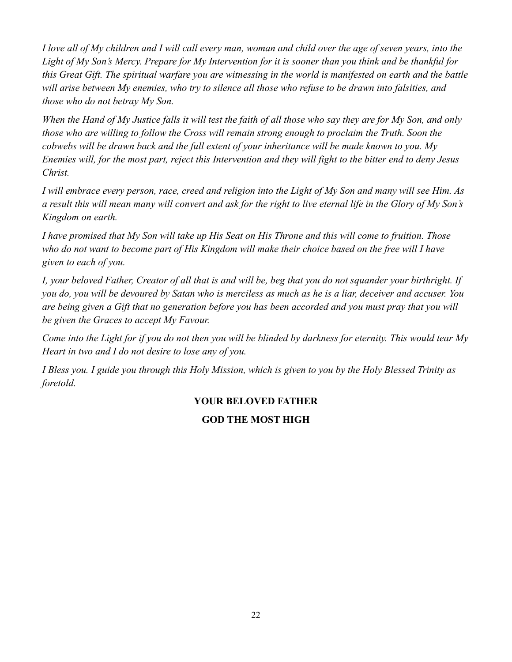*I love all of My children and I will call every man, woman and child over the age of seven years, into the Light of My Son's Mercy. Prepare for My Intervention for it is sooner than you think and be thankful for this Great Gift. The spiritual warfare you are witnessing in the world is manifested on earth and the battle will arise between My enemies, who try to silence all those who refuse to be drawn into falsities, and those who do not betray My Son.*

*When the Hand of My Justice falls it will test the faith of all those who say they are for My Son, and only those who are willing to follow the Cross will remain strong enough to proclaim the Truth. Soon the cobwebs will be drawn back and the full extent of your inheritance will be made known to you. My Enemies will, for the most part, reject this Intervention and they will fight to the bitter end to deny Jesus Christ.*

*I will embrace every person, race, creed and religion into the Light of My Son and many will see Him. As a result this will mean many will convert and ask for the right to live eternal life in the Glory of My Son's Kingdom on earth.*

*I have promised that My Son will take up His Seat on His Throne and this will come to fruition. Those who do not want to become part of His Kingdom will make their choice based on the free will I have given to each of you.*

*I, your beloved Father, Creator of all that is and will be, beg that you do not squander your birthright. If you do, you will be devoured by Satan who is merciless as much as he is a liar, deceiver and accuser. You are being given a Gift that no generation before you has been accorded and you must pray that you will be given the Graces to accept My Favour.*

*Come into the Light for if you do not then you will be blinded by darkness for eternity. This would tear My Heart in two and I do not desire to lose any of you.*

*I Bless you. I guide you through this Holy Mission, which is given to you by the Holy Blessed Trinity as foretold.*

# **YOUR BELOVED FATHER**

# **GOD THE MOST HIGH**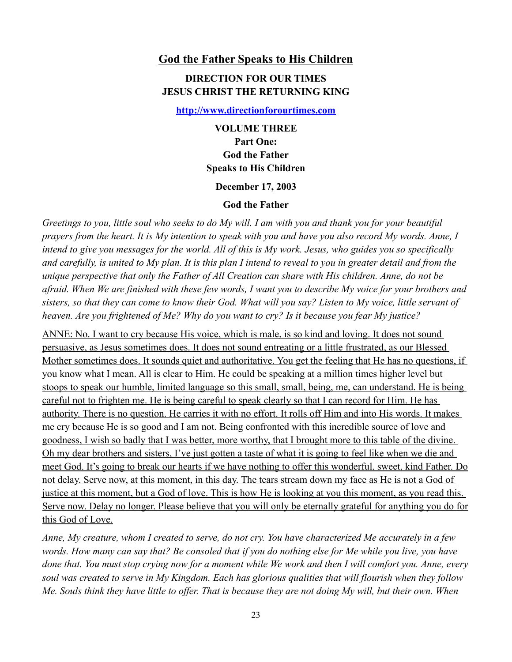#### **God the Father Speaks to His Children**

# **DIRECTION FOR OUR TIMES JESUS CHRIST THE RETURNING KING**

**[http://www.directionforourtimes.com](http://www.directionforourtimes.com/)**

# **VOLUME THREE Part One: God the Father Speaks to His Children**

#### **December 17, 2003**

#### **God the Father**

*Greetings to you, little soul who seeks to do My will. I am with you and thank you for your beautiful prayers from the heart. It is My intention to speak with you and have you also record My words. Anne, I intend to give you messages for the world. All of this is My work. Jesus, who guides you so specifically and carefully, is united to My plan. It is this plan I intend to reveal to you in greater detail and from the unique perspective that only the Father of All Creation can share with His children. Anne, do not be afraid. When We are finished with these few words, I want you to describe My voice for your brothers and sisters, so that they can come to know their God. What will you say? Listen to My voice, little servant of heaven. Are you frightened of Me? Why do you want to cry? Is it because you fear My justice?*

ANNE: No. I want to cry because His voice, which is male, is so kind and loving. It does not sound persuasive, as Jesus sometimes does. It does not sound entreating or a little frustrated, as our Blessed Mother sometimes does. It sounds quiet and authoritative. You get the feeling that He has no questions, if you know what I mean. All is clear to Him. He could be speaking at a million times higher level but stoops to speak our humble, limited language so this small, small, being, me, can understand. He is being careful not to frighten me. He is being careful to speak clearly so that I can record for Him. He has authority. There is no question. He carries it with no effort. It rolls off Him and into His words. It makes me cry because He is so good and I am not. Being confronted with this incredible source of love and goodness, I wish so badly that I was better, more worthy, that I brought more to this table of the divine. Oh my dear brothers and sisters, I've just gotten a taste of what it is going to feel like when we die and meet God. It's going to break our hearts if we have nothing to offer this wonderful, sweet, kind Father. Do not delay. Serve now, at this moment, in this day. The tears stream down my face as He is not a God of justice at this moment, but a God of love. This is how He is looking at you this moment, as you read this. Serve now. Delay no longer. Please believe that you will only be eternally grateful for anything you do for this God of Love.

*Anne, My creature, whom I created to serve, do not cry. You have characterized Me accurately in a few words. How many can say that? Be consoled that if you do nothing else for Me while you live, you have done that. You must stop crying now for a moment while We work and then I will comfort you. Anne, every soul was created to serve in My Kingdom. Each has glorious qualities that will flourish when they follow Me. Souls think they have little to offer. That is because they are not doing My will, but their own. When*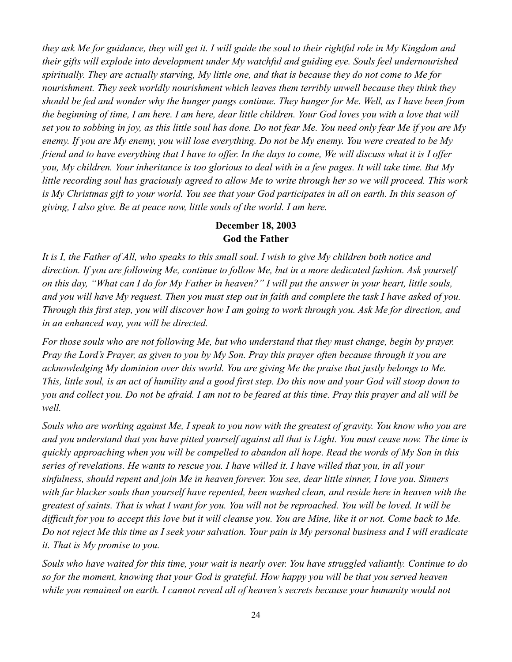*they ask Me for guidance, they will get it. I will guide the soul to their rightful role in My Kingdom and their gifts will explode into development under My watchful and guiding eye. Souls feel undernourished spiritually. They are actually starving, My little one, and that is because they do not come to Me for nourishment. They seek worldly nourishment which leaves them terribly unwell because they think they should be fed and wonder why the hunger pangs continue. They hunger for Me. Well, as I have been from the beginning of time, I am here. I am here, dear little children. Your God loves you with a love that will set you to sobbing in joy, as this little soul has done. Do not fear Me. You need only fear Me if you are My enemy. If you are My enemy, you will lose everything. Do not be My enemy. You were created to be My friend and to have everything that I have to offer. In the days to come, We will discuss what it is I offer you, My children. Your inheritance is too glorious to deal with in a few pages. It will take time. But My little recording soul has graciously agreed to allow Me to write through her so we will proceed. This work is My Christmas gift to your world. You see that your God participates in all on earth. In this season of giving, I also give. Be at peace now, little souls of the world. I am here.*

#### **December 18, 2003 God the Father**

*It is I, the Father of All, who speaks to this small soul. I wish to give My children both notice and direction. If you are following Me, continue to follow Me, but in a more dedicated fashion. Ask yourself on this day, "What can I do for My Father in heaven?" I will put the answer in your heart, little souls, and you will have My request. Then you must step out in faith and complete the task I have asked of you. Through this first step, you will discover how I am going to work through you. Ask Me for direction, and in an enhanced way, you will be directed.*

*For those souls who are not following Me, but who understand that they must change, begin by prayer. Pray the Lord's Prayer, as given to you by My Son. Pray this prayer often because through it you are acknowledging My dominion over this world. You are giving Me the praise that justly belongs to Me. This, little soul, is an act of humility and a good first step. Do this now and your God will stoop down to you and collect you. Do not be afraid. I am not to be feared at this time. Pray this prayer and all will be well.*

*Souls who are working against Me, I speak to you now with the greatest of gravity. You know who you are and you understand that you have pitted yourself against all that is Light. You must cease now. The time is quickly approaching when you will be compelled to abandon all hope. Read the words of My Son in this series of revelations. He wants to rescue you. I have willed it. I have willed that you, in all your sinfulness, should repent and join Me in heaven forever. You see, dear little sinner, I love you. Sinners with far blacker souls than yourself have repented, been washed clean, and reside here in heaven with the greatest of saints. That is what I want for you. You will not be reproached. You will be loved. It will be difficult for you to accept this love but it will cleanse you. You are Mine, like it or not. Come back to Me. Do not reject Me this time as I seek your salvation. Your pain is My personal business and I will eradicate it. That is My promise to you.*

*Souls who have waited for this time, your wait is nearly over. You have struggled valiantly. Continue to do so for the moment, knowing that your God is grateful. How happy you will be that you served heaven while you remained on earth. I cannot reveal all of heaven's secrets because your humanity would not*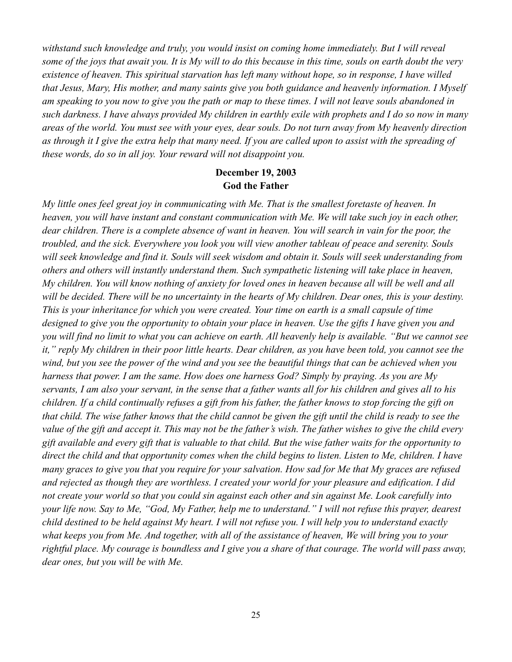*withstand such knowledge and truly, you would insist on coming home immediately. But I will reveal some of the joys that await you. It is My will to do this because in this time, souls on earth doubt the very existence of heaven. This spiritual starvation has left many without hope, so in response, I have willed that Jesus, Mary, His mother, and many saints give you both guidance and heavenly information. I Myself am speaking to you now to give you the path or map to these times. I will not leave souls abandoned in such darkness. I have always provided My children in earthly exile with prophets and I do so now in many areas of the world. You must see with your eyes, dear souls. Do not turn away from My heavenly direction as through it I give the extra help that many need. If you are called upon to assist with the spreading of these words, do so in all joy. Your reward will not disappoint you.*

#### **December 19, 2003 God the Father**

*My little ones feel great joy in communicating with Me. That is the smallest foretaste of heaven. In heaven, you will have instant and constant communication with Me. We will take such joy in each other, dear children. There is a complete absence of want in heaven. You will search in vain for the poor, the troubled, and the sick. Everywhere you look you will view another tableau of peace and serenity. Souls will seek knowledge and find it. Souls will seek wisdom and obtain it. Souls will seek understanding from others and others will instantly understand them. Such sympathetic listening will take place in heaven, My children. You will know nothing of anxiety for loved ones in heaven because all will be well and all*  will be decided. There will be no uncertainty in the hearts of My children. Dear ones, this is your destiny. *This is your inheritance for which you were created. Your time on earth is a small capsule of time designed to give you the opportunity to obtain your place in heaven. Use the gifts I have given you and you will find no limit to what you can achieve on earth. All heavenly help is available. "But we cannot see it," reply My children in their poor little hearts. Dear children, as you have been told, you cannot see the wind, but you see the power of the wind and you see the beautiful things that can be achieved when you harness that power. I am the same. How does one harness God? Simply by praying. As you are My servants, I am also your servant, in the sense that a father wants all for his children and gives all to his children. If a child continually refuses a gift from his father, the father knows to stop forcing the gift on that child. The wise father knows that the child cannot be given the gift until the child is ready to see the value of the gift and accept it. This may not be the father's wish. The father wishes to give the child every gift available and every gift that is valuable to that child. But the wise father waits for the opportunity to direct the child and that opportunity comes when the child begins to listen. Listen to Me, children. I have many graces to give you that you require for your salvation. How sad for Me that My graces are refused and rejected as though they are worthless. I created your world for your pleasure and edification. I did not create your world so that you could sin against each other and sin against Me. Look carefully into your life now. Say to Me, "God, My Father, help me to understand." I will not refuse this prayer, dearest child destined to be held against My heart. I will not refuse you. I will help you to understand exactly what keeps you from Me. And together, with all of the assistance of heaven, We will bring you to your rightful place. My courage is boundless and I give you a share of that courage. The world will pass away, dear ones, but you will be with Me.*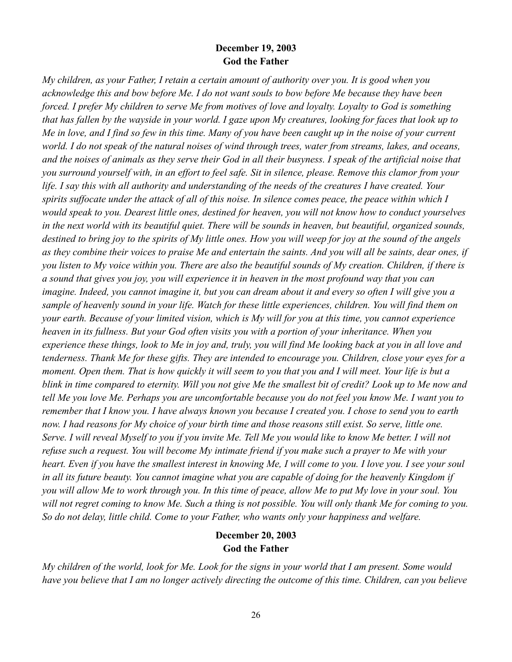#### **December 19, 2003 God the Father**

*My children, as your Father, I retain a certain amount of authority over you. It is good when you acknowledge this and bow before Me. I do not want souls to bow before Me because they have been forced. I prefer My children to serve Me from motives of love and loyalty. Loyalty to God is something that has fallen by the wayside in your world. I gaze upon My creatures, looking for faces that look up to Me in love, and I find so few in this time. Many of you have been caught up in the noise of your current world. I do not speak of the natural noises of wind through trees, water from streams, lakes, and oceans, and the noises of animals as they serve their God in all their busyness. I speak of the artificial noise that you surround yourself with, in an effort to feel safe. Sit in silence, please. Remove this clamor from your life. I say this with all authority and understanding of the needs of the creatures I have created. Your spirits suffocate under the attack of all of this noise. In silence comes peace, the peace within which I would speak to you. Dearest little ones, destined for heaven, you will not know how to conduct yourselves in the next world with its beautiful quiet. There will be sounds in heaven, but beautiful, organized sounds, destined to bring joy to the spirits of My little ones. How you will weep for joy at the sound of the angels as they combine their voices to praise Me and entertain the saints. And you will all be saints, dear ones, if you listen to My voice within you. There are also the beautiful sounds of My creation. Children, if there is a sound that gives you joy, you will experience it in heaven in the most profound way that you can imagine. Indeed, you cannot imagine it, but you can dream about it and every so often I will give you a sample of heavenly sound in your life. Watch for these little experiences, children. You will find them on your earth. Because of your limited vision, which is My will for you at this time, you cannot experience heaven in its fullness. But your God often visits you with a portion of your inheritance. When you experience these things, look to Me in joy and, truly, you will find Me looking back at you in all love and tenderness. Thank Me for these gifts. They are intended to encourage you. Children, close your eyes for a moment. Open them. That is how quickly it will seem to you that you and I will meet. Your life is but a blink in time compared to eternity. Will you not give Me the smallest bit of credit? Look up to Me now and tell Me you love Me. Perhaps you are uncomfortable because you do not feel you know Me. I want you to remember that I know you. I have always known you because I created you. I chose to send you to earth now. I had reasons for My choice of your birth time and those reasons still exist. So serve, little one. Serve. I will reveal Myself to you if you invite Me. Tell Me you would like to know Me better. I will not refuse such a request. You will become My intimate friend if you make such a prayer to Me with your heart. Even if you have the smallest interest in knowing Me, I will come to you. I love you. I see your soul in all its future beauty. You cannot imagine what you are capable of doing for the heavenly Kingdom if you will allow Me to work through you. In this time of peace, allow Me to put My love in your soul. You will not regret coming to know Me. Such a thing is not possible. You will only thank Me for coming to you. So do not delay, little child. Come to your Father, who wants only your happiness and welfare.*

#### **December 20, 2003 God the Father**

*My children of the world, look for Me. Look for the signs in your world that I am present. Some would have you believe that I am no longer actively directing the outcome of this time. Children, can you believe*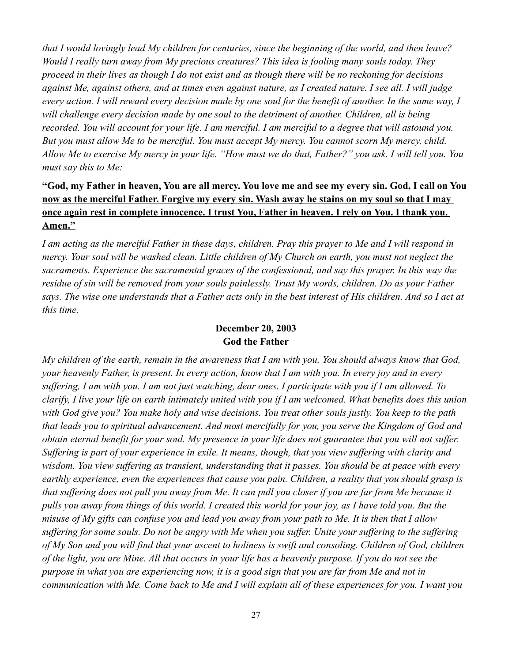*that I would lovingly lead My children for centuries, since the beginning of the world, and then leave? Would I really turn away from My precious creatures? This idea is fooling many souls today. They proceed in their lives as though I do not exist and as though there will be no reckoning for decisions against Me, against others, and at times even against nature, as I created nature. I see all. I will judge every action. I will reward every decision made by one soul for the benefit of another. In the same way, I will challenge every decision made by one soul to the detriment of another. Children, all is being recorded. You will account for your life. I am merciful. I am merciful to a degree that will astound you. But you must allow Me to be merciful. You must accept My mercy. You cannot scorn My mercy, child. Allow Me to exercise My mercy in your life. "How must we do that, Father?" you ask. I will tell you. You must say this to Me:*

# **"God, my Father in heaven, You are all mercy. You love me and see my every sin. God, I call on You now as the merciful Father. Forgive my every sin. Wash away he stains on my soul so that I may once again rest in complete innocence. I trust You, Father in heaven. I rely on You. I thank you. Amen."**

*I am acting as the merciful Father in these days, children. Pray this prayer to Me and I will respond in mercy. Your soul will be washed clean. Little children of My Church on earth, you must not neglect the sacraments. Experience the sacramental graces of the confessional, and say this prayer. In this way the residue of sin will be removed from your souls painlessly. Trust My words, children. Do as your Father says. The wise one understands that a Father acts only in the best interest of His children. And so I act at this time.*

# **December 20, 2003 God the Father**

*My children of the earth, remain in the awareness that I am with you. You should always know that God, your heavenly Father, is present. In every action, know that I am with you. In every joy and in every suffering, I am with you. I am not just watching, dear ones. I participate with you if I am allowed. To clarify, I live your life on earth intimately united with you if I am welcomed. What benefits does this union with God give you? You make holy and wise decisions. You treat other souls justly. You keep to the path that leads you to spiritual advancement. And most mercifully for you, you serve the Kingdom of God and obtain eternal benefit for your soul. My presence in your life does not guarantee that you will not suffer. Suffering is part of your experience in exile. It means, though, that you view suffering with clarity and wisdom. You view suffering as transient, understanding that it passes. You should be at peace with every earthly experience, even the experiences that cause you pain. Children, a reality that you should grasp is that suffering does not pull you away from Me. It can pull you closer if you are far from Me because it pulls you away from things of this world. I created this world for your joy, as I have told you. But the misuse of My gifts can confuse you and lead you away from your path to Me. It is then that I allow suffering for some souls. Do not be angry with Me when you suffer. Unite your suffering to the suffering of My Son and you will find that your ascent to holiness is swift and consoling. Children of God, children of the light, you are Mine. All that occurs in your life has a heavenly purpose. If you do not see the purpose in what you are experiencing now, it is a good sign that you are far from Me and not in communication with Me. Come back to Me and I will explain all of these experiences for you. I want you*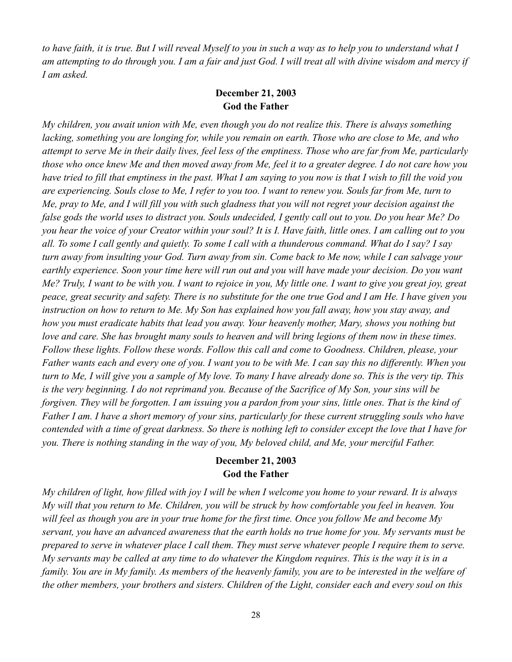*to have faith, it is true. But I will reveal Myself to you in such a way as to help you to understand what I am attempting to do through you. I am a fair and just God. I will treat all with divine wisdom and mercy if I am asked.*

#### **December 21, 2003 God the Father**

*My children, you await union with Me, even though you do not realize this. There is always something lacking, something you are longing for, while you remain on earth. Those who are close to Me, and who attempt to serve Me in their daily lives, feel less of the emptiness. Those who are far from Me, particularly those who once knew Me and then moved away from Me, feel it to a greater degree. I do not care how you have tried to fill that emptiness in the past. What I am saying to you now is that I wish to fill the void you are experiencing. Souls close to Me, I refer to you too. I want to renew you. Souls far from Me, turn to Me, pray to Me, and I will fill you with such gladness that you will not regret your decision against the false gods the world uses to distract you. Souls undecided, I gently call out to you. Do you hear Me? Do you hear the voice of your Creator within your soul? It is I. Have faith, little ones. I am calling out to you all. To some I call gently and quietly. To some I call with a thunderous command. What do I say? I say turn away from insulting your God. Turn away from sin. Come back to Me now, while I can salvage your earthly experience. Soon your time here will run out and you will have made your decision. Do you want Me? Truly, I want to be with you. I want to rejoice in you, My little one. I want to give you great joy, great peace, great security and safety. There is no substitute for the one true God and I am He. I have given you instruction on how to return to Me. My Son has explained how you fall away, how you stay away, and how you must eradicate habits that lead you away. Your heavenly mother, Mary, shows you nothing but love and care. She has brought many souls to heaven and will bring legions of them now in these times. Follow these lights. Follow these words. Follow this call and come to Goodness. Children, please, your Father wants each and every one of you. I want you to be with Me. I can say this no differently. When you turn to Me, I will give you a sample of My love. To many I have already done so. This is the very tip. This is the very beginning. I do not reprimand you. Because of the Sacrifice of My Son, your sins will be forgiven. They will be forgotten. I am issuing you a pardon from your sins, little ones. That is the kind of Father I am. I have a short memory of your sins, particularly for these current struggling souls who have contended with a time of great darkness. So there is nothing left to consider except the love that I have for you. There is nothing standing in the way of you, My beloved child, and Me, your merciful Father.*

# **December 21, 2003 God the Father**

*My children of light, how filled with joy I will be when I welcome you home to your reward. It is always My will that you return to Me. Children, you will be struck by how comfortable you feel in heaven. You will feel as though you are in your true home for the first time. Once you follow Me and become My servant, you have an advanced awareness that the earth holds no true home for you. My servants must be prepared to serve in whatever place I call them. They must serve whatever people I require them to serve. My servants may be called at any time to do whatever the Kingdom requires. This is the way it is in a family. You are in My family. As members of the heavenly family, you are to be interested in the welfare of the other members, your brothers and sisters. Children of the Light, consider each and every soul on this*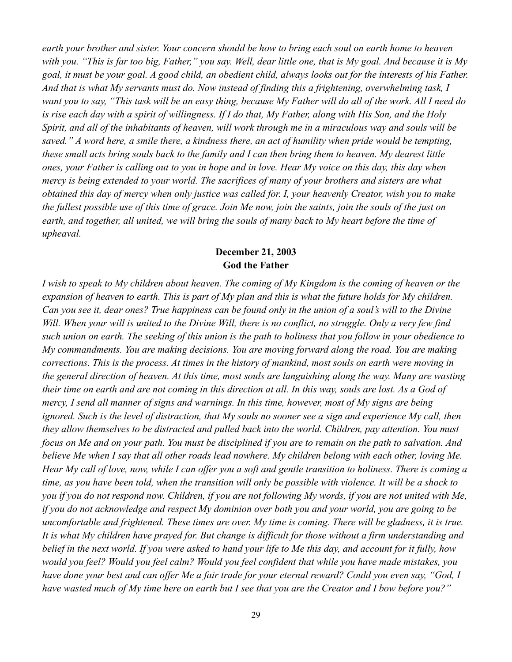*earth your brother and sister. Your concern should be how to bring each soul on earth home to heaven with you. "This is far too big, Father," you say. Well, dear little one, that is My goal. And because it is My goal, it must be your goal. A good child, an obedient child, always looks out for the interests of his Father. And that is what My servants must do. Now instead of finding this a frightening, overwhelming task, I want you to say, "This task will be an easy thing, because My Father will do all of the work. All I need do is rise each day with a spirit of willingness. If I do that, My Father, along with His Son, and the Holy Spirit, and all of the inhabitants of heaven, will work through me in a miraculous way and souls will be saved." A word here, a smile there, a kindness there, an act of humility when pride would be tempting, these small acts bring souls back to the family and I can then bring them to heaven. My dearest little ones, your Father is calling out to you in hope and in love. Hear My voice on this day, this day when mercy is being extended to your world. The sacrifices of many of your brothers and sisters are what obtained this day of mercy when only justice was called for. I, your heavenly Creator, wish you to make the fullest possible use of this time of grace. Join Me now, join the saints, join the souls of the just on earth, and together, all united, we will bring the souls of many back to My heart before the time of upheaval.*

#### **December 21, 2003 God the Father**

*I wish to speak to My children about heaven. The coming of My Kingdom is the coming of heaven or the expansion of heaven to earth. This is part of My plan and this is what the future holds for My children. Can you see it, dear ones? True happiness can be found only in the union of a soul's will to the Divine Will. When your will is united to the Divine Will, there is no conflict, no struggle. Only a very few find such union on earth. The seeking of this union is the path to holiness that you follow in your obedience to My commandments. You are making decisions. You are moving forward along the road. You are making corrections. This is the process. At times in the history of mankind, most souls on earth were moving in the general direction of heaven. At this time, most souls are languishing along the way. Many are wasting their time on earth and are not coming in this direction at all. In this way, souls are lost. As a God of mercy, I send all manner of signs and warnings. In this time, however, most of My signs are being ignored. Such is the level of distraction, that My souls no sooner see a sign and experience My call, then they allow themselves to be distracted and pulled back into the world. Children, pay attention. You must focus on Me and on your path. You must be disciplined if you are to remain on the path to salvation. And believe Me when I say that all other roads lead nowhere. My children belong with each other, loving Me. Hear My call of love, now, while I can offer you a soft and gentle transition to holiness. There is coming a time, as you have been told, when the transition will only be possible with violence. It will be a shock to you if you do not respond now. Children, if you are not following My words, if you are not united with Me, if you do not acknowledge and respect My dominion over both you and your world, you are going to be uncomfortable and frightened. These times are over. My time is coming. There will be gladness, it is true. It is what My children have prayed for. But change is difficult for those without a firm understanding and belief in the next world. If you were asked to hand your life to Me this day, and account for it fully, how would you feel? Would you feel calm? Would you feel confident that while you have made mistakes, you have done your best and can offer Me a fair trade for your eternal reward? Could you even say, "God, I have wasted much of My time here on earth but I see that you are the Creator and I bow before you?"*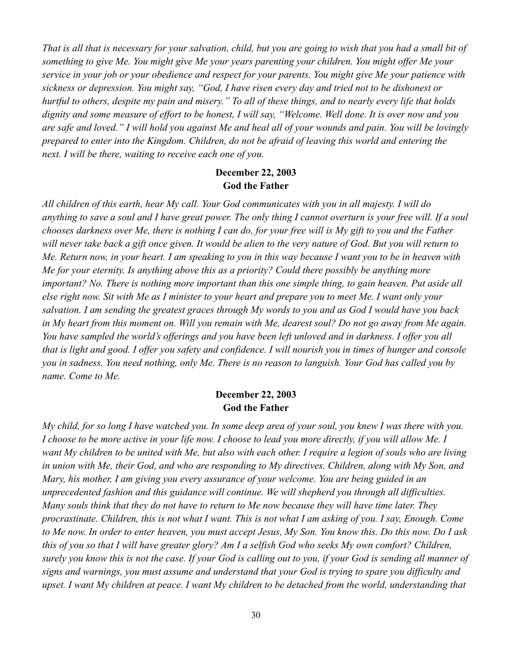*That is all that is necessary for your salvation, child, but you are going to wish that you had a small bit of something to give Me. You might give Me your years parenting your children. You might offer Me your service in your job or your obedience and respect for your parents. You might give Me your patience with sickness or depression. You might say, "God, I have risen every day and tried not to be dishonest or hurtful to others, despite my pain and misery." To all of these things, and to nearly every life that holds dignity and some measure of effort to be honest, I will say, "Welcome. Well done. It is over now and you are safe and loved." I will hold you against Me and heal all of your wounds and pain. You will be lovingly prepared to enter into the Kingdom. Children, do not be afraid of leaving this world and entering the next. I will be there, waiting to receive each one of you.*

#### **December 22, 2003 God the Father**

*All children of this earth, hear My call. Your God communicates with you in all majesty. I will do anything to save a soul and I have great power. The only thing I cannot overturn is your free will. If a soul chooses darkness over Me, there is nothing I can do, for your free will is My gift to you and the Father will never take back a gift once given. It would be alien to the very nature of God. But you will return to Me. Return now, in your heart. I am speaking to you in this way because I want you to be in heaven with Me for your eternity. Is anything above this as a priority? Could there possibly be anything more important? No. There is nothing more important than this one simple thing, to gain heaven. Put aside all else right now. Sit with Me as I minister to your heart and prepare you to meet Me. I want only your salvation. I am sending the greatest graces through My words to you and as God I would have you back in My heart from this moment on. Will you remain with Me, dearest soul? Do not go away from Me again. You have sampled the world's offerings and you have been left unloved and in darkness. I offer you all that is light and good. I offer you safety and confidence. I will nourish you in times of hunger and console you in sadness. You need nothing, only Me. There is no reason to languish. Your God has called you by name. Come to Me.*

#### **December 22, 2003 God the Father**

*My child, for so long I have watched you. In some deep area of your soul, you knew I was there with you. I choose to be more active in your life now. I choose to lead you more directly, if you will allow Me. I want My children to be united with Me, but also with each other. I require a legion of souls who are living in union with Me, their God, and who are responding to My directives. Children, along with My Son, and Mary, his mother, I am giving you every assurance of your welcome. You are being guided in an unprecedented fashion and this guidance will continue. We will shepherd you through all difficulties. Many souls think that they do not have to return to Me now because they will have time later. They procrastinate. Children, this is not what I want. This is not what I am asking of you. I say, Enough. Come to Me now. In order to enter heaven, you must accept Jesus, My Son. You know this. Do this now. Do I ask this of you so that I will have greater glory? Am I a selfish God who seeks My own comfort? Children, surely you know this is not the case. If your God is calling out to you, if your God is sending all manner of signs and warnings, you must assume and understand that your God is trying to spare you difficulty and upset. I want My children at peace. I want My children to be detached from the world, understanding that*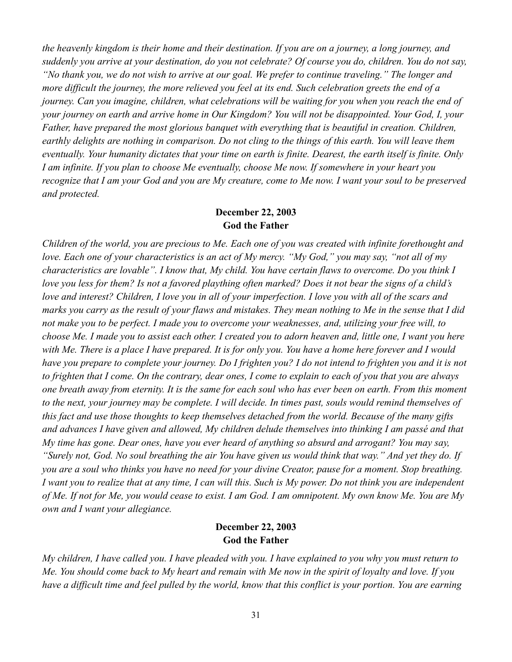*the heavenly kingdom is their home and their destination. If you are on a journey, a long journey, and suddenly you arrive at your destination, do you not celebrate? Of course you do, children. You do not say, "No thank you, we do not wish to arrive at our goal. We prefer to continue traveling." The longer and more difficult the journey, the more relieved you feel at its end. Such celebration greets the end of a journey. Can you imagine, children, what celebrations will be waiting for you when you reach the end of your journey on earth and arrive home in Our Kingdom? You will not be disappointed. Your God, I, your Father, have prepared the most glorious banquet with everything that is beautiful in creation. Children, earthly delights are nothing in comparison. Do not cling to the things of this earth. You will leave them eventually. Your humanity dictates that your time on earth is finite. Dearest, the earth itself is finite. Only I am infinite. If you plan to choose Me eventually, choose Me now. If somewhere in your heart you recognize that I am your God and you are My creature, come to Me now. I want your soul to be preserved and protected.*

#### **December 22, 2003 God the Father**

*Children of the world, you are precious to Me. Each one of you was created with infinite forethought and love. Each one of your characteristics is an act of My mercy. "My God," you may say, "not all of my characteristics are lovable". I know that, My child. You have certain flaws to overcome. Do you think I love you less for them? Is not a favored plaything often marked? Does it not bear the signs of a child's love and interest? Children, I love you in all of your imperfection. I love you with all of the scars and marks you carry as the result of your flaws and mistakes. They mean nothing to Me in the sense that I did not make you to be perfect. I made you to overcome your weaknesses, and, utilizing your free will, to choose Me. I made you to assist each other. I created you to adorn heaven and, little one, I want you here with Me. There is a place I have prepared. It is for only you. You have a home here forever and I would have you prepare to complete your journey. Do I frighten you? I do not intend to frighten you and it is not to frighten that I come. On the contrary, dear ones, I come to explain to each of you that you are always one breath away from eternity. It is the same for each soul who has ever been on earth. From this moment to the next, your journey may be complete. I will decide. In times past, souls would remind themselves of this fact and use those thoughts to keep themselves detached from the world. Because of the many gifts and advances I have given and allowed, My children delude themselves into thinking I am passé and that My time has gone. Dear ones, have you ever heard of anything so absurd and arrogant? You may say, "Surely not, God. No soul breathing the air You have given us would think that way." And yet they do. If you are a soul who thinks you have no need for your divine Creator, pause for a moment. Stop breathing. I want you to realize that at any time, I can will this. Such is My power. Do not think you are independent of Me. If not for Me, you would cease to exist. I am God. I am omnipotent. My own know Me. You are My own and I want your allegiance.*

#### **December 22, 2003 God the Father**

*My children, I have called you. I have pleaded with you. I have explained to you why you must return to Me. You should come back to My heart and remain with Me now in the spirit of loyalty and love. If you have a difficult time and feel pulled by the world, know that this conflict is your portion. You are earning*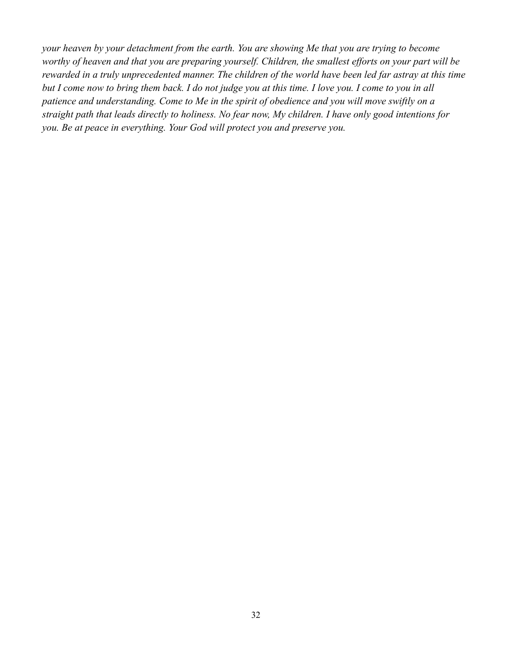*your heaven by your detachment from the earth. You are showing Me that you are trying to become worthy of heaven and that you are preparing yourself. Children, the smallest efforts on your part will be rewarded in a truly unprecedented manner. The children of the world have been led far astray at this time but I come now to bring them back. I do not judge you at this time. I love you. I come to you in all patience and understanding. Come to Me in the spirit of obedience and you will move swiftly on a straight path that leads directly to holiness. No fear now, My children. I have only good intentions for you. Be at peace in everything. Your God will protect you and preserve you.*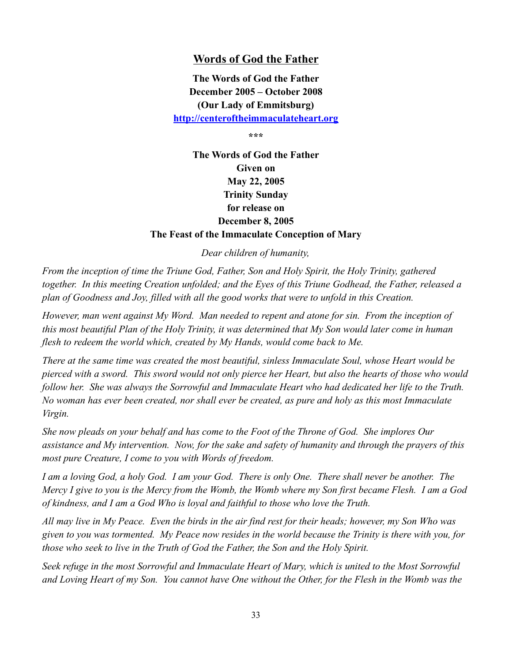# **Words of God the Father**

**The Words of God the Father December 2005 – October 2008 (Our Lady of Emmitsburg) [http://centeroftheimmaculateheart.org](http://centeroftheimmaculateheart.org/)**

**\*\*\***

# **The Words of God the Father Given on May 22, 2005 Trinity Sunday for release on December 8, 2005 The Feast of the Immaculate Conception of Mary**

*Dear children of humanity,*

*From the inception of time the Triune God, Father, Son and Holy Spirit, the Holy Trinity, gathered together. In this meeting Creation unfolded; and the Eyes of this Triune Godhead, the Father, released a plan of Goodness and Joy, filled with all the good works that were to unfold in this Creation.*

*However, man went against My Word. Man needed to repent and atone for sin. From the inception of this most beautiful Plan of the Holy Trinity, it was determined that My Son would later come in human flesh to redeem the world which, created by My Hands, would come back to Me.*

*There at the same time was created the most beautiful, sinless Immaculate Soul, whose Heart would be pierced with a sword. This sword would not only pierce her Heart, but also the hearts of those who would follow her. She was always the Sorrowful and Immaculate Heart who had dedicated her life to the Truth. No woman has ever been created, nor shall ever be created, as pure and holy as this most Immaculate Virgin.*

*She now pleads on your behalf and has come to the Foot of the Throne of God. She implores Our assistance and My intervention. Now, for the sake and safety of humanity and through the prayers of this most pure Creature, I come to you with Words of freedom.*

*I am a loving God, a holy God. I am your God. There is only One. There shall never be another. The Mercy I give to you is the Mercy from the Womb, the Womb where my Son first became Flesh. I am a God of kindness, and I am a God Who is loyal and faithful to those who love the Truth.*

*All may live in My Peace. Even the birds in the air find rest for their heads; however, my Son Who was given to you was tormented. My Peace now resides in the world because the Trinity is there with you, for those who seek to live in the Truth of God the Father, the Son and the Holy Spirit.*

*Seek refuge in the most Sorrowful and Immaculate Heart of Mary, which is united to the Most Sorrowful and Loving Heart of my Son. You cannot have One without the Other, for the Flesh in the Womb was the*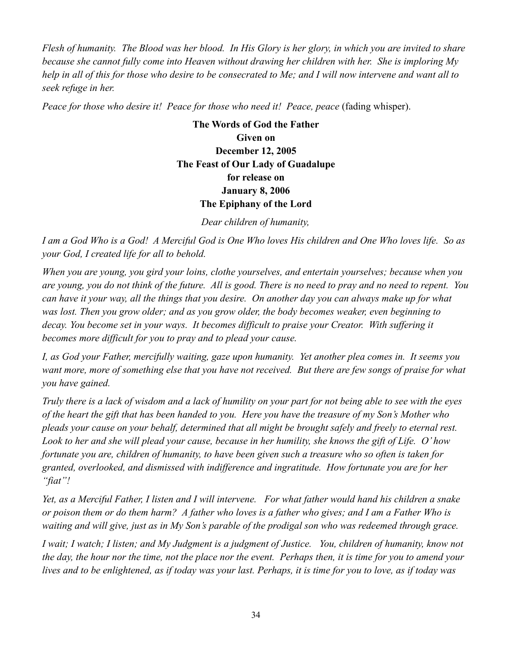*Flesh of humanity. The Blood was her blood. In His Glory is her glory, in which you are invited to share because she cannot fully come into Heaven without drawing her children with her. She is imploring My help in all of this for those who desire to be consecrated to Me; and I will now intervene and want all to seek refuge in her.*

*Peace for those who desire it! Peace for those who need it! Peace, peace* (fading whisper).

# **The Words of God the Father Given on December 12, 2005 The Feast of Our Lady of Guadalupe for release on January 8, 2006 The Epiphany of the Lord**

#### *Dear children of humanity,*

*I am a God Who is a God! A Merciful God is One Who loves His children and One Who loves life. So as your God, I created life for all to behold.*

*When you are young, you gird your loins, clothe yourselves, and entertain yourselves; because when you are young, you do not think of the future. All is good. There is no need to pray and no need to repent. You can have it your way, all the things that you desire. On another day you can always make up for what was lost. Then you grow older; and as you grow older, the body becomes weaker, even beginning to decay. You become set in your ways. It becomes difficult to praise your Creator. With suffering it becomes more difficult for you to pray and to plead your cause.*

*I, as God your Father, mercifully waiting, gaze upon humanity. Yet another plea comes in. It seems you want more, more of something else that you have not received. But there are few songs of praise for what you have gained.*

*Truly there is a lack of wisdom and a lack of humility on your part for not being able to see with the eyes of the heart the gift that has been handed to you. Here you have the treasure of my Son's Mother who pleads your cause on your behalf, determined that all might be brought safely and freely to eternal rest. Look to her and she will plead your cause, because in her humility, she knows the gift of Life. O' how fortunate you are, children of humanity, to have been given such a treasure who so often is taken for granted, overlooked, and dismissed with indifference and ingratitude. How fortunate you are for her "fiat"!*

*Yet, as a Merciful Father, I listen and I will intervene. For what father would hand his children a snake or poison them or do them harm? A father who loves is a father who gives; and I am a Father Who is waiting and will give, just as in My Son's parable of the prodigal son who was redeemed through grace.*

*I wait; I watch; I listen; and My Judgment is a judgment of Justice. You, children of humanity, know not the day, the hour nor the time, not the place nor the event. Perhaps then, it is time for you to amend your lives and to be enlightened, as if today was your last. Perhaps, it is time for you to love, as if today was*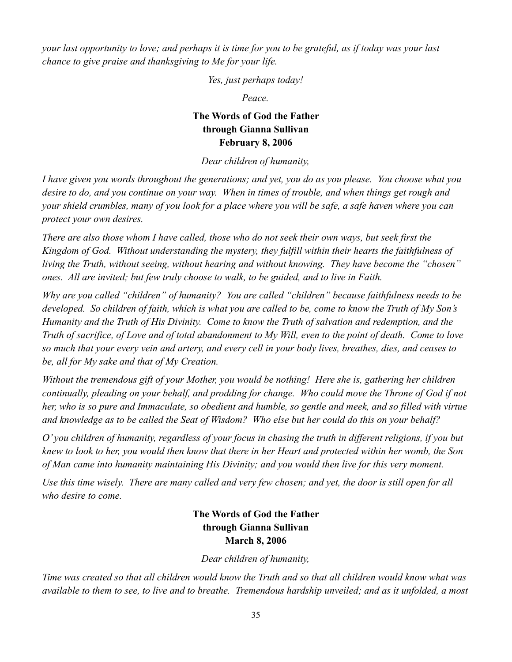*your last opportunity to love; and perhaps it is time for you to be grateful, as if today was your last chance to give praise and thanksgiving to Me for your life.*

*Yes, just perhaps today!*

*Peace.*

# **The Words of God the Father through Gianna Sullivan February 8, 2006**

*Dear children of humanity,*

*I have given you words throughout the generations; and yet, you do as you please. You choose what you desire to do, and you continue on your way. When in times of trouble, and when things get rough and your shield crumbles, many of you look for a place where you will be safe, a safe haven where you can protect your own desires.*

*There are also those whom I have called, those who do not seek their own ways, but seek first the Kingdom of God. Without understanding the mystery, they fulfill within their hearts the faithfulness of living the Truth, without seeing, without hearing and without knowing. They have become the "chosen" ones. All are invited; but few truly choose to walk, to be guided, and to live in Faith.*

*Why are you called "children" of humanity? You are called "children" because faithfulness needs to be developed. So children of faith, which is what you are called to be, come to know the Truth of My Son's Humanity and the Truth of His Divinity. Come to know the Truth of salvation and redemption, and the Truth of sacrifice, of Love and of total abandonment to My Will, even to the point of death. Come to love so much that your every vein and artery, and every cell in your body lives, breathes, dies, and ceases to be, all for My sake and that of My Creation.*

*Without the tremendous gift of your Mother, you would be nothing! Here she is, gathering her children continually, pleading on your behalf, and prodding for change. Who could move the Throne of God if not her, who is so pure and Immaculate, so obedient and humble, so gentle and meek, and so filled with virtue and knowledge as to be called the Seat of Wisdom? Who else but her could do this on your behalf?*

*O' you children of humanity, regardless of your focus in chasing the truth in different religions, if you but knew to look to her, you would then know that there in her Heart and protected within her womb, the Son of Man came into humanity maintaining His Divinity; and you would then live for this very moment.*

*Use this time wisely. There are many called and very few chosen; and yet, the door is still open for all who desire to come.*

# **The Words of God the Father through Gianna Sullivan March 8, 2006**

*Dear children of humanity,*

*Time was created so that all children would know the Truth and so that all children would know what was available to them to see, to live and to breathe. Tremendous hardship unveiled; and as it unfolded, a most*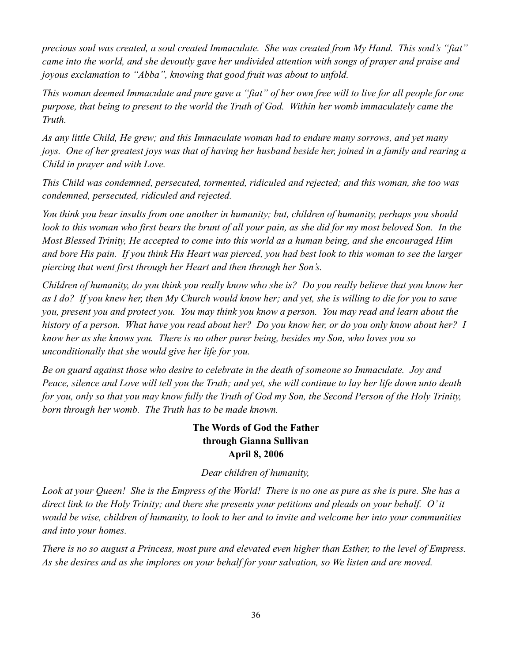*precious soul was created, a soul created Immaculate. She was created from My Hand. This soul's "fiat" came into the world, and she devoutly gave her undivided attention with songs of prayer and praise and joyous exclamation to "Abba", knowing that good fruit was about to unfold.*

*This woman deemed Immaculate and pure gave a "fiat" of her own free will to live for all people for one purpose, that being to present to the world the Truth of God. Within her womb immaculately came the Truth.*

*As any little Child, He grew; and this Immaculate woman had to endure many sorrows, and yet many joys. One of her greatest joys was that of having her husband beside her, joined in a family and rearing a Child in prayer and with Love.*

*This Child was condemned, persecuted, tormented, ridiculed and rejected; and this woman, she too was condemned, persecuted, ridiculed and rejected.*

*You think you bear insults from one another in humanity; but, children of humanity, perhaps you should*  look to this woman who first bears the brunt of all your pain, as she did for my most beloved Son. In the *Most Blessed Trinity, He accepted to come into this world as a human being, and she encouraged Him and bore His pain. If you think His Heart was pierced, you had best look to this woman to see the larger piercing that went first through her Heart and then through her Son's.*

*Children of humanity, do you think you really know who she is? Do you really believe that you know her as I do? If you knew her, then My Church would know her; and yet, she is willing to die for you to save you, present you and protect you. You may think you know a person. You may read and learn about the history of a person. What have you read about her? Do you know her, or do you only know about her? I know her as she knows you. There is no other purer being, besides my Son, who loves you so unconditionally that she would give her life for you.*

*Be on guard against those who desire to celebrate in the death of someone so Immaculate. Joy and Peace, silence and Love will tell you the Truth; and yet, she will continue to lay her life down unto death for you, only so that you may know fully the Truth of God my Son, the Second Person of the Holy Trinity, born through her womb. The Truth has to be made known.*

# **The Words of God the Father through Gianna Sullivan April 8, 2006**

*Dear children of humanity,*

*Look at your Queen! She is the Empress of the World! There is no one as pure as she is pure. She has a direct link to the Holy Trinity; and there she presents your petitions and pleads on your behalf. O' it would be wise, children of humanity, to look to her and to invite and welcome her into your communities and into your homes.*

*There is no so august a Princess, most pure and elevated even higher than Esther, to the level of Empress. As she desires and as she implores on your behalf for your salvation, so We listen and are moved.*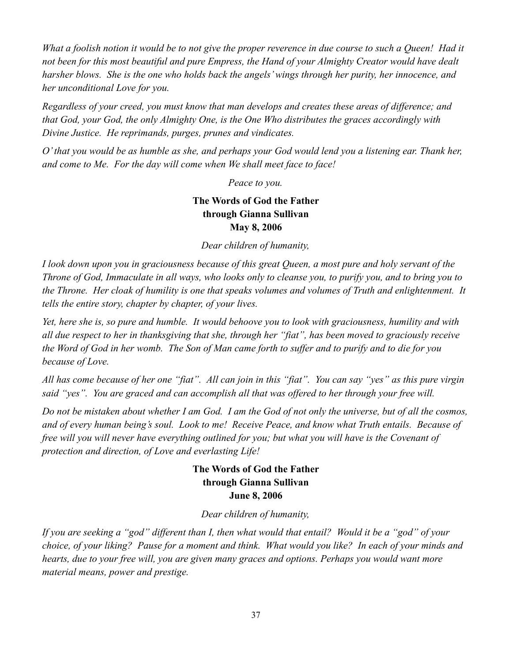*What a foolish notion it would be to not give the proper reverence in due course to such a Queen! Had it not been for this most beautiful and pure Empress, the Hand of your Almighty Creator would have dealt harsher blows. She is the one who holds back the angels' wings through her purity, her innocence, and her unconditional Love for you.*

*Regardless of your creed, you must know that man develops and creates these areas of difference; and that God, your God, the only Almighty One, is the One Who distributes the graces accordingly with Divine Justice. He reprimands, purges, prunes and vindicates.*

*O' that you would be as humble as she, and perhaps your God would lend you a listening ear. Thank her, and come to Me. For the day will come when We shall meet face to face!*

*Peace to you.*

# **The Words of God the Father through Gianna Sullivan May 8, 2006**

*Dear children of humanity,*

*I look down upon you in graciousness because of this great Queen, a most pure and holy servant of the Throne of God, Immaculate in all ways, who looks only to cleanse you, to purify you, and to bring you to the Throne. Her cloak of humility is one that speaks volumes and volumes of Truth and enlightenment. It tells the entire story, chapter by chapter, of your lives.*

*Yet, here she is, so pure and humble. It would behoove you to look with graciousness, humility and with all due respect to her in thanksgiving that she, through her "fiat", has been moved to graciously receive the Word of God in her womb. The Son of Man came forth to suffer and to purify and to die for you because of Love.*

*All has come because of her one "fiat". All can join in this "fiat". You can say "yes" as this pure virgin said "yes". You are graced and can accomplish all that was offered to her through your free will.*

*Do not be mistaken about whether I am God. I am the God of not only the universe, but of all the cosmos, and of every human being's soul. Look to me! Receive Peace, and know what Truth entails. Because of free will you will never have everything outlined for you; but what you will have is the Covenant of protection and direction, of Love and everlasting Life!*

# **The Words of God the Father through Gianna Sullivan June 8, 2006**

# *Dear children of humanity,*

*If you are seeking a "god" different than I, then what would that entail? Would it be a "god" of your choice, of your liking? Pause for a moment and think. What would you like? In each of your minds and hearts, due to your free will, you are given many graces and options. Perhaps you would want more material means, power and prestige.*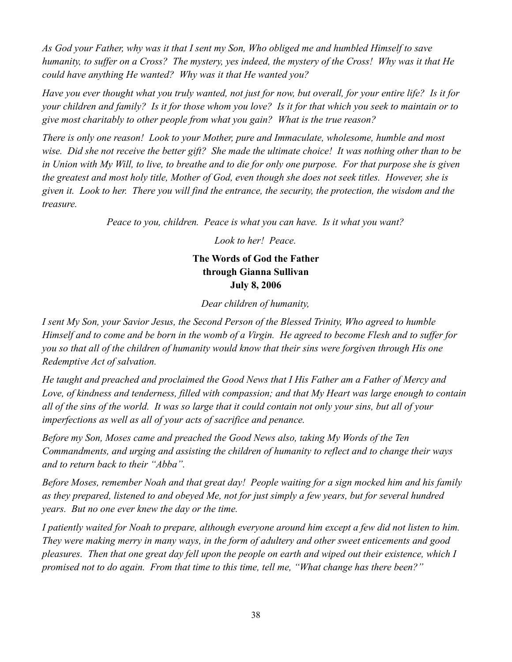*As God your Father, why was it that I sent my Son, Who obliged me and humbled Himself to save humanity, to suffer on a Cross? The mystery, yes indeed, the mystery of the Cross! Why was it that He could have anything He wanted? Why was it that He wanted you?*

*Have you ever thought what you truly wanted, not just for now, but overall, for your entire life? Is it for your children and family? Is it for those whom you love? Is it for that which you seek to maintain or to give most charitably to other people from what you gain? What is the true reason?*

*There is only one reason! Look to your Mother, pure and Immaculate, wholesome, humble and most wise. Did she not receive the better gift? She made the ultimate choice! It was nothing other than to be in Union with My Will, to live, to breathe and to die for only one purpose. For that purpose she is given the greatest and most holy title, Mother of God, even though she does not seek titles. However, she is given it. Look to her. There you will find the entrance, the security, the protection, the wisdom and the treasure.*

*Peace to you, children. Peace is what you can have. Is it what you want?*

*Look to her! Peace.*

# **The Words of God the Father through Gianna Sullivan July 8, 2006**

*Dear children of humanity,*

*I sent My Son, your Savior Jesus, the Second Person of the Blessed Trinity, Who agreed to humble Himself and to come and be born in the womb of a Virgin. He agreed to become Flesh and to suffer for you so that all of the children of humanity would know that their sins were forgiven through His one Redemptive Act of salvation.*

*He taught and preached and proclaimed the Good News that I His Father am a Father of Mercy and Love, of kindness and tenderness, filled with compassion; and that My Heart was large enough to contain all of the sins of the world. It was so large that it could contain not only your sins, but all of your imperfections as well as all of your acts of sacrifice and penance.*

*Before my Son, Moses came and preached the Good News also, taking My Words of the Ten Commandments, and urging and assisting the children of humanity to reflect and to change their ways and to return back to their "Abba".*

*Before Moses, remember Noah and that great day! People waiting for a sign mocked him and his family as they prepared, listened to and obeyed Me, not for just simply a few years, but for several hundred years. But no one ever knew the day or the time.*

*I patiently waited for Noah to prepare, although everyone around him except a few did not listen to him. They were making merry in many ways, in the form of adultery and other sweet enticements and good pleasures. Then that one great day fell upon the people on earth and wiped out their existence, which I promised not to do again. From that time to this time, tell me, "What change has there been?"*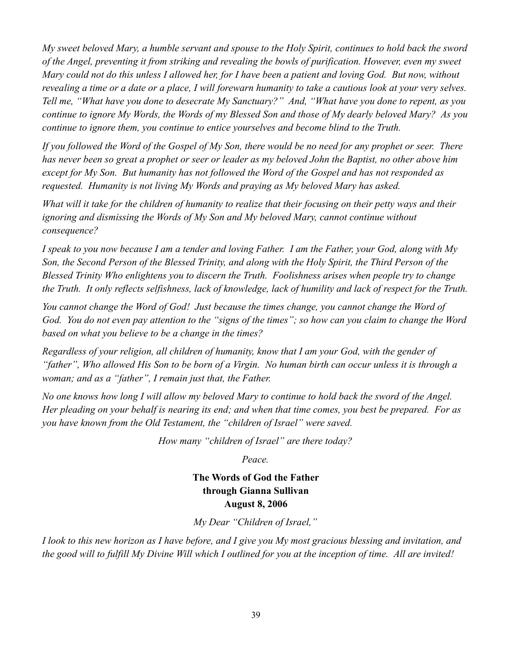*My sweet beloved Mary, a humble servant and spouse to the Holy Spirit, continues to hold back the sword of the Angel, preventing it from striking and revealing the bowls of purification. However, even my sweet Mary could not do this unless I allowed her, for I have been a patient and loving God. But now, without revealing a time or a date or a place, I will forewarn humanity to take a cautious look at your very selves. Tell me, "What have you done to desecrate My Sanctuary?" And, "What have you done to repent, as you continue to ignore My Words, the Words of my Blessed Son and those of My dearly beloved Mary? As you continue to ignore them, you continue to entice yourselves and become blind to the Truth.*

*If you followed the Word of the Gospel of My Son, there would be no need for any prophet or seer. There has never been so great a prophet or seer or leader as my beloved John the Baptist, no other above him except for My Son. But humanity has not followed the Word of the Gospel and has not responded as requested. Humanity is not living My Words and praying as My beloved Mary has asked.*

*What will it take for the children of humanity to realize that their focusing on their petty ways and their ignoring and dismissing the Words of My Son and My beloved Mary, cannot continue without consequence?*

*I speak to you now because I am a tender and loving Father. I am the Father, your God, along with My Son, the Second Person of the Blessed Trinity, and along with the Holy Spirit, the Third Person of the Blessed Trinity Who enlightens you to discern the Truth. Foolishness arises when people try to change the Truth. It only reflects selfishness, lack of knowledge, lack of humility and lack of respect for the Truth.*

*You cannot change the Word of God! Just because the times change, you cannot change the Word of God. You do not even pay attention to the "signs of the times"; so how can you claim to change the Word based on what you believe to be a change in the times?*

*Regardless of your religion, all children of humanity, know that I am your God, with the gender of "father", Who allowed His Son to be born of a Virgin. No human birth can occur unless it is through a woman; and as a "father", I remain just that, the Father.*

*No one knows how long I will allow my beloved Mary to continue to hold back the sword of the Angel. Her pleading on your behalf is nearing its end; and when that time comes, you best be prepared. For as you have known from the Old Testament, the "children of Israel" were saved.*

*How many "children of Israel" are there today?*

*Peace.*

**The Words of God the Father through Gianna Sullivan August 8, 2006**

*My Dear "Children of Israel,"*

*I look to this new horizon as I have before, and I give you My most gracious blessing and invitation, and the good will to fulfill My Divine Will which I outlined for you at the inception of time. All are invited!*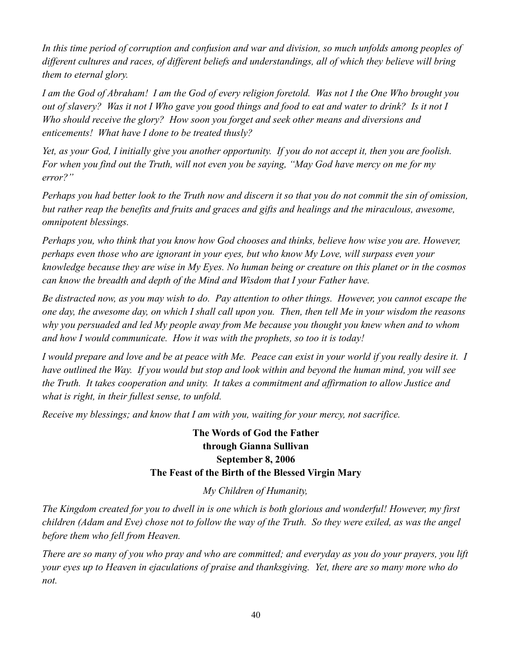*In this time period of corruption and confusion and war and division, so much unfolds among peoples of different cultures and races, of different beliefs and understandings, all of which they believe will bring them to eternal glory.*

*I am the God of Abraham! I am the God of every religion foretold. Was not I the One Who brought you out of slavery? Was it not I Who gave you good things and food to eat and water to drink? Is it not I Who should receive the glory? How soon you forget and seek other means and diversions and enticements! What have I done to be treated thusly?*

*Yet, as your God, I initially give you another opportunity. If you do not accept it, then you are foolish. For when you find out the Truth, will not even you be saying, "May God have mercy on me for my error?"*

*Perhaps you had better look to the Truth now and discern it so that you do not commit the sin of omission, but rather reap the benefits and fruits and graces and gifts and healings and the miraculous, awesome, omnipotent blessings.*

*Perhaps you, who think that you know how God chooses and thinks, believe how wise you are. However, perhaps even those who are ignorant in your eyes, but who know My Love, will surpass even your knowledge because they are wise in My Eyes. No human being or creature on this planet or in the cosmos can know the breadth and depth of the Mind and Wisdom that I your Father have.*

*Be distracted now, as you may wish to do. Pay attention to other things. However, you cannot escape the one day, the awesome day, on which I shall call upon you. Then, then tell Me in your wisdom the reasons why you persuaded and led My people away from Me because you thought you knew when and to whom and how I would communicate. How it was with the prophets, so too it is today!*

*I would prepare and love and be at peace with Me. Peace can exist in your world if you really desire it. I have outlined the Way. If you would but stop and look within and beyond the human mind, you will see the Truth. It takes cooperation and unity. It takes a commitment and affirmation to allow Justice and what is right, in their fullest sense, to unfold.*

*Receive my blessings; and know that I am with you, waiting for your mercy, not sacrifice.*

# **The Words of God the Father through Gianna Sullivan September 8, 2006 The Feast of the Birth of the Blessed Virgin Mary**

# *My Children of Humanity,*

*The Kingdom created for you to dwell in is one which is both glorious and wonderful! However, my first children (Adam and Eve) chose not to follow the way of the Truth. So they were exiled, as was the angel before them who fell from Heaven.*

*There are so many of you who pray and who are committed; and everyday as you do your prayers, you lift your eyes up to Heaven in ejaculations of praise and thanksgiving. Yet, there are so many more who do not.*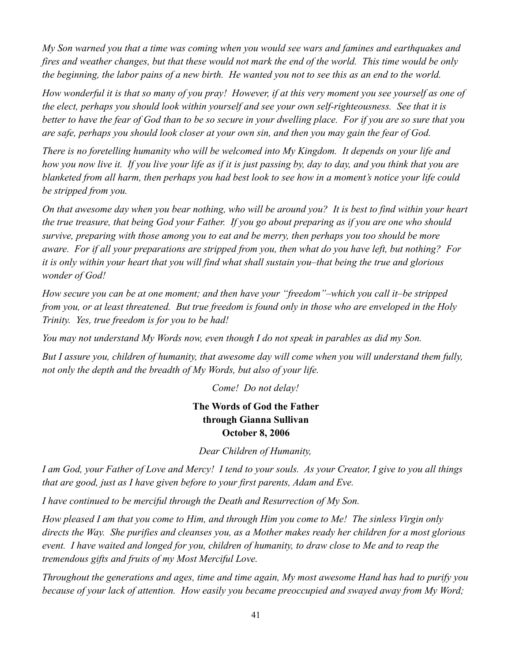*My Son warned you that a time was coming when you would see wars and famines and earthquakes and fires and weather changes, but that these would not mark the end of the world. This time would be only the beginning, the labor pains of a new birth. He wanted you not to see this as an end to the world.*

*How wonderful it is that so many of you pray! However, if at this very moment you see yourself as one of the elect, perhaps you should look within yourself and see your own self-righteousness. See that it is better to have the fear of God than to be so secure in your dwelling place. For if you are so sure that you are safe, perhaps you should look closer at your own sin, and then you may gain the fear of God.*

*There is no foretelling humanity who will be welcomed into My Kingdom. It depends on your life and how you now live it. If you live your life as if it is just passing by, day to day, and you think that you are blanketed from all harm, then perhaps you had best look to see how in a moment's notice your life could be stripped from you.*

*On that awesome day when you bear nothing, who will be around you? It is best to find within your heart the true treasure, that being God your Father. If you go about preparing as if you are one who should survive, preparing with those among you to eat and be merry, then perhaps you too should be more aware. For if all your preparations are stripped from you, then what do you have left, but nothing? For it is only within your heart that you will find what shall sustain you–that being the true and glorious wonder of God!*

*How secure you can be at one moment; and then have your "freedom"–which you call it–be stripped from you, or at least threatened. But true freedom is found only in those who are enveloped in the Holy Trinity. Yes, true freedom is for you to be had!*

*You may not understand My Words now, even though I do not speak in parables as did my Son.*

*But I assure you, children of humanity, that awesome day will come when you will understand them fully, not only the depth and the breadth of My Words, but also of your life.*

*Come! Do not delay!*

# **The Words of God the Father through Gianna Sullivan October 8, 2006**

*Dear Children of Humanity,*

*I am God, your Father of Love and Mercy! I tend to your souls. As your Creator, I give to you all things that are good, just as I have given before to your first parents, Adam and Eve.*

*I have continued to be merciful through the Death and Resurrection of My Son.*

*How pleased I am that you come to Him, and through Him you come to Me! The sinless Virgin only directs the Way. She purifies and cleanses you, as a Mother makes ready her children for a most glorious event. I have waited and longed for you, children of humanity, to draw close to Me and to reap the tremendous gifts and fruits of my Most Merciful Love.*

*Throughout the generations and ages, time and time again, My most awesome Hand has had to purify you because of your lack of attention. How easily you became preoccupied and swayed away from My Word;*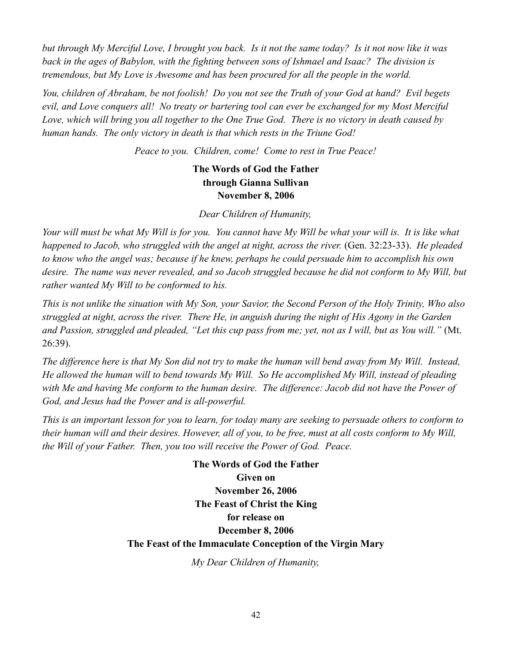*but through My Merciful Love, I brought you back. Is it not the same today? Is it not now like it was back in the ages of Babylon, with the fighting between sons of Ishmael and Isaac? The division is tremendous, but My Love is Awesome and has been procured for all the people in the world.*

*You, children of Abraham, be not foolish! Do you not see the Truth of your God at hand? Evil begets evil, and Love conquers all! No treaty or bartering tool can ever be exchanged for my Most Merciful Love, which will bring you all together to the One True God. There is no victory in death caused by human hands. The only victory in death is that which rests in the Triune God!*

*Peace to you. Children, come! Come to rest in True Peace!*

# **The Words of God the Father through Gianna Sullivan November 8, 2006**

#### *Dear Children of Humanity,*

*Your will must be what My Will is for you. You cannot have My Will be what your will is. It is like what happened to Jacob, who struggled with the angel at night, across the river.* (Gen. 32:23-33). *He pleaded to know who the angel was; because if he knew, perhaps he could persuade him to accomplish his own desire. The name was never revealed, and so Jacob struggled because he did not conform to My Will, but rather wanted My Will to be conformed to his.*

*This is not unlike the situation with My Son, your Savior, the Second Person of the Holy Trinity, Who also struggled at night, across the river. There He, in anguish during the night of His Agony in the Garden and Passion, struggled and pleaded, "Let this cup pass from me; yet, not as I will, but as You will."* (Mt. 26:39).

*The difference here is that My Son did not try to make the human will bend away from My Will. Instead, He allowed the human will to bend towards My Will. So He accomplished My Will, instead of pleading with Me and having Me conform to the human desire. The difference: Jacob did not have the Power of God, and Jesus had the Power and is all-powerful.*

*This is an important lesson for you to learn, for today many are seeking to persuade others to conform to their human will and their desires. However, all of you, to be free, must at all costs conform to My Will, the Will of your Father. Then, you too will receive the Power of God. Peace.*

> **The Words of God the Father Given on November 26, 2006 The Feast of Christ the King for release on December 8, 2006 The Feast of the Immaculate Conception of the Virgin Mary**

> > *My Dear Children of Humanity,*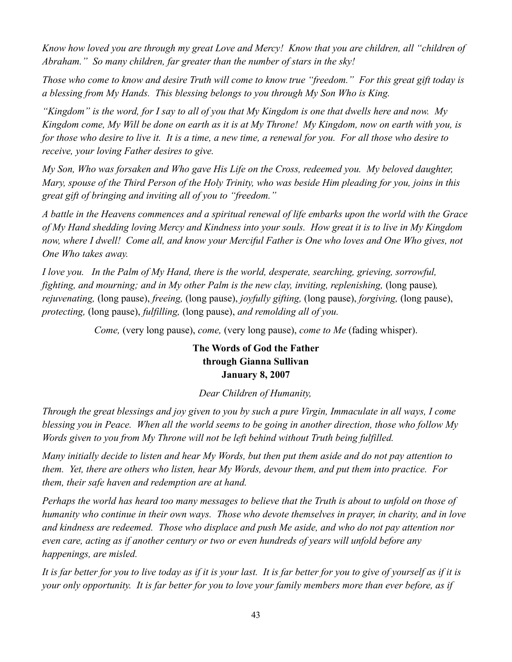*Know how loved you are through my great Love and Mercy! Know that you are children, all "children of Abraham." So many children, far greater than the number of stars in the sky!*

*Those who come to know and desire Truth will come to know true "freedom." For this great gift today is a blessing from My Hands. This blessing belongs to you through My Son Who is King.*

*"Kingdom" is the word, for I say to all of you that My Kingdom is one that dwells here and now. My Kingdom come, My Will be done on earth as it is at My Throne! My Kingdom, now on earth with you, is for those who desire to live it. It is a time, a new time, a renewal for you. For all those who desire to receive, your loving Father desires to give.*

*My Son, Who was forsaken and Who gave His Life on the Cross, redeemed you. My beloved daughter, Mary, spouse of the Third Person of the Holy Trinity, who was beside Him pleading for you, joins in this great gift of bringing and inviting all of you to "freedom."*

*A battle in the Heavens commences and a spiritual renewal of life embarks upon the world with the Grace of My Hand shedding loving Mercy and Kindness into your souls. How great it is to live in My Kingdom now, where I dwell! Come all, and know your Merciful Father is One who loves and One Who gives, not One Who takes away.*

*I love you. In the Palm of My Hand, there is the world, desperate, searching, grieving, sorrowful, fighting, and mourning; and in My other Palm is the new clay, inviting, replenishing, (long pause), rejuvenating,* (long pause), *freeing,* (long pause), *joyfully gifting,* (long pause), *forgiving,* (long pause), *protecting,* (long pause), *fulfilling,* (long pause), *and remolding all of you.*

*Come,* (very long pause), *come,* (very long pause), *come to Me* (fading whisper).

# **The Words of God the Father through Gianna Sullivan January 8, 2007**

### *Dear Children of Humanity,*

*Through the great blessings and joy given to you by such a pure Virgin, Immaculate in all ways, I come blessing you in Peace. When all the world seems to be going in another direction, those who follow My Words given to you from My Throne will not be left behind without Truth being fulfilled.*

*Many initially decide to listen and hear My Words, but then put them aside and do not pay attention to them. Yet, there are others who listen, hear My Words, devour them, and put them into practice. For them, their safe haven and redemption are at hand.*

*Perhaps the world has heard too many messages to believe that the Truth is about to unfold on those of humanity who continue in their own ways. Those who devote themselves in prayer, in charity, and in love and kindness are redeemed. Those who displace and push Me aside, and who do not pay attention nor even care, acting as if another century or two or even hundreds of years will unfold before any happenings, are misled.*

*It is far better for you to live today as if it is your last. It is far better for you to give of yourself as if it is your only opportunity. It is far better for you to love your family members more than ever before, as if*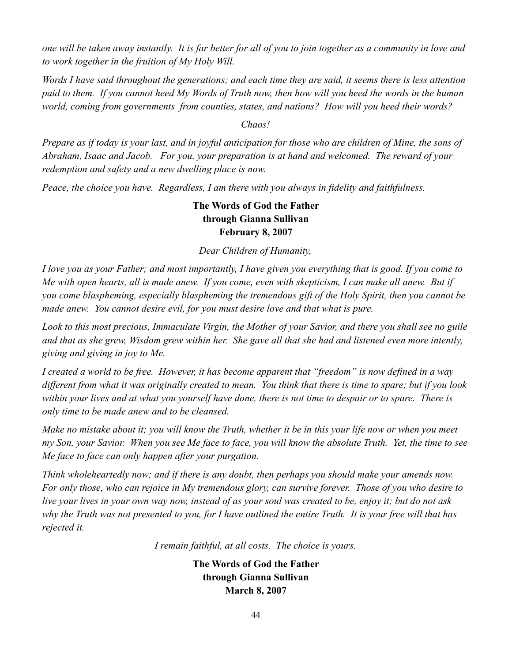*one will be taken away instantly. It is far better for all of you to join together as a community in love and to work together in the fruition of My Holy Will.*

*Words I have said throughout the generations; and each time they are said, it seems there is less attention paid to them. If you cannot heed My Words of Truth now, then how will you heed the words in the human world, coming from governments–from counties, states, and nations? How will you heed their words?*

### *Chaos!*

*Prepare as if today is your last, and in joyful anticipation for those who are children of Mine, the sons of Abraham, Isaac and Jacob. For you, your preparation is at hand and welcomed. The reward of your redemption and safety and a new dwelling place is now.*

*Peace, the choice you have. Regardless, I am there with you always in fidelity and faithfulness.*

# **The Words of God the Father through Gianna Sullivan February 8, 2007**

#### *Dear Children of Humanity,*

*I love you as your Father; and most importantly, I have given you everything that is good. If you come to Me with open hearts, all is made anew. If you come, even with skepticism, I can make all anew. But if you come blaspheming, especially blaspheming the tremendous gift of the Holy Spirit, then you cannot be made anew. You cannot desire evil, for you must desire love and that what is pure.*

*Look to this most precious, Immaculate Virgin, the Mother of your Savior, and there you shall see no guile and that as she grew, Wisdom grew within her. She gave all that she had and listened even more intently, giving and giving in joy to Me.*

*I created a world to be free. However, it has become apparent that "freedom" is now defined in a way different from what it was originally created to mean. You think that there is time to spare; but if you look within your lives and at what you yourself have done, there is not time to despair or to spare. There is only time to be made anew and to be cleansed.*

*Make no mistake about it; you will know the Truth, whether it be in this your life now or when you meet my Son, your Savior. When you see Me face to face, you will know the absolute Truth. Yet, the time to see Me face to face can only happen after your purgation.*

*Think wholeheartedly now; and if there is any doubt, then perhaps you should make your amends now. For only those, who can rejoice in My tremendous glory, can survive forever. Those of you who desire to live your lives in your own way now, instead of as your soul was created to be, enjoy it; but do not ask why the Truth was not presented to you, for I have outlined the entire Truth. It is your free will that has rejected it.*

*I remain faithful, at all costs. The choice is yours.*

**The Words of God the Father through Gianna Sullivan March 8, 2007**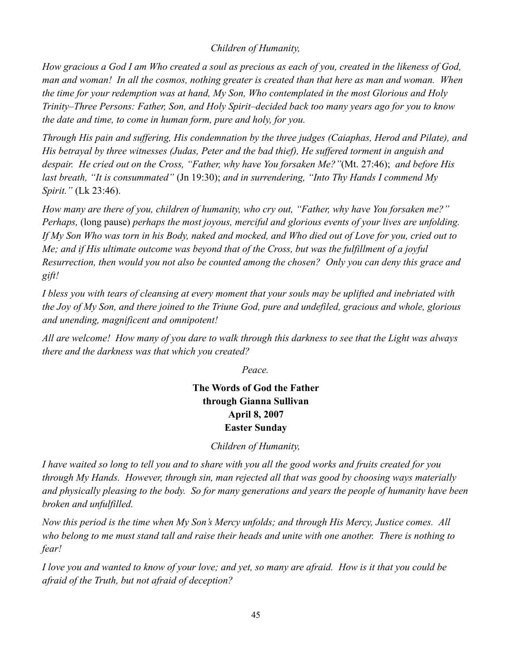# *Children of Humanity,*

*How gracious a God I am Who created a soul as precious as each of you, created in the likeness of God, man and woman! In all the cosmos, nothing greater is created than that here as man and woman. When the time for your redemption was at hand, My Son, Who contemplated in the most Glorious and Holy Trinity–Three Persons: Father, Son, and Holy Spirit–decided back too many years ago for you to know the date and time, to come in human form, pure and holy, for you.*

*Through His pain and suffering, His condemnation by the three judges (Caiaphas, Herod and Pilate), and His betrayal by three witnesses (Judas, Peter and the bad thief), He suffered torment in anguish and despair. He cried out on the Cross, "Father, why have You forsaken Me?"*(Mt. 27:46); *and before His last breath, "It is consummated"* (Jn 19:30); *and in surrendering, "Into Thy Hands I commend My Spirit."* (Lk 23:46).

*How many are there of you, children of humanity, who cry out, "Father, why have You forsaken me?" Perhaps,* (long pause) *perhaps the most joyous, merciful and glorious events of your lives are unfolding. If My Son Who was torn in his Body, naked and mocked, and Who died out of Love for you, cried out to Me; and if His ultimate outcome was beyond that of the Cross, but was the fulfillment of a joyful Resurrection, then would you not also be counted among the chosen? Only you can deny this grace and gift!*

*I bless you with tears of cleansing at every moment that your souls may be uplifted and inebriated with the Joy of My Son, and there joined to the Triune God, pure and undefiled, gracious and whole, glorious and unending, magnificent and omnipotent!*

*All are welcome! How many of you dare to walk through this darkness to see that the Light was always there and the darkness was that which you created?*

*Peace.*

**The Words of God the Father through Gianna Sullivan April 8, 2007 Easter Sunday**

*Children of Humanity,*

*I have waited so long to tell you and to share with you all the good works and fruits created for you through My Hands. However, through sin, man rejected all that was good by choosing ways materially and physically pleasing to the body. So for many generations and years the people of humanity have been broken and unfulfilled.*

*Now this period is the time when My Son's Mercy unfolds; and through His Mercy, Justice comes. All who belong to me must stand tall and raise their heads and unite with one another. There is nothing to fear!*

*I love you and wanted to know of your love; and yet, so many are afraid. How is it that you could be afraid of the Truth, but not afraid of deception?*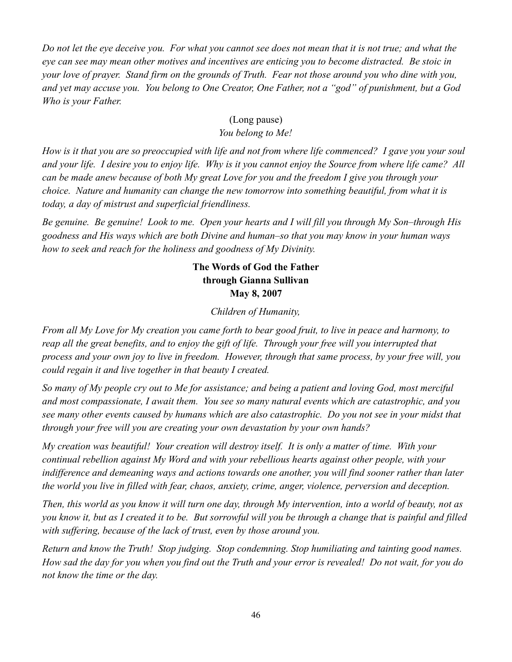*Do not let the eye deceive you. For what you cannot see does not mean that it is not true; and what the eye can see may mean other motives and incentives are enticing you to become distracted. Be stoic in your love of prayer. Stand firm on the grounds of Truth. Fear not those around you who dine with you, and yet may accuse you. You belong to One Creator, One Father, not a "god" of punishment, but a God Who is your Father.*

## (Long pause)

*You belong to Me!*

*How is it that you are so preoccupied with life and not from where life commenced? I gave you your soul and your life. I desire you to enjoy life. Why is it you cannot enjoy the Source from where life came? All can be made anew because of both My great Love for you and the freedom I give you through your choice. Nature and humanity can change the new tomorrow into something beautiful, from what it is today, a day of mistrust and superficial friendliness.*

*Be genuine. Be genuine! Look to me. Open your hearts and I will fill you through My Son–through His goodness and His ways which are both Divine and human–so that you may know in your human ways how to seek and reach for the holiness and goodness of My Divinity.*

# **The Words of God the Father through Gianna Sullivan May 8, 2007**

*Children of Humanity,*

*From all My Love for My creation you came forth to bear good fruit, to live in peace and harmony, to reap all the great benefits, and to enjoy the gift of life. Through your free will you interrupted that process and your own joy to live in freedom. However, through that same process, by your free will, you could regain it and live together in that beauty I created.*

*So many of My people cry out to Me for assistance; and being a patient and loving God, most merciful and most compassionate, I await them. You see so many natural events which are catastrophic, and you see many other events caused by humans which are also catastrophic. Do you not see in your midst that through your free will you are creating your own devastation by your own hands?*

*My creation was beautiful! Your creation will destroy itself. It is only a matter of time. With your continual rebellion against My Word and with your rebellious hearts against other people, with your indifference and demeaning ways and actions towards one another, you will find sooner rather than later the world you live in filled with fear, chaos, anxiety, crime, anger, violence, perversion and deception.*

*Then, this world as you know it will turn one day, through My intervention, into a world of beauty, not as you know it, but as I created it to be. But sorrowful will you be through a change that is painful and filled with suffering, because of the lack of trust, even by those around you.*

*Return and know the Truth! Stop judging. Stop condemning. Stop humiliating and tainting good names. How sad the day for you when you find out the Truth and your error is revealed! Do not wait, for you do not know the time or the day.*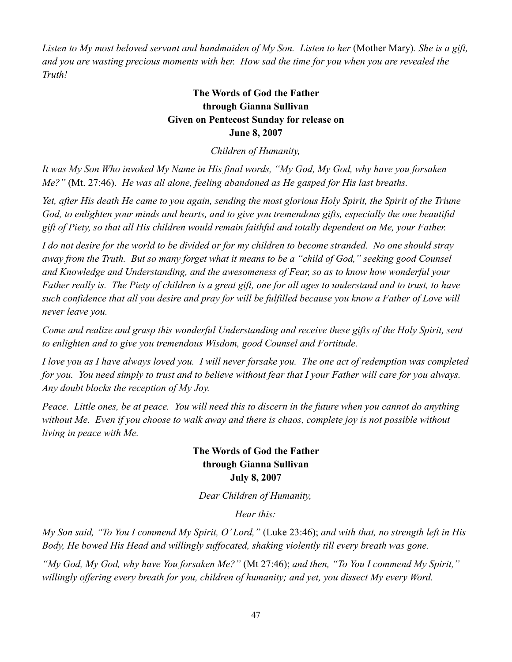*Listen to My most beloved servant and handmaiden of My Son. Listen to her* (Mother Mary)*. She is a gift, and you are wasting precious moments with her. How sad the time for you when you are revealed the Truth!*

# **The Words of God the Father through Gianna Sullivan Given on Pentecost Sunday for release on June 8, 2007**

*Children of Humanity,*

*It was My Son Who invoked My Name in His final words, "My God, My God, why have you forsaken Me?"* (Mt. 27:46). *He was all alone, feeling abandoned as He gasped for His last breaths.*

*Yet, after His death He came to you again, sending the most glorious Holy Spirit, the Spirit of the Triune*  God, to enlighten your minds and hearts, and to give you tremendous gifts, especially the one beautiful *gift of Piety, so that all His children would remain faithful and totally dependent on Me, your Father.*

*I do not desire for the world to be divided or for my children to become stranded. No one should stray away from the Truth. But so many forget what it means to be a "child of God," seeking good Counsel and Knowledge and Understanding, and the awesomeness of Fear, so as to know how wonderful your Father really is. The Piety of children is a great gift, one for all ages to understand and to trust, to have such confidence that all you desire and pray for will be fulfilled because you know a Father of Love will never leave you.*

*Come and realize and grasp this wonderful Understanding and receive these gifts of the Holy Spirit, sent to enlighten and to give you tremendous Wisdom, good Counsel and Fortitude.*

*I love you as I have always loved you. I will never forsake you. The one act of redemption was completed for you. You need simply to trust and to believe without fear that I your Father will care for you always. Any doubt blocks the reception of My Joy.*

*Peace. Little ones, be at peace. You will need this to discern in the future when you cannot do anything without Me. Even if you choose to walk away and there is chaos, complete joy is not possible without living in peace with Me.*

# **The Words of God the Father through Gianna Sullivan July 8, 2007**

*Dear Children of Humanity,*

*Hear this:*

*My Son said, "To You I commend My Spirit, O' Lord,"* (Luke 23:46); *and with that, no strength left in His Body, He bowed His Head and willingly suffocated, shaking violently till every breath was gone.*

*"My God, My God, why have You forsaken Me?"* (Mt 27:46); *and then, "To You I commend My Spirit," willingly offering every breath for you, children of humanity; and yet, you dissect My every Word.*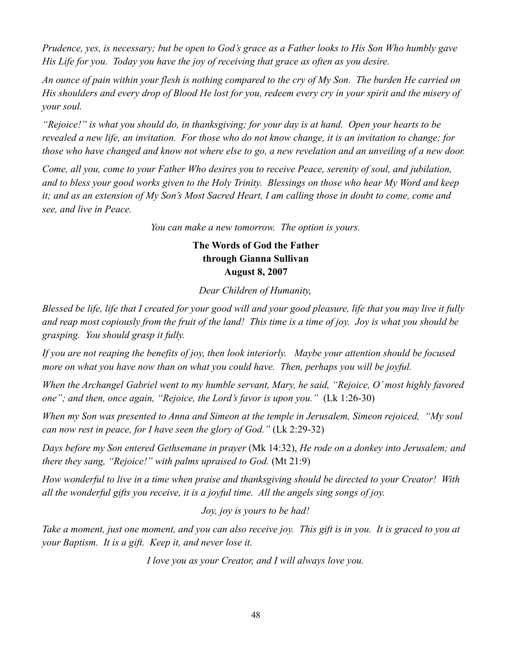*Prudence, yes, is necessary; but be open to God's grace as a Father looks to His Son Who humbly gave His Life for you. Today you have the joy of receiving that grace as often as you desire.*

*An ounce of pain within your flesh is nothing compared to the cry of My Son. The burden He carried on His shoulders and every drop of Blood He lost for you, redeem every cry in your spirit and the misery of your soul.*

*"Rejoice!" is what you should do, in thanksgiving; for your day is at hand. Open your hearts to be revealed a new life, an invitation. For those who do not know change, it is an invitation to change; for those who have changed and know not where else to go, a new revelation and an unveiling of a new door.*

*Come, all you, come to your Father Who desires you to receive Peace, serenity of soul, and jubilation, and to bless your good works given to the Holy Trinity. Blessings on those who hear My Word and keep it; and as an extension of My Son's Most Sacred Heart, I am calling those in doubt to come, come and see, and live in Peace.*

*You can make a new tomorrow. The option is yours.*

# **The Words of God the Father through Gianna Sullivan August 8, 2007**

## *Dear Children of Humanity,*

*Blessed be life, life that I created for your good will and your good pleasure, life that you may live it fully and reap most copiously from the fruit of the land! This time is a time of joy. Joy is what you should be grasping. You should grasp it fully.*

*If you are not reaping the benefits of joy, then look interiorly. Maybe your attention should be focused more on what you have now than on what you could have. Then, perhaps you will be joyful.*

*When the Archangel Gabriel went to my humble servant, Mary, he said, "Rejoice, O' most highly favored one"; and then, once again, "Rejoice, the Lord's favor is upon you."* (Lk 1:26-30)

*When my Son was presented to Anna and Simeon at the temple in Jerusalem, Simeon rejoiced, "My soul can now rest in peace, for I have seen the glory of God."* (Lk 2:29-32)

*Days before my Son entered Gethsemane in prayer* (Mk 14:32), *He rode on a donkey into Jerusalem; and there they sang, "Rejoice!" with palms upraised to God.* (Mt 21:9)

*How wonderful to live in a time when praise and thanksgiving should be directed to your Creator! With all the wonderful gifts you receive, it is a joyful time. All the angels sing songs of joy.*

*Joy, joy is yours to be had!*

*Take a moment, just one moment, and you can also receive joy. This gift is in you. It is graced to you at your Baptism. It is a gift. Keep it, and never lose it.*

*I love you as your Creator, and I will always love you.*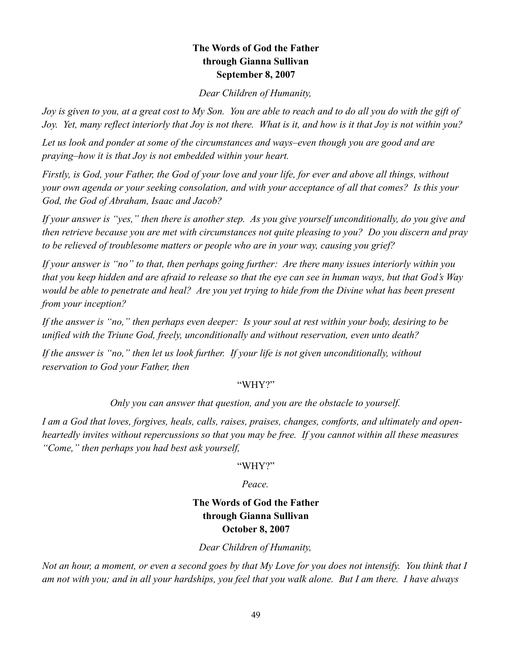# **The Words of God the Father through Gianna Sullivan September 8, 2007**

## *Dear Children of Humanity,*

*Joy is given to you, at a great cost to My Son. You are able to reach and to do all you do with the gift of Joy. Yet, many reflect interiorly that Joy is not there. What is it, and how is it that Joy is not within you?*

*Let us look and ponder at some of the circumstances and ways–even though you are good and are praying–how it is that Joy is not embedded within your heart.*

*Firstly, is God, your Father, the God of your love and your life, for ever and above all things, without your own agenda or your seeking consolation, and with your acceptance of all that comes? Is this your God, the God of Abraham, Isaac and Jacob?*

*If your answer is "yes," then there is another step. As you give yourself unconditionally, do you give and then retrieve because you are met with circumstances not quite pleasing to you? Do you discern and pray to be relieved of troublesome matters or people who are in your way, causing you grief?*

*If your answer is "no" to that, then perhaps going further: Are there many issues interiorly within you that you keep hidden and are afraid to release so that the eye can see in human ways, but that God's Way would be able to penetrate and heal? Are you yet trying to hide from the Divine what has been present from your inception?*

*If the answer is "no," then perhaps even deeper: Is your soul at rest within your body, desiring to be unified with the Triune God, freely, unconditionally and without reservation, even unto death?*

*If the answer is "no," then let us look further. If your life is not given unconditionally, without reservation to God your Father, then*

# "WHY?"

*Only you can answer that question, and you are the obstacle to yourself.*

*I am a God that loves, forgives, heals, calls, raises, praises, changes, comforts, and ultimately and openheartedly invites without repercussions so that you may be free. If you cannot within all these measures "Come," then perhaps you had best ask yourself,*

"WHY?"

*Peace.*

# **The Words of God the Father through Gianna Sullivan October 8, 2007**

*Dear Children of Humanity,*

*Not an hour, a moment, or even a second goes by that My Love for you does not intensify. You think that I am not with you; and in all your hardships, you feel that you walk alone. But I am there. I have always*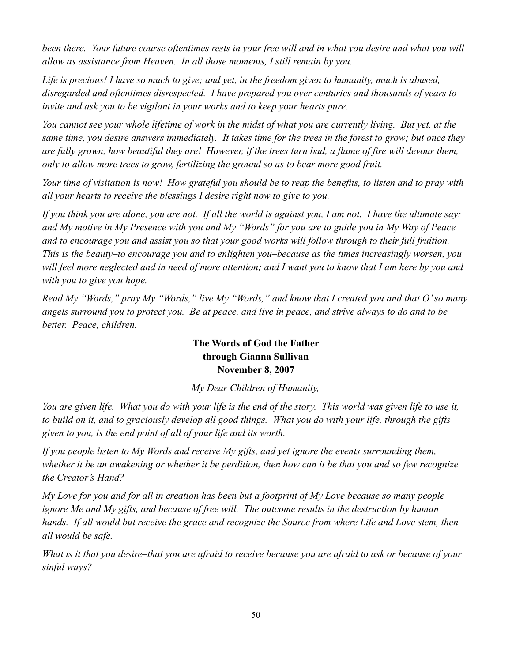*been there. Your future course oftentimes rests in your free will and in what you desire and what you will allow as assistance from Heaven. In all those moments, I still remain by you.*

*Life is precious! I have so much to give; and yet, in the freedom given to humanity, much is abused, disregarded and oftentimes disrespected. I have prepared you over centuries and thousands of years to invite and ask you to be vigilant in your works and to keep your hearts pure.*

*You cannot see your whole lifetime of work in the midst of what you are currently living. But yet, at the same time, you desire answers immediately. It takes time for the trees in the forest to grow; but once they are fully grown, how beautiful they are! However, if the trees turn bad, a flame of fire will devour them, only to allow more trees to grow, fertilizing the ground so as to bear more good fruit.*

*Your time of visitation is now! How grateful you should be to reap the benefits, to listen and to pray with all your hearts to receive the blessings I desire right now to give to you.*

*If you think you are alone, you are not. If all the world is against you, I am not. I have the ultimate say; and My motive in My Presence with you and My "Words" for you are to guide you in My Way of Peace and to encourage you and assist you so that your good works will follow through to their full fruition. This is the beauty–to encourage you and to enlighten you–because as the times increasingly worsen, you will feel more neglected and in need of more attention; and I want you to know that I am here by you and with you to give you hope.*

*Read My "Words," pray My "Words," live My "Words," and know that I created you and that O' so many angels surround you to protect you. Be at peace, and live in peace, and strive always to do and to be better. Peace, children.*

# **The Words of God the Father through Gianna Sullivan November 8, 2007**

# *My Dear Children of Humanity,*

*You are given life. What you do with your life is the end of the story. This world was given life to use it, to build on it, and to graciously develop all good things. What you do with your life, through the gifts given to you, is the end point of all of your life and its worth.*

*If you people listen to My Words and receive My gifts, and yet ignore the events surrounding them, whether it be an awakening or whether it be perdition, then how can it be that you and so few recognize the Creator's Hand?*

*My Love for you and for all in creation has been but a footprint of My Love because so many people ignore Me and My gifts, and because of free will. The outcome results in the destruction by human hands. If all would but receive the grace and recognize the Source from where Life and Love stem, then all would be safe.*

*What is it that you desire–that you are afraid to receive because you are afraid to ask or because of your sinful ways?*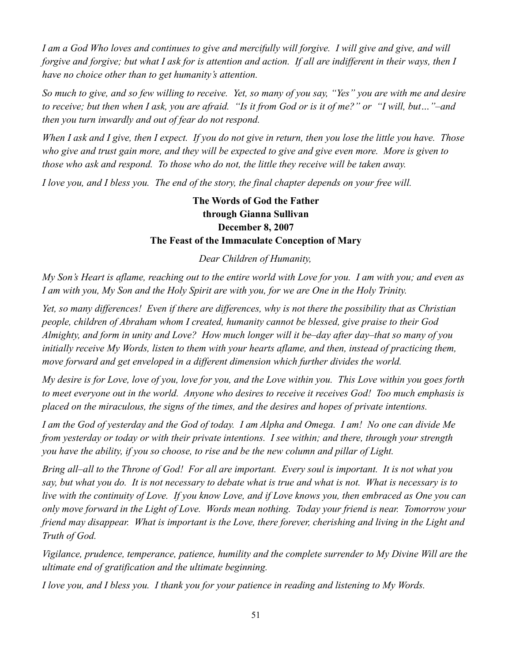*I am a God Who loves and continues to give and mercifully will forgive. I will give and give, and will forgive and forgive; but what I ask for is attention and action. If all are indifferent in their ways, then I have no choice other than to get humanity's attention.*

*So much to give, and so few willing to receive. Yet, so many of you say, "Yes" you are with me and desire to receive; but then when I ask, you are afraid. "Is it from God or is it of me?" or "I will, but…"–and then you turn inwardly and out of fear do not respond.*

*When I ask and I give, then I expect. If you do not give in return, then you lose the little you have. Those who give and trust gain more, and they will be expected to give and give even more. More is given to those who ask and respond. To those who do not, the little they receive will be taken away.*

*I love you, and I bless you. The end of the story, the final chapter depends on your free will.*

# **The Words of God the Father through Gianna Sullivan December 8, 2007 The Feast of the Immaculate Conception of Mary**

#### *Dear Children of Humanity,*

*My Son's Heart is aflame, reaching out to the entire world with Love for you. I am with you; and even as I am with you, My Son and the Holy Spirit are with you, for we are One in the Holy Trinity.*

*Yet, so many differences! Even if there are differences, why is not there the possibility that as Christian people, children of Abraham whom I created, humanity cannot be blessed, give praise to their God Almighty, and form in unity and Love? How much longer will it be–day after day–that so many of you initially receive My Words, listen to them with your hearts aflame, and then, instead of practicing them, move forward and get enveloped in a different dimension which further divides the world.*

*My desire is for Love, love of you, love for you, and the Love within you. This Love within you goes forth to meet everyone out in the world. Anyone who desires to receive it receives God! Too much emphasis is placed on the miraculous, the signs of the times, and the desires and hopes of private intentions.*

*I am the God of yesterday and the God of today. I am Alpha and Omega. I am! No one can divide Me from yesterday or today or with their private intentions. I see within; and there, through your strength you have the ability, if you so choose, to rise and be the new column and pillar of Light.*

*Bring all–all to the Throne of God! For all are important. Every soul is important. It is not what you say, but what you do. It is not necessary to debate what is true and what is not. What is necessary is to live with the continuity of Love. If you know Love, and if Love knows you, then embraced as One you can only move forward in the Light of Love. Words mean nothing. Today your friend is near. Tomorrow your friend may disappear. What is important is the Love, there forever, cherishing and living in the Light and Truth of God.*

*Vigilance, prudence, temperance, patience, humility and the complete surrender to My Divine Will are the ultimate end of gratification and the ultimate beginning.*

*I love you, and I bless you. I thank you for your patience in reading and listening to My Words.*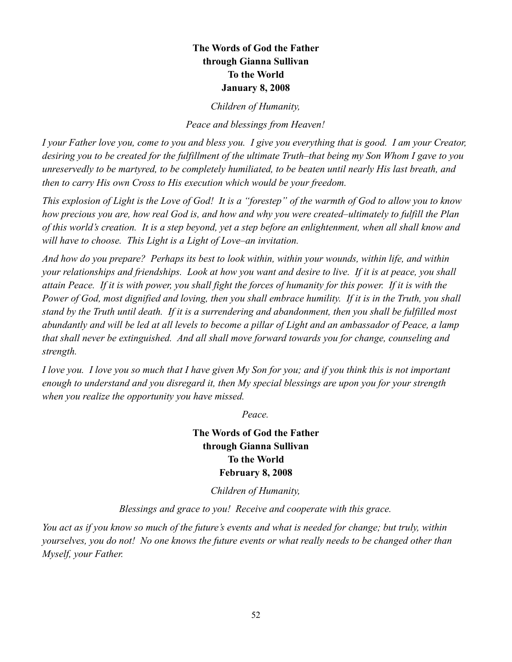# **The Words of God the Father through Gianna Sullivan To the World January 8, 2008**

*Children of Humanity,*

*Peace and blessings from Heaven!*

*I your Father love you, come to you and bless you. I give you everything that is good. I am your Creator, desiring you to be created for the fulfillment of the ultimate Truth–that being my Son Whom I gave to you unreservedly to be martyred, to be completely humiliated, to be beaten until nearly His last breath, and then to carry His own Cross to His execution which would be your freedom.*

*This explosion of Light is the Love of God! It is a "forestep" of the warmth of God to allow you to know how precious you are, how real God is, and how and why you were created–ultimately to fulfill the Plan of this world's creation. It is a step beyond, yet a step before an enlightenment, when all shall know and will have to choose. This Light is a Light of Love–an invitation.*

*And how do you prepare? Perhaps its best to look within, within your wounds, within life, and within your relationships and friendships. Look at how you want and desire to live. If it is at peace, you shall attain Peace. If it is with power, you shall fight the forces of humanity for this power. If it is with the Power of God, most dignified and loving, then you shall embrace humility. If it is in the Truth, you shall stand by the Truth until death. If it is a surrendering and abandonment, then you shall be fulfilled most abundantly and will be led at all levels to become a pillar of Light and an ambassador of Peace, a lamp that shall never be extinguished. And all shall move forward towards you for change, counseling and strength.*

*I love you. I love you so much that I have given My Son for you; and if you think this is not important enough to understand and you disregard it, then My special blessings are upon you for your strength when you realize the opportunity you have missed.*

*Peace.*

**The Words of God the Father through Gianna Sullivan To the World February 8, 2008**

*Children of Humanity,*

*Blessings and grace to you! Receive and cooperate with this grace.*

*You act as if you know so much of the future's events and what is needed for change; but truly, within yourselves, you do not! No one knows the future events or what really needs to be changed other than Myself, your Father.*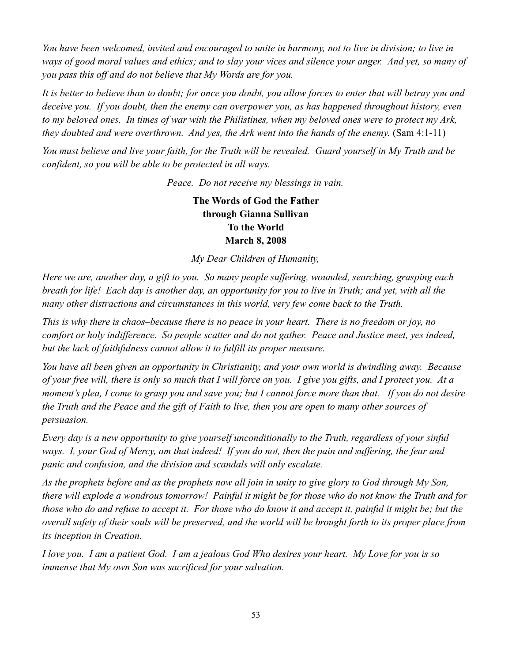*You have been welcomed, invited and encouraged to unite in harmony, not to live in division; to live in ways of good moral values and ethics; and to slay your vices and silence your anger. And yet, so many of you pass this off and do not believe that My Words are for you.*

*It is better to believe than to doubt; for once you doubt, you allow forces to enter that will betray you and deceive you. If you doubt, then the enemy can overpower you, as has happened throughout history, even to my beloved ones. In times of war with the Philistines, when my beloved ones were to protect my Ark, they doubted and were overthrown. And yes, the Ark went into the hands of the enemy.* (Sam 4:1-11)

*You must believe and live your faith, for the Truth will be revealed. Guard yourself in My Truth and be confident, so you will be able to be protected in all ways.*

*Peace. Do not receive my blessings in vain.*

# **The Words of God the Father through Gianna Sullivan To the World March 8, 2008**

*My Dear Children of Humanity,*

*Here we are, another day, a gift to you. So many people suffering, wounded, searching, grasping each breath for life! Each day is another day, an opportunity for you to live in Truth; and yet, with all the many other distractions and circumstances in this world, very few come back to the Truth.*

*This is why there is chaos–because there is no peace in your heart. There is no freedom or joy, no comfort or holy indifference. So people scatter and do not gather. Peace and Justice meet, yes indeed, but the lack of faithfulness cannot allow it to fulfill its proper measure.*

*You have all been given an opportunity in Christianity, and your own world is dwindling away. Because of your free will, there is only so much that I will force on you. I give you gifts, and I protect you. At a moment's plea, I come to grasp you and save you; but I cannot force more than that. If you do not desire the Truth and the Peace and the gift of Faith to live, then you are open to many other sources of persuasion.*

*Every day is a new opportunity to give yourself unconditionally to the Truth, regardless of your sinful ways. I, your God of Mercy, am that indeed! If you do not, then the pain and suffering, the fear and panic and confusion, and the division and scandals will only escalate.*

*As the prophets before and as the prophets now all join in unity to give glory to God through My Son, there will explode a wondrous tomorrow! Painful it might be for those who do not know the Truth and for those who do and refuse to accept it. For those who do know it and accept it, painful it might be; but the overall safety of their souls will be preserved, and the world will be brought forth to its proper place from its inception in Creation.*

*I love you. I am a patient God. I am a jealous God Who desires your heart. My Love for you is so immense that My own Son was sacrificed for your salvation.*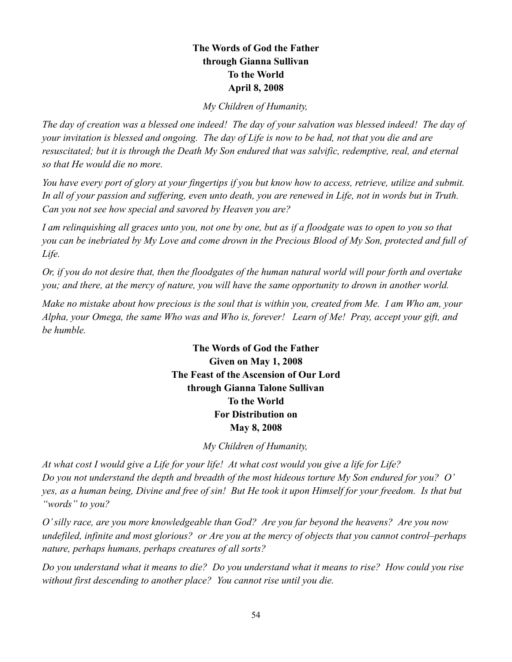# **The Words of God the Father through Gianna Sullivan To the World April 8, 2008**

*My Children of Humanity,*

*The day of creation was a blessed one indeed! The day of your salvation was blessed indeed! The day of your invitation is blessed and ongoing. The day of Life is now to be had, not that you die and are resuscitated; but it is through the Death My Son endured that was salvific, redemptive, real, and eternal so that He would die no more.*

*You have every port of glory at your fingertips if you but know how to access, retrieve, utilize and submit. In all of your passion and suffering, even unto death, you are renewed in Life, not in words but in Truth. Can you not see how special and savored by Heaven you are?*

*I am relinquishing all graces unto you, not one by one, but as if a floodgate was to open to you so that you can be inebriated by My Love and come drown in the Precious Blood of My Son, protected and full of Life.*

*Or, if you do not desire that, then the floodgates of the human natural world will pour forth and overtake you; and there, at the mercy of nature, you will have the same opportunity to drown in another world.*

*Make no mistake about how precious is the soul that is within you, created from Me. I am Who am, your Alpha, your Omega, the same Who was and Who is, forever! Learn of Me! Pray, accept your gift, and be humble.*

> **The Words of God the Father Given on May 1, 2008 The Feast of the Ascension of Our Lord through Gianna Talone Sullivan To the World For Distribution on May 8, 2008**

> > *My Children of Humanity,*

*At what cost I would give a Life for your life! At what cost would you give a life for Life? Do you not understand the depth and breadth of the most hideous torture My Son endured for you? O' yes, as a human being, Divine and free of sin! But He took it upon Himself for your freedom. Is that but "words" to you?*

*O' silly race, are you more knowledgeable than God? Are you far beyond the heavens? Are you now undefiled, infinite and most glorious? or Are you at the mercy of objects that you cannot control–perhaps nature, perhaps humans, perhaps creatures of all sorts?*

*Do you understand what it means to die? Do you understand what it means to rise? How could you rise without first descending to another place? You cannot rise until you die.*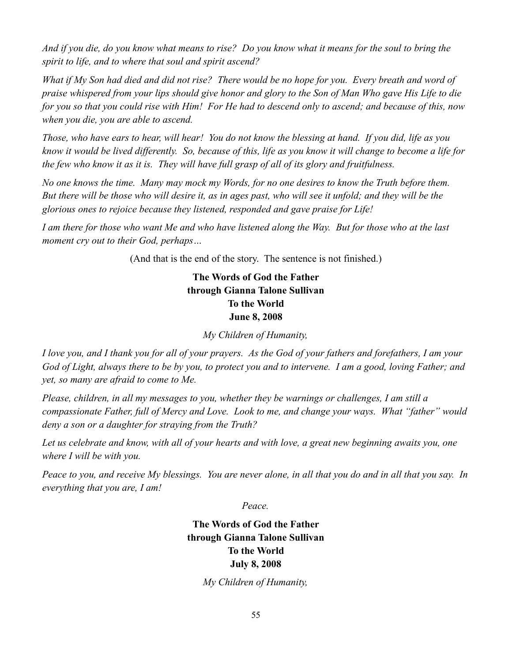*And if you die, do you know what means to rise? Do you know what it means for the soul to bring the spirit to life, and to where that soul and spirit ascend?*

*What if My Son had died and did not rise? There would be no hope for you. Every breath and word of praise whispered from your lips should give honor and glory to the Son of Man Who gave His Life to die for you so that you could rise with Him! For He had to descend only to ascend; and because of this, now when you die, you are able to ascend.*

*Those, who have ears to hear, will hear! You do not know the blessing at hand. If you did, life as you know it would be lived differently. So, because of this, life as you know it will change to become a life for the few who know it as it is. They will have full grasp of all of its glory and fruitfulness.*

*No one knows the time. Many may mock my Words, for no one desires to know the Truth before them. But there will be those who will desire it, as in ages past, who will see it unfold; and they will be the glorious ones to rejoice because they listened, responded and gave praise for Life!*

*I am there for those who want Me and who have listened along the Way. But for those who at the last moment cry out to their God, perhaps…*

(And that is the end of the story. The sentence is not finished.)

# **The Words of God the Father through Gianna Talone Sullivan To the World June 8, 2008**

*My Children of Humanity,*

*I love you, and I thank you for all of your prayers. As the God of your fathers and forefathers, I am your God of Light, always there to be by you, to protect you and to intervene. I am a good, loving Father; and yet, so many are afraid to come to Me.*

*Please, children, in all my messages to you, whether they be warnings or challenges, I am still a compassionate Father, full of Mercy and Love. Look to me, and change your ways. What "father" would deny a son or a daughter for straying from the Truth?*

*Let us celebrate and know, with all of your hearts and with love, a great new beginning awaits you, one where I will be with you.*

*Peace to you, and receive My blessings. You are never alone, in all that you do and in all that you say. In everything that you are, I am!*

*Peace.*

**The Words of God the Father through Gianna Talone Sullivan To the World July 8, 2008**

*My Children of Humanity,*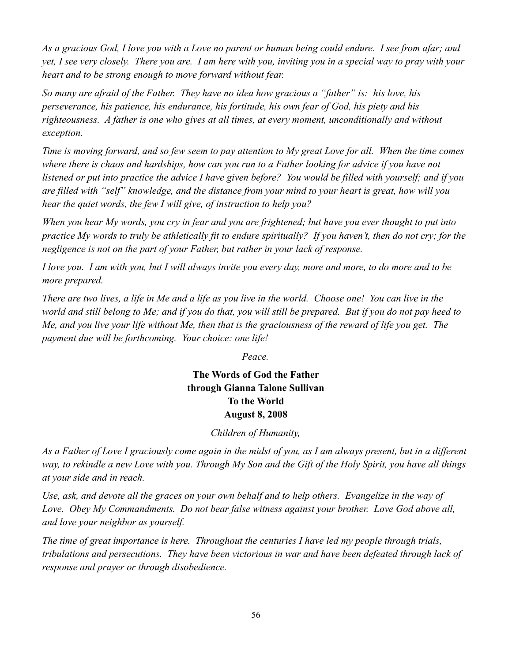*As a gracious God, I love you with a Love no parent or human being could endure. I see from afar; and yet, I see very closely. There you are. I am here with you, inviting you in a special way to pray with your heart and to be strong enough to move forward without fear.*

*So many are afraid of the Father. They have no idea how gracious a "father" is: his love, his perseverance, his patience, his endurance, his fortitude, his own fear of God, his piety and his righteousness. A father is one who gives at all times, at every moment, unconditionally and without exception.*

*Time is moving forward, and so few seem to pay attention to My great Love for all. When the time comes where there is chaos and hardships, how can you run to a Father looking for advice if you have not listened or put into practice the advice I have given before? You would be filled with yourself; and if you are filled with "self" knowledge, and the distance from your mind to your heart is great, how will you hear the quiet words, the few I will give, of instruction to help you?*

*When you hear My words, you cry in fear and you are frightened; but have you ever thought to put into practice My words to truly be athletically fit to endure spiritually? If you haven't, then do not cry; for the negligence is not on the part of your Father, but rather in your lack of response.*

*I love you. I am with you, but I will always invite you every day, more and more, to do more and to be more prepared.*

*There are two lives, a life in Me and a life as you live in the world. Choose one! You can live in the world and still belong to Me; and if you do that, you will still be prepared. But if you do not pay heed to Me, and you live your life without Me, then that is the graciousness of the reward of life you get. The payment due will be forthcoming. Your choice: one life!*

*Peace.*

**The Words of God the Father through Gianna Talone Sullivan To the World August 8, 2008**

### *Children of Humanity,*

*As a Father of Love I graciously come again in the midst of you, as I am always present, but in a different way, to rekindle a new Love with you. Through My Son and the Gift of the Holy Spirit, you have all things at your side and in reach.*

Use, ask, and devote all the graces on your own behalf and to help others. Evangelize in the way of *Love. Obey My Commandments. Do not bear false witness against your brother. Love God above all, and love your neighbor as yourself.*

*The time of great importance is here. Throughout the centuries I have led my people through trials, tribulations and persecutions. They have been victorious in war and have been defeated through lack of response and prayer or through disobedience.*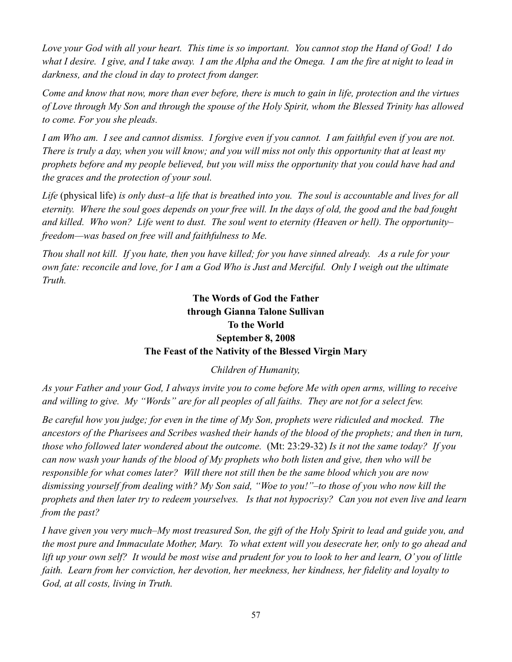*Love your God with all your heart. This time is so important. You cannot stop the Hand of God! I do what I desire. I give, and I take away. I am the Alpha and the Omega. I am the fire at night to lead in darkness, and the cloud in day to protect from danger.*

*Come and know that now, more than ever before, there is much to gain in life, protection and the virtues of Love through My Son and through the spouse of the Holy Spirit, whom the Blessed Trinity has allowed to come. For you she pleads.*

*I am Who am. I see and cannot dismiss. I forgive even if you cannot. I am faithful even if you are not. There is truly a day, when you will know; and you will miss not only this opportunity that at least my prophets before and my people believed, but you will miss the opportunity that you could have had and the graces and the protection of your soul.*

*Life* (physical life) *is only dust–a life that is breathed into you. The soul is accountable and lives for all eternity. Where the soul goes depends on your free will. In the days of old, the good and the bad fought and killed. Who won? Life went to dust. The soul went to eternity (Heaven or hell). The opportunity– freedom—was based on free will and faithfulness to Me.*

*Thou shall not kill. If you hate, then you have killed; for you have sinned already. As a rule for your own fate: reconcile and love, for I am a God Who is Just and Merciful. Only I weigh out the ultimate Truth.*

# **The Words of God the Father through Gianna Talone Sullivan To the World September 8, 2008 The Feast of the Nativity of the Blessed Virgin Mary**

# *Children of Humanity,*

*As your Father and your God, I always invite you to come before Me with open arms, willing to receive and willing to give. My "Words" are for all peoples of all faiths. They are not for a select few.*

*Be careful how you judge; for even in the time of My Son, prophets were ridiculed and mocked. The ancestors of the Pharisees and Scribes washed their hands of the blood of the prophets; and then in turn, those who followed later wondered about the outcome.* (Mt: 23:29-32) *Is it not the same today? If you can now wash your hands of the blood of My prophets who both listen and give, then who will be responsible for what comes later? Will there not still then be the same blood which you are now dismissing yourself from dealing with? My Son said, "Woe to you!"–to those of you who now kill the prophets and then later try to redeem yourselves. Is that not hypocrisy? Can you not even live and learn from the past?*

*I have given you very much–My most treasured Son, the gift of the Holy Spirit to lead and guide you, and the most pure and Immaculate Mother, Mary. To what extent will you desecrate her, only to go ahead and lift up your own self? It would be most wise and prudent for you to look to her and learn, O' you of little faith. Learn from her conviction, her devotion, her meekness, her kindness, her fidelity and loyalty to God, at all costs, living in Truth.*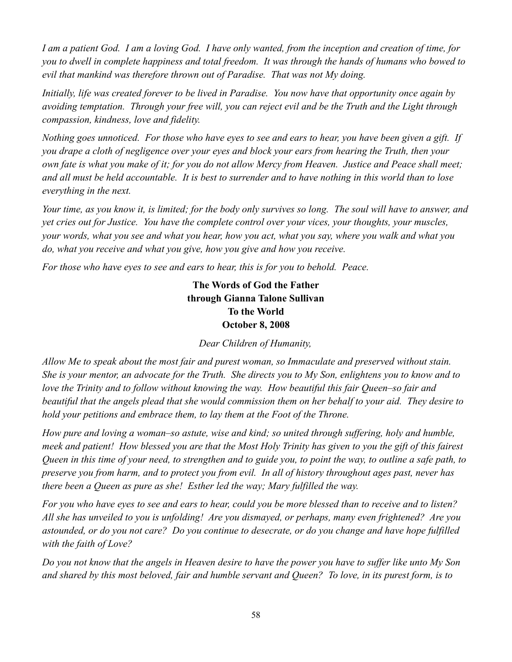*I am a patient God. I am a loving God. I have only wanted, from the inception and creation of time, for you to dwell in complete happiness and total freedom. It was through the hands of humans who bowed to evil that mankind was therefore thrown out of Paradise. That was not My doing.*

*Initially, life was created forever to be lived in Paradise. You now have that opportunity once again by avoiding temptation. Through your free will, you can reject evil and be the Truth and the Light through compassion, kindness, love and fidelity.*

*Nothing goes unnoticed. For those who have eyes to see and ears to hear, you have been given a gift. If you drape a cloth of negligence over your eyes and block your ears from hearing the Truth, then your own fate is what you make of it; for you do not allow Mercy from Heaven. Justice and Peace shall meet; and all must be held accountable. It is best to surrender and to have nothing in this world than to lose everything in the next.*

*Your time, as you know it, is limited; for the body only survives so long. The soul will have to answer, and yet cries out for Justice. You have the complete control over your vices, your thoughts, your muscles, your words, what you see and what you hear, how you act, what you say, where you walk and what you do, what you receive and what you give, how you give and how you receive.*

*For those who have eyes to see and ears to hear, this is for you to behold. Peace.*

**The Words of God the Father through Gianna Talone Sullivan To the World October 8, 2008**

*Dear Children of Humanity,*

*Allow Me to speak about the most fair and purest woman, so Immaculate and preserved without stain. She is your mentor, an advocate for the Truth. She directs you to My Son, enlightens you to know and to love the Trinity and to follow without knowing the way. How beautiful this fair Queen–so fair and beautiful that the angels plead that she would commission them on her behalf to your aid. They desire to hold your petitions and embrace them, to lay them at the Foot of the Throne.*

*How pure and loving a woman–so astute, wise and kind; so united through suffering, holy and humble, meek and patient! How blessed you are that the Most Holy Trinity has given to you the gift of this fairest Queen in this time of your need, to strengthen and to guide you, to point the way, to outline a safe path, to preserve you from harm, and to protect you from evil. In all of history throughout ages past, never has there been a Queen as pure as she! Esther led the way; Mary fulfilled the way.*

*For you who have eyes to see and ears to hear, could you be more blessed than to receive and to listen? All she has unveiled to you is unfolding! Are you dismayed, or perhaps, many even frightened? Are you astounded, or do you not care? Do you continue to desecrate, or do you change and have hope fulfilled with the faith of Love?*

*Do you not know that the angels in Heaven desire to have the power you have to suffer like unto My Son and shared by this most beloved, fair and humble servant and Queen? To love, in its purest form, is to*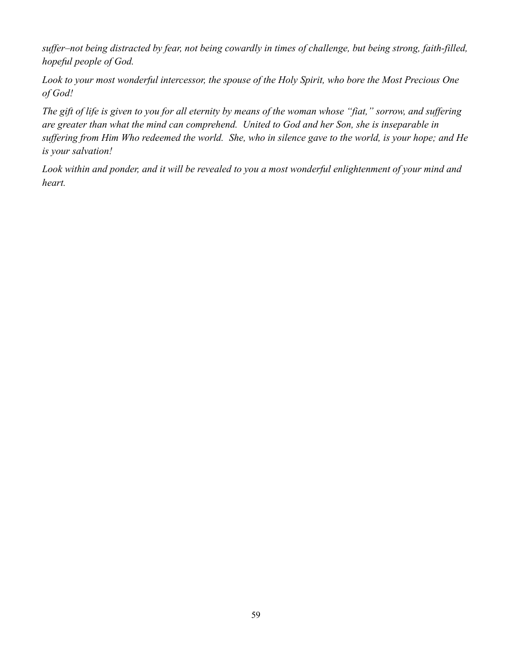*suffer–not being distracted by fear, not being cowardly in times of challenge, but being strong, faith-filled, hopeful people of God.*

*Look to your most wonderful intercessor, the spouse of the Holy Spirit, who bore the Most Precious One of God!*

*The gift of life is given to you for all eternity by means of the woman whose "fiat," sorrow, and suffering are greater than what the mind can comprehend. United to God and her Son, she is inseparable in suffering from Him Who redeemed the world. She, who in silence gave to the world, is your hope; and He is your salvation!*

*Look within and ponder, and it will be revealed to you a most wonderful enlightenment of your mind and heart.*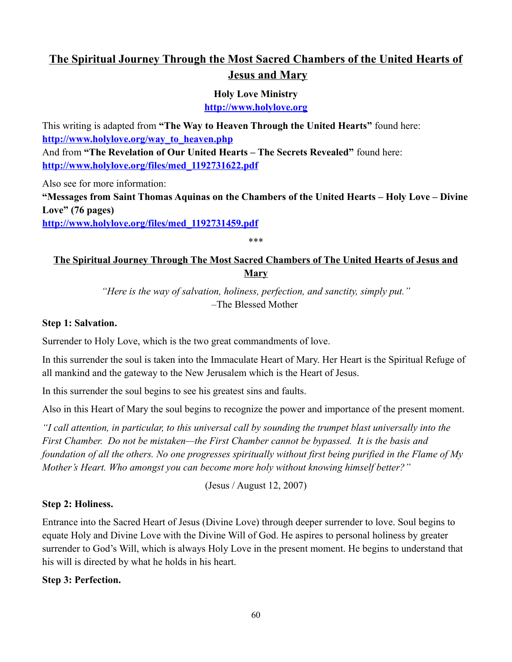# **The Spiritual Journey Through the Most Sacred Chambers of the United Hearts of Jesus and Mary**

# **Holy Love Ministry**

**[http://www.holylove.org](http://www.holylove.org/)**

This writing is adapted from **"The Way to Heaven Through the United Hearts"** found here: **[http://www.holylove.org/way\\_to\\_heaven.php](http://www.holylove.org/way_to_heaven.php)** And from **"The Revelation of Our United Hearts – The Secrets Revealed"** found here: **[http://www.holylove.org/files/med\\_1192731622.pdf](http://www.holylove.org/files/med_1192731622.pdf)**

Also see for more information:

**"Messages from Saint Thomas Aquinas on the Chambers of the United Hearts – Holy Love – Divine Love" (76 pages)**

**[http://www.holylove.org/files/med\\_1192731459.pdf](http://www.holylove.org/files/med_1192731459.pdf)**

\*\*\*

# **The Spiritual Journey Through The Most Sacred Chambers of The United Hearts of Jesus and Mary**

*"Here is the way of salvation, holiness, perfection, and sanctity, simply put."* –The Blessed Mother

## **Step 1: Salvation.**

Surrender to Holy Love, which is the two great commandments of love.

In this surrender the soul is taken into the Immaculate Heart of Mary. Her Heart is the Spiritual Refuge of all mankind and the gateway to the New Jerusalem which is the Heart of Jesus.

In this surrender the soul begins to see his greatest sins and faults.

Also in this Heart of Mary the soul begins to recognize the power and importance of the present moment.

*"I call attention, in particular, to this universal call by sounding the trumpet blast universally into the First Chamber. Do not be mistaken—the First Chamber cannot be bypassed. It is the basis and foundation of all the others. No one progresses spiritually without first being purified in the Flame of My Mother's Heart. Who amongst you can become more holy without knowing himself better?"*

(Jesus / August 12, 2007)

# **Step 2: Holiness.**

Entrance into the Sacred Heart of Jesus (Divine Love) through deeper surrender to love. Soul begins to equate Holy and Divine Love with the Divine Will of God. He aspires to personal holiness by greater surrender to God's Will, which is always Holy Love in the present moment. He begins to understand that his will is directed by what he holds in his heart.

# **Step 3: Perfection.**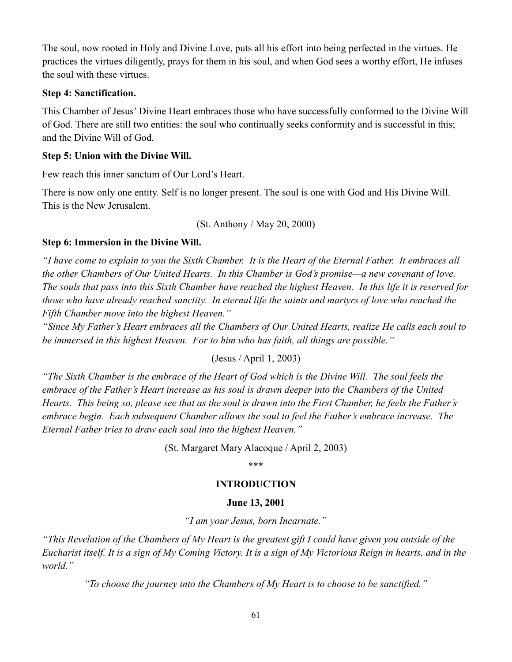The soul, now rooted in Holy and Divine Love, puts all his effort into being perfected in the virtues. He practices the virtues diligently, prays for them in his soul, and when God sees a worthy effort, He infuses the soul with these virtues.

# **Step 4: Sanctification.**

This Chamber of Jesus' Divine Heart embraces those who have successfully conformed to the Divine Will of God. There are still two entities: the soul who continually seeks conformity and is successful in this; and the Divine Will of God.

## **Step 5: Union with the Divine Will.**

Few reach this inner sanctum of Our Lord's Heart.

There is now only one entity. Self is no longer present. The soul is one with God and His Divine Will. This is the New Jerusalem.

(St. Anthony / May 20, 2000)

# **Step 6: Immersion in the Divine Will.**

*"I have come to explain to you the Sixth Chamber. It is the Heart of the Eternal Father. It embraces all the other Chambers of Our United Hearts. In this Chamber is God's promise—a new covenant of love. The souls that pass into this Sixth Chamber have reached the highest Heaven. In this life it is reserved for those who have already reached sanctity. In eternal life the saints and martyrs of love who reached the Fifth Chamber move into the highest Heaven."*

*"Since My Father's Heart embraces all the Chambers of Our United Hearts, realize He calls each soul to be immersed in this highest Heaven. For to him who has faith, all things are possible."*

# (Jesus / April 1, 2003)

*"The Sixth Chamber is the embrace of the Heart of God which is the Divine Will. The soul feels the embrace of the Father's Heart increase as his soul is drawn deeper into the Chambers of the United Hearts. This being so, please see that as the soul is drawn into the First Chamber, he feels the Father's embrace begin. Each subsequent Chamber allows the soul to feel the Father's embrace increase. The Eternal Father tries to draw each soul into the highest Heaven."*

(St. Margaret Mary Alacoque / April 2, 2003)

\*\*\*

# **INTRODUCTION**

### **June 13, 2001**

*"I am your Jesus, born Incarnate."*

*"This Revelation of the Chambers of My Heart is the greatest gift I could have given you outside of the Eucharist itself. It is a sign of My Coming Victory. It is a sign of My Victorious Reign in hearts, and in the world."*

*"To choose the journey into the Chambers of My Heart is to choose to be sanctified."*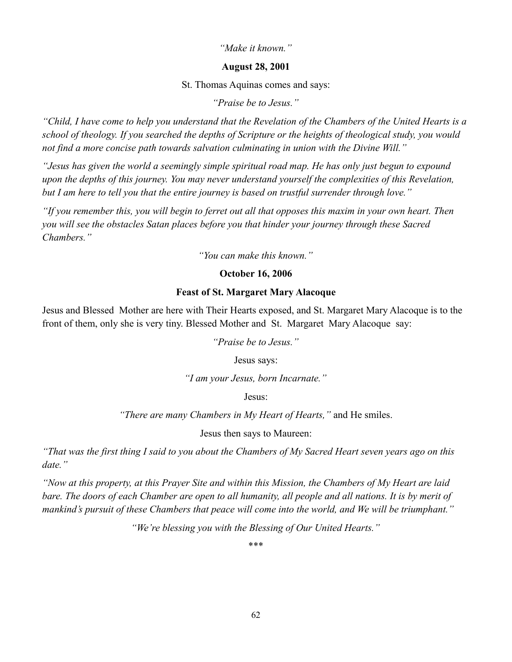*"Make it known."*

#### **August 28, 2001**

St. Thomas Aquinas comes and says:

*"Praise be to Jesus."*

*"Child, I have come to help you understand that the Revelation of the Chambers of the United Hearts is a school of theology. If you searched the depths of Scripture or the heights of theological study, you would not find a more concise path towards salvation culminating in union with the Divine Will."*

*"Jesus has given the world a seemingly simple spiritual road map. He has only just begun to expound upon the depths of this journey. You may never understand yourself the complexities of this Revelation, but I am here to tell you that the entire journey is based on trustful surrender through love."*

*"If you remember this, you will begin to ferret out all that opposes this maxim in your own heart. Then you will see the obstacles Satan places before you that hinder your journey through these Sacred Chambers."*

*"You can make this known."*

### **October 16, 2006**

#### **Feast of St. Margaret Mary Alacoque**

Jesus and Blessed Mother are here with Their Hearts exposed, and St. Margaret Mary Alacoque is to the front of them, only she is very tiny. Blessed Mother and St. Margaret Mary Alacoque say:

*"Praise be to Jesus."*

Jesus says:

*"I am your Jesus, born Incarnate."*

Jesus:

*"There are many Chambers in My Heart of Hearts,"* and He smiles.

Jesus then says to Maureen:

*"That was the first thing I said to you about the Chambers of My Sacred Heart seven years ago on this date."*

*"Now at this property, at this Prayer Site and within this Mission, the Chambers of My Heart are laid*  bare. The doors of each Chamber are open to all humanity, all people and all nations. It is by merit of *mankind's pursuit of these Chambers that peace will come into the world, and We will be triumphant."*

*"We're blessing you with the Blessing of Our United Hearts."*

\*\*\*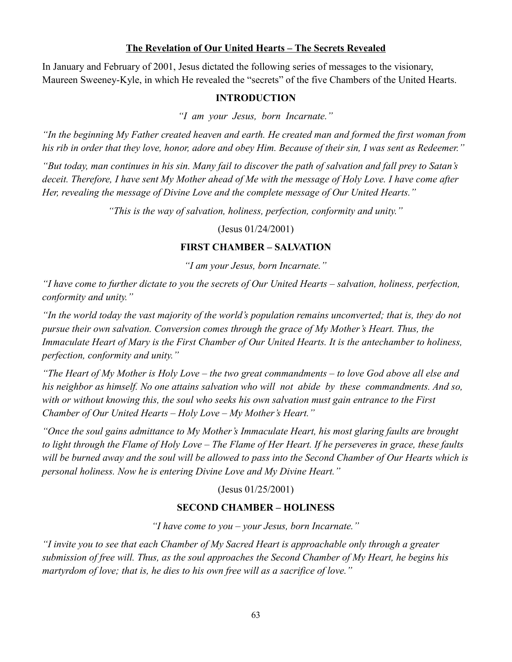### **The Revelation of Our United Hearts – The Secrets Revealed**

In January and February of 2001, Jesus dictated the following series of messages to the visionary, Maureen Sweeney-Kyle, in which He revealed the "secrets" of the five Chambers of the United Hearts.

## **INTRODUCTION**

*"I am your Jesus, born Incarnate."*

*"In the beginning My Father created heaven and earth. He created man and formed the first woman from his rib in order that they love, honor, adore and obey Him. Because of their sin, I was sent as Redeemer."*

*"But today, man continues in his sin. Many fail to discover the path of salvation and fall prey to Satan's deceit. Therefore, I have sent My Mother ahead of Me with the message of Holy Love. I have come after Her, revealing the message of Divine Love and the complete message of Our United Hearts."*

*"This is the way of salvation, holiness, perfection, conformity and unity."*

(Jesus 01/24/2001)

#### **FIRST CHAMBER – SALVATION**

*"I am your Jesus, born Incarnate."*

*"I have come to further dictate to you the secrets of Our United Hearts – salvation, holiness, perfection, conformity and unity."*

*"In the world today the vast majority of the world's population remains unconverted; that is, they do not pursue their own salvation. Conversion comes through the grace of My Mother's Heart. Thus, the Immaculate Heart of Mary is the First Chamber of Our United Hearts. It is the antechamber to holiness, perfection, conformity and unity."*

*"The Heart of My Mother is Holy Love – the two great commandments – to love God above all else and his neighbor as himself. No one attains salvation who will not abide by these commandments. And so, with or without knowing this, the soul who seeks his own salvation must gain entrance to the First Chamber of Our United Hearts – Holy Love – My Mother's Heart."*

*"Once the soul gains admittance to My Mother's Immaculate Heart, his most glaring faults are brought to light through the Flame of Holy Love – The Flame of Her Heart. If he perseveres in grace, these faults will be burned away and the soul will be allowed to pass into the Second Chamber of Our Hearts which is personal holiness. Now he is entering Divine Love and My Divine Heart."*

(Jesus 01/25/2001)

#### **SECOND CHAMBER – HOLINESS**

*"I have come to you – your Jesus, born Incarnate."*

*"I invite you to see that each Chamber of My Sacred Heart is approachable only through a greater submission of free will. Thus, as the soul approaches the Second Chamber of My Heart, he begins his martyrdom of love; that is, he dies to his own free will as a sacrifice of love."*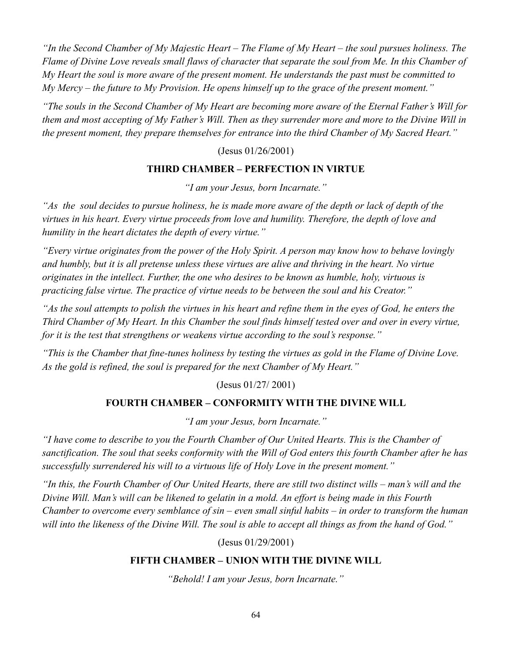*"In the Second Chamber of My Majestic Heart – The Flame of My Heart – the soul pursues holiness. The Flame of Divine Love reveals small flaws of character that separate the soul from Me. In this Chamber of My Heart the soul is more aware of the present moment. He understands the past must be committed to My Mercy – the future to My Provision. He opens himself up to the grace of the present moment."*

*"The souls in the Second Chamber of My Heart are becoming more aware of the Eternal Father's Will for them and most accepting of My Father's Will. Then as they surrender more and more to the Divine Will in the present moment, they prepare themselves for entrance into the third Chamber of My Sacred Heart."*

#### (Jesus 01/26/2001)

#### **THIRD CHAMBER – PERFECTION IN VIRTUE**

*"I am your Jesus, born Incarnate."*

*"As the soul decides to pursue holiness, he is made more aware of the depth or lack of depth of the virtues in his heart. Every virtue proceeds from love and humility. Therefore, the depth of love and humility in the heart dictates the depth of every virtue."*

*"Every virtue originates from the power of the Holy Spirit. A person may know how to behave lovingly and humbly, but it is all pretense unless these virtues are alive and thriving in the heart. No virtue originates in the intellect. Further, the one who desires to be known as humble, holy, virtuous is practicing false virtue. The practice of virtue needs to be between the soul and his Creator."*

*"As the soul attempts to polish the virtues in his heart and refine them in the eyes of God, he enters the Third Chamber of My Heart. In this Chamber the soul finds himself tested over and over in every virtue, for it is the test that strengthens or weakens virtue according to the soul's response."*

*"This is the Chamber that fine-tunes holiness by testing the virtues as gold in the Flame of Divine Love. As the gold is refined, the soul is prepared for the next Chamber of My Heart."*

(Jesus 01/27/ 2001)

#### **FOURTH CHAMBER – CONFORMITY WITH THE DIVINE WILL**

*"I am your Jesus, born Incarnate."*

*"I have come to describe to you the Fourth Chamber of Our United Hearts. This is the Chamber of sanctification. The soul that seeks conformity with the Will of God enters this fourth Chamber after he has successfully surrendered his will to a virtuous life of Holy Love in the present moment."*

*"In this, the Fourth Chamber of Our United Hearts, there are still two distinct wills – man's will and the Divine Will. Man's will can be likened to gelatin in a mold. An effort is being made in this Fourth Chamber to overcome every semblance of sin – even small sinful habits – in order to transform the human will into the likeness of the Divine Will. The soul is able to accept all things as from the hand of God."*

(Jesus 01/29/2001)

## **FIFTH CHAMBER – UNION WITH THE DIVINE WILL**

*"Behold! I am your Jesus, born Incarnate."*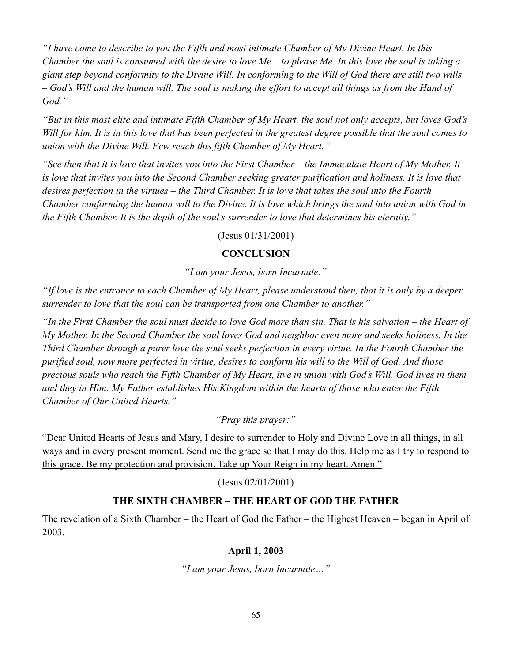*"I have come to describe to you the Fifth and most intimate Chamber of My Divine Heart. In this Chamber the soul is consumed with the desire to love Me – to please Me. In this love the soul is taking a giant step beyond conformity to the Divine Will. In conforming to the Will of God there are still two wills – God's Will and the human will. The soul is making the effort to accept all things as from the Hand of God."*

*"But in this most elite and intimate Fifth Chamber of My Heart, the soul not only accepts, but loves God's Will for him. It is in this love that has been perfected in the greatest degree possible that the soul comes to union with the Divine Will. Few reach this fifth Chamber of My Heart."*

*"See then that it is love that invites you into the First Chamber – the Immaculate Heart of My Mother. It*  is love that invites you into the Second Chamber seeking greater purification and holiness. It is love that *desires perfection in the virtues – the Third Chamber. It is love that takes the soul into the Fourth Chamber conforming the human will to the Divine. It is love which brings the soul into union with God in the Fifth Chamber. It is the depth of the soul's surrender to love that determines his eternity."*

(Jesus 01/31/2001)

## **CONCLUSION**

*"I am your Jesus, born Incarnate."*

*"If love is the entrance to each Chamber of My Heart, please understand then, that it is only by a deeper surrender to love that the soul can be transported from one Chamber to another."*

*"In the First Chamber the soul must decide to love God more than sin. That is his salvation – the Heart of My Mother. In the Second Chamber the soul loves God and neighbor even more and seeks holiness. In the Third Chamber through a purer love the soul seeks perfection in every virtue. In the Fourth Chamber the purified soul, now more perfected in virtue, desires to conform his will to the Will of God. And those precious souls who reach the Fifth Chamber of My Heart, live in union with God's Will. God lives in them and they in Him. My Father establishes His Kingdom within the hearts of those who enter the Fifth Chamber of Our United Hearts."*

*"Pray this prayer:"*

"Dear United Hearts of Jesus and Mary, I desire to surrender to Holy and Divine Love in all things, in all ways and in every present moment. Send me the grace so that I may do this. Help me as I try to respond to this grace. Be my protection and provision. Take up Your Reign in my heart. Amen."

(Jesus 02/01/2001)

# **THE SIXTH CHAMBER – THE HEART OF GOD THE FATHER**

The revelation of a Sixth Chamber – the Heart of God the Father – the Highest Heaven – began in April of 2003.

# **April 1, 2003**

*"I am your Jesus, born Incarnate…"*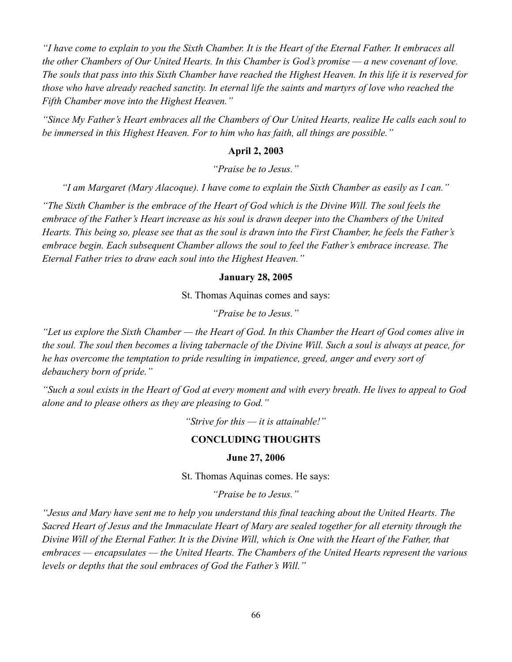*"I have come to explain to you the Sixth Chamber. It is the Heart of the Eternal Father. It embraces all the other Chambers of Our United Hearts. In this Chamber is God's promise — a new covenant of love. The souls that pass into this Sixth Chamber have reached the Highest Heaven. In this life it is reserved for those who have already reached sanctity. In eternal life the saints and martyrs of love who reached the Fifth Chamber move into the Highest Heaven."*

*"Since My Father's Heart embraces all the Chambers of Our United Hearts, realize He calls each soul to be immersed in this Highest Heaven. For to him who has faith, all things are possible."*

#### **April 2, 2003**

*"Praise be to Jesus."*

*"I am Margaret (Mary Alacoque). I have come to explain the Sixth Chamber as easily as I can."*

*"The Sixth Chamber is the embrace of the Heart of God which is the Divine Will. The soul feels the embrace of the Father's Heart increase as his soul is drawn deeper into the Chambers of the United Hearts. This being so, please see that as the soul is drawn into the First Chamber, he feels the Father's embrace begin. Each subsequent Chamber allows the soul to feel the Father's embrace increase. The Eternal Father tries to draw each soul into the Highest Heaven."*

#### **January 28, 2005**

St. Thomas Aquinas comes and says:

*"Praise be to Jesus."*

*"Let us explore the Sixth Chamber — the Heart of God. In this Chamber the Heart of God comes alive in the soul. The soul then becomes a living tabernacle of the Divine Will. Such a soul is always at peace, for he has overcome the temptation to pride resulting in impatience, greed, anger and every sort of debauchery born of pride."*

*"Such a soul exists in the Heart of God at every moment and with every breath. He lives to appeal to God alone and to please others as they are pleasing to God."*

*"Strive for this — it is attainable!"*

#### **CONCLUDING THOUGHTS**

#### **June 27, 2006**

St. Thomas Aquinas comes. He says:

*"Praise be to Jesus."*

*"Jesus and Mary have sent me to help you understand this final teaching about the United Hearts. The Sacred Heart of Jesus and the Immaculate Heart of Mary are sealed together for all eternity through the Divine Will of the Eternal Father. It is the Divine Will, which is One with the Heart of the Father, that embraces — encapsulates — the United Hearts. The Chambers of the United Hearts represent the various levels or depths that the soul embraces of God the Father's Will."*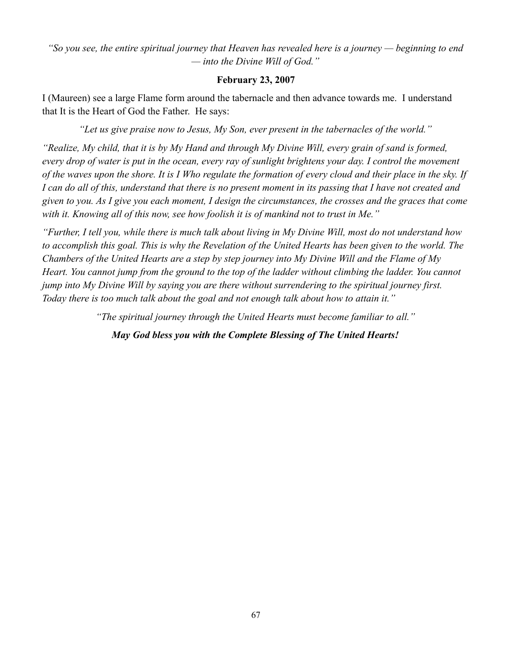*"So you see, the entire spiritual journey that Heaven has revealed here is a journey — beginning to end — into the Divine Will of God."*

## **February 23, 2007**

I (Maureen) see a large Flame form around the tabernacle and then advance towards me. I understand that It is the Heart of God the Father. He says:

*"Let us give praise now to Jesus, My Son, ever present in the tabernacles of the world."*

*"Realize, My child, that it is by My Hand and through My Divine Will, every grain of sand is formed, every drop of water is put in the ocean, every ray of sunlight brightens your day. I control the movement of the waves upon the shore. It is I Who regulate the formation of every cloud and their place in the sky. If I can do all of this, understand that there is no present moment in its passing that I have not created and given to you. As I give you each moment, I design the circumstances, the crosses and the graces that come with it. Knowing all of this now, see how foolish it is of mankind not to trust in Me."*

*"Further, I tell you, while there is much talk about living in My Divine Will, most do not understand how to accomplish this goal. This is why the Revelation of the United Hearts has been given to the world. The Chambers of the United Hearts are a step by step journey into My Divine Will and the Flame of My Heart. You cannot jump from the ground to the top of the ladder without climbing the ladder. You cannot jump into My Divine Will by saying you are there without surrendering to the spiritual journey first. Today there is too much talk about the goal and not enough talk about how to attain it."*

*"The spiritual journey through the United Hearts must become familiar to all."*

*May God bless you with the Complete Blessing of The United Hearts!*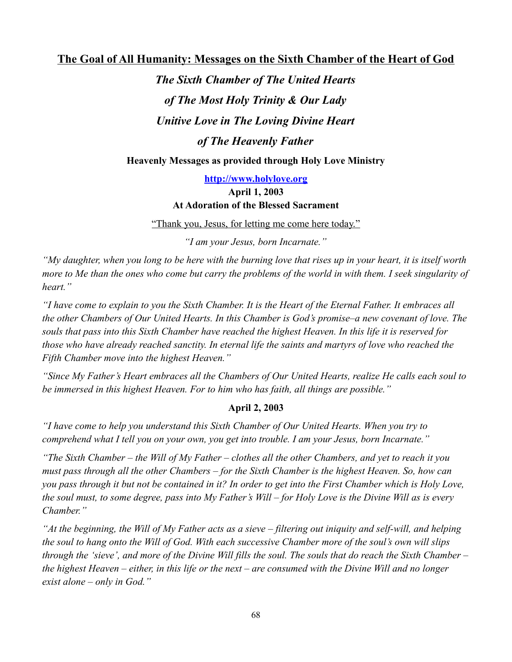# **The Goal of All Humanity: Messages on the Sixth Chamber of the Heart of God**

*The Sixth Chamber of The United Hearts of The Most Holy Trinity & Our Lady Unitive Love in The Loving Divine Heart of The Heavenly Father*

**Heavenly Messages as provided through Holy Love Ministry**

# **[http://www.holylove.org](http://www.holylove.org/) April 1, 2003 At Adoration of the Blessed Sacrament**

"Thank you, Jesus, for letting me come here today."

*"I am your Jesus, born Incarnate."*

*"My daughter, when you long to be here with the burning love that rises up in your heart, it is itself worth more to Me than the ones who come but carry the problems of the world in with them. I seek singularity of heart."*

*"I have come to explain to you the Sixth Chamber. It is the Heart of the Eternal Father. It embraces all the other Chambers of Our United Hearts. In this Chamber is God's promise–a new covenant of love. The souls that pass into this Sixth Chamber have reached the highest Heaven. In this life it is reserved for those who have already reached sanctity. In eternal life the saints and martyrs of love who reached the Fifth Chamber move into the highest Heaven."*

*"Since My Father's Heart embraces all the Chambers of Our United Hearts, realize He calls each soul to be immersed in this highest Heaven. For to him who has faith, all things are possible."*

### **April 2, 2003**

*"I have come to help you understand this Sixth Chamber of Our United Hearts. When you try to comprehend what I tell you on your own, you get into trouble. I am your Jesus, born Incarnate."*

*"The Sixth Chamber – the Will of My Father – clothes all the other Chambers, and yet to reach it you must pass through all the other Chambers – for the Sixth Chamber is the highest Heaven. So, how can you pass through it but not be contained in it? In order to get into the First Chamber which is Holy Love, the soul must, to some degree, pass into My Father's Will – for Holy Love is the Divine Will as is every Chamber."*

*"At the beginning, the Will of My Father acts as a sieve – filtering out iniquity and self-will, and helping the soul to hang onto the Will of God. With each successive Chamber more of the soul's own will slips through the 'sieve', and more of the Divine Will fills the soul. The souls that do reach the Sixth Chamber – the highest Heaven – either, in this life or the next – are consumed with the Divine Will and no longer exist alone – only in God."*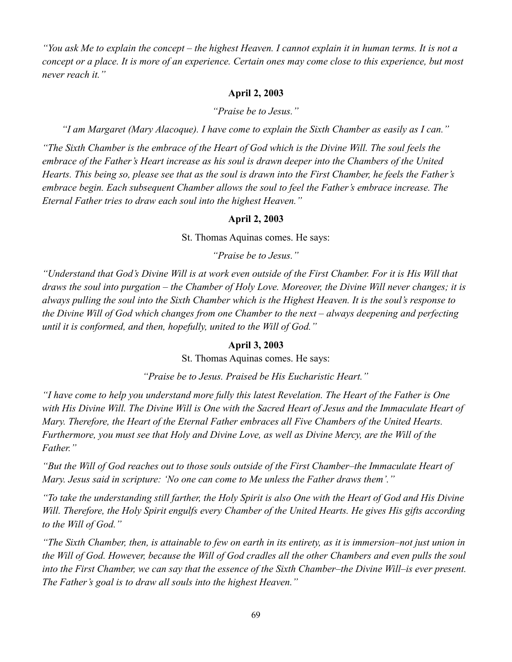*"You ask Me to explain the concept – the highest Heaven. I cannot explain it in human terms. It is not a concept or a place. It is more of an experience. Certain ones may come close to this experience, but most never reach it."*

### **April 2, 2003**

## *"Praise be to Jesus."*

*"I am Margaret (Mary Alacoque). I have come to explain the Sixth Chamber as easily as I can."*

*"The Sixth Chamber is the embrace of the Heart of God which is the Divine Will. The soul feels the embrace of the Father's Heart increase as his soul is drawn deeper into the Chambers of the United Hearts. This being so, please see that as the soul is drawn into the First Chamber, he feels the Father's embrace begin. Each subsequent Chamber allows the soul to feel the Father's embrace increase. The Eternal Father tries to draw each soul into the highest Heaven."*

### **April 2, 2003**

St. Thomas Aquinas comes. He says:

*"Praise be to Jesus."*

*"Understand that God's Divine Will is at work even outside of the First Chamber. For it is His Will that draws the soul into purgation – the Chamber of Holy Love. Moreover, the Divine Will never changes; it is always pulling the soul into the Sixth Chamber which is the Highest Heaven. It is the soul's response to the Divine Will of God which changes from one Chamber to the next – always deepening and perfecting until it is conformed, and then, hopefully, united to the Will of God."*

# **April 3, 2003**

St. Thomas Aquinas comes. He says:

*"Praise be to Jesus. Praised be His Eucharistic Heart."*

*"I have come to help you understand more fully this latest Revelation. The Heart of the Father is One*  with His Divine Will. The Divine Will is One with the Sacred Heart of Jesus and the Immaculate Heart of *Mary. Therefore, the Heart of the Eternal Father embraces all Five Chambers of the United Hearts. Furthermore, you must see that Holy and Divine Love, as well as Divine Mercy, are the Will of the Father."*

*"But the Will of God reaches out to those souls outside of the First Chamber–the Immaculate Heart of Mary. Jesus said in scripture: 'No one can come to Me unless the Father draws them'."*

*"To take the understanding still farther, the Holy Spirit is also One with the Heart of God and His Divine Will. Therefore, the Holy Spirit engulfs every Chamber of the United Hearts. He gives His gifts according to the Will of God."*

*"The Sixth Chamber, then, is attainable to few on earth in its entirety, as it is immersion–not just union in the Will of God. However, because the Will of God cradles all the other Chambers and even pulls the soul into the First Chamber, we can say that the essence of the Sixth Chamber–the Divine Will–is ever present. The Father's goal is to draw all souls into the highest Heaven."*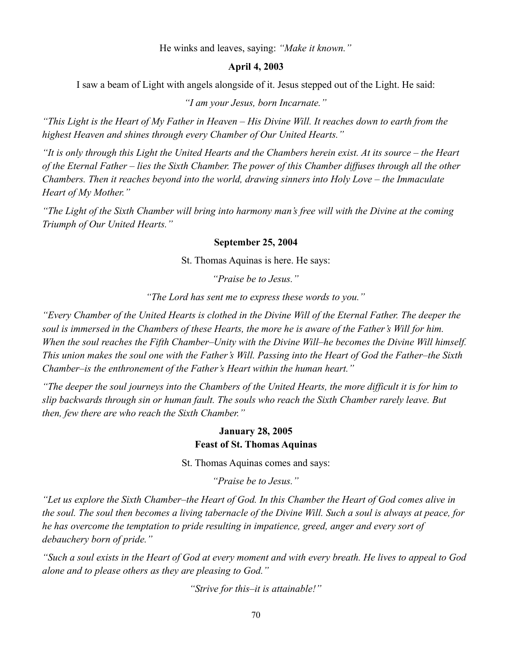#### He winks and leaves, saying: *"Make it known."*

#### **April 4, 2003**

I saw a beam of Light with angels alongside of it. Jesus stepped out of the Light. He said:

*"I am your Jesus, born Incarnate."*

*"This Light is the Heart of My Father in Heaven – His Divine Will. It reaches down to earth from the highest Heaven and shines through every Chamber of Our United Hearts."*

*"It is only through this Light the United Hearts and the Chambers herein exist. At its source – the Heart of the Eternal Father – lies the Sixth Chamber. The power of this Chamber diffuses through all the other Chambers. Then it reaches beyond into the world, drawing sinners into Holy Love – the Immaculate Heart of My Mother."*

*"The Light of the Sixth Chamber will bring into harmony man's free will with the Divine at the coming Triumph of Our United Hearts."*

#### **September 25, 2004**

St. Thomas Aquinas is here. He says:

*"Praise be to Jesus."*

*"The Lord has sent me to express these words to you."*

*"Every Chamber of the United Hearts is clothed in the Divine Will of the Eternal Father. The deeper the soul is immersed in the Chambers of these Hearts, the more he is aware of the Father's Will for him. When the soul reaches the Fifth Chamber–Unity with the Divine Will–he becomes the Divine Will himself. This union makes the soul one with the Father's Will. Passing into the Heart of God the Father–the Sixth Chamber–is the enthronement of the Father's Heart within the human heart."*

*"The deeper the soul journeys into the Chambers of the United Hearts, the more difficult it is for him to slip backwards through sin or human fault. The souls who reach the Sixth Chamber rarely leave. But then, few there are who reach the Sixth Chamber."*

## **January 28, 2005 Feast of St. Thomas Aquinas**

St. Thomas Aquinas comes and says:

*"Praise be to Jesus."*

*"Let us explore the Sixth Chamber–the Heart of God. In this Chamber the Heart of God comes alive in the soul. The soul then becomes a living tabernacle of the Divine Will. Such a soul is always at peace, for he has overcome the temptation to pride resulting in impatience, greed, anger and every sort of debauchery born of pride."*

*"Such a soul exists in the Heart of God at every moment and with every breath. He lives to appeal to God alone and to please others as they are pleasing to God."*

*"Strive for this–it is attainable!"*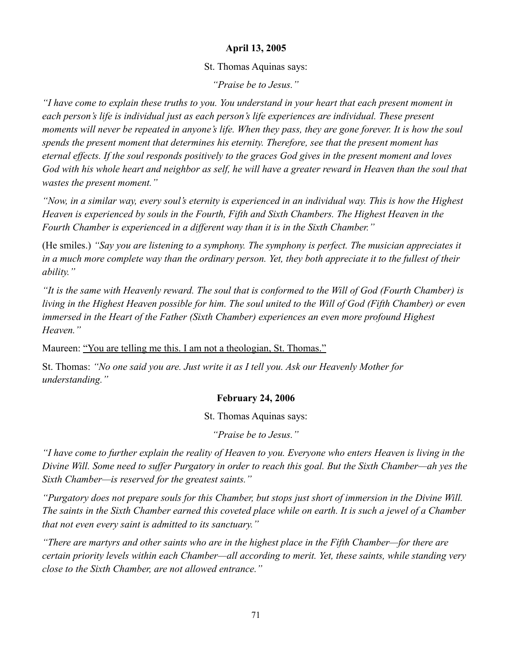# **April 13, 2005**

### St. Thomas Aquinas says:

*"Praise be to Jesus."*

*"I have come to explain these truths to you. You understand in your heart that each present moment in each person's life is individual just as each person's life experiences are individual. These present moments will never be repeated in anyone's life. When they pass, they are gone forever. It is how the soul spends the present moment that determines his eternity. Therefore, see that the present moment has eternal effects. If the soul responds positively to the graces God gives in the present moment and loves God with his whole heart and neighbor as self, he will have a greater reward in Heaven than the soul that wastes the present moment."*

*"Now, in a similar way, every soul's eternity is experienced in an individual way. This is how the Highest Heaven is experienced by souls in the Fourth, Fifth and Sixth Chambers. The Highest Heaven in the Fourth Chamber is experienced in a different way than it is in the Sixth Chamber."*

(He smiles.) *"Say you are listening to a symphony. The symphony is perfect. The musician appreciates it in a much more complete way than the ordinary person. Yet, they both appreciate it to the fullest of their ability."*

*"It is the same with Heavenly reward. The soul that is conformed to the Will of God (Fourth Chamber) is living in the Highest Heaven possible for him. The soul united to the Will of God (Fifth Chamber) or even immersed in the Heart of the Father (Sixth Chamber) experiences an even more profound Highest Heaven."*

Maureen: "You are telling me this. I am not a theologian, St. Thomas."

St. Thomas: *"No one said you are. Just write it as I tell you. Ask our Heavenly Mother for understanding."*

### **February 24, 2006**

St. Thomas Aquinas says:

*"Praise be to Jesus."*

*"I have come to further explain the reality of Heaven to you. Everyone who enters Heaven is living in the Divine Will. Some need to suffer Purgatory in order to reach this goal. But the Sixth Chamber—ah yes the Sixth Chamber—is reserved for the greatest saints."*

*"Purgatory does not prepare souls for this Chamber, but stops just short of immersion in the Divine Will. The saints in the Sixth Chamber earned this coveted place while on earth. It is such a jewel of a Chamber that not even every saint is admitted to its sanctuary."*

*"There are martyrs and other saints who are in the highest place in the Fifth Chamber—for there are certain priority levels within each Chamber—all according to merit. Yet, these saints, while standing very close to the Sixth Chamber, are not allowed entrance."*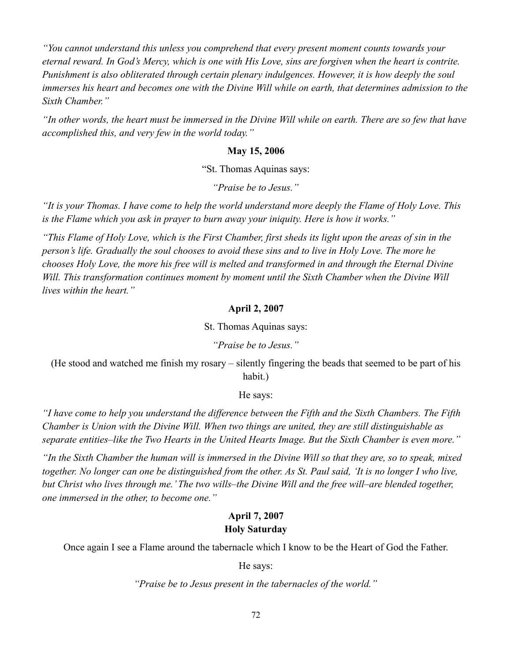*"You cannot understand this unless you comprehend that every present moment counts towards your eternal reward. In God's Mercy, which is one with His Love, sins are forgiven when the heart is contrite. Punishment is also obliterated through certain plenary indulgences. However, it is how deeply the soul immerses his heart and becomes one with the Divine Will while on earth, that determines admission to the Sixth Chamber."*

*"In other words, the heart must be immersed in the Divine Will while on earth. There are so few that have accomplished this, and very few in the world today."*

#### **May 15, 2006**

"St. Thomas Aquinas says:

*"Praise be to Jesus."*

*"It is your Thomas. I have come to help the world understand more deeply the Flame of Holy Love. This is the Flame which you ask in prayer to burn away your iniquity. Here is how it works."*

*"This Flame of Holy Love, which is the First Chamber, first sheds its light upon the areas of sin in the person's life. Gradually the soul chooses to avoid these sins and to live in Holy Love. The more he chooses Holy Love, the more his free will is melted and transformed in and through the Eternal Divine Will. This transformation continues moment by moment until the Sixth Chamber when the Divine Will lives within the heart."*

### **April 2, 2007**

St. Thomas Aquinas says:

*"Praise be to Jesus."*

(He stood and watched me finish my rosary – silently fingering the beads that seemed to be part of his habit.)

He says:

*"I have come to help you understand the difference between the Fifth and the Sixth Chambers. The Fifth Chamber is Union with the Divine Will. When two things are united, they are still distinguishable as separate entities–like the Two Hearts in the United Hearts Image. But the Sixth Chamber is even more."*

*"In the Sixth Chamber the human will is immersed in the Divine Will so that they are, so to speak, mixed together. No longer can one be distinguished from the other. As St. Paul said, 'It is no longer I who live,*  but Christ who lives through me.' The two wills–the Divine Will and the free will–are blended together, *one immersed in the other, to become one."*

# **April 7, 2007 Holy Saturday**

Once again I see a Flame around the tabernacle which I know to be the Heart of God the Father.

He says:

*"Praise be to Jesus present in the tabernacles of the world."*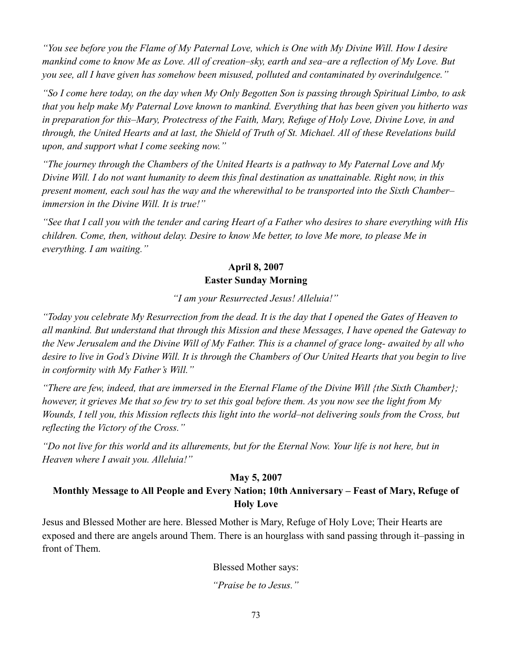*"You see before you the Flame of My Paternal Love, which is One with My Divine Will. How I desire mankind come to know Me as Love. All of creation–sky, earth and sea–are a reflection of My Love. But you see, all I have given has somehow been misused, polluted and contaminated by overindulgence."*

*"So I come here today, on the day when My Only Begotten Son is passing through Spiritual Limbo, to ask that you help make My Paternal Love known to mankind. Everything that has been given you hitherto was in preparation for this–Mary, Protectress of the Faith, Mary, Refuge of Holy Love, Divine Love, in and through, the United Hearts and at last, the Shield of Truth of St. Michael. All of these Revelations build upon, and support what I come seeking now."*

*"The journey through the Chambers of the United Hearts is a pathway to My Paternal Love and My Divine Will. I do not want humanity to deem this final destination as unattainable. Right now, in this present moment, each soul has the way and the wherewithal to be transported into the Sixth Chamber– immersion in the Divine Will. It is true!"*

*"See that I call you with the tender and caring Heart of a Father who desires to share everything with His children. Come, then, without delay. Desire to know Me better, to love Me more, to please Me in everything. I am waiting."*

### **April 8, 2007 Easter Sunday Morning**

*"I am your Resurrected Jesus! Alleluia!"*

*"Today you celebrate My Resurrection from the dead. It is the day that I opened the Gates of Heaven to all mankind. But understand that through this Mission and these Messages, I have opened the Gateway to the New Jerusalem and the Divine Will of My Father. This is a channel of grace long- awaited by all who desire to live in God's Divine Will. It is through the Chambers of Our United Hearts that you begin to live in conformity with My Father's Will."*

*"There are few, indeed, that are immersed in the Eternal Flame of the Divine Will {the Sixth Chamber}; however, it grieves Me that so few try to set this goal before them. As you now see the light from My Wounds, I tell you, this Mission reflects this light into the world–not delivering souls from the Cross, but reflecting the Victory of the Cross."*

*"Do not live for this world and its allurements, but for the Eternal Now. Your life is not here, but in Heaven where I await you. Alleluia!"*

### **May 5, 2007**

## **Monthly Message to All People and Every Nation; 10th Anniversary – Feast of Mary, Refuge of Holy Love**

Jesus and Blessed Mother are here. Blessed Mother is Mary, Refuge of Holy Love; Their Hearts are exposed and there are angels around Them. There is an hourglass with sand passing through it–passing in front of Them.

Blessed Mother says:

*"Praise be to Jesus."*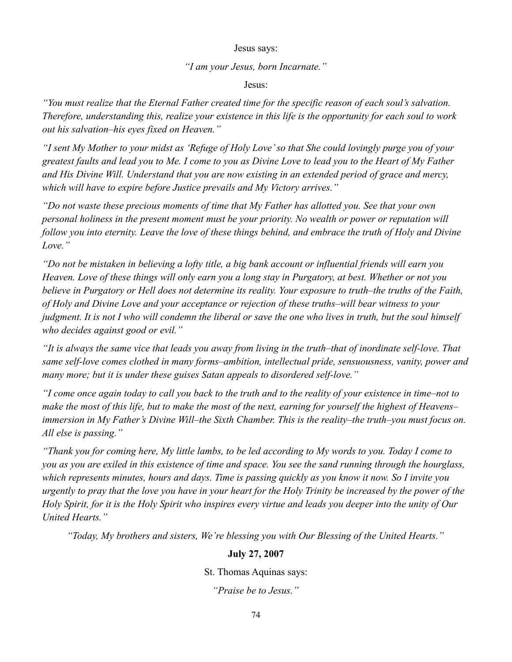#### Jesus says:

### *"I am your Jesus, born Incarnate."*

Jesus:

*"You must realize that the Eternal Father created time for the specific reason of each soul's salvation. Therefore, understanding this, realize your existence in this life is the opportunity for each soul to work out his salvation–his eyes fixed on Heaven."*

*"I sent My Mother to your midst as 'Refuge of Holy Love' so that She could lovingly purge you of your greatest faults and lead you to Me. I come to you as Divine Love to lead you to the Heart of My Father and His Divine Will. Understand that you are now existing in an extended period of grace and mercy, which will have to expire before Justice prevails and My Victory arrives."*

*"Do not waste these precious moments of time that My Father has allotted you. See that your own personal holiness in the present moment must be your priority. No wealth or power or reputation will follow you into eternity. Leave the love of these things behind, and embrace the truth of Holy and Divine Love."*

*"Do not be mistaken in believing a lofty title, a big bank account or influential friends will earn you Heaven. Love of these things will only earn you a long stay in Purgatory, at best. Whether or not you believe in Purgatory or Hell does not determine its reality. Your exposure to truth–the truths of the Faith, of Holy and Divine Love and your acceptance or rejection of these truths–will bear witness to your judgment. It is not I who will condemn the liberal or save the one who lives in truth, but the soul himself who decides against good or evil."*

*"It is always the same vice that leads you away from living in the truth–that of inordinate self-love. That same self-love comes clothed in many forms–ambition, intellectual pride, sensuousness, vanity, power and many more; but it is under these guises Satan appeals to disordered self-love."*

*"I come once again today to call you back to the truth and to the reality of your existence in time–not to make the most of this life, but to make the most of the next, earning for yourself the highest of Heavens– immersion in My Father's Divine Will–the Sixth Chamber. This is the reality–the truth–you must focus on. All else is passing."*

*"Thank you for coming here, My little lambs, to be led according to My words to you. Today I come to you as you are exiled in this existence of time and space. You see the sand running through the hourglass, which represents minutes, hours and days. Time is passing quickly as you know it now. So I invite you urgently to pray that the love you have in your heart for the Holy Trinity be increased by the power of the Holy Spirit, for it is the Holy Spirit who inspires every virtue and leads you deeper into the unity of Our United Hearts."*

*"Today, My brothers and sisters, We're blessing you with Our Blessing of the United Hearts."*

#### **July 27, 2007**

St. Thomas Aquinas says:

*"Praise be to Jesus."*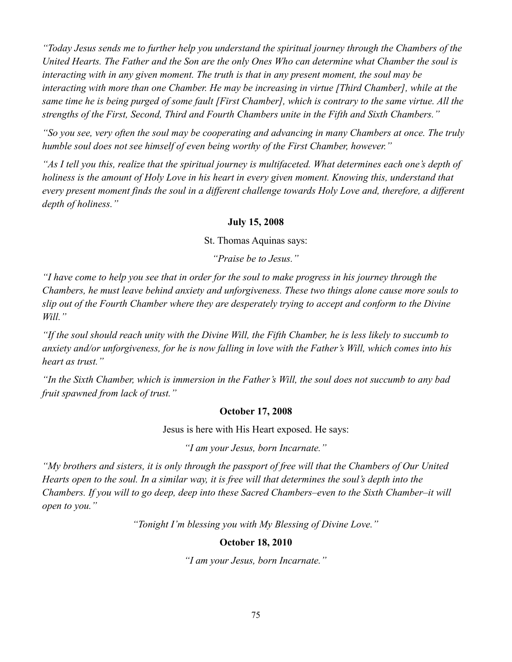*"Today Jesus sends me to further help you understand the spiritual journey through the Chambers of the United Hearts. The Father and the Son are the only Ones Who can determine what Chamber the soul is interacting with in any given moment. The truth is that in any present moment, the soul may be interacting with more than one Chamber. He may be increasing in virtue [Third Chamber], while at the same time he is being purged of some fault [First Chamber], which is contrary to the same virtue. All the strengths of the First, Second, Third and Fourth Chambers unite in the Fifth and Sixth Chambers."*

*"So you see, very often the soul may be cooperating and advancing in many Chambers at once. The truly humble soul does not see himself of even being worthy of the First Chamber, however."*

*"As I tell you this, realize that the spiritual journey is multifaceted. What determines each one's depth of holiness is the amount of Holy Love in his heart in every given moment. Knowing this, understand that every present moment finds the soul in a different challenge towards Holy Love and, therefore, a different depth of holiness."*

#### **July 15, 2008**

#### St. Thomas Aquinas says:

*"Praise be to Jesus."*

*"I have come to help you see that in order for the soul to make progress in his journey through the Chambers, he must leave behind anxiety and unforgiveness. These two things alone cause more souls to slip out of the Fourth Chamber where they are desperately trying to accept and conform to the Divine Will."*

*"If the soul should reach unity with the Divine Will, the Fifth Chamber, he is less likely to succumb to anxiety and/or unforgiveness, for he is now falling in love with the Father's Will, which comes into his heart as trust."*

*"In the Sixth Chamber, which is immersion in the Father's Will, the soul does not succumb to any bad fruit spawned from lack of trust."*

#### **October 17, 2008**

Jesus is here with His Heart exposed. He says:

#### *"I am your Jesus, born Incarnate."*

*"My brothers and sisters, it is only through the passport of free will that the Chambers of Our United Hearts open to the soul. In a similar way, it is free will that determines the soul's depth into the Chambers. If you will to go deep, deep into these Sacred Chambers–even to the Sixth Chamber–it will open to you."*

*"Tonight I'm blessing you with My Blessing of Divine Love."*

#### **October 18, 2010**

*"I am your Jesus, born Incarnate."*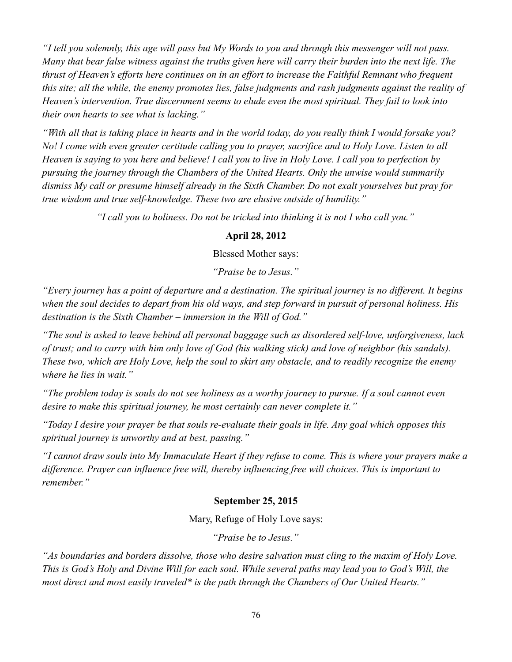*"I tell you solemnly, this age will pass but My Words to you and through this messenger will not pass. Many that bear false witness against the truths given here will carry their burden into the next life. The thrust of Heaven's efforts here continues on in an effort to increase the Faithful Remnant who frequent this site; all the while, the enemy promotes lies, false judgments and rash judgments against the reality of Heaven's intervention. True discernment seems to elude even the most spiritual. They fail to look into their own hearts to see what is lacking."*

*"With all that is taking place in hearts and in the world today, do you really think I would forsake you? No! I come with even greater certitude calling you to prayer, sacrifice and to Holy Love. Listen to all Heaven is saying to you here and believe! I call you to live in Holy Love. I call you to perfection by pursuing the journey through the Chambers of the United Hearts. Only the unwise would summarily dismiss My call or presume himself already in the Sixth Chamber. Do not exalt yourselves but pray for true wisdom and true self-knowledge. These two are elusive outside of humility."*

*"I call you to holiness. Do not be tricked into thinking it is not I who call you."*

#### **April 28, 2012**

Blessed Mother says:

*"Praise be to Jesus."*

*"Every journey has a point of departure and a destination. The spiritual journey is no different. It begins when the soul decides to depart from his old ways, and step forward in pursuit of personal holiness. His destination is the Sixth Chamber – immersion in the Will of God."*

*"The soul is asked to leave behind all personal baggage such as disordered self-love, unforgiveness, lack of trust; and to carry with him only love of God (his walking stick) and love of neighbor (his sandals). These two, which are Holy Love, help the soul to skirt any obstacle, and to readily recognize the enemy where he lies in wait."*

*"The problem today is souls do not see holiness as a worthy journey to pursue. If a soul cannot even desire to make this spiritual journey, he most certainly can never complete it."*

*"Today I desire your prayer be that souls re-evaluate their goals in life. Any goal which opposes this spiritual journey is unworthy and at best, passing."*

*"I cannot draw souls into My Immaculate Heart if they refuse to come. This is where your prayers make a difference. Prayer can influence free will, thereby influencing free will choices. This is important to remember."*

#### **September 25, 2015**

Mary, Refuge of Holy Love says:

*"Praise be to Jesus."*

*"As boundaries and borders dissolve, those who desire salvation must cling to the maxim of Holy Love. This is God's Holy and Divine Will for each soul. While several paths may lead you to God's Will, the most direct and most easily traveled\* is the path through the Chambers of Our United Hearts."*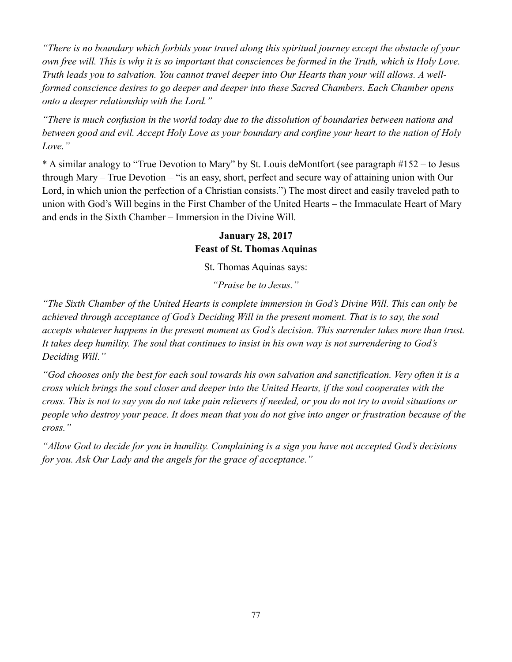*"There is no boundary which forbids your travel along this spiritual journey except the obstacle of your own free will. This is why it is so important that consciences be formed in the Truth, which is Holy Love. Truth leads you to salvation. You cannot travel deeper into Our Hearts than your will allows. A wellformed conscience desires to go deeper and deeper into these Sacred Chambers. Each Chamber opens onto a deeper relationship with the Lord."*

*"There is much confusion in the world today due to the dissolution of boundaries between nations and between good and evil. Accept Holy Love as your boundary and confine your heart to the nation of Holy Love."*

\* A similar analogy to "True Devotion to Mary" by St. Louis deMontfort (see paragraph #152 – to Jesus through Mary – True Devotion – "is an easy, short, perfect and secure way of attaining union with Our Lord, in which union the perfection of a Christian consists.") The most direct and easily traveled path to union with God's Will begins in the First Chamber of the United Hearts – the Immaculate Heart of Mary and ends in the Sixth Chamber – Immersion in the Divine Will.

### **January 28, 2017 Feast of St. Thomas Aquinas**

St. Thomas Aquinas says:

*"Praise be to Jesus."*

*"The Sixth Chamber of the United Hearts is complete immersion in God's Divine Will. This can only be achieved through acceptance of God's Deciding Will in the present moment. That is to say, the soul accepts whatever happens in the present moment as God's decision. This surrender takes more than trust. It takes deep humility. The soul that continues to insist in his own way is not surrendering to God's Deciding Will."*

*"God chooses only the best for each soul towards his own salvation and sanctification. Very often it is a cross which brings the soul closer and deeper into the United Hearts, if the soul cooperates with the cross. This is not to say you do not take pain relievers if needed, or you do not try to avoid situations or people who destroy your peace. It does mean that you do not give into anger or frustration because of the cross."*

*"Allow God to decide for you in humility. Complaining is a sign you have not accepted God's decisions for you. Ask Our Lady and the angels for the grace of acceptance."*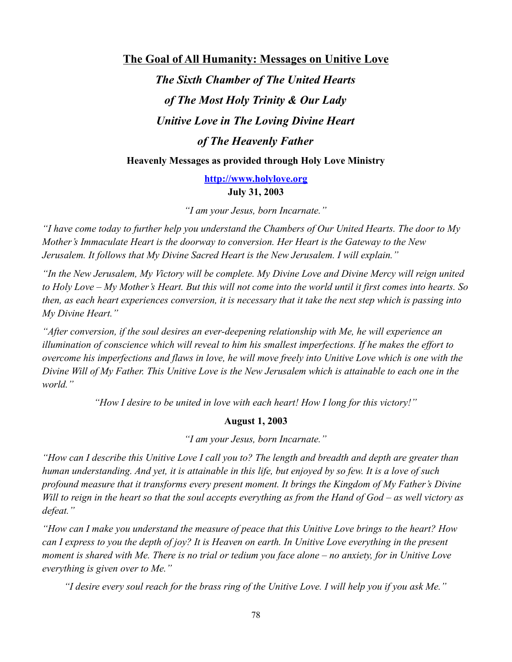**The Goal of All Humanity: Messages on Unitive Love**

*The Sixth Chamber of The United Hearts of The Most Holy Trinity & Our Lady Unitive Love in The Loving Divine Heart of The Heavenly Father*

**Heavenly Messages as provided through Holy Love Ministry**

**[http://www.holylove.org](http://www.holylove.org/) July 31, 2003**

*"I am your Jesus, born Incarnate."*

*"I have come today to further help you understand the Chambers of Our United Hearts. The door to My Mother's Immaculate Heart is the doorway to conversion. Her Heart is the Gateway to the New Jerusalem. It follows that My Divine Sacred Heart is the New Jerusalem. I will explain."*

*"In the New Jerusalem, My Victory will be complete. My Divine Love and Divine Mercy will reign united to Holy Love – My Mother's Heart. But this will not come into the world until it first comes into hearts. So then, as each heart experiences conversion, it is necessary that it take the next step which is passing into My Divine Heart."*

*"After conversion, if the soul desires an ever-deepening relationship with Me, he will experience an illumination of conscience which will reveal to him his smallest imperfections. If he makes the effort to overcome his imperfections and flaws in love, he will move freely into Unitive Love which is one with the Divine Will of My Father. This Unitive Love is the New Jerusalem which is attainable to each one in the world."*

*"How I desire to be united in love with each heart! How I long for this victory!"*

#### **August 1, 2003**

*"I am your Jesus, born Incarnate."*

*"How can I describe this Unitive Love I call you to? The length and breadth and depth are greater than human understanding. And yet, it is attainable in this life, but enjoyed by so few. It is a love of such profound measure that it transforms every present moment. It brings the Kingdom of My Father's Divine Will to reign in the heart so that the soul accepts everything as from the Hand of God – as well victory as defeat."*

*"How can I make you understand the measure of peace that this Unitive Love brings to the heart? How can I express to you the depth of joy? It is Heaven on earth. In Unitive Love everything in the present moment is shared with Me. There is no trial or tedium you face alone – no anxiety, for in Unitive Love everything is given over to Me."*

*"I desire every soul reach for the brass ring of the Unitive Love. I will help you if you ask Me."*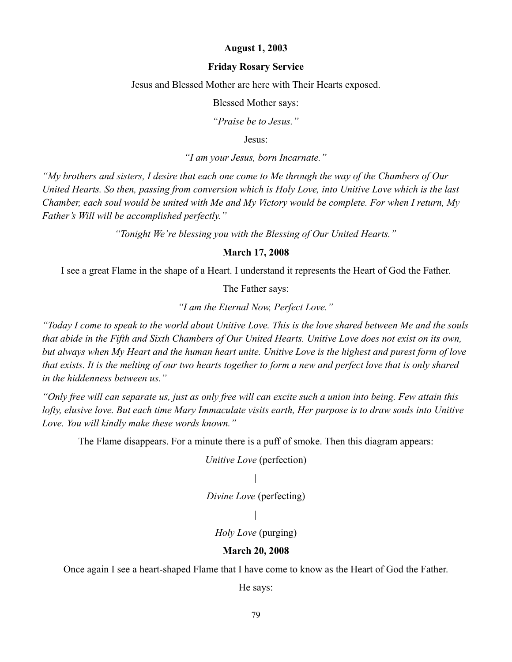#### **August 1, 2003**

#### **Friday Rosary Service**

Jesus and Blessed Mother are here with Their Hearts exposed.

Blessed Mother says:

*"Praise be to Jesus."*

Jesus:

*"I am your Jesus, born Incarnate."*

*"My brothers and sisters, I desire that each one come to Me through the way of the Chambers of Our United Hearts. So then, passing from conversion which is Holy Love, into Unitive Love which is the last Chamber, each soul would be united with Me and My Victory would be complete. For when I return, My Father's Will will be accomplished perfectly."*

*"Tonight We're blessing you with the Blessing of Our United Hearts."*

#### **March 17, 2008**

I see a great Flame in the shape of a Heart. I understand it represents the Heart of God the Father.

The Father says:

*"I am the Eternal Now, Perfect Love."*

*"Today I come to speak to the world about Unitive Love. This is the love shared between Me and the souls that abide in the Fifth and Sixth Chambers of Our United Hearts. Unitive Love does not exist on its own, but always when My Heart and the human heart unite. Unitive Love is the highest and purest form of love that exists. It is the melting of our two hearts together to form a new and perfect love that is only shared in the hiddenness between us."*

*"Only free will can separate us, just as only free will can excite such a union into being. Few attain this lofty, elusive love. But each time Mary Immaculate visits earth, Her purpose is to draw souls into Unitive Love. You will kindly make these words known."*

The Flame disappears. For a minute there is a puff of smoke. Then this diagram appears:

*Unitive Love* (perfection) *| Divine Love* (perfecting) *| Holy Love* (purging)

#### **March 20, 2008**

Once again I see a heart-shaped Flame that I have come to know as the Heart of God the Father.

He says: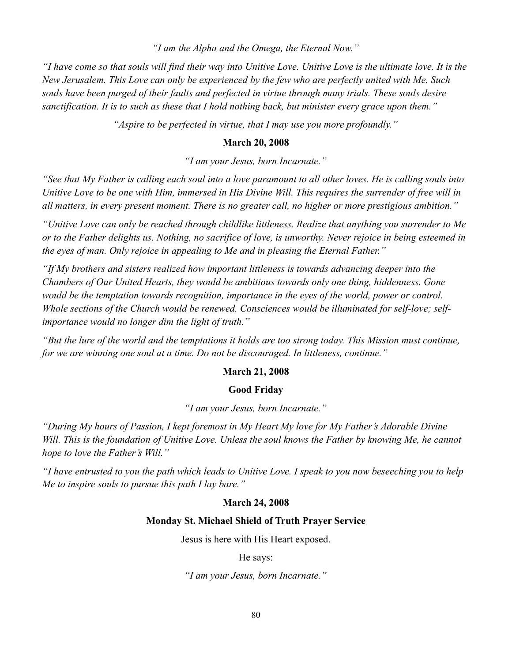#### *"I am the Alpha and the Omega, the Eternal Now."*

*"I have come so that souls will find their way into Unitive Love. Unitive Love is the ultimate love. It is the New Jerusalem. This Love can only be experienced by the few who are perfectly united with Me. Such souls have been purged of their faults and perfected in virtue through many trials. These souls desire sanctification. It is to such as these that I hold nothing back, but minister every grace upon them."*

*"Aspire to be perfected in virtue, that I may use you more profoundly."*

#### **March 20, 2008**

*"I am your Jesus, born Incarnate."*

*"See that My Father is calling each soul into a love paramount to all other loves. He is calling souls into Unitive Love to be one with Him, immersed in His Divine Will. This requires the surrender of free will in all matters, in every present moment. There is no greater call, no higher or more prestigious ambition."*

*"Unitive Love can only be reached through childlike littleness. Realize that anything you surrender to Me or to the Father delights us. Nothing, no sacrifice of love, is unworthy. Never rejoice in being esteemed in the eyes of man. Only rejoice in appealing to Me and in pleasing the Eternal Father."*

*"If My brothers and sisters realized how important littleness is towards advancing deeper into the Chambers of Our United Hearts, they would be ambitious towards only one thing, hiddenness. Gone would be the temptation towards recognition, importance in the eyes of the world, power or control. Whole sections of the Church would be renewed. Consciences would be illuminated for self-love; selfimportance would no longer dim the light of truth."*

*"But the lure of the world and the temptations it holds are too strong today. This Mission must continue, for we are winning one soul at a time. Do not be discouraged. In littleness, continue."*

#### **March 21, 2008**

#### **Good Friday**

*"I am your Jesus, born Incarnate."*

*"During My hours of Passion, I kept foremost in My Heart My love for My Father's Adorable Divine Will. This is the foundation of Unitive Love. Unless the soul knows the Father by knowing Me, he cannot hope to love the Father's Will."*

*"I have entrusted to you the path which leads to Unitive Love. I speak to you now beseeching you to help Me to inspire souls to pursue this path I lay bare."*

#### **March 24, 2008**

#### **Monday St. Michael Shield of Truth Prayer Service**

Jesus is here with His Heart exposed.

He says:

*"I am your Jesus, born Incarnate."*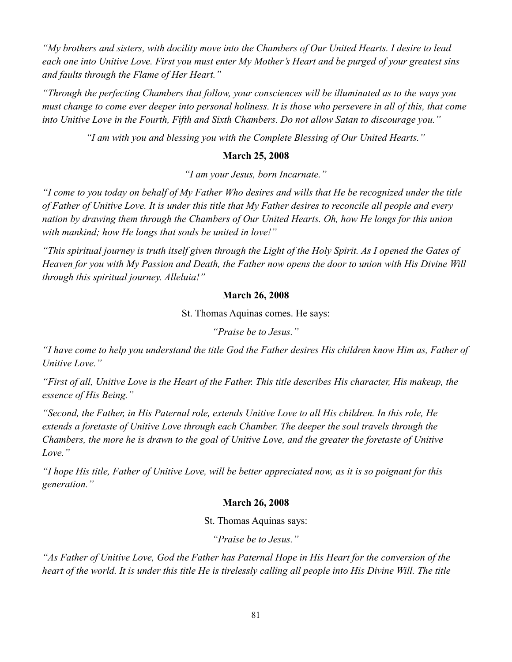*"My brothers and sisters, with docility move into the Chambers of Our United Hearts. I desire to lead each one into Unitive Love. First you must enter My Mother's Heart and be purged of your greatest sins and faults through the Flame of Her Heart."*

*"Through the perfecting Chambers that follow, your consciences will be illuminated as to the ways you must change to come ever deeper into personal holiness. It is those who persevere in all of this, that come into Unitive Love in the Fourth, Fifth and Sixth Chambers. Do not allow Satan to discourage you."*

*"I am with you and blessing you with the Complete Blessing of Our United Hearts."*

#### **March 25, 2008**

*"I am your Jesus, born Incarnate."*

*"I come to you today on behalf of My Father Who desires and wills that He be recognized under the title of Father of Unitive Love. It is under this title that My Father desires to reconcile all people and every nation by drawing them through the Chambers of Our United Hearts. Oh, how He longs for this union with mankind; how He longs that souls be united in love!"*

*"This spiritual journey is truth itself given through the Light of the Holy Spirit. As I opened the Gates of Heaven for you with My Passion and Death, the Father now opens the door to union with His Divine Will through this spiritual journey. Alleluia!"*

#### **March 26, 2008**

St. Thomas Aquinas comes. He says:

*"Praise be to Jesus."*

*"I have come to help you understand the title God the Father desires His children know Him as, Father of Unitive Love."*

*"First of all, Unitive Love is the Heart of the Father. This title describes His character, His makeup, the essence of His Being."*

*"Second, the Father, in His Paternal role, extends Unitive Love to all His children. In this role, He extends a foretaste of Unitive Love through each Chamber. The deeper the soul travels through the Chambers, the more he is drawn to the goal of Unitive Love, and the greater the foretaste of Unitive Love."*

*"I hope His title, Father of Unitive Love, will be better appreciated now, as it is so poignant for this generation."*

#### **March 26, 2008**

St. Thomas Aquinas says:

*"Praise be to Jesus."*

*"As Father of Unitive Love, God the Father has Paternal Hope in His Heart for the conversion of the heart of the world. It is under this title He is tirelessly calling all people into His Divine Will. The title*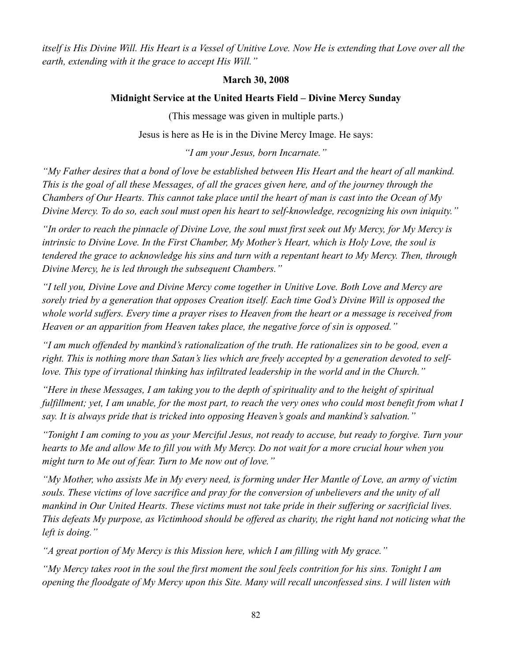*itself is His Divine Will. His Heart is a Vessel of Unitive Love. Now He is extending that Love over all the earth, extending with it the grace to accept His Will."*

### **March 30, 2008**

### **Midnight Service at the United Hearts Field – Divine Mercy Sunday**

(This message was given in multiple parts.)

Jesus is here as He is in the Divine Mercy Image. He says:

*"I am your Jesus, born Incarnate."*

*"My Father desires that a bond of love be established between His Heart and the heart of all mankind. This is the goal of all these Messages, of all the graces given here, and of the journey through the Chambers of Our Hearts. This cannot take place until the heart of man is cast into the Ocean of My Divine Mercy. To do so, each soul must open his heart to self-knowledge, recognizing his own iniquity."*

*"In order to reach the pinnacle of Divine Love, the soul must first seek out My Mercy, for My Mercy is intrinsic to Divine Love. In the First Chamber, My Mother's Heart, which is Holy Love, the soul is tendered the grace to acknowledge his sins and turn with a repentant heart to My Mercy. Then, through Divine Mercy, he is led through the subsequent Chambers."*

*"I tell you, Divine Love and Divine Mercy come together in Unitive Love. Both Love and Mercy are sorely tried by a generation that opposes Creation itself. Each time God's Divine Will is opposed the whole world suffers. Every time a prayer rises to Heaven from the heart or a message is received from Heaven or an apparition from Heaven takes place, the negative force of sin is opposed."*

*"I am much offended by mankind's rationalization of the truth. He rationalizes sin to be good, even a right. This is nothing more than Satan's lies which are freely accepted by a generation devoted to selflove. This type of irrational thinking has infiltrated leadership in the world and in the Church."*

*"Here in these Messages, I am taking you to the depth of spirituality and to the height of spiritual fulfillment; yet, I am unable, for the most part, to reach the very ones who could most benefit from what I say. It is always pride that is tricked into opposing Heaven's goals and mankind's salvation."*

*"Tonight I am coming to you as your Merciful Jesus, not ready to accuse, but ready to forgive. Turn your hearts to Me and allow Me to fill you with My Mercy. Do not wait for a more crucial hour when you might turn to Me out of fear. Turn to Me now out of love."*

*"My Mother, who assists Me in My every need, is forming under Her Mantle of Love, an army of victim souls. These victims of love sacrifice and pray for the conversion of unbelievers and the unity of all mankind in Our United Hearts. These victims must not take pride in their suffering or sacrificial lives. This defeats My purpose, as Victimhood should be offered as charity, the right hand not noticing what the left is doing."*

*"A great portion of My Mercy is this Mission here, which I am filling with My grace."*

*"My Mercy takes root in the soul the first moment the soul feels contrition for his sins. Tonight I am opening the floodgate of My Mercy upon this Site. Many will recall unconfessed sins. I will listen with*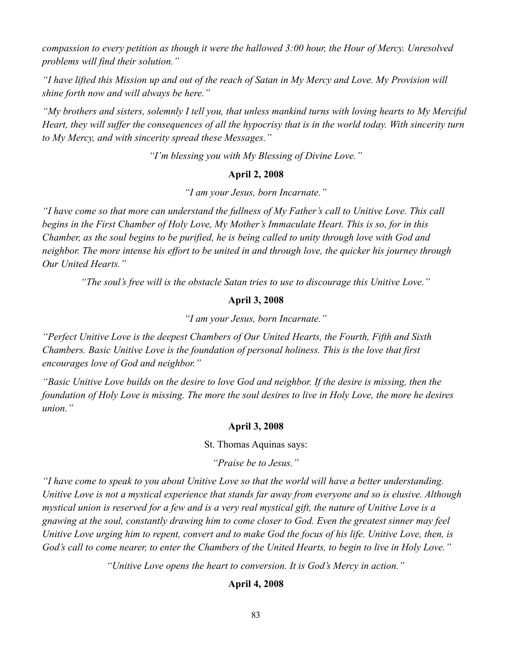*compassion to every petition as though it were the hallowed 3:00 hour, the Hour of Mercy. Unresolved problems will find their solution."*

*"I have lifted this Mission up and out of the reach of Satan in My Mercy and Love. My Provision will shine forth now and will always be here."*

*"My brothers and sisters, solemnly I tell you, that unless mankind turns with loving hearts to My Merciful Heart, they will suffer the consequences of all the hypocrisy that is in the world today. With sincerity turn to My Mercy, and with sincerity spread these Messages."*

*"I'm blessing you with My Blessing of Divine Love."*

#### **April 2, 2008**

*"I am your Jesus, born Incarnate."*

*"I have come so that more can understand the fullness of My Father's call to Unitive Love. This call begins in the First Chamber of Holy Love, My Mother's Immaculate Heart. This is so, for in this Chamber, as the soul begins to be purified, he is being called to unity through love with God and neighbor. The more intense his effort to be united in and through love, the quicker his journey through Our United Hearts."*

*"The soul's free will is the obstacle Satan tries to use to discourage this Unitive Love."*

#### **April 3, 2008**

*"I am your Jesus, born Incarnate."*

*"Perfect Unitive Love is the deepest Chambers of Our United Hearts, the Fourth, Fifth and Sixth Chambers. Basic Unitive Love is the foundation of personal holiness. This is the love that first encourages love of God and neighbor."*

*"Basic Unitive Love builds on the desire to love God and neighbor. If the desire is missing, then the foundation of Holy Love is missing. The more the soul desires to live in Holy Love, the more he desires union."*

#### **April 3, 2008**

St. Thomas Aquinas says:

*"Praise be to Jesus."*

*"I have come to speak to you about Unitive Love so that the world will have a better understanding. Unitive Love is not a mystical experience that stands far away from everyone and so is elusive. Although mystical union is reserved for a few and is a very real mystical gift, the nature of Unitive Love is a gnawing at the soul, constantly drawing him to come closer to God. Even the greatest sinner may feel Unitive Love urging him to repent, convert and to make God the focus of his life. Unitive Love, then, is God's call to come nearer, to enter the Chambers of the United Hearts, to begin to live in Holy Love."*

*"Unitive Love opens the heart to conversion. It is God's Mercy in action."*

#### **April 4, 2008**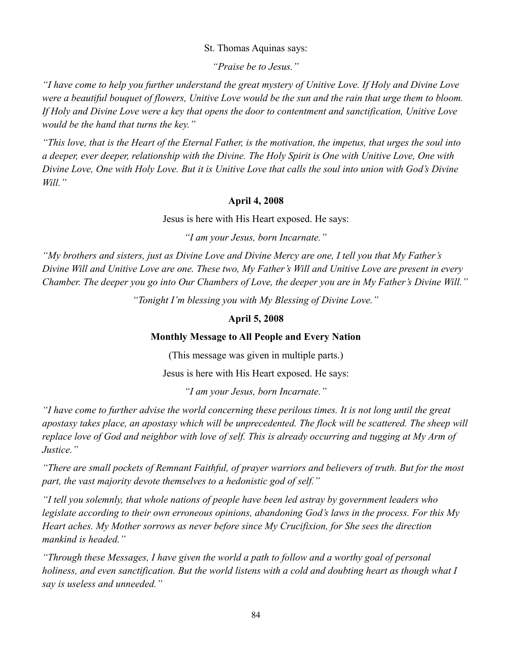St. Thomas Aquinas says:

*"Praise be to Jesus."*

*"I have come to help you further understand the great mystery of Unitive Love. If Holy and Divine Love were a beautiful bouquet of flowers, Unitive Love would be the sun and the rain that urge them to bloom. If Holy and Divine Love were a key that opens the door to contentment and sanctification, Unitive Love would be the hand that turns the key."*

*"This love, that is the Heart of the Eternal Father, is the motivation, the impetus, that urges the soul into a deeper, ever deeper, relationship with the Divine. The Holy Spirit is One with Unitive Love, One with Divine Love, One with Holy Love. But it is Unitive Love that calls the soul into union with God's Divine Will."*

#### **April 4, 2008**

Jesus is here with His Heart exposed. He says:

*"I am your Jesus, born Incarnate."*

*"My brothers and sisters, just as Divine Love and Divine Mercy are one, I tell you that My Father's Divine Will and Unitive Love are one. These two, My Father's Will and Unitive Love are present in every Chamber. The deeper you go into Our Chambers of Love, the deeper you are in My Father's Divine Will."*

*"Tonight I'm blessing you with My Blessing of Divine Love."*

### **April 5, 2008**

### **Monthly Message to All People and Every Nation**

(This message was given in multiple parts.)

Jesus is here with His Heart exposed. He says:

*"I am your Jesus, born Incarnate."*

*"I have come to further advise the world concerning these perilous times. It is not long until the great apostasy takes place, an apostasy which will be unprecedented. The flock will be scattered. The sheep will replace love of God and neighbor with love of self. This is already occurring and tugging at My Arm of Justice."*

*"There are small pockets of Remnant Faithful, of prayer warriors and believers of truth. But for the most part, the vast majority devote themselves to a hedonistic god of self."*

*"I tell you solemnly, that whole nations of people have been led astray by government leaders who legislate according to their own erroneous opinions, abandoning God's laws in the process. For this My Heart aches. My Mother sorrows as never before since My Crucifixion, for She sees the direction mankind is headed."*

*"Through these Messages, I have given the world a path to follow and a worthy goal of personal holiness, and even sanctification. But the world listens with a cold and doubting heart as though what I say is useless and unneeded."*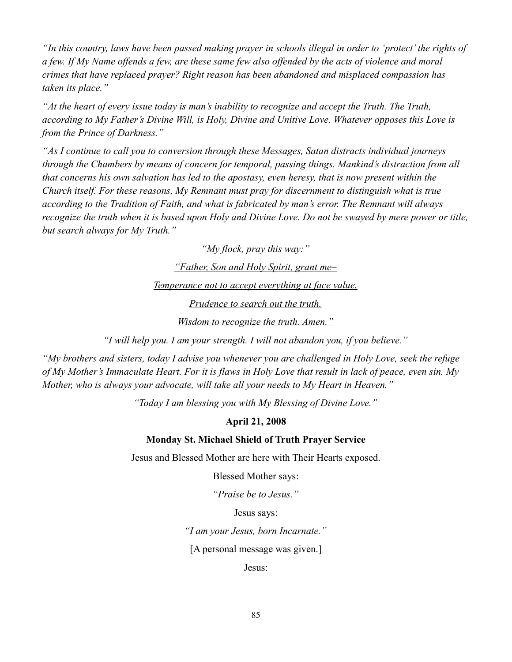*"In this country, laws have been passed making prayer in schools illegal in order to 'protect' the rights of a few. If My Name offends a few, are these same few also offended by the acts of violence and moral crimes that have replaced prayer? Right reason has been abandoned and misplaced compassion has taken its place."*

*"At the heart of every issue today is man's inability to recognize and accept the Truth. The Truth, according to My Father's Divine Will, is Holy, Divine and Unitive Love. Whatever opposes this Love is from the Prince of Darkness."*

*"As I continue to call you to conversion through these Messages, Satan distracts individual journeys through the Chambers by means of concern for temporal, passing things. Mankind's distraction from all that concerns his own salvation has led to the apostasy, even heresy, that is now present within the Church itself. For these reasons, My Remnant must pray for discernment to distinguish what is true according to the Tradition of Faith, and what is fabricated by man's error. The Remnant will always recognize the truth when it is based upon Holy and Divine Love. Do not be swayed by mere power or title, but search always for My Truth."*

*"My flock, pray this way:"*

*"Father, Son and Holy Spirit, grant me–*

*Temperance not to accept everything at face value.*

*Prudence to search out the truth.*

*Wisdom to recognize the truth. Amen."*

*"I will help you. I am your strength. I will not abandon you, if you believe."*

*"My brothers and sisters, today I advise you whenever you are challenged in Holy Love, seek the refuge of My Mother's Immaculate Heart. For it is flaws in Holy Love that result in lack of peace, even sin. My Mother, who is always your advocate, will take all your needs to My Heart in Heaven."*

*"Today I am blessing you with My Blessing of Divine Love."*

#### **April 21, 2008**

#### **Monday St. Michael Shield of Truth Prayer Service**

Jesus and Blessed Mother are here with Their Hearts exposed.

Blessed Mother says:

*"Praise be to Jesus."*

Jesus says:

*"I am your Jesus, born Incarnate."*

[A personal message was given.]

Jesus: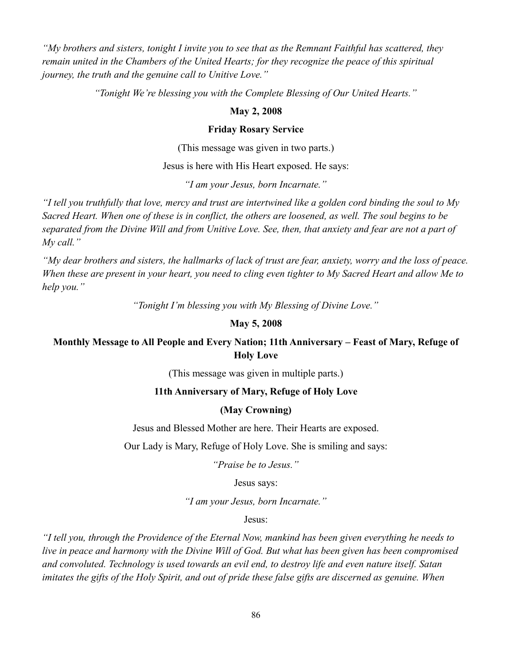*"My brothers and sisters, tonight I invite you to see that as the Remnant Faithful has scattered, they remain united in the Chambers of the United Hearts; for they recognize the peace of this spiritual journey, the truth and the genuine call to Unitive Love."*

*"Tonight We're blessing you with the Complete Blessing of Our United Hearts."*

#### **May 2, 2008**

#### **Friday Rosary Service**

(This message was given in two parts.)

Jesus is here with His Heart exposed. He says:

*"I am your Jesus, born Incarnate."*

*"I tell you truthfully that love, mercy and trust are intertwined like a golden cord binding the soul to My Sacred Heart. When one of these is in conflict, the others are loosened, as well. The soul begins to be separated from the Divine Will and from Unitive Love. See, then, that anxiety and fear are not a part of My call."*

*"My dear brothers and sisters, the hallmarks of lack of trust are fear, anxiety, worry and the loss of peace. When these are present in your heart, you need to cling even tighter to My Sacred Heart and allow Me to help you."*

*"Tonight I'm blessing you with My Blessing of Divine Love."*

### **May 5, 2008**

### **Monthly Message to All People and Every Nation; 11th Anniversary – Feast of Mary, Refuge of Holy Love**

(This message was given in multiple parts.)

#### **11th Anniversary of Mary, Refuge of Holy Love**

#### **(May Crowning)**

Jesus and Blessed Mother are here. Their Hearts are exposed.

Our Lady is Mary, Refuge of Holy Love. She is smiling and says:

*"Praise be to Jesus."*

Jesus says:

*"I am your Jesus, born Incarnate."*

Jesus:

*"I tell you, through the Providence of the Eternal Now, mankind has been given everything he needs to live in peace and harmony with the Divine Will of God. But what has been given has been compromised and convoluted. Technology is used towards an evil end, to destroy life and even nature itself. Satan imitates the gifts of the Holy Spirit, and out of pride these false gifts are discerned as genuine. When*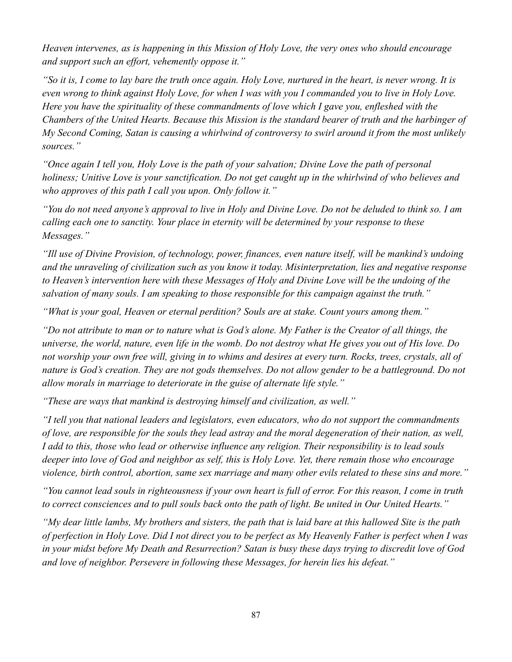*Heaven intervenes, as is happening in this Mission of Holy Love, the very ones who should encourage and support such an effort, vehemently oppose it."*

*"So it is, I come to lay bare the truth once again. Holy Love, nurtured in the heart, is never wrong. It is even wrong to think against Holy Love, for when I was with you I commanded you to live in Holy Love. Here you have the spirituality of these commandments of love which I gave you, enfleshed with the Chambers of the United Hearts. Because this Mission is the standard bearer of truth and the harbinger of My Second Coming, Satan is causing a whirlwind of controversy to swirl around it from the most unlikely sources."*

*"Once again I tell you, Holy Love is the path of your salvation; Divine Love the path of personal holiness; Unitive Love is your sanctification. Do not get caught up in the whirlwind of who believes and who approves of this path I call you upon. Only follow it."*

*"You do not need anyone's approval to live in Holy and Divine Love. Do not be deluded to think so. I am calling each one to sanctity. Your place in eternity will be determined by your response to these Messages."*

*"Ill use of Divine Provision, of technology, power, finances, even nature itself, will be mankind's undoing and the unraveling of civilization such as you know it today. Misinterpretation, lies and negative response to Heaven's intervention here with these Messages of Holy and Divine Love will be the undoing of the salvation of many souls. I am speaking to those responsible for this campaign against the truth."*

*"What is your goal, Heaven or eternal perdition? Souls are at stake. Count yours among them."*

*"Do not attribute to man or to nature what is God's alone. My Father is the Creator of all things, the universe, the world, nature, even life in the womb. Do not destroy what He gives you out of His love. Do not worship your own free will, giving in to whims and desires at every turn. Rocks, trees, crystals, all of nature is God's creation. They are not gods themselves. Do not allow gender to be a battleground. Do not allow morals in marriage to deteriorate in the guise of alternate life style."*

*"These are ways that mankind is destroying himself and civilization, as well."*

*"I tell you that national leaders and legislators, even educators, who do not support the commandments of love, are responsible for the souls they lead astray and the moral degeneration of their nation, as well, I add to this, those who lead or otherwise influence any religion. Their responsibility is to lead souls deeper into love of God and neighbor as self, this is Holy Love. Yet, there remain those who encourage violence, birth control, abortion, same sex marriage and many other evils related to these sins and more."*

*"You cannot lead souls in righteousness if your own heart is full of error. For this reason, I come in truth to correct consciences and to pull souls back onto the path of light. Be united in Our United Hearts."*

*"My dear little lambs, My brothers and sisters, the path that is laid bare at this hallowed Site is the path of perfection in Holy Love. Did I not direct you to be perfect as My Heavenly Father is perfect when I was in your midst before My Death and Resurrection? Satan is busy these days trying to discredit love of God and love of neighbor. Persevere in following these Messages, for herein lies his defeat."*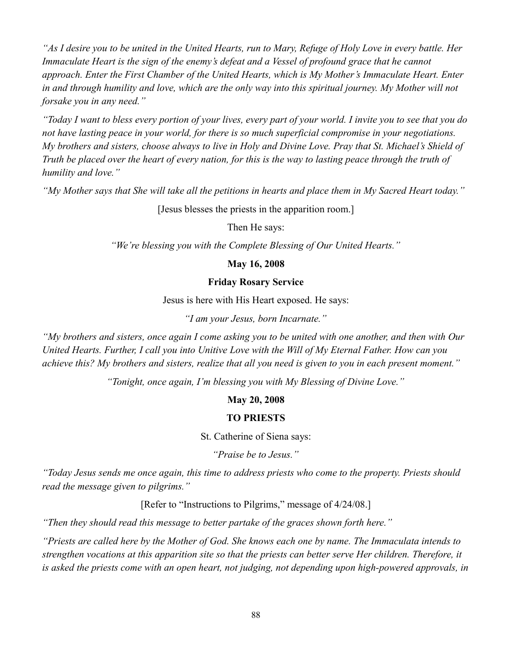*"As I desire you to be united in the United Hearts, run to Mary, Refuge of Holy Love in every battle. Her Immaculate Heart is the sign of the enemy's defeat and a Vessel of profound grace that he cannot approach. Enter the First Chamber of the United Hearts, which is My Mother's Immaculate Heart. Enter in and through humility and love, which are the only way into this spiritual journey. My Mother will not forsake you in any need."*

*"Today I want to bless every portion of your lives, every part of your world. I invite you to see that you do not have lasting peace in your world, for there is so much superficial compromise in your negotiations. My brothers and sisters, choose always to live in Holy and Divine Love. Pray that St. Michael's Shield of Truth be placed over the heart of every nation, for this is the way to lasting peace through the truth of humility and love."*

*"My Mother says that She will take all the petitions in hearts and place them in My Sacred Heart today."*

[Jesus blesses the priests in the apparition room.]

Then He says:

*"We're blessing you with the Complete Blessing of Our United Hearts."*

#### **May 16, 2008**

#### **Friday Rosary Service**

Jesus is here with His Heart exposed. He says:

*"I am your Jesus, born Incarnate."*

*"My brothers and sisters, once again I come asking you to be united with one another, and then with Our United Hearts. Further, I call you into Unitive Love with the Will of My Eternal Father. How can you achieve this? My brothers and sisters, realize that all you need is given to you in each present moment."*

*"Tonight, once again, I'm blessing you with My Blessing of Divine Love."*

**May 20, 2008**

#### **TO PRIESTS**

St. Catherine of Siena says:

*"Praise be to Jesus."*

*"Today Jesus sends me once again, this time to address priests who come to the property. Priests should read the message given to pilgrims."*

[Refer to "Instructions to Pilgrims," message of  $4/24/08$ .]

*"Then they should read this message to better partake of the graces shown forth here."*

*"Priests are called here by the Mother of God. She knows each one by name. The Immaculata intends to strengthen vocations at this apparition site so that the priests can better serve Her children. Therefore, it is asked the priests come with an open heart, not judging, not depending upon high-powered approvals, in*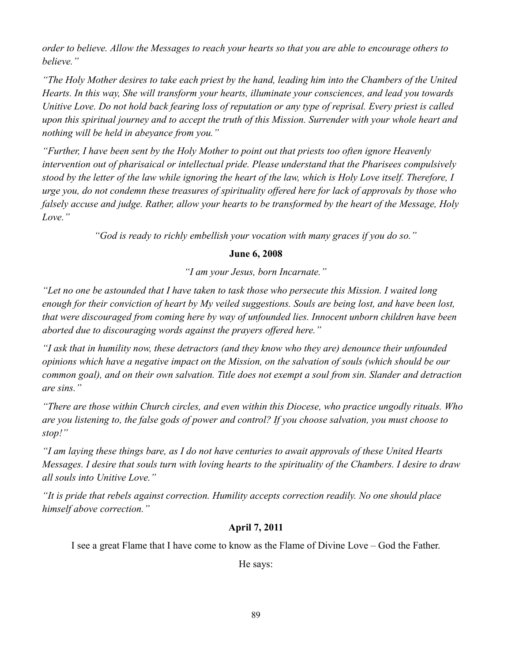*order to believe. Allow the Messages to reach your hearts so that you are able to encourage others to believe."*

*"The Holy Mother desires to take each priest by the hand, leading him into the Chambers of the United Hearts. In this way, She will transform your hearts, illuminate your consciences, and lead you towards Unitive Love. Do not hold back fearing loss of reputation or any type of reprisal. Every priest is called upon this spiritual journey and to accept the truth of this Mission. Surrender with your whole heart and nothing will be held in abeyance from you."*

*"Further, I have been sent by the Holy Mother to point out that priests too often ignore Heavenly intervention out of pharisaical or intellectual pride. Please understand that the Pharisees compulsively stood by the letter of the law while ignoring the heart of the law, which is Holy Love itself. Therefore, I urge you, do not condemn these treasures of spirituality offered here for lack of approvals by those who falsely accuse and judge. Rather, allow your hearts to be transformed by the heart of the Message, Holy Love."*

*"God is ready to richly embellish your vocation with many graces if you do so."*

### **June 6, 2008**

*"I am your Jesus, born Incarnate."*

*"Let no one be astounded that I have taken to task those who persecute this Mission. I waited long enough for their conviction of heart by My veiled suggestions. Souls are being lost, and have been lost, that were discouraged from coming here by way of unfounded lies. Innocent unborn children have been aborted due to discouraging words against the prayers offered here."*

*"I ask that in humility now, these detractors (and they know who they are) denounce their unfounded opinions which have a negative impact on the Mission, on the salvation of souls (which should be our common goal), and on their own salvation. Title does not exempt a soul from sin. Slander and detraction are sins."*

*"There are those within Church circles, and even within this Diocese, who practice ungodly rituals. Who are you listening to, the false gods of power and control? If you choose salvation, you must choose to stop!"*

*"I am laying these things bare, as I do not have centuries to await approvals of these United Hearts Messages. I desire that souls turn with loving hearts to the spirituality of the Chambers. I desire to draw all souls into Unitive Love."*

*"It is pride that rebels against correction. Humility accepts correction readily. No one should place himself above correction."*

## **April 7, 2011**

I see a great Flame that I have come to know as the Flame of Divine Love – God the Father.

He says: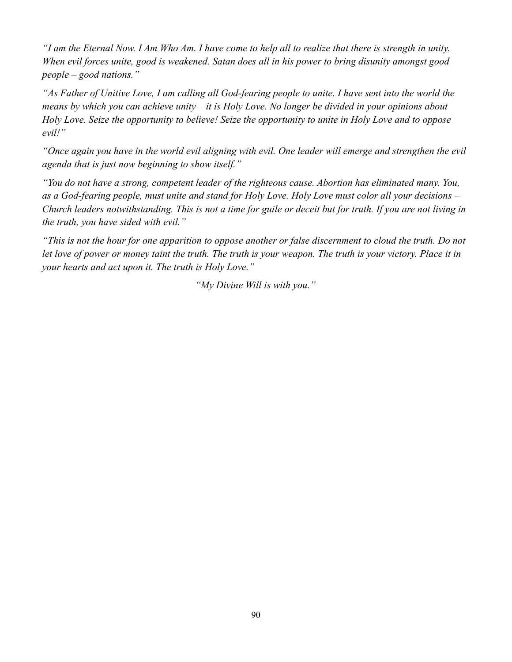*"I am the Eternal Now. I Am Who Am. I have come to help all to realize that there is strength in unity. When evil forces unite, good is weakened. Satan does all in his power to bring disunity amongst good people – good nations."*

*"As Father of Unitive Love, I am calling all God-fearing people to unite. I have sent into the world the means by which you can achieve unity – it is Holy Love. No longer be divided in your opinions about Holy Love. Seize the opportunity to believe! Seize the opportunity to unite in Holy Love and to oppose evil!"*

*"Once again you have in the world evil aligning with evil. One leader will emerge and strengthen the evil agenda that is just now beginning to show itself."*

*"You do not have a strong, competent leader of the righteous cause. Abortion has eliminated many. You, as a God-fearing people, must unite and stand for Holy Love. Holy Love must color all your decisions – Church leaders notwithstanding. This is not a time for guile or deceit but for truth. If you are not living in the truth, you have sided with evil."*

*"This is not the hour for one apparition to oppose another or false discernment to cloud the truth. Do not let love of power or money taint the truth. The truth is your weapon. The truth is your victory. Place it in your hearts and act upon it. The truth is Holy Love."*

*"My Divine Will is with you."*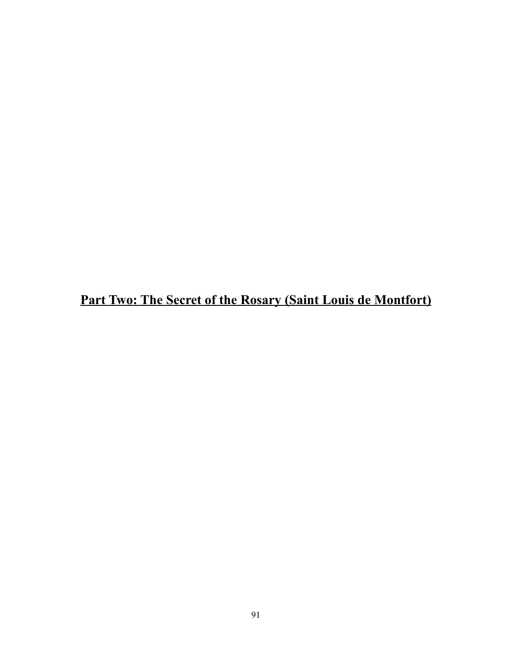**Part Two: The Secret of the Rosary (Saint Louis de Montfort)**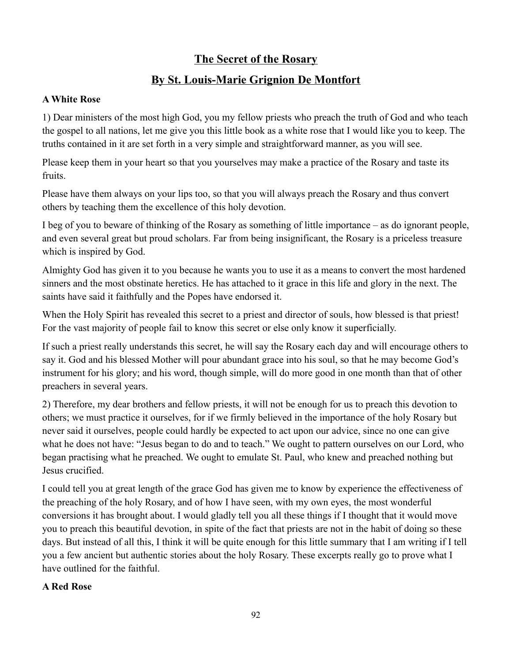# **The Secret of the Rosary**

# **By St. Louis-Marie Grignion De Montfort**

## **A White Rose**

1) Dear ministers of the most high God, you my fellow priests who preach the truth of God and who teach the gospel to all nations, let me give you this little book as a white rose that I would like you to keep. The truths contained in it are set forth in a very simple and straightforward manner, as you will see.

Please keep them in your heart so that you yourselves may make a practice of the Rosary and taste its fruits.

Please have them always on your lips too, so that you will always preach the Rosary and thus convert others by teaching them the excellence of this holy devotion.

I beg of you to beware of thinking of the Rosary as something of little importance – as do ignorant people, and even several great but proud scholars. Far from being insignificant, the Rosary is a priceless treasure which is inspired by God.

Almighty God has given it to you because he wants you to use it as a means to convert the most hardened sinners and the most obstinate heretics. He has attached to it grace in this life and glory in the next. The saints have said it faithfully and the Popes have endorsed it.

When the Holy Spirit has revealed this secret to a priest and director of souls, how blessed is that priest! For the vast majority of people fail to know this secret or else only know it superficially.

If such a priest really understands this secret, he will say the Rosary each day and will encourage others to say it. God and his blessed Mother will pour abundant grace into his soul, so that he may become God's instrument for his glory; and his word, though simple, will do more good in one month than that of other preachers in several years.

2) Therefore, my dear brothers and fellow priests, it will not be enough for us to preach this devotion to others; we must practice it ourselves, for if we firmly believed in the importance of the holy Rosary but never said it ourselves, people could hardly be expected to act upon our advice, since no one can give what he does not have: "Jesus began to do and to teach." We ought to pattern ourselves on our Lord, who began practising what he preached. We ought to emulate St. Paul, who knew and preached nothing but Jesus crucified.

I could tell you at great length of the grace God has given me to know by experience the effectiveness of the preaching of the holy Rosary, and of how I have seen, with my own eyes, the most wonderful conversions it has brought about. I would gladly tell you all these things if I thought that it would move you to preach this beautiful devotion, in spite of the fact that priests are not in the habit of doing so these days. But instead of all this, I think it will be quite enough for this little summary that I am writing if I tell you a few ancient but authentic stories about the holy Rosary. These excerpts really go to prove what I have outlined for the faithful.

## **A Red Rose**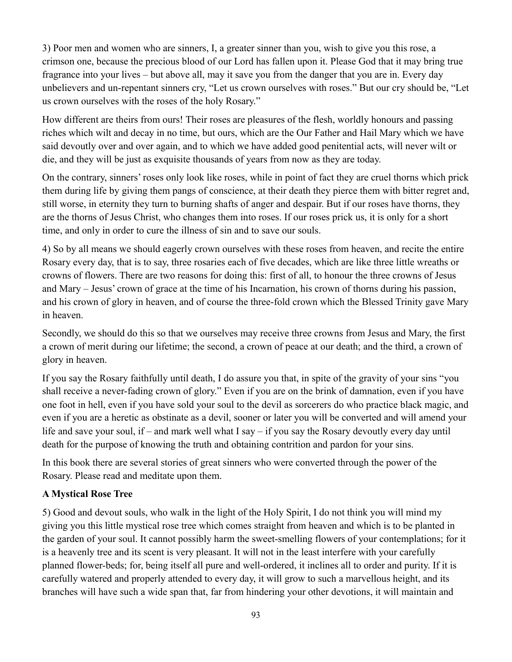3) Poor men and women who are sinners, I, a greater sinner than you, wish to give you this rose, a crimson one, because the precious blood of our Lord has fallen upon it. Please God that it may bring true fragrance into your lives – but above all, may it save you from the danger that you are in. Every day unbelievers and un-repentant sinners cry, "Let us crown ourselves with roses." But our cry should be, "Let us crown ourselves with the roses of the holy Rosary."

How different are theirs from ours! Their roses are pleasures of the flesh, worldly honours and passing riches which wilt and decay in no time, but ours, which are the Our Father and Hail Mary which we have said devoutly over and over again, and to which we have added good penitential acts, will never wilt or die, and they will be just as exquisite thousands of years from now as they are today.

On the contrary, sinners' roses only look like roses, while in point of fact they are cruel thorns which prick them during life by giving them pangs of conscience, at their death they pierce them with bitter regret and, still worse, in eternity they turn to burning shafts of anger and despair. But if our roses have thorns, they are the thorns of Jesus Christ, who changes them into roses. If our roses prick us, it is only for a short time, and only in order to cure the illness of sin and to save our souls.

4) So by all means we should eagerly crown ourselves with these roses from heaven, and recite the entire Rosary every day, that is to say, three rosaries each of five decades, which are like three little wreaths or crowns of flowers. There are two reasons for doing this: first of all, to honour the three crowns of Jesus and Mary – Jesus' crown of grace at the time of his Incarnation, his crown of thorns during his passion, and his crown of glory in heaven, and of course the three-fold crown which the Blessed Trinity gave Mary in heaven.

Secondly, we should do this so that we ourselves may receive three crowns from Jesus and Mary, the first a crown of merit during our lifetime; the second, a crown of peace at our death; and the third, a crown of glory in heaven.

If you say the Rosary faithfully until death, I do assure you that, in spite of the gravity of your sins "you shall receive a never-fading crown of glory." Even if you are on the brink of damnation, even if you have one foot in hell, even if you have sold your soul to the devil as sorcerers do who practice black magic, and even if you are a heretic as obstinate as a devil, sooner or later you will be converted and will amend your life and save your soul, if – and mark well what I say – if you say the Rosary devoutly every day until death for the purpose of knowing the truth and obtaining contrition and pardon for your sins.

In this book there are several stories of great sinners who were converted through the power of the Rosary. Please read and meditate upon them.

## **A Mystical Rose Tree**

5) Good and devout souls, who walk in the light of the Holy Spirit, I do not think you will mind my giving you this little mystical rose tree which comes straight from heaven and which is to be planted in the garden of your soul. It cannot possibly harm the sweet-smelling flowers of your contemplations; for it is a heavenly tree and its scent is very pleasant. It will not in the least interfere with your carefully planned flower-beds; for, being itself all pure and well-ordered, it inclines all to order and purity. If it is carefully watered and properly attended to every day, it will grow to such a marvellous height, and its branches will have such a wide span that, far from hindering your other devotions, it will maintain and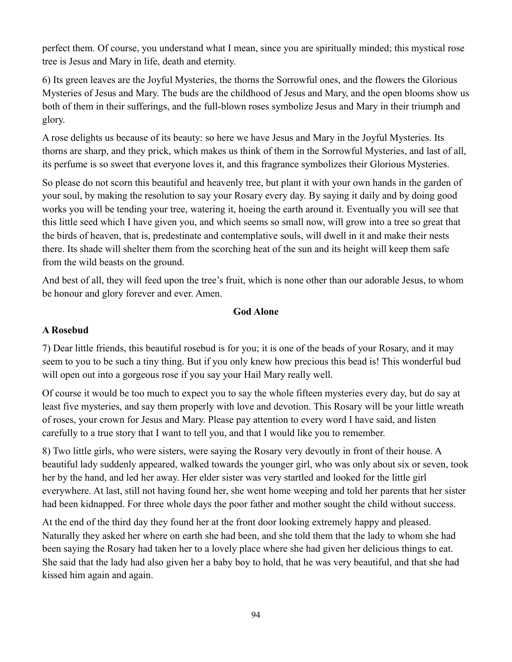perfect them. Of course, you understand what I mean, since you are spiritually minded; this mystical rose tree is Jesus and Mary in life, death and eternity.

6) Its green leaves are the Joyful Mysteries, the thorns the Sorrowful ones, and the flowers the Glorious Mysteries of Jesus and Mary. The buds are the childhood of Jesus and Mary, and the open blooms show us both of them in their sufferings, and the full-blown roses symbolize Jesus and Mary in their triumph and glory.

A rose delights us because of its beauty: so here we have Jesus and Mary in the Joyful Mysteries. Its thorns are sharp, and they prick, which makes us think of them in the Sorrowful Mysteries, and last of all, its perfume is so sweet that everyone loves it, and this fragrance symbolizes their Glorious Mysteries.

So please do not scorn this beautiful and heavenly tree, but plant it with your own hands in the garden of your soul, by making the resolution to say your Rosary every day. By saying it daily and by doing good works you will be tending your tree, watering it, hoeing the earth around it. Eventually you will see that this little seed which I have given you, and which seems so small now, will grow into a tree so great that the birds of heaven, that is, predestinate and contemplative souls, will dwell in it and make their nests there. Its shade will shelter them from the scorching heat of the sun and its height will keep them safe from the wild beasts on the ground.

And best of all, they will feed upon the tree's fruit, which is none other than our adorable Jesus, to whom be honour and glory forever and ever. Amen.

### **God Alone**

### **A Rosebud**

7) Dear little friends, this beautiful rosebud is for you; it is one of the beads of your Rosary, and it may seem to you to be such a tiny thing. But if you only knew how precious this bead is! This wonderful bud will open out into a gorgeous rose if you say your Hail Mary really well.

Of course it would be too much to expect you to say the whole fifteen mysteries every day, but do say at least five mysteries, and say them properly with love and devotion. This Rosary will be your little wreath of roses, your crown for Jesus and Mary. Please pay attention to every word I have said, and listen carefully to a true story that I want to tell you, and that I would like you to remember.

8) Two little girls, who were sisters, were saying the Rosary very devoutly in front of their house. A beautiful lady suddenly appeared, walked towards the younger girl, who was only about six or seven, took her by the hand, and led her away. Her elder sister was very startled and looked for the little girl everywhere. At last, still not having found her, she went home weeping and told her parents that her sister had been kidnapped. For three whole days the poor father and mother sought the child without success.

At the end of the third day they found her at the front door looking extremely happy and pleased. Naturally they asked her where on earth she had been, and she told them that the lady to whom she had been saying the Rosary had taken her to a lovely place where she had given her delicious things to eat. She said that the lady had also given her a baby boy to hold, that he was very beautiful, and that she had kissed him again and again.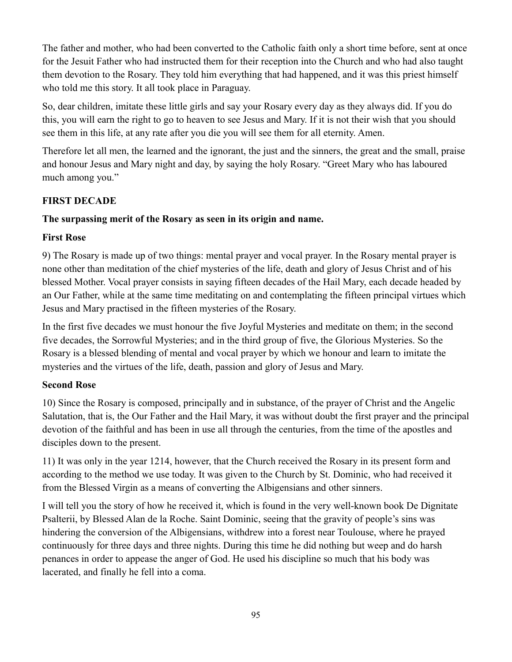The father and mother, who had been converted to the Catholic faith only a short time before, sent at once for the Jesuit Father who had instructed them for their reception into the Church and who had also taught them devotion to the Rosary. They told him everything that had happened, and it was this priest himself who told me this story. It all took place in Paraguay.

So, dear children, imitate these little girls and say your Rosary every day as they always did. If you do this, you will earn the right to go to heaven to see Jesus and Mary. If it is not their wish that you should see them in this life, at any rate after you die you will see them for all eternity. Amen.

Therefore let all men, the learned and the ignorant, the just and the sinners, the great and the small, praise and honour Jesus and Mary night and day, by saying the holy Rosary. "Greet Mary who has laboured much among you."

## **FIRST DECADE**

## **The surpassing merit of the Rosary as seen in its origin and name.**

## **First Rose**

9) The Rosary is made up of two things: mental prayer and vocal prayer. In the Rosary mental prayer is none other than meditation of the chief mysteries of the life, death and glory of Jesus Christ and of his blessed Mother. Vocal prayer consists in saying fifteen decades of the Hail Mary, each decade headed by an Our Father, while at the same time meditating on and contemplating the fifteen principal virtues which Jesus and Mary practised in the fifteen mysteries of the Rosary.

In the first five decades we must honour the five Joyful Mysteries and meditate on them; in the second five decades, the Sorrowful Mysteries; and in the third group of five, the Glorious Mysteries. So the Rosary is a blessed blending of mental and vocal prayer by which we honour and learn to imitate the mysteries and the virtues of the life, death, passion and glory of Jesus and Mary.

## **Second Rose**

10) Since the Rosary is composed, principally and in substance, of the prayer of Christ and the Angelic Salutation, that is, the Our Father and the Hail Mary, it was without doubt the first prayer and the principal devotion of the faithful and has been in use all through the centuries, from the time of the apostles and disciples down to the present.

11) It was only in the year 1214, however, that the Church received the Rosary in its present form and according to the method we use today. It was given to the Church by St. Dominic, who had received it from the Blessed Virgin as a means of converting the Albigensians and other sinners.

I will tell you the story of how he received it, which is found in the very well-known book De Dignitate Psalterii, by Blessed Alan de la Roche. Saint Dominic, seeing that the gravity of people's sins was hindering the conversion of the Albigensians, withdrew into a forest near Toulouse, where he prayed continuously for three days and three nights. During this time he did nothing but weep and do harsh penances in order to appease the anger of God. He used his discipline so much that his body was lacerated, and finally he fell into a coma.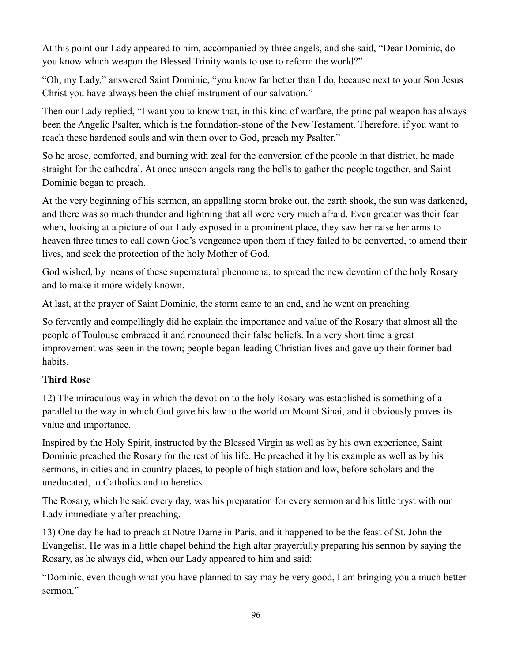At this point our Lady appeared to him, accompanied by three angels, and she said, "Dear Dominic, do you know which weapon the Blessed Trinity wants to use to reform the world?"

"Oh, my Lady," answered Saint Dominic, "you know far better than I do, because next to your Son Jesus Christ you have always been the chief instrument of our salvation."

Then our Lady replied, "I want you to know that, in this kind of warfare, the principal weapon has always been the Angelic Psalter, which is the foundation-stone of the New Testament. Therefore, if you want to reach these hardened souls and win them over to God, preach my Psalter."

So he arose, comforted, and burning with zeal for the conversion of the people in that district, he made straight for the cathedral. At once unseen angels rang the bells to gather the people together, and Saint Dominic began to preach.

At the very beginning of his sermon, an appalling storm broke out, the earth shook, the sun was darkened, and there was so much thunder and lightning that all were very much afraid. Even greater was their fear when, looking at a picture of our Lady exposed in a prominent place, they saw her raise her arms to heaven three times to call down God's vengeance upon them if they failed to be converted, to amend their lives, and seek the protection of the holy Mother of God.

God wished, by means of these supernatural phenomena, to spread the new devotion of the holy Rosary and to make it more widely known.

At last, at the prayer of Saint Dominic, the storm came to an end, and he went on preaching.

So fervently and compellingly did he explain the importance and value of the Rosary that almost all the people of Toulouse embraced it and renounced their false beliefs. In a very short time a great improvement was seen in the town; people began leading Christian lives and gave up their former bad habits.

## **Third Rose**

12) The miraculous way in which the devotion to the holy Rosary was established is something of a parallel to the way in which God gave his law to the world on Mount Sinai, and it obviously proves its value and importance.

Inspired by the Holy Spirit, instructed by the Blessed Virgin as well as by his own experience, Saint Dominic preached the Rosary for the rest of his life. He preached it by his example as well as by his sermons, in cities and in country places, to people of high station and low, before scholars and the uneducated, to Catholics and to heretics.

The Rosary, which he said every day, was his preparation for every sermon and his little tryst with our Lady immediately after preaching.

13) One day he had to preach at Notre Dame in Paris, and it happened to be the feast of St. John the Evangelist. He was in a little chapel behind the high altar prayerfully preparing his sermon by saying the Rosary, as he always did, when our Lady appeared to him and said:

"Dominic, even though what you have planned to say may be very good, I am bringing you a much better sermon<sup>"</sup>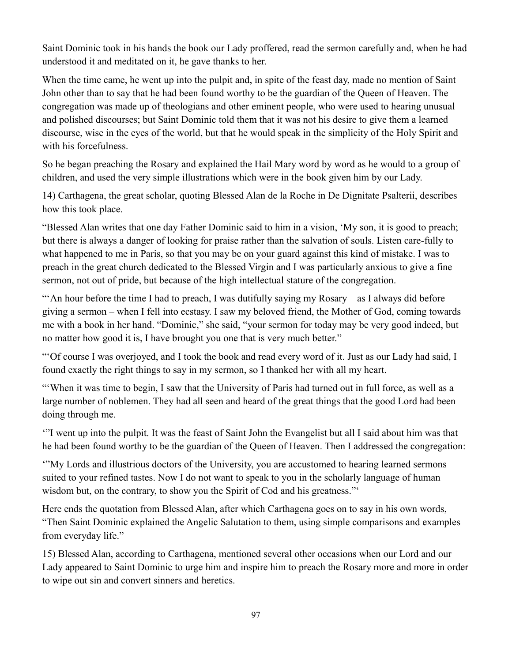Saint Dominic took in his hands the book our Lady proffered, read the sermon carefully and, when he had understood it and meditated on it, he gave thanks to her.

When the time came, he went up into the pulpit and, in spite of the feast day, made no mention of Saint John other than to say that he had been found worthy to be the guardian of the Queen of Heaven. The congregation was made up of theologians and other eminent people, who were used to hearing unusual and polished discourses; but Saint Dominic told them that it was not his desire to give them a learned discourse, wise in the eyes of the world, but that he would speak in the simplicity of the Holy Spirit and with his forcefulness.

So he began preaching the Rosary and explained the Hail Mary word by word as he would to a group of children, and used the very simple illustrations which were in the book given him by our Lady.

14) Carthagena, the great scholar, quoting Blessed Alan de la Roche in De Dignitate Psalterii, describes how this took place.

"Blessed Alan writes that one day Father Dominic said to him in a vision, 'My son, it is good to preach; but there is always a danger of looking for praise rather than the salvation of souls. Listen care-fully to what happened to me in Paris, so that you may be on your guard against this kind of mistake. I was to preach in the great church dedicated to the Blessed Virgin and I was particularly anxious to give a fine sermon, not out of pride, but because of the high intellectual stature of the congregation.

"An hour before the time I had to preach, I was dutifully saying my Rosary – as I always did before giving a sermon – when I fell into ecstasy. I saw my beloved friend, the Mother of God, coming towards me with a book in her hand. "Dominic," she said, "your sermon for today may be very good indeed, but no matter how good it is, I have brought you one that is very much better."

"'Of course I was overjoyed, and I took the book and read every word of it. Just as our Lady had said, I found exactly the right things to say in my sermon, so I thanked her with all my heart.

"'When it was time to begin, I saw that the University of Paris had turned out in full force, as well as a large number of noblemen. They had all seen and heard of the great things that the good Lord had been doing through me.

'"I went up into the pulpit. It was the feast of Saint John the Evangelist but all I said about him was that he had been found worthy to be the guardian of the Queen of Heaven. Then I addressed the congregation:

'"My Lords and illustrious doctors of the University, you are accustomed to hearing learned sermons suited to your refined tastes. Now I do not want to speak to you in the scholarly language of human wisdom but, on the contrary, to show you the Spirit of Cod and his greatness."<sup>"</sup>

Here ends the quotation from Blessed Alan, after which Carthagena goes on to say in his own words, "Then Saint Dominic explained the Angelic Salutation to them, using simple comparisons and examples from everyday life."

15) Blessed Alan, according to Carthagena, mentioned several other occasions when our Lord and our Lady appeared to Saint Dominic to urge him and inspire him to preach the Rosary more and more in order to wipe out sin and convert sinners and heretics.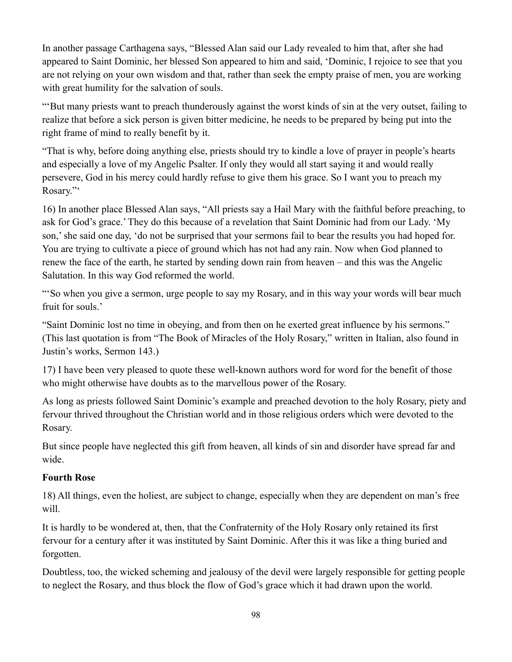In another passage Carthagena says, "Blessed Alan said our Lady revealed to him that, after she had appeared to Saint Dominic, her blessed Son appeared to him and said, 'Dominic, I rejoice to see that you are not relying on your own wisdom and that, rather than seek the empty praise of men, you are working with great humility for the salvation of souls.

"'But many priests want to preach thunderously against the worst kinds of sin at the very outset, failing to realize that before a sick person is given bitter medicine, he needs to be prepared by being put into the right frame of mind to really benefit by it.

"That is why, before doing anything else, priests should try to kindle a love of prayer in people's hearts and especially a love of my Angelic Psalter. If only they would all start saying it and would really persevere, God in his mercy could hardly refuse to give them his grace. So I want you to preach my Rosary."'

16) In another place Blessed Alan says, "All priests say a Hail Mary with the faithful before preaching, to ask for God's grace.' They do this because of a revelation that Saint Dominic had from our Lady. 'My son,' she said one day, 'do not be surprised that your sermons fail to bear the results you had hoped for. You are trying to cultivate a piece of ground which has not had any rain. Now when God planned to renew the face of the earth, he started by sending down rain from heaven – and this was the Angelic Salutation. In this way God reformed the world.

"'So when you give a sermon, urge people to say my Rosary, and in this way your words will bear much fruit for souls.'

"Saint Dominic lost no time in obeying, and from then on he exerted great influence by his sermons." (This last quotation is from "The Book of Miracles of the Holy Rosary," written in Italian, also found in Justin's works, Sermon 143.)

17) I have been very pleased to quote these well-known authors word for word for the benefit of those who might otherwise have doubts as to the marvellous power of the Rosary.

As long as priests followed Saint Dominic's example and preached devotion to the holy Rosary, piety and fervour thrived throughout the Christian world and in those religious orders which were devoted to the Rosary.

But since people have neglected this gift from heaven, all kinds of sin and disorder have spread far and wide.

## **Fourth Rose**

18) All things, even the holiest, are subject to change, especially when they are dependent on man's free will.

It is hardly to be wondered at, then, that the Confraternity of the Holy Rosary only retained its first fervour for a century after it was instituted by Saint Dominic. After this it was like a thing buried and forgotten.

Doubtless, too, the wicked scheming and jealousy of the devil were largely responsible for getting people to neglect the Rosary, and thus block the flow of God's grace which it had drawn upon the world.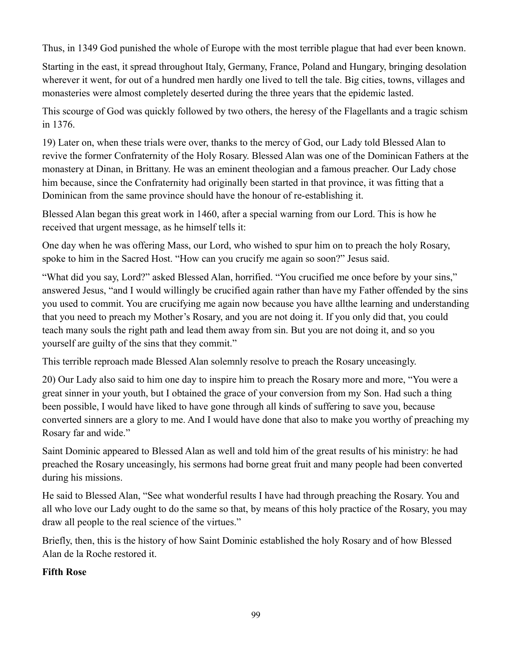Thus, in 1349 God punished the whole of Europe with the most terrible plague that had ever been known.

Starting in the east, it spread throughout Italy, Germany, France, Poland and Hungary, bringing desolation wherever it went, for out of a hundred men hardly one lived to tell the tale. Big cities, towns, villages and monasteries were almost completely deserted during the three years that the epidemic lasted.

This scourge of God was quickly followed by two others, the heresy of the Flagellants and a tragic schism in 1376.

19) Later on, when these trials were over, thanks to the mercy of God, our Lady told Blessed Alan to revive the former Confraternity of the Holy Rosary. Blessed Alan was one of the Dominican Fathers at the monastery at Dinan, in Brittany. He was an eminent theologian and a famous preacher. Our Lady chose him because, since the Confraternity had originally been started in that province, it was fitting that a Dominican from the same province should have the honour of re-establishing it.

Blessed Alan began this great work in 1460, after a special warning from our Lord. This is how he received that urgent message, as he himself tells it:

One day when he was offering Mass, our Lord, who wished to spur him on to preach the holy Rosary, spoke to him in the Sacred Host. "How can you crucify me again so soon?" Jesus said.

"What did you say, Lord?" asked Blessed Alan, horrified. "You crucified me once before by your sins," answered Jesus, "and I would willingly be crucified again rather than have my Father offended by the sins you used to commit. You are crucifying me again now because you have allthe learning and understanding that you need to preach my Mother's Rosary, and you are not doing it. If you only did that, you could teach many souls the right path and lead them away from sin. But you are not doing it, and so you yourself are guilty of the sins that they commit."

This terrible reproach made Blessed Alan solemnly resolve to preach the Rosary unceasingly.

20) Our Lady also said to him one day to inspire him to preach the Rosary more and more, "You were a great sinner in your youth, but I obtained the grace of your conversion from my Son. Had such a thing been possible, I would have liked to have gone through all kinds of suffering to save you, because converted sinners are a glory to me. And I would have done that also to make you worthy of preaching my Rosary far and wide."

Saint Dominic appeared to Blessed Alan as well and told him of the great results of his ministry: he had preached the Rosary unceasingly, his sermons had borne great fruit and many people had been converted during his missions.

He said to Blessed Alan, "See what wonderful results I have had through preaching the Rosary. You and all who love our Lady ought to do the same so that, by means of this holy practice of the Rosary, you may draw all people to the real science of the virtues."

Briefly, then, this is the history of how Saint Dominic established the holy Rosary and of how Blessed Alan de la Roche restored it.

### **Fifth Rose**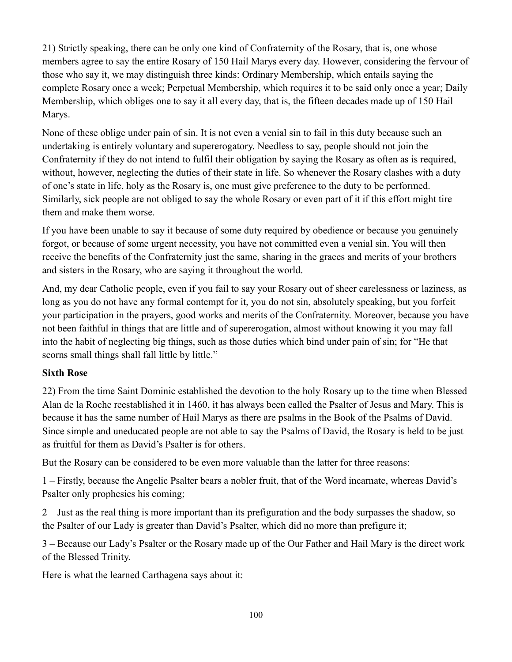21) Strictly speaking, there can be only one kind of Confraternity of the Rosary, that is, one whose members agree to say the entire Rosary of 150 Hail Marys every day. However, considering the fervour of those who say it, we may distinguish three kinds: Ordinary Membership, which entails saying the complete Rosary once a week; Perpetual Membership, which requires it to be said only once a year; Daily Membership, which obliges one to say it all every day, that is, the fifteen decades made up of 150 Hail Marys.

None of these oblige under pain of sin. It is not even a venial sin to fail in this duty because such an undertaking is entirely voluntary and supererogatory. Needless to say, people should not join the Confraternity if they do not intend to fulfil their obligation by saying the Rosary as often as is required, without, however, neglecting the duties of their state in life. So whenever the Rosary clashes with a duty of one's state in life, holy as the Rosary is, one must give preference to the duty to be performed. Similarly, sick people are not obliged to say the whole Rosary or even part of it if this effort might tire them and make them worse.

If you have been unable to say it because of some duty required by obedience or because you genuinely forgot, or because of some urgent necessity, you have not committed even a venial sin. You will then receive the benefits of the Confraternity just the same, sharing in the graces and merits of your brothers and sisters in the Rosary, who are saying it throughout the world.

And, my dear Catholic people, even if you fail to say your Rosary out of sheer carelessness or laziness, as long as you do not have any formal contempt for it, you do not sin, absolutely speaking, but you forfeit your participation in the prayers, good works and merits of the Confraternity. Moreover, because you have not been faithful in things that are little and of supererogation, almost without knowing it you may fall into the habit of neglecting big things, such as those duties which bind under pain of sin; for "He that scorns small things shall fall little by little."

## **Sixth Rose**

22) From the time Saint Dominic established the devotion to the holy Rosary up to the time when Blessed Alan de la Roche reestablished it in 1460, it has always been called the Psalter of Jesus and Mary. This is because it has the same number of Hail Marys as there are psalms in the Book of the Psalms of David. Since simple and uneducated people are not able to say the Psalms of David, the Rosary is held to be just as fruitful for them as David's Psalter is for others.

But the Rosary can be considered to be even more valuable than the latter for three reasons:

1 – Firstly, because the Angelic Psalter bears a nobler fruit, that of the Word incarnate, whereas David's Psalter only prophesies his coming;

2 – Just as the real thing is more important than its prefiguration and the body surpasses the shadow, so the Psalter of our Lady is greater than David's Psalter, which did no more than prefigure it;

3 – Because our Lady's Psalter or the Rosary made up of the Our Father and Hail Mary is the direct work of the Blessed Trinity.

Here is what the learned Carthagena says about it: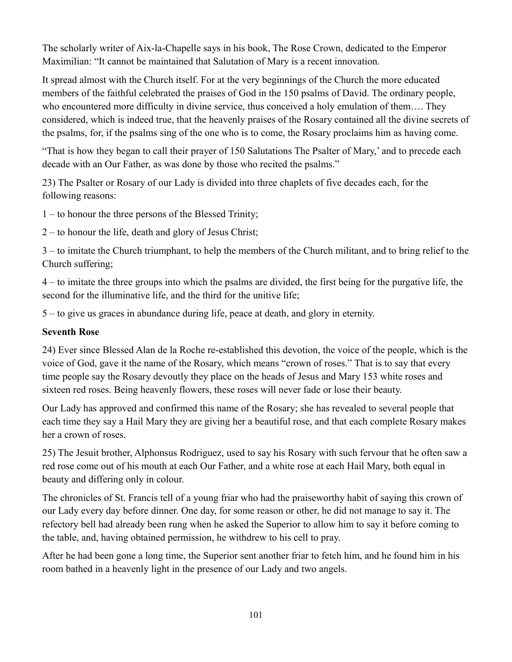The scholarly writer of Aix-la-Chapelle says in his book, The Rose Crown, dedicated to the Emperor Maximilian: "It cannot be maintained that Salutation of Mary is a recent innovation.

It spread almost with the Church itself. For at the very beginnings of the Church the more educated members of the faithful celebrated the praises of God in the 150 psalms of David. The ordinary people, who encountered more difficulty in divine service, thus conceived a holy emulation of them…. They considered, which is indeed true, that the heavenly praises of the Rosary contained all the divine secrets of the psalms, for, if the psalms sing of the one who is to come, the Rosary proclaims him as having come.

"That is how they began to call their prayer of 150 Salutations The Psalter of Mary,' and to precede each decade with an Our Father, as was done by those who recited the psalms."

23) The Psalter or Rosary of our Lady is divided into three chaplets of five decades each, for the following reasons:

1 – to honour the three persons of the Blessed Trinity;

2 – to honour the life, death and glory of Jesus Christ;

3 – to imitate the Church triumphant, to help the members of the Church militant, and to bring relief to the Church suffering;

4 – to imitate the three groups into which the psalms are divided, the first being for the purgative life, the second for the illuminative life, and the third for the unitive life;

5 – to give us graces in abundance during life, peace at death, and glory in eternity.

### **Seventh Rose**

24) Ever since Blessed Alan de la Roche re-established this devotion, the voice of the people, which is the voice of God, gave it the name of the Rosary, which means "crown of roses." That is to say that every time people say the Rosary devoutly they place on the heads of Jesus and Mary 153 white roses and sixteen red roses. Being heavenly flowers, these roses will never fade or lose their beauty.

Our Lady has approved and confirmed this name of the Rosary; she has revealed to several people that each time they say a Hail Mary they are giving her a beautiful rose, and that each complete Rosary makes her a crown of roses.

25) The Jesuit brother, Alphonsus Rodriguez, used to say his Rosary with such fervour that he often saw a red rose come out of his mouth at each Our Father, and a white rose at each Hail Mary, both equal in beauty and differing only in colour.

The chronicles of St. Francis tell of a young friar who had the praiseworthy habit of saying this crown of our Lady every day before dinner. One day, for some reason or other, he did not manage to say it. The refectory bell had already been rung when he asked the Superior to allow him to say it before coming to the table, and, having obtained permission, he withdrew to his cell to pray.

After he had been gone a long time, the Superior sent another friar to fetch him, and he found him in his room bathed in a heavenly light in the presence of our Lady and two angels.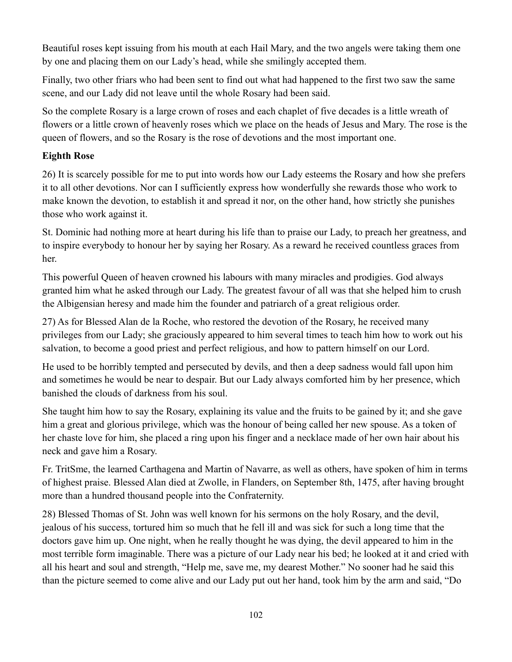Beautiful roses kept issuing from his mouth at each Hail Mary, and the two angels were taking them one by one and placing them on our Lady's head, while she smilingly accepted them.

Finally, two other friars who had been sent to find out what had happened to the first two saw the same scene, and our Lady did not leave until the whole Rosary had been said.

So the complete Rosary is a large crown of roses and each chaplet of five decades is a little wreath of flowers or a little crown of heavenly roses which we place on the heads of Jesus and Mary. The rose is the queen of flowers, and so the Rosary is the rose of devotions and the most important one.

## **Eighth Rose**

26) It is scarcely possible for me to put into words how our Lady esteems the Rosary and how she prefers it to all other devotions. Nor can I sufficiently express how wonderfully she rewards those who work to make known the devotion, to establish it and spread it nor, on the other hand, how strictly she punishes those who work against it.

St. Dominic had nothing more at heart during his life than to praise our Lady, to preach her greatness, and to inspire everybody to honour her by saying her Rosary. As a reward he received countless graces from her.

This powerful Queen of heaven crowned his labours with many miracles and prodigies. God always granted him what he asked through our Lady. The greatest favour of all was that she helped him to crush the Albigensian heresy and made him the founder and patriarch of a great religious order.

27) As for Blessed Alan de la Roche, who restored the devotion of the Rosary, he received many privileges from our Lady; she graciously appeared to him several times to teach him how to work out his salvation, to become a good priest and perfect religious, and how to pattern himself on our Lord.

He used to be horribly tempted and persecuted by devils, and then a deep sadness would fall upon him and sometimes he would be near to despair. But our Lady always comforted him by her presence, which banished the clouds of darkness from his soul.

She taught him how to say the Rosary, explaining its value and the fruits to be gained by it; and she gave him a great and glorious privilege, which was the honour of being called her new spouse. As a token of her chaste love for him, she placed a ring upon his finger and a necklace made of her own hair about his neck and gave him a Rosary.

Fr. TritSme, the learned Carthagena and Martin of Navarre, as well as others, have spoken of him in terms of highest praise. Blessed Alan died at Zwolle, in Flanders, on September 8th, 1475, after having brought more than a hundred thousand people into the Confraternity.

28) Blessed Thomas of St. John was well known for his sermons on the holy Rosary, and the devil, jealous of his success, tortured him so much that he fell ill and was sick for such a long time that the doctors gave him up. One night, when he really thought he was dying, the devil appeared to him in the most terrible form imaginable. There was a picture of our Lady near his bed; he looked at it and cried with all his heart and soul and strength, "Help me, save me, my dearest Mother." No sooner had he said this than the picture seemed to come alive and our Lady put out her hand, took him by the arm and said, "Do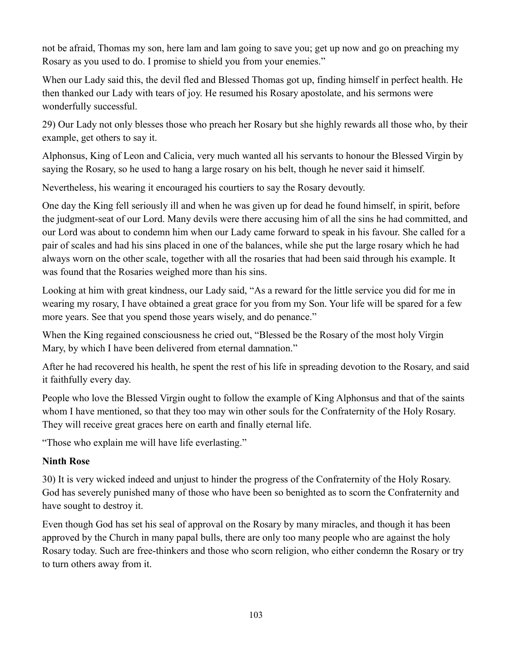not be afraid, Thomas my son, here lam and lam going to save you; get up now and go on preaching my Rosary as you used to do. I promise to shield you from your enemies."

When our Lady said this, the devil fled and Blessed Thomas got up, finding himself in perfect health. He then thanked our Lady with tears of joy. He resumed his Rosary apostolate, and his sermons were wonderfully successful.

29) Our Lady not only blesses those who preach her Rosary but she highly rewards all those who, by their example, get others to say it.

Alphonsus, King of Leon and Calicia, very much wanted all his servants to honour the Blessed Virgin by saying the Rosary, so he used to hang a large rosary on his belt, though he never said it himself.

Nevertheless, his wearing it encouraged his courtiers to say the Rosary devoutly.

One day the King fell seriously ill and when he was given up for dead he found himself, in spirit, before the judgment-seat of our Lord. Many devils were there accusing him of all the sins he had committed, and our Lord was about to condemn him when our Lady came forward to speak in his favour. She called for a pair of scales and had his sins placed in one of the balances, while she put the large rosary which he had always worn on the other scale, together with all the rosaries that had been said through his example. It was found that the Rosaries weighed more than his sins.

Looking at him with great kindness, our Lady said, "As a reward for the little service you did for me in wearing my rosary, I have obtained a great grace for you from my Son. Your life will be spared for a few more years. See that you spend those years wisely, and do penance."

When the King regained consciousness he cried out, "Blessed be the Rosary of the most holy Virgin Mary, by which I have been delivered from eternal damnation."

After he had recovered his health, he spent the rest of his life in spreading devotion to the Rosary, and said it faithfully every day.

People who love the Blessed Virgin ought to follow the example of King Alphonsus and that of the saints whom I have mentioned, so that they too may win other souls for the Confraternity of the Holy Rosary. They will receive great graces here on earth and finally eternal life.

"Those who explain me will have life everlasting."

## **Ninth Rose**

30) It is very wicked indeed and unjust to hinder the progress of the Confraternity of the Holy Rosary. God has severely punished many of those who have been so benighted as to scorn the Confraternity and have sought to destroy it.

Even though God has set his seal of approval on the Rosary by many miracles, and though it has been approved by the Church in many papal bulls, there are only too many people who are against the holy Rosary today. Such are free-thinkers and those who scorn religion, who either condemn the Rosary or try to turn others away from it.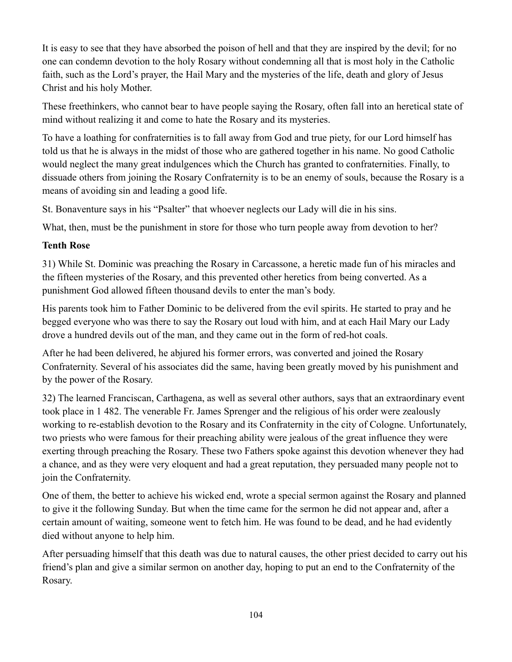It is easy to see that they have absorbed the poison of hell and that they are inspired by the devil; for no one can condemn devotion to the holy Rosary without condemning all that is most holy in the Catholic faith, such as the Lord's prayer, the Hail Mary and the mysteries of the life, death and glory of Jesus Christ and his holy Mother.

These freethinkers, who cannot bear to have people saying the Rosary, often fall into an heretical state of mind without realizing it and come to hate the Rosary and its mysteries.

To have a loathing for confraternities is to fall away from God and true piety, for our Lord himself has told us that he is always in the midst of those who are gathered together in his name. No good Catholic would neglect the many great indulgences which the Church has granted to confraternities. Finally, to dissuade others from joining the Rosary Confraternity is to be an enemy of souls, because the Rosary is a means of avoiding sin and leading a good life.

St. Bonaventure says in his "Psalter" that whoever neglects our Lady will die in his sins.

What, then, must be the punishment in store for those who turn people away from devotion to her?

## **Tenth Rose**

31) While St. Dominic was preaching the Rosary in Carcassone, a heretic made fun of his miracles and the fifteen mysteries of the Rosary, and this prevented other heretics from being converted. As a punishment God allowed fifteen thousand devils to enter the man's body.

His parents took him to Father Dominic to be delivered from the evil spirits. He started to pray and he begged everyone who was there to say the Rosary out loud with him, and at each Hail Mary our Lady drove a hundred devils out of the man, and they came out in the form of red-hot coals.

After he had been delivered, he abjured his former errors, was converted and joined the Rosary Confraternity. Several of his associates did the same, having been greatly moved by his punishment and by the power of the Rosary.

32) The learned Franciscan, Carthagena, as well as several other authors, says that an extraordinary event took place in 1 482. The venerable Fr. James Sprenger and the religious of his order were zealously working to re-establish devotion to the Rosary and its Confraternity in the city of Cologne. Unfortunately, two priests who were famous for their preaching ability were jealous of the great influence they were exerting through preaching the Rosary. These two Fathers spoke against this devotion whenever they had a chance, and as they were very eloquent and had a great reputation, they persuaded many people not to join the Confraternity.

One of them, the better to achieve his wicked end, wrote a special sermon against the Rosary and planned to give it the following Sunday. But when the time came for the sermon he did not appear and, after a certain amount of waiting, someone went to fetch him. He was found to be dead, and he had evidently died without anyone to help him.

After persuading himself that this death was due to natural causes, the other priest decided to carry out his friend's plan and give a similar sermon on another day, hoping to put an end to the Confraternity of the Rosary.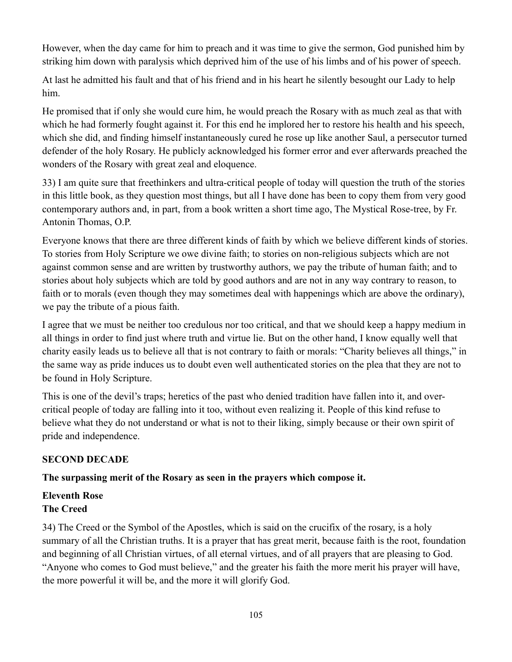However, when the day came for him to preach and it was time to give the sermon, God punished him by striking him down with paralysis which deprived him of the use of his limbs and of his power of speech.

At last he admitted his fault and that of his friend and in his heart he silently besought our Lady to help him.

He promised that if only she would cure him, he would preach the Rosary with as much zeal as that with which he had formerly fought against it. For this end he implored her to restore his health and his speech, which she did, and finding himself instantaneously cured he rose up like another Saul, a persecutor turned defender of the holy Rosary. He publicly acknowledged his former error and ever afterwards preached the wonders of the Rosary with great zeal and eloquence.

33) I am quite sure that freethinkers and ultra-critical people of today will question the truth of the stories in this little book, as they question most things, but all I have done has been to copy them from very good contemporary authors and, in part, from a book written a short time ago, The Mystical Rose-tree, by Fr. Antonin Thomas, O.P.

Everyone knows that there are three different kinds of faith by which we believe different kinds of stories. To stories from Holy Scripture we owe divine faith; to stories on non-religious subjects which are not against common sense and are written by trustworthy authors, we pay the tribute of human faith; and to stories about holy subjects which are told by good authors and are not in any way contrary to reason, to faith or to morals (even though they may sometimes deal with happenings which are above the ordinary), we pay the tribute of a pious faith.

I agree that we must be neither too credulous nor too critical, and that we should keep a happy medium in all things in order to find just where truth and virtue lie. But on the other hand, I know equally well that charity easily leads us to believe all that is not contrary to faith or morals: "Charity believes all things," in the same way as pride induces us to doubt even well authenticated stories on the plea that they are not to be found in Holy Scripture.

This is one of the devil's traps; heretics of the past who denied tradition have fallen into it, and overcritical people of today are falling into it too, without even realizing it. People of this kind refuse to believe what they do not understand or what is not to their liking, simply because or their own spirit of pride and independence.

## **SECOND DECADE**

### **The surpassing merit of the Rosary as seen in the prayers which compose it.**

## **Eleventh Rose The Creed**

34) The Creed or the Symbol of the Apostles, which is said on the crucifix of the rosary, is a holy summary of all the Christian truths. It is a prayer that has great merit, because faith is the root, foundation and beginning of all Christian virtues, of all eternal virtues, and of all prayers that are pleasing to God. "Anyone who comes to God must believe," and the greater his faith the more merit his prayer will have, the more powerful it will be, and the more it will glorify God.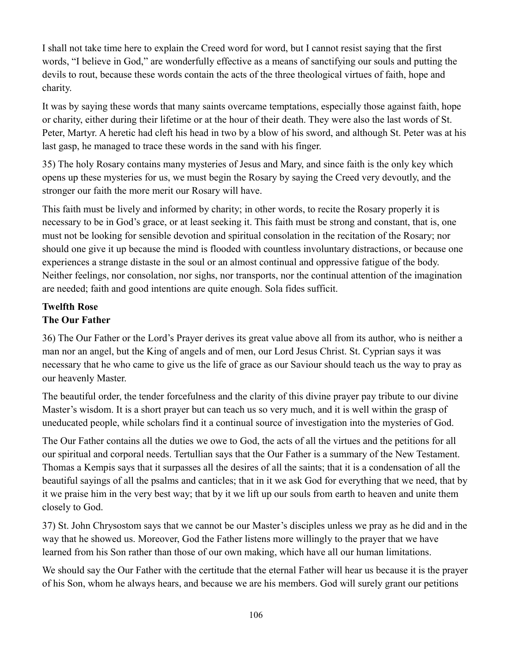I shall not take time here to explain the Creed word for word, but I cannot resist saying that the first words, "I believe in God," are wonderfully effective as a means of sanctifying our souls and putting the devils to rout, because these words contain the acts of the three theological virtues of faith, hope and charity.

It was by saying these words that many saints overcame temptations, especially those against faith, hope or charity, either during their lifetime or at the hour of their death. They were also the last words of St. Peter, Martyr. A heretic had cleft his head in two by a blow of his sword, and although St. Peter was at his last gasp, he managed to trace these words in the sand with his finger.

35) The holy Rosary contains many mysteries of Jesus and Mary, and since faith is the only key which opens up these mysteries for us, we must begin the Rosary by saying the Creed very devoutly, and the stronger our faith the more merit our Rosary will have.

This faith must be lively and informed by charity; in other words, to recite the Rosary properly it is necessary to be in God's grace, or at least seeking it. This faith must be strong and constant, that is, one must not be looking for sensible devotion and spiritual consolation in the recitation of the Rosary; nor should one give it up because the mind is flooded with countless involuntary distractions, or because one experiences a strange distaste in the soul or an almost continual and oppressive fatigue of the body. Neither feelings, nor consolation, nor sighs, nor transports, nor the continual attention of the imagination are needed; faith and good intentions are quite enough. Sola fides sufficit.

## **Twelfth Rose The Our Father**

36) The Our Father or the Lord's Prayer derives its great value above all from its author, who is neither a man nor an angel, but the King of angels and of men, our Lord Jesus Christ. St. Cyprian says it was necessary that he who came to give us the life of grace as our Saviour should teach us the way to pray as our heavenly Master.

The beautiful order, the tender forcefulness and the clarity of this divine prayer pay tribute to our divine Master's wisdom. It is a short prayer but can teach us so very much, and it is well within the grasp of uneducated people, while scholars find it a continual source of investigation into the mysteries of God.

The Our Father contains all the duties we owe to God, the acts of all the virtues and the petitions for all our spiritual and corporal needs. Tertullian says that the Our Father is a summary of the New Testament. Thomas a Kempis says that it surpasses all the desires of all the saints; that it is a condensation of all the beautiful sayings of all the psalms and canticles; that in it we ask God for everything that we need, that by it we praise him in the very best way; that by it we lift up our souls from earth to heaven and unite them closely to God.

37) St. John Chrysostom says that we cannot be our Master's disciples unless we pray as he did and in the way that he showed us. Moreover, God the Father listens more willingly to the prayer that we have learned from his Son rather than those of our own making, which have all our human limitations.

We should say the Our Father with the certitude that the eternal Father will hear us because it is the prayer of his Son, whom he always hears, and because we are his members. God will surely grant our petitions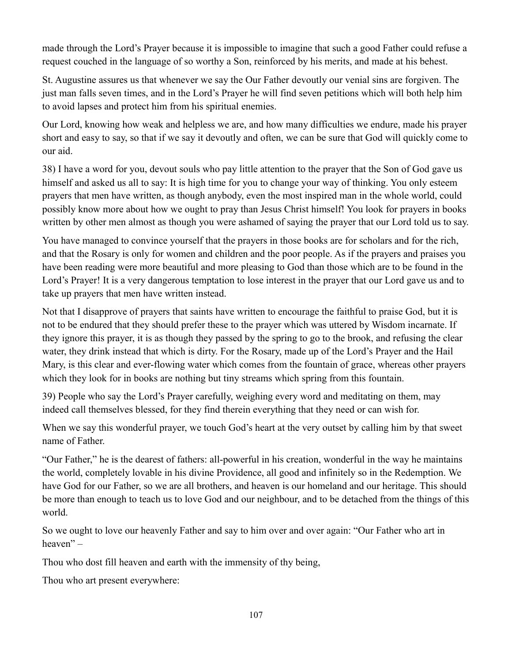made through the Lord's Prayer because it is impossible to imagine that such a good Father could refuse a request couched in the language of so worthy a Son, reinforced by his merits, and made at his behest.

St. Augustine assures us that whenever we say the Our Father devoutly our venial sins are forgiven. The just man falls seven times, and in the Lord's Prayer he will find seven petitions which will both help him to avoid lapses and protect him from his spiritual enemies.

Our Lord, knowing how weak and helpless we are, and how many difficulties we endure, made his prayer short and easy to say, so that if we say it devoutly and often, we can be sure that God will quickly come to our aid.

38) I have a word for you, devout souls who pay little attention to the prayer that the Son of God gave us himself and asked us all to say: It is high time for you to change your way of thinking. You only esteem prayers that men have written, as though anybody, even the most inspired man in the whole world, could possibly know more about how we ought to pray than Jesus Christ himself! You look for prayers in books written by other men almost as though you were ashamed of saying the prayer that our Lord told us to say.

You have managed to convince yourself that the prayers in those books are for scholars and for the rich, and that the Rosary is only for women and children and the poor people. As if the prayers and praises you have been reading were more beautiful and more pleasing to God than those which are to be found in the Lord's Prayer! It is a very dangerous temptation to lose interest in the prayer that our Lord gave us and to take up prayers that men have written instead.

Not that I disapprove of prayers that saints have written to encourage the faithful to praise God, but it is not to be endured that they should prefer these to the prayer which was uttered by Wisdom incarnate. If they ignore this prayer, it is as though they passed by the spring to go to the brook, and refusing the clear water, they drink instead that which is dirty. For the Rosary, made up of the Lord's Prayer and the Hail Mary, is this clear and ever-flowing water which comes from the fountain of grace, whereas other prayers which they look for in books are nothing but tiny streams which spring from this fountain.

39) People who say the Lord's Prayer carefully, weighing every word and meditating on them, may indeed call themselves blessed, for they find therein everything that they need or can wish for.

When we say this wonderful prayer, we touch God's heart at the very outset by calling him by that sweet name of Father.

"Our Father," he is the dearest of fathers: all-powerful in his creation, wonderful in the way he maintains the world, completely lovable in his divine Providence, all good and infinitely so in the Redemption. We have God for our Father, so we are all brothers, and heaven is our homeland and our heritage. This should be more than enough to teach us to love God and our neighbour, and to be detached from the things of this world.

So we ought to love our heavenly Father and say to him over and over again: "Our Father who art in heaven" –

Thou who dost fill heaven and earth with the immensity of thy being,

Thou who art present everywhere: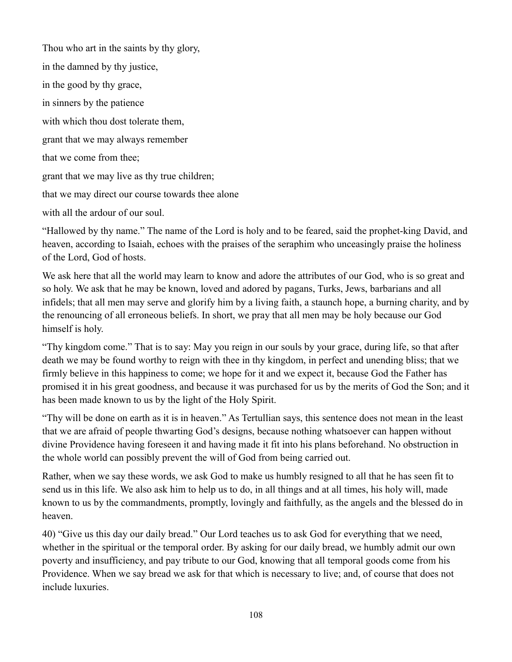Thou who art in the saints by thy glory, in the damned by thy justice, in the good by thy grace, in sinners by the patience with which thou dost tolerate them, grant that we may always remember that we come from thee; grant that we may live as thy true children; that we may direct our course towards thee alone with all the ardour of our soul.

"Hallowed by thy name." The name of the Lord is holy and to be feared, said the prophet-king David, and heaven, according to Isaiah, echoes with the praises of the seraphim who unceasingly praise the holiness of the Lord, God of hosts.

We ask here that all the world may learn to know and adore the attributes of our God, who is so great and so holy. We ask that he may be known, loved and adored by pagans, Turks, Jews, barbarians and all infidels; that all men may serve and glorify him by a living faith, a staunch hope, a burning charity, and by the renouncing of all erroneous beliefs. In short, we pray that all men may be holy because our God himself is holy.

"Thy kingdom come." That is to say: May you reign in our souls by your grace, during life, so that after death we may be found worthy to reign with thee in thy kingdom, in perfect and unending bliss; that we firmly believe in this happiness to come; we hope for it and we expect it, because God the Father has promised it in his great goodness, and because it was purchased for us by the merits of God the Son; and it has been made known to us by the light of the Holy Spirit.

"Thy will be done on earth as it is in heaven." As Tertullian says, this sentence does not mean in the least that we are afraid of people thwarting God's designs, because nothing whatsoever can happen without divine Providence having foreseen it and having made it fit into his plans beforehand. No obstruction in the whole world can possibly prevent the will of God from being carried out.

Rather, when we say these words, we ask God to make us humbly resigned to all that he has seen fit to send us in this life. We also ask him to help us to do, in all things and at all times, his holy will, made known to us by the commandments, promptly, lovingly and faithfully, as the angels and the blessed do in heaven.

40) "Give us this day our daily bread." Our Lord teaches us to ask God for everything that we need, whether in the spiritual or the temporal order. By asking for our daily bread, we humbly admit our own poverty and insufficiency, and pay tribute to our God, knowing that all temporal goods come from his Providence. When we say bread we ask for that which is necessary to live; and, of course that does not include luxuries.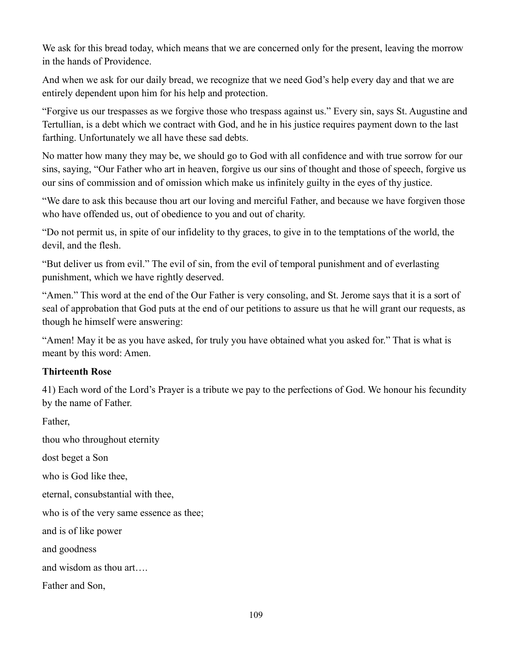We ask for this bread today, which means that we are concerned only for the present, leaving the morrow in the hands of Providence.

And when we ask for our daily bread, we recognize that we need God's help every day and that we are entirely dependent upon him for his help and protection.

"Forgive us our trespasses as we forgive those who trespass against us." Every sin, says St. Augustine and Tertullian, is a debt which we contract with God, and he in his justice requires payment down to the last farthing. Unfortunately we all have these sad debts.

No matter how many they may be, we should go to God with all confidence and with true sorrow for our sins, saying, "Our Father who art in heaven, forgive us our sins of thought and those of speech, forgive us our sins of commission and of omission which make us infinitely guilty in the eyes of thy justice.

"We dare to ask this because thou art our loving and merciful Father, and because we have forgiven those who have offended us, out of obedience to you and out of charity.

"Do not permit us, in spite of our infidelity to thy graces, to give in to the temptations of the world, the devil, and the flesh.

"But deliver us from evil." The evil of sin, from the evil of temporal punishment and of everlasting punishment, which we have rightly deserved.

"Amen." This word at the end of the Our Father is very consoling, and St. Jerome says that it is a sort of seal of approbation that God puts at the end of our petitions to assure us that he will grant our requests, as though he himself were answering:

"Amen! May it be as you have asked, for truly you have obtained what you asked for." That is what is meant by this word: Amen.

## **Thirteenth Rose**

41) Each word of the Lord's Prayer is a tribute we pay to the perfections of God. We honour his fecundity by the name of Father.

Father, thou who throughout eternity dost beget a Son who is God like thee, eternal, consubstantial with thee, who is of the very same essence as thee; and is of like power and goodness and wisdom as thou art…. Father and Son,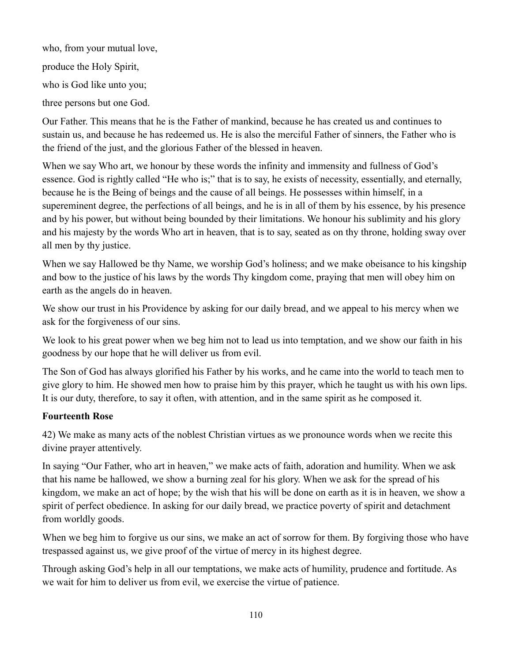who, from your mutual love, produce the Holy Spirit, who is God like unto you; three persons but one God.

Our Father. This means that he is the Father of mankind, because he has created us and continues to sustain us, and because he has redeemed us. He is also the merciful Father of sinners, the Father who is the friend of the just, and the glorious Father of the blessed in heaven.

When we say Who art, we honour by these words the infinity and immensity and fullness of God's essence. God is rightly called "He who is;" that is to say, he exists of necessity, essentially, and eternally, because he is the Being of beings and the cause of all beings. He possesses within himself, in a supereminent degree, the perfections of all beings, and he is in all of them by his essence, by his presence and by his power, but without being bounded by their limitations. We honour his sublimity and his glory and his majesty by the words Who art in heaven, that is to say, seated as on thy throne, holding sway over all men by thy justice.

When we say Hallowed be thy Name, we worship God's holiness; and we make obeisance to his kingship and bow to the justice of his laws by the words Thy kingdom come, praying that men will obey him on earth as the angels do in heaven.

We show our trust in his Providence by asking for our daily bread, and we appeal to his mercy when we ask for the forgiveness of our sins.

We look to his great power when we beg him not to lead us into temptation, and we show our faith in his goodness by our hope that he will deliver us from evil.

The Son of God has always glorified his Father by his works, and he came into the world to teach men to give glory to him. He showed men how to praise him by this prayer, which he taught us with his own lips. It is our duty, therefore, to say it often, with attention, and in the same spirit as he composed it.

## **Fourteenth Rose**

42) We make as many acts of the noblest Christian virtues as we pronounce words when we recite this divine prayer attentively.

In saying "Our Father, who art in heaven," we make acts of faith, adoration and humility. When we ask that his name be hallowed, we show a burning zeal for his glory. When we ask for the spread of his kingdom, we make an act of hope; by the wish that his will be done on earth as it is in heaven, we show a spirit of perfect obedience. In asking for our daily bread, we practice poverty of spirit and detachment from worldly goods.

When we beg him to forgive us our sins, we make an act of sorrow for them. By forgiving those who have trespassed against us, we give proof of the virtue of mercy in its highest degree.

Through asking God's help in all our temptations, we make acts of humility, prudence and fortitude. As we wait for him to deliver us from evil, we exercise the virtue of patience.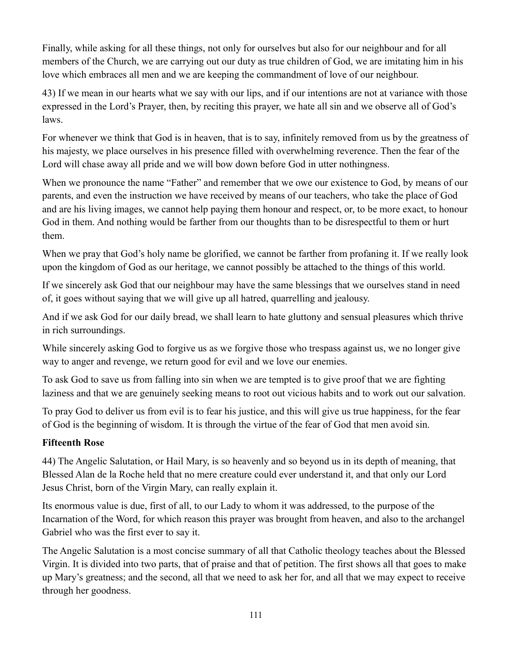Finally, while asking for all these things, not only for ourselves but also for our neighbour and for all members of the Church, we are carrying out our duty as true children of God, we are imitating him in his love which embraces all men and we are keeping the commandment of love of our neighbour.

43) If we mean in our hearts what we say with our lips, and if our intentions are not at variance with those expressed in the Lord's Prayer, then, by reciting this prayer, we hate all sin and we observe all of God's laws.

For whenever we think that God is in heaven, that is to say, infinitely removed from us by the greatness of his majesty, we place ourselves in his presence filled with overwhelming reverence. Then the fear of the Lord will chase away all pride and we will bow down before God in utter nothingness.

When we pronounce the name "Father" and remember that we owe our existence to God, by means of our parents, and even the instruction we have received by means of our teachers, who take the place of God and are his living images, we cannot help paying them honour and respect, or, to be more exact, to honour God in them. And nothing would be farther from our thoughts than to be disrespectful to them or hurt them.

When we pray that God's holy name be glorified, we cannot be farther from profaning it. If we really look upon the kingdom of God as our heritage, we cannot possibly be attached to the things of this world.

If we sincerely ask God that our neighbour may have the same blessings that we ourselves stand in need of, it goes without saying that we will give up all hatred, quarrelling and jealousy.

And if we ask God for our daily bread, we shall learn to hate gluttony and sensual pleasures which thrive in rich surroundings.

While sincerely asking God to forgive us as we forgive those who trespass against us, we no longer give way to anger and revenge, we return good for evil and we love our enemies.

To ask God to save us from falling into sin when we are tempted is to give proof that we are fighting laziness and that we are genuinely seeking means to root out vicious habits and to work out our salvation.

To pray God to deliver us from evil is to fear his justice, and this will give us true happiness, for the fear of God is the beginning of wisdom. It is through the virtue of the fear of God that men avoid sin.

#### **Fifteenth Rose**

44) The Angelic Salutation, or Hail Mary, is so heavenly and so beyond us in its depth of meaning, that Blessed Alan de la Roche held that no mere creature could ever understand it, and that only our Lord Jesus Christ, born of the Virgin Mary, can really explain it.

Its enormous value is due, first of all, to our Lady to whom it was addressed, to the purpose of the Incarnation of the Word, for which reason this prayer was brought from heaven, and also to the archangel Gabriel who was the first ever to say it.

The Angelic Salutation is a most concise summary of all that Catholic theology teaches about the Blessed Virgin. It is divided into two parts, that of praise and that of petition. The first shows all that goes to make up Mary's greatness; and the second, all that we need to ask her for, and all that we may expect to receive through her goodness.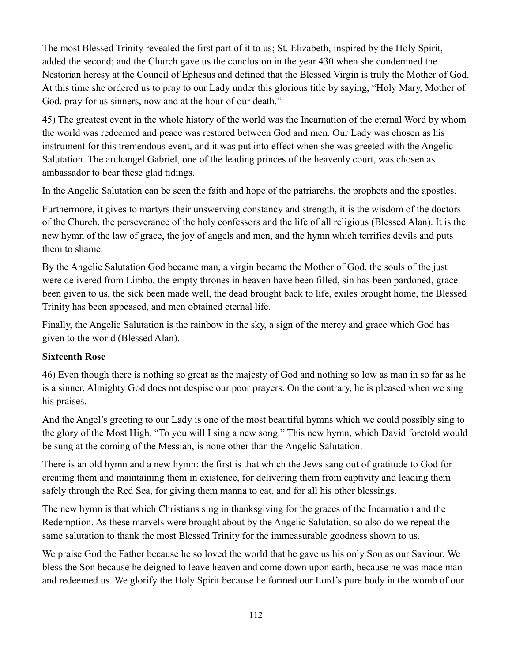The most Blessed Trinity revealed the first part of it to us; St. Elizabeth, inspired by the Holy Spirit, added the second; and the Church gave us the conclusion in the year 430 when she condemned the Nestorian heresy at the Council of Ephesus and defined that the Blessed Virgin is truly the Mother of God. At this time she ordered us to pray to our Lady under this glorious title by saying, "Holy Mary, Mother of God, pray for us sinners, now and at the hour of our death."

45) The greatest event in the whole history of the world was the Incarnation of the eternal Word by whom the world was redeemed and peace was restored between God and men. Our Lady was chosen as his instrument for this tremendous event, and it was put into effect when she was greeted with the Angelic Salutation. The archangel Gabriel, one of the leading princes of the heavenly court, was chosen as ambassador to bear these glad tidings.

In the Angelic Salutation can be seen the faith and hope of the patriarchs, the prophets and the apostles.

Furthermore, it gives to martyrs their unswerving constancy and strength, it is the wisdom of the doctors of the Church, the perseverance of the holy confessors and the life of all religious (Blessed Alan). It is the new hymn of the law of grace, the joy of angels and men, and the hymn which terrifies devils and puts them to shame.

By the Angelic Salutation God became man, a virgin became the Mother of God, the souls of the just were delivered from Limbo, the empty thrones in heaven have been filled, sin has been pardoned, grace been given to us, the sick been made well, the dead brought back to life, exiles brought home, the Blessed Trinity has been appeased, and men obtained eternal life.

Finally, the Angelic Salutation is the rainbow in the sky, a sign of the mercy and grace which God has given to the world (Blessed Alan).

#### **Sixteenth Rose**

46) Even though there is nothing so great as the majesty of God and nothing so low as man in so far as he is a sinner, Almighty God does not despise our poor prayers. On the contrary, he is pleased when we sing his praises.

And the Angel's greeting to our Lady is one of the most beautiful hymns which we could possibly sing to the glory of the Most High. "To you will I sing a new song." This new hymn, which David foretold would be sung at the coming of the Messiah, is none other than the Angelic Salutation.

There is an old hymn and a new hymn: the first is that which the Jews sang out of gratitude to God for creating them and maintaining them in existence, for delivering them from captivity and leading them safely through the Red Sea, for giving them manna to eat, and for all his other blessings.

The new hymn is that which Christians sing in thanksgiving for the graces of the Incarnation and the Redemption. As these marvels were brought about by the Angelic Salutation, so also do we repeat the same salutation to thank the most Blessed Trinity for the immeasurable goodness shown to us.

We praise God the Father because he so loved the world that he gave us his only Son as our Saviour. We bless the Son because he deigned to leave heaven and come down upon earth, because he was made man and redeemed us. We glorify the Holy Spirit because he formed our Lord's pure body in the womb of our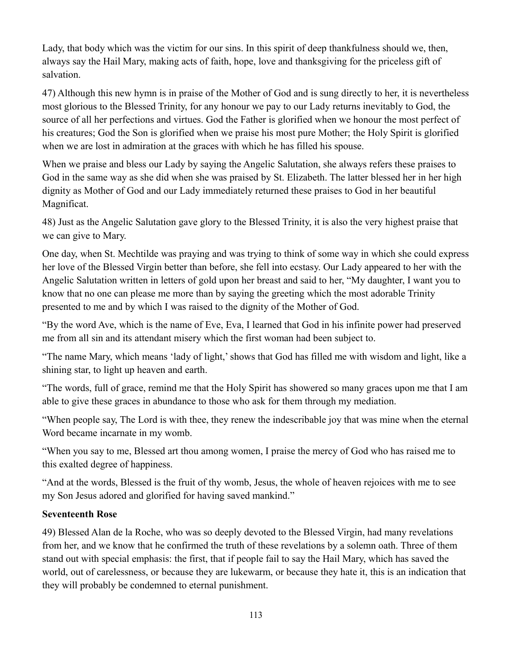Lady, that body which was the victim for our sins. In this spirit of deep thankfulness should we, then, always say the Hail Mary, making acts of faith, hope, love and thanksgiving for the priceless gift of salvation.

47) Although this new hymn is in praise of the Mother of God and is sung directly to her, it is nevertheless most glorious to the Blessed Trinity, for any honour we pay to our Lady returns inevitably to God, the source of all her perfections and virtues. God the Father is glorified when we honour the most perfect of his creatures; God the Son is glorified when we praise his most pure Mother; the Holy Spirit is glorified when we are lost in admiration at the graces with which he has filled his spouse.

When we praise and bless our Lady by saying the Angelic Salutation, she always refers these praises to God in the same way as she did when she was praised by St. Elizabeth. The latter blessed her in her high dignity as Mother of God and our Lady immediately returned these praises to God in her beautiful Magnificat.

48) Just as the Angelic Salutation gave glory to the Blessed Trinity, it is also the very highest praise that we can give to Mary.

One day, when St. Mechtilde was praying and was trying to think of some way in which she could express her love of the Blessed Virgin better than before, she fell into ecstasy. Our Lady appeared to her with the Angelic Salutation written in letters of gold upon her breast and said to her, "My daughter, I want you to know that no one can please me more than by saying the greeting which the most adorable Trinity presented to me and by which I was raised to the dignity of the Mother of God.

"By the word Ave, which is the name of Eve, Eva, I learned that God in his infinite power had preserved me from all sin and its attendant misery which the first woman had been subject to.

"The name Mary, which means 'lady of light,' shows that God has filled me with wisdom and light, like a shining star, to light up heaven and earth.

"The words, full of grace, remind me that the Holy Spirit has showered so many graces upon me that I am able to give these graces in abundance to those who ask for them through my mediation.

"When people say, The Lord is with thee, they renew the indescribable joy that was mine when the eternal Word became incarnate in my womb.

"When you say to me, Blessed art thou among women, I praise the mercy of God who has raised me to this exalted degree of happiness.

"And at the words, Blessed is the fruit of thy womb, Jesus, the whole of heaven rejoices with me to see my Son Jesus adored and glorified for having saved mankind."

#### **Seventeenth Rose**

49) Blessed Alan de la Roche, who was so deeply devoted to the Blessed Virgin, had many revelations from her, and we know that he confirmed the truth of these revelations by a solemn oath. Three of them stand out with special emphasis: the first, that if people fail to say the Hail Mary, which has saved the world, out of carelessness, or because they are lukewarm, or because they hate it, this is an indication that they will probably be condemned to eternal punishment.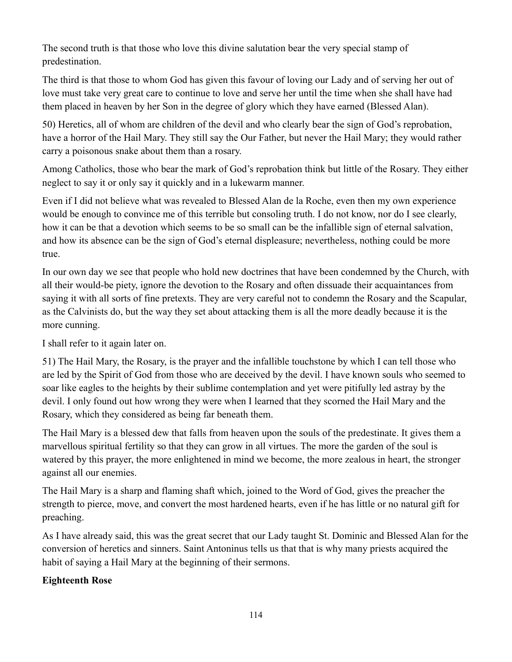The second truth is that those who love this divine salutation bear the very special stamp of predestination.

The third is that those to whom God has given this favour of loving our Lady and of serving her out of love must take very great care to continue to love and serve her until the time when she shall have had them placed in heaven by her Son in the degree of glory which they have earned (Blessed Alan).

50) Heretics, all of whom are children of the devil and who clearly bear the sign of God's reprobation, have a horror of the Hail Mary. They still say the Our Father, but never the Hail Mary; they would rather carry a poisonous snake about them than a rosary.

Among Catholics, those who bear the mark of God's reprobation think but little of the Rosary. They either neglect to say it or only say it quickly and in a lukewarm manner.

Even if I did not believe what was revealed to Blessed Alan de la Roche, even then my own experience would be enough to convince me of this terrible but consoling truth. I do not know, nor do I see clearly, how it can be that a devotion which seems to be so small can be the infallible sign of eternal salvation, and how its absence can be the sign of God's eternal displeasure; nevertheless, nothing could be more true.

In our own day we see that people who hold new doctrines that have been condemned by the Church, with all their would-be piety, ignore the devotion to the Rosary and often dissuade their acquaintances from saying it with all sorts of fine pretexts. They are very careful not to condemn the Rosary and the Scapular, as the Calvinists do, but the way they set about attacking them is all the more deadly because it is the more cunning.

I shall refer to it again later on.

51) The Hail Mary, the Rosary, is the prayer and the infallible touchstone by which I can tell those who are led by the Spirit of God from those who are deceived by the devil. I have known souls who seemed to soar like eagles to the heights by their sublime contemplation and yet were pitifully led astray by the devil. I only found out how wrong they were when I learned that they scorned the Hail Mary and the Rosary, which they considered as being far beneath them.

The Hail Mary is a blessed dew that falls from heaven upon the souls of the predestinate. It gives them a marvellous spiritual fertility so that they can grow in all virtues. The more the garden of the soul is watered by this prayer, the more enlightened in mind we become, the more zealous in heart, the stronger against all our enemies.

The Hail Mary is a sharp and flaming shaft which, joined to the Word of God, gives the preacher the strength to pierce, move, and convert the most hardened hearts, even if he has little or no natural gift for preaching.

As I have already said, this was the great secret that our Lady taught St. Dominic and Blessed Alan for the conversion of heretics and sinners. Saint Antoninus tells us that that is why many priests acquired the habit of saying a Hail Mary at the beginning of their sermons.

## **Eighteenth Rose**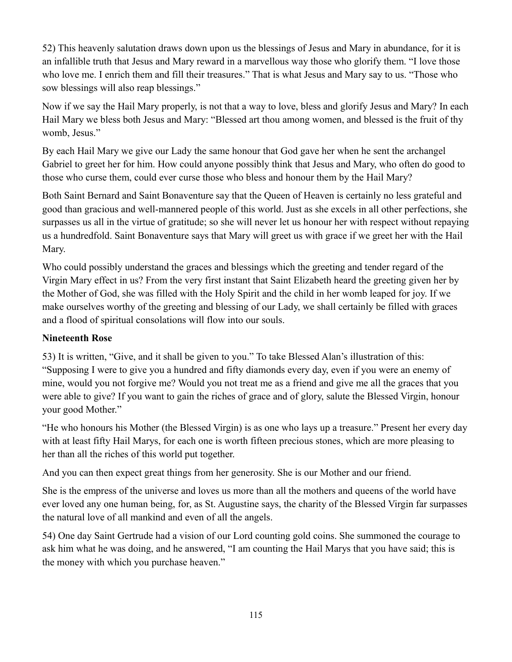52) This heavenly salutation draws down upon us the blessings of Jesus and Mary in abundance, for it is an infallible truth that Jesus and Mary reward in a marvellous way those who glorify them. "I love those who love me. I enrich them and fill their treasures." That is what Jesus and Mary say to us. "Those who sow blessings will also reap blessings."

Now if we say the Hail Mary properly, is not that a way to love, bless and glorify Jesus and Mary? In each Hail Mary we bless both Jesus and Mary: "Blessed art thou among women, and blessed is the fruit of thy womb, Jesus."

By each Hail Mary we give our Lady the same honour that God gave her when he sent the archangel Gabriel to greet her for him. How could anyone possibly think that Jesus and Mary, who often do good to those who curse them, could ever curse those who bless and honour them by the Hail Mary?

Both Saint Bernard and Saint Bonaventure say that the Queen of Heaven is certainly no less grateful and good than gracious and well-mannered people of this world. Just as she excels in all other perfections, she surpasses us all in the virtue of gratitude; so she will never let us honour her with respect without repaying us a hundredfold. Saint Bonaventure says that Mary will greet us with grace if we greet her with the Hail Mary.

Who could possibly understand the graces and blessings which the greeting and tender regard of the Virgin Mary effect in us? From the very first instant that Saint Elizabeth heard the greeting given her by the Mother of God, she was filled with the Holy Spirit and the child in her womb leaped for joy. If we make ourselves worthy of the greeting and blessing of our Lady, we shall certainly be filled with graces and a flood of spiritual consolations will flow into our souls.

#### **Nineteenth Rose**

53) It is written, "Give, and it shall be given to you." To take Blessed Alan's illustration of this: "Supposing I were to give you a hundred and fifty diamonds every day, even if you were an enemy of mine, would you not forgive me? Would you not treat me as a friend and give me all the graces that you were able to give? If you want to gain the riches of grace and of glory, salute the Blessed Virgin, honour your good Mother."

"He who honours his Mother (the Blessed Virgin) is as one who lays up a treasure." Present her every day with at least fifty Hail Marys, for each one is worth fifteen precious stones, which are more pleasing to her than all the riches of this world put together.

And you can then expect great things from her generosity. She is our Mother and our friend.

She is the empress of the universe and loves us more than all the mothers and queens of the world have ever loved any one human being, for, as St. Augustine says, the charity of the Blessed Virgin far surpasses the natural love of all mankind and even of all the angels.

54) One day Saint Gertrude had a vision of our Lord counting gold coins. She summoned the courage to ask him what he was doing, and he answered, "I am counting the Hail Marys that you have said; this is the money with which you purchase heaven."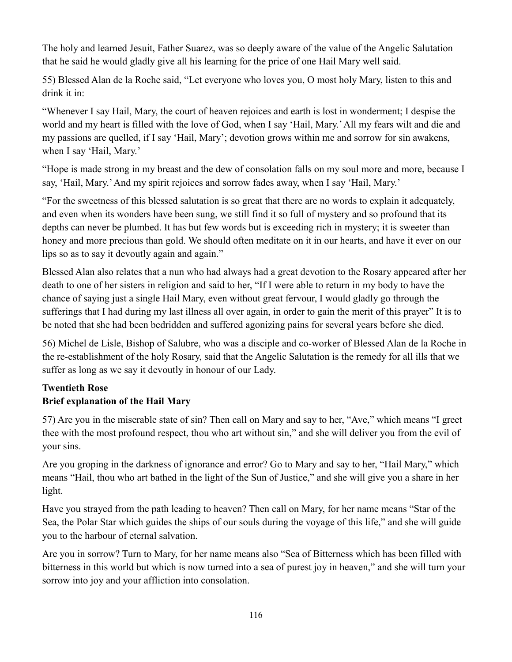The holy and learned Jesuit, Father Suarez, was so deeply aware of the value of the Angelic Salutation that he said he would gladly give all his learning for the price of one Hail Mary well said.

55) Blessed Alan de la Roche said, "Let everyone who loves you, O most holy Mary, listen to this and drink it in:

"Whenever I say Hail, Mary, the court of heaven rejoices and earth is lost in wonderment; I despise the world and my heart is filled with the love of God, when I say 'Hail, Mary.' All my fears wilt and die and my passions are quelled, if I say 'Hail, Mary'; devotion grows within me and sorrow for sin awakens, when I say 'Hail, Mary.'

"Hope is made strong in my breast and the dew of consolation falls on my soul more and more, because I say, 'Hail, Mary.' And my spirit rejoices and sorrow fades away, when I say 'Hail, Mary.'

"For the sweetness of this blessed salutation is so great that there are no words to explain it adequately, and even when its wonders have been sung, we still find it so full of mystery and so profound that its depths can never be plumbed. It has but few words but is exceeding rich in mystery; it is sweeter than honey and more precious than gold. We should often meditate on it in our hearts, and have it ever on our lips so as to say it devoutly again and again."

Blessed Alan also relates that a nun who had always had a great devotion to the Rosary appeared after her death to one of her sisters in religion and said to her, "If I were able to return in my body to have the chance of saying just a single Hail Mary, even without great fervour, I would gladly go through the sufferings that I had during my last illness all over again, in order to gain the merit of this prayer" It is to be noted that she had been bedridden and suffered agonizing pains for several years before she died.

56) Michel de Lisle, Bishop of Salubre, who was a disciple and co-worker of Blessed Alan de la Roche in the re-establishment of the holy Rosary, said that the Angelic Salutation is the remedy for all ills that we suffer as long as we say it devoutly in honour of our Lady.

# **Twentieth Rose Brief explanation of the Hail Mary**

57) Are you in the miserable state of sin? Then call on Mary and say to her, "Ave," which means "I greet thee with the most profound respect, thou who art without sin," and she will deliver you from the evil of your sins.

Are you groping in the darkness of ignorance and error? Go to Mary and say to her, "Hail Mary," which means "Hail, thou who art bathed in the light of the Sun of Justice," and she will give you a share in her light.

Have you strayed from the path leading to heaven? Then call on Mary, for her name means "Star of the Sea, the Polar Star which guides the ships of our souls during the voyage of this life," and she will guide you to the harbour of eternal salvation.

Are you in sorrow? Turn to Mary, for her name means also "Sea of Bitterness which has been filled with bitterness in this world but which is now turned into a sea of purest joy in heaven," and she will turn your sorrow into joy and your affliction into consolation.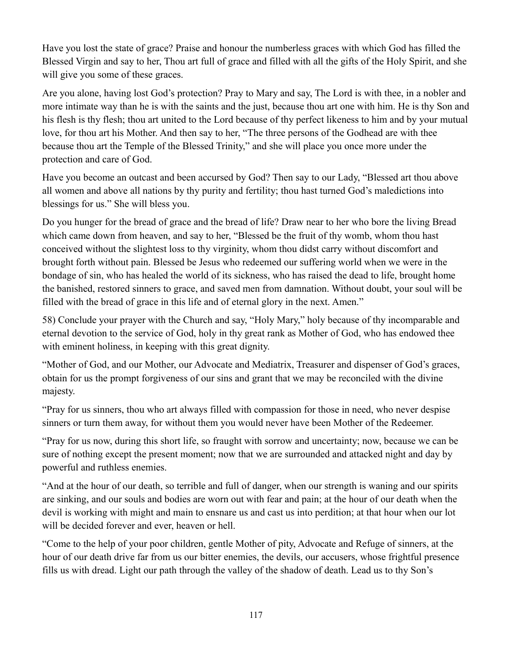Have you lost the state of grace? Praise and honour the numberless graces with which God has filled the Blessed Virgin and say to her, Thou art full of grace and filled with all the gifts of the Holy Spirit, and she will give you some of these graces.

Are you alone, having lost God's protection? Pray to Mary and say, The Lord is with thee, in a nobler and more intimate way than he is with the saints and the just, because thou art one with him. He is thy Son and his flesh is thy flesh; thou art united to the Lord because of thy perfect likeness to him and by your mutual love, for thou art his Mother. And then say to her, "The three persons of the Godhead are with thee because thou art the Temple of the Blessed Trinity," and she will place you once more under the protection and care of God.

Have you become an outcast and been accursed by God? Then say to our Lady, "Blessed art thou above all women and above all nations by thy purity and fertility; thou hast turned God's maledictions into blessings for us." She will bless you.

Do you hunger for the bread of grace and the bread of life? Draw near to her who bore the living Bread which came down from heaven, and say to her, "Blessed be the fruit of thy womb, whom thou hast conceived without the slightest loss to thy virginity, whom thou didst carry without discomfort and brought forth without pain. Blessed be Jesus who redeemed our suffering world when we were in the bondage of sin, who has healed the world of its sickness, who has raised the dead to life, brought home the banished, restored sinners to grace, and saved men from damnation. Without doubt, your soul will be filled with the bread of grace in this life and of eternal glory in the next. Amen."

58) Conclude your prayer with the Church and say, "Holy Mary," holy because of thy incomparable and eternal devotion to the service of God, holy in thy great rank as Mother of God, who has endowed thee with eminent holiness, in keeping with this great dignity.

"Mother of God, and our Mother, our Advocate and Mediatrix, Treasurer and dispenser of God's graces, obtain for us the prompt forgiveness of our sins and grant that we may be reconciled with the divine majesty.

"Pray for us sinners, thou who art always filled with compassion for those in need, who never despise sinners or turn them away, for without them you would never have been Mother of the Redeemer.

"Pray for us now, during this short life, so fraught with sorrow and uncertainty; now, because we can be sure of nothing except the present moment; now that we are surrounded and attacked night and day by powerful and ruthless enemies.

"And at the hour of our death, so terrible and full of danger, when our strength is waning and our spirits are sinking, and our souls and bodies are worn out with fear and pain; at the hour of our death when the devil is working with might and main to ensnare us and cast us into perdition; at that hour when our lot will be decided forever and ever, heaven or hell.

"Come to the help of your poor children, gentle Mother of pity, Advocate and Refuge of sinners, at the hour of our death drive far from us our bitter enemies, the devils, our accusers, whose frightful presence fills us with dread. Light our path through the valley of the shadow of death. Lead us to thy Son's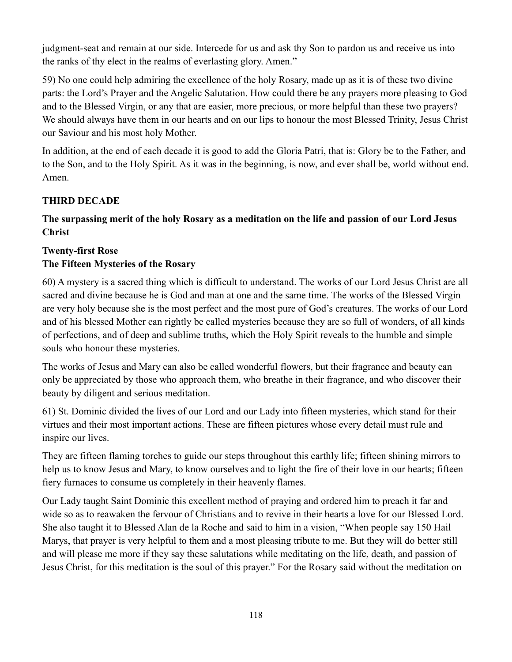judgment-seat and remain at our side. Intercede for us and ask thy Son to pardon us and receive us into the ranks of thy elect in the realms of everlasting glory. Amen."

59) No one could help admiring the excellence of the holy Rosary, made up as it is of these two divine parts: the Lord's Prayer and the Angelic Salutation. How could there be any prayers more pleasing to God and to the Blessed Virgin, or any that are easier, more precious, or more helpful than these two prayers? We should always have them in our hearts and on our lips to honour the most Blessed Trinity, Jesus Christ our Saviour and his most holy Mother.

In addition, at the end of each decade it is good to add the Gloria Patri, that is: Glory be to the Father, and to the Son, and to the Holy Spirit. As it was in the beginning, is now, and ever shall be, world without end. Amen.

# **THIRD DECADE**

# **The surpassing merit of the holy Rosary as a meditation on the life and passion of our Lord Jesus Christ**

## **Twenty-first Rose The Fifteen Mysteries of the Rosary**

60) A mystery is a sacred thing which is difficult to understand. The works of our Lord Jesus Christ are all sacred and divine because he is God and man at one and the same time. The works of the Blessed Virgin are very holy because she is the most perfect and the most pure of God's creatures. The works of our Lord and of his blessed Mother can rightly be called mysteries because they are so full of wonders, of all kinds of perfections, and of deep and sublime truths, which the Holy Spirit reveals to the humble and simple souls who honour these mysteries.

The works of Jesus and Mary can also be called wonderful flowers, but their fragrance and beauty can only be appreciated by those who approach them, who breathe in their fragrance, and who discover their beauty by diligent and serious meditation.

61) St. Dominic divided the lives of our Lord and our Lady into fifteen mysteries, which stand for their virtues and their most important actions. These are fifteen pictures whose every detail must rule and inspire our lives.

They are fifteen flaming torches to guide our steps throughout this earthly life; fifteen shining mirrors to help us to know Jesus and Mary, to know ourselves and to light the fire of their love in our hearts; fifteen fiery furnaces to consume us completely in their heavenly flames.

Our Lady taught Saint Dominic this excellent method of praying and ordered him to preach it far and wide so as to reawaken the fervour of Christians and to revive in their hearts a love for our Blessed Lord. She also taught it to Blessed Alan de la Roche and said to him in a vision, "When people say 150 Hail Marys, that prayer is very helpful to them and a most pleasing tribute to me. But they will do better still and will please me more if they say these salutations while meditating on the life, death, and passion of Jesus Christ, for this meditation is the soul of this prayer." For the Rosary said without the meditation on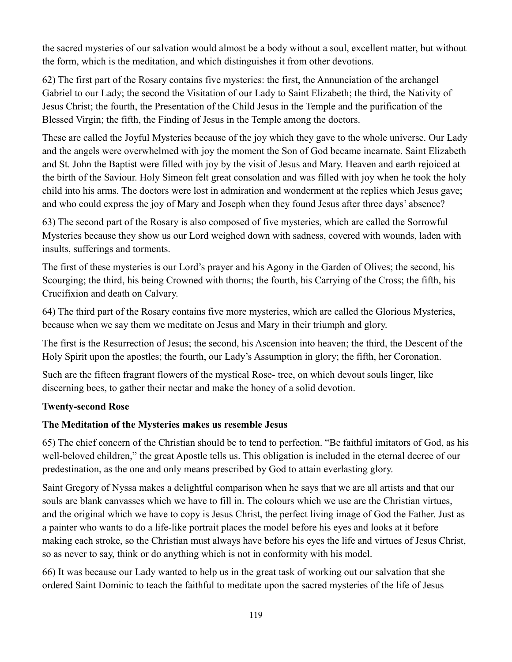the sacred mysteries of our salvation would almost be a body without a soul, excellent matter, but without the form, which is the meditation, and which distinguishes it from other devotions.

62) The first part of the Rosary contains five mysteries: the first, the Annunciation of the archangel Gabriel to our Lady; the second the Visitation of our Lady to Saint Elizabeth; the third, the Nativity of Jesus Christ; the fourth, the Presentation of the Child Jesus in the Temple and the purification of the Blessed Virgin; the fifth, the Finding of Jesus in the Temple among the doctors.

These are called the Joyful Mysteries because of the joy which they gave to the whole universe. Our Lady and the angels were overwhelmed with joy the moment the Son of God became incarnate. Saint Elizabeth and St. John the Baptist were filled with joy by the visit of Jesus and Mary. Heaven and earth rejoiced at the birth of the Saviour. Holy Simeon felt great consolation and was filled with joy when he took the holy child into his arms. The doctors were lost in admiration and wonderment at the replies which Jesus gave; and who could express the joy of Mary and Joseph when they found Jesus after three days' absence?

63) The second part of the Rosary is also composed of five mysteries, which are called the Sorrowful Mysteries because they show us our Lord weighed down with sadness, covered with wounds, laden with insults, sufferings and torments.

The first of these mysteries is our Lord's prayer and his Agony in the Garden of Olives; the second, his Scourging; the third, his being Crowned with thorns; the fourth, his Carrying of the Cross; the fifth, his Crucifixion and death on Calvary.

64) The third part of the Rosary contains five more mysteries, which are called the Glorious Mysteries, because when we say them we meditate on Jesus and Mary in their triumph and glory.

The first is the Resurrection of Jesus; the second, his Ascension into heaven; the third, the Descent of the Holy Spirit upon the apostles; the fourth, our Lady's Assumption in glory; the fifth, her Coronation.

Such are the fifteen fragrant flowers of the mystical Rose- tree, on which devout souls linger, like discerning bees, to gather their nectar and make the honey of a solid devotion.

#### **Twenty-second Rose**

#### **The Meditation of the Mysteries makes us resemble Jesus**

65) The chief concern of the Christian should be to tend to perfection. "Be faithful imitators of God, as his well-beloved children," the great Apostle tells us. This obligation is included in the eternal decree of our predestination, as the one and only means prescribed by God to attain everlasting glory.

Saint Gregory of Nyssa makes a delightful comparison when he says that we are all artists and that our souls are blank canvasses which we have to fill in. The colours which we use are the Christian virtues, and the original which we have to copy is Jesus Christ, the perfect living image of God the Father. Just as a painter who wants to do a life-like portrait places the model before his eyes and looks at it before making each stroke, so the Christian must always have before his eyes the life and virtues of Jesus Christ, so as never to say, think or do anything which is not in conformity with his model.

66) It was because our Lady wanted to help us in the great task of working out our salvation that she ordered Saint Dominic to teach the faithful to meditate upon the sacred mysteries of the life of Jesus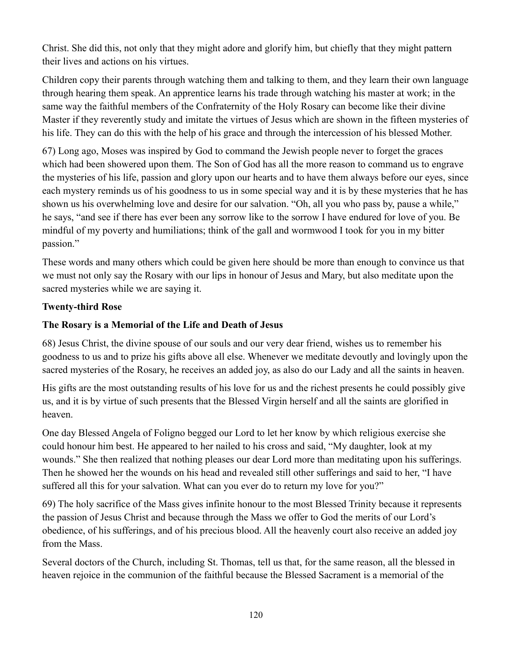Christ. She did this, not only that they might adore and glorify him, but chiefly that they might pattern their lives and actions on his virtues.

Children copy their parents through watching them and talking to them, and they learn their own language through hearing them speak. An apprentice learns his trade through watching his master at work; in the same way the faithful members of the Confraternity of the Holy Rosary can become like their divine Master if they reverently study and imitate the virtues of Jesus which are shown in the fifteen mysteries of his life. They can do this with the help of his grace and through the intercession of his blessed Mother.

67) Long ago, Moses was inspired by God to command the Jewish people never to forget the graces which had been showered upon them. The Son of God has all the more reason to command us to engrave the mysteries of his life, passion and glory upon our hearts and to have them always before our eyes, since each mystery reminds us of his goodness to us in some special way and it is by these mysteries that he has shown us his overwhelming love and desire for our salvation. "Oh, all you who pass by, pause a while," he says, "and see if there has ever been any sorrow like to the sorrow I have endured for love of you. Be mindful of my poverty and humiliations; think of the gall and wormwood I took for you in my bitter passion."

These words and many others which could be given here should be more than enough to convince us that we must not only say the Rosary with our lips in honour of Jesus and Mary, but also meditate upon the sacred mysteries while we are saying it.

#### **Twenty-third Rose**

#### **The Rosary is a Memorial of the Life and Death of Jesus**

68) Jesus Christ, the divine spouse of our souls and our very dear friend, wishes us to remember his goodness to us and to prize his gifts above all else. Whenever we meditate devoutly and lovingly upon the sacred mysteries of the Rosary, he receives an added joy, as also do our Lady and all the saints in heaven.

His gifts are the most outstanding results of his love for us and the richest presents he could possibly give us, and it is by virtue of such presents that the Blessed Virgin herself and all the saints are glorified in heaven.

One day Blessed Angela of Foligno begged our Lord to let her know by which religious exercise she could honour him best. He appeared to her nailed to his cross and said, "My daughter, look at my wounds." She then realized that nothing pleases our dear Lord more than meditating upon his sufferings. Then he showed her the wounds on his head and revealed still other sufferings and said to her, "I have suffered all this for your salvation. What can you ever do to return my love for you?"

69) The holy sacrifice of the Mass gives infinite honour to the most Blessed Trinity because it represents the passion of Jesus Christ and because through the Mass we offer to God the merits of our Lord's obedience, of his sufferings, and of his precious blood. All the heavenly court also receive an added joy from the Mass.

Several doctors of the Church, including St. Thomas, tell us that, for the same reason, all the blessed in heaven rejoice in the communion of the faithful because the Blessed Sacrament is a memorial of the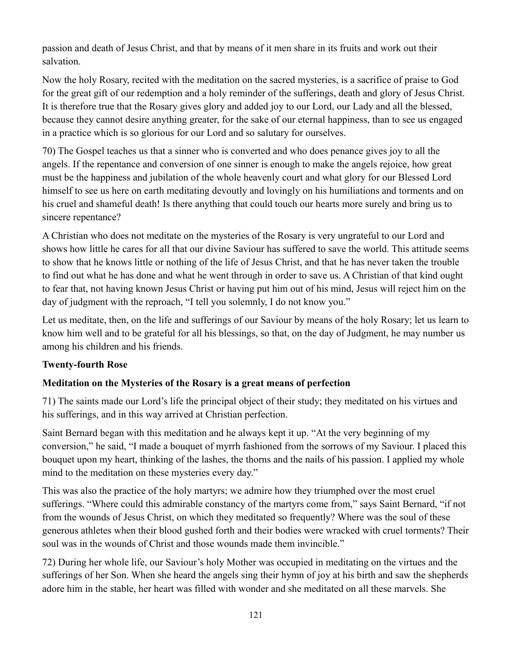passion and death of Jesus Christ, and that by means of it men share in its fruits and work out their salvation.

Now the holy Rosary, recited with the meditation on the sacred mysteries, is a sacrifice of praise to God for the great gift of our redemption and a holy reminder of the sufferings, death and glory of Jesus Christ. It is therefore true that the Rosary gives glory and added joy to our Lord, our Lady and all the blessed, because they cannot desire anything greater, for the sake of our eternal happiness, than to see us engaged in a practice which is so glorious for our Lord and so salutary for ourselves.

70) The Gospel teaches us that a sinner who is converted and who does penance gives joy to all the angels. If the repentance and conversion of one sinner is enough to make the angels rejoice, how great must be the happiness and jubilation of the whole heavenly court and what glory for our Blessed Lord himself to see us here on earth meditating devoutly and lovingly on his humiliations and torments and on his cruel and shameful death! Is there anything that could touch our hearts more surely and bring us to sincere repentance?

A Christian who does not meditate on the mysteries of the Rosary is very ungrateful to our Lord and shows how little he cares for all that our divine Saviour has suffered to save the world. This attitude seems to show that he knows little or nothing of the life of Jesus Christ, and that he has never taken the trouble to find out what he has done and what he went through in order to save us. A Christian of that kind ought to fear that, not having known Jesus Christ or having put him out of his mind, Jesus will reject him on the day of judgment with the reproach, "I tell you solemnly, I do not know you."

Let us meditate, then, on the life and sufferings of our Saviour by means of the holy Rosary; let us learn to know him well and to be grateful for all his blessings, so that, on the day of Judgment, he may number us among his children and his friends.

## **Twenty-fourth Rose**

## **Meditation on the Mysteries of the Rosary is a great means of perfection**

71) The saints made our Lord's life the principal object of their study; they meditated on his virtues and his sufferings, and in this way arrived at Christian perfection.

Saint Bernard began with this meditation and he always kept it up. "At the very beginning of my conversion," he said, "I made a bouquet of myrrh fashioned from the sorrows of my Saviour. I placed this bouquet upon my heart, thinking of the lashes, the thorns and the nails of his passion. I applied my whole mind to the meditation on these mysteries every day."

This was also the practice of the holy martyrs; we admire how they triumphed over the most cruel sufferings. "Where could this admirable constancy of the martyrs come from," says Saint Bernard, "if not from the wounds of Jesus Christ, on which they meditated so frequently? Where was the soul of these generous athletes when their blood gushed forth and their bodies were wracked with cruel torments? Their soul was in the wounds of Christ and those wounds made them invincible."

72) During her whole life, our Saviour's holy Mother was occupied in meditating on the virtues and the sufferings of her Son. When she heard the angels sing their hymn of joy at his birth and saw the shepherds adore him in the stable, her heart was filled with wonder and she meditated on all these marvels. She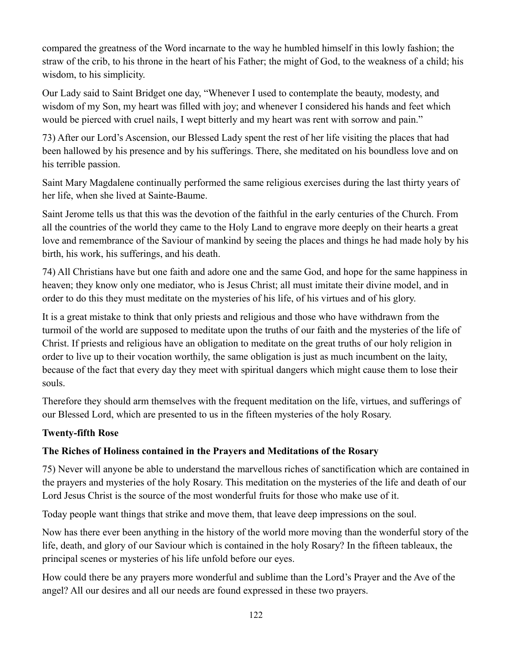compared the greatness of the Word incarnate to the way he humbled himself in this lowly fashion; the straw of the crib, to his throne in the heart of his Father; the might of God, to the weakness of a child; his wisdom, to his simplicity.

Our Lady said to Saint Bridget one day, "Whenever I used to contemplate the beauty, modesty, and wisdom of my Son, my heart was filled with joy; and whenever I considered his hands and feet which would be pierced with cruel nails, I wept bitterly and my heart was rent with sorrow and pain."

73) After our Lord's Ascension, our Blessed Lady spent the rest of her life visiting the places that had been hallowed by his presence and by his sufferings. There, she meditated on his boundless love and on his terrible passion.

Saint Mary Magdalene continually performed the same religious exercises during the last thirty years of her life, when she lived at Sainte-Baume.

Saint Jerome tells us that this was the devotion of the faithful in the early centuries of the Church. From all the countries of the world they came to the Holy Land to engrave more deeply on their hearts a great love and remembrance of the Saviour of mankind by seeing the places and things he had made holy by his birth, his work, his sufferings, and his death.

74) All Christians have but one faith and adore one and the same God, and hope for the same happiness in heaven; they know only one mediator, who is Jesus Christ; all must imitate their divine model, and in order to do this they must meditate on the mysteries of his life, of his virtues and of his glory.

It is a great mistake to think that only priests and religious and those who have withdrawn from the turmoil of the world are supposed to meditate upon the truths of our faith and the mysteries of the life of Christ. If priests and religious have an obligation to meditate on the great truths of our holy religion in order to live up to their vocation worthily, the same obligation is just as much incumbent on the laity, because of the fact that every day they meet with spiritual dangers which might cause them to lose their souls.

Therefore they should arm themselves with the frequent meditation on the life, virtues, and sufferings of our Blessed Lord, which are presented to us in the fifteen mysteries of the holy Rosary.

## **Twenty-fifth Rose**

## **The Riches of Holiness contained in the Prayers and Meditations of the Rosary**

75) Never will anyone be able to understand the marvellous riches of sanctification which are contained in the prayers and mysteries of the holy Rosary. This meditation on the mysteries of the life and death of our Lord Jesus Christ is the source of the most wonderful fruits for those who make use of it.

Today people want things that strike and move them, that leave deep impressions on the soul.

Now has there ever been anything in the history of the world more moving than the wonderful story of the life, death, and glory of our Saviour which is contained in the holy Rosary? In the fifteen tableaux, the principal scenes or mysteries of his life unfold before our eyes.

How could there be any prayers more wonderful and sublime than the Lord's Prayer and the Ave of the angel? All our desires and all our needs are found expressed in these two prayers.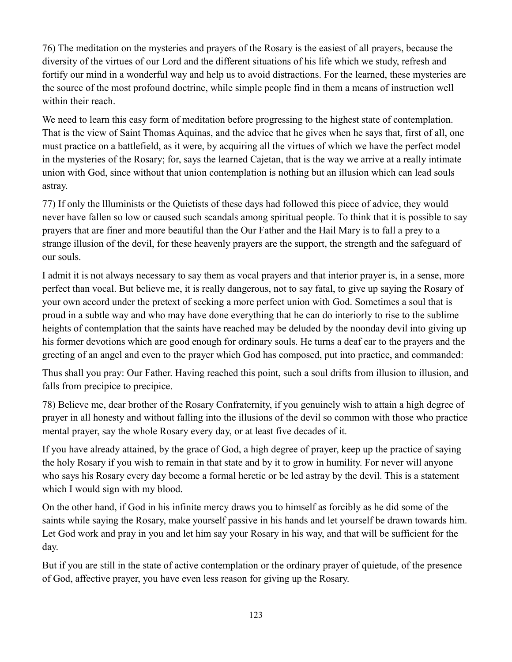76) The meditation on the mysteries and prayers of the Rosary is the easiest of all prayers, because the diversity of the virtues of our Lord and the different situations of his life which we study, refresh and fortify our mind in a wonderful way and help us to avoid distractions. For the learned, these mysteries are the source of the most profound doctrine, while simple people find in them a means of instruction well within their reach.

We need to learn this easy form of meditation before progressing to the highest state of contemplation. That is the view of Saint Thomas Aquinas, and the advice that he gives when he says that, first of all, one must practice on a battlefield, as it were, by acquiring all the virtues of which we have the perfect model in the mysteries of the Rosary; for, says the learned Cajetan, that is the way we arrive at a really intimate union with God, since without that union contemplation is nothing but an illusion which can lead souls astray.

77) If only the llluminists or the Quietists of these days had followed this piece of advice, they would never have fallen so low or caused such scandals among spiritual people. To think that it is possible to say prayers that are finer and more beautiful than the Our Father and the Hail Mary is to fall a prey to a strange illusion of the devil, for these heavenly prayers are the support, the strength and the safeguard of our souls.

I admit it is not always necessary to say them as vocal prayers and that interior prayer is, in a sense, more perfect than vocal. But believe me, it is really dangerous, not to say fatal, to give up saying the Rosary of your own accord under the pretext of seeking a more perfect union with God. Sometimes a soul that is proud in a subtle way and who may have done everything that he can do interiorly to rise to the sublime heights of contemplation that the saints have reached may be deluded by the noonday devil into giving up his former devotions which are good enough for ordinary souls. He turns a deaf ear to the prayers and the greeting of an angel and even to the prayer which God has composed, put into practice, and commanded:

Thus shall you pray: Our Father. Having reached this point, such a soul drifts from illusion to illusion, and falls from precipice to precipice.

78) Believe me, dear brother of the Rosary Confraternity, if you genuinely wish to attain a high degree of prayer in all honesty and without falling into the illusions of the devil so common with those who practice mental prayer, say the whole Rosary every day, or at least five decades of it.

If you have already attained, by the grace of God, a high degree of prayer, keep up the practice of saying the holy Rosary if you wish to remain in that state and by it to grow in humility. For never will anyone who says his Rosary every day become a formal heretic or be led astray by the devil. This is a statement which I would sign with my blood.

On the other hand, if God in his infinite mercy draws you to himself as forcibly as he did some of the saints while saying the Rosary, make yourself passive in his hands and let yourself be drawn towards him. Let God work and pray in you and let him say your Rosary in his way, and that will be sufficient for the day.

But if you are still in the state of active contemplation or the ordinary prayer of quietude, of the presence of God, affective prayer, you have even less reason for giving up the Rosary.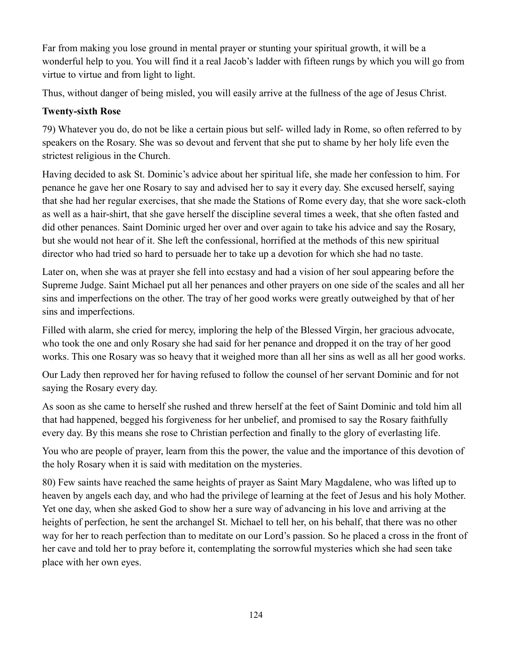Far from making you lose ground in mental prayer or stunting your spiritual growth, it will be a wonderful help to you. You will find it a real Jacob's ladder with fifteen rungs by which you will go from virtue to virtue and from light to light.

Thus, without danger of being misled, you will easily arrive at the fullness of the age of Jesus Christ.

#### **Twenty-sixth Rose**

79) Whatever you do, do not be like a certain pious but self- willed lady in Rome, so often referred to by speakers on the Rosary. She was so devout and fervent that she put to shame by her holy life even the strictest religious in the Church.

Having decided to ask St. Dominic's advice about her spiritual life, she made her confession to him. For penance he gave her one Rosary to say and advised her to say it every day. She excused herself, saying that she had her regular exercises, that she made the Stations of Rome every day, that she wore sack-cloth as well as a hair-shirt, that she gave herself the discipline several times a week, that she often fasted and did other penances. Saint Dominic urged her over and over again to take his advice and say the Rosary, but she would not hear of it. She left the confessional, horrified at the methods of this new spiritual director who had tried so hard to persuade her to take up a devotion for which she had no taste.

Later on, when she was at prayer she fell into ecstasy and had a vision of her soul appearing before the Supreme Judge. Saint Michael put all her penances and other prayers on one side of the scales and all her sins and imperfections on the other. The tray of her good works were greatly outweighed by that of her sins and imperfections.

Filled with alarm, she cried for mercy, imploring the help of the Blessed Virgin, her gracious advocate, who took the one and only Rosary she had said for her penance and dropped it on the tray of her good works. This one Rosary was so heavy that it weighed more than all her sins as well as all her good works.

Our Lady then reproved her for having refused to follow the counsel of her servant Dominic and for not saying the Rosary every day.

As soon as she came to herself she rushed and threw herself at the feet of Saint Dominic and told him all that had happened, begged his forgiveness for her unbelief, and promised to say the Rosary faithfully every day. By this means she rose to Christian perfection and finally to the glory of everlasting life.

You who are people of prayer, learn from this the power, the value and the importance of this devotion of the holy Rosary when it is said with meditation on the mysteries.

80) Few saints have reached the same heights of prayer as Saint Mary Magdalene, who was lifted up to heaven by angels each day, and who had the privilege of learning at the feet of Jesus and his holy Mother. Yet one day, when she asked God to show her a sure way of advancing in his love and arriving at the heights of perfection, he sent the archangel St. Michael to tell her, on his behalf, that there was no other way for her to reach perfection than to meditate on our Lord's passion. So he placed a cross in the front of her cave and told her to pray before it, contemplating the sorrowful mysteries which she had seen take place with her own eyes.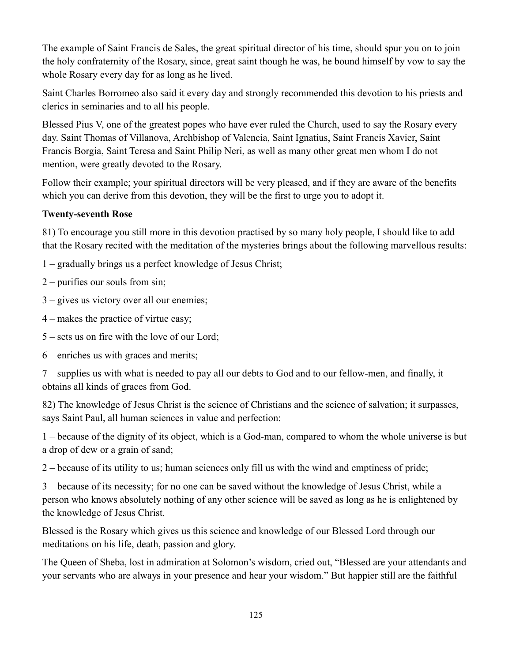The example of Saint Francis de Sales, the great spiritual director of his time, should spur you on to join the holy confraternity of the Rosary, since, great saint though he was, he bound himself by vow to say the whole Rosary every day for as long as he lived.

Saint Charles Borromeo also said it every day and strongly recommended this devotion to his priests and clerics in seminaries and to all his people.

Blessed Pius V, one of the greatest popes who have ever ruled the Church, used to say the Rosary every day. Saint Thomas of Villanova, Archbishop of Valencia, Saint Ignatius, Saint Francis Xavier, Saint Francis Borgia, Saint Teresa and Saint Philip Neri, as well as many other great men whom I do not mention, were greatly devoted to the Rosary.

Follow their example; your spiritual directors will be very pleased, and if they are aware of the benefits which you can derive from this devotion, they will be the first to urge you to adopt it.

## **Twenty-seventh Rose**

81) To encourage you still more in this devotion practised by so many holy people, I should like to add that the Rosary recited with the meditation of the mysteries brings about the following marvellous results:

- 1 gradually brings us a perfect knowledge of Jesus Christ;
- 2 purifies our souls from sin;
- 3 gives us victory over all our enemies;
- 4 makes the practice of virtue easy;
- 5 sets us on fire with the love of our Lord;
- 6 enriches us with graces and merits;

7 – supplies us with what is needed to pay all our debts to God and to our fellow-men, and finally, it obtains all kinds of graces from God.

82) The knowledge of Jesus Christ is the science of Christians and the science of salvation; it surpasses, says Saint Paul, all human sciences in value and perfection:

1 – because of the dignity of its object, which is a God-man, compared to whom the whole universe is but a drop of dew or a grain of sand;

2 – because of its utility to us; human sciences only fill us with the wind and emptiness of pride;

3 – because of its necessity; for no one can be saved without the knowledge of Jesus Christ, while a person who knows absolutely nothing of any other science will be saved as long as he is enlightened by the knowledge of Jesus Christ.

Blessed is the Rosary which gives us this science and knowledge of our Blessed Lord through our meditations on his life, death, passion and glory.

The Queen of Sheba, lost in admiration at Solomon's wisdom, cried out, "Blessed are your attendants and your servants who are always in your presence and hear your wisdom." But happier still are the faithful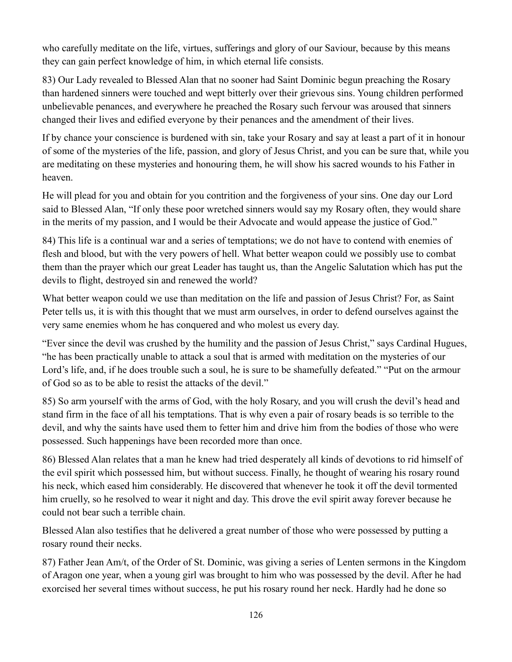who carefully meditate on the life, virtues, sufferings and glory of our Saviour, because by this means they can gain perfect knowledge of him, in which eternal life consists.

83) Our Lady revealed to Blessed Alan that no sooner had Saint Dominic begun preaching the Rosary than hardened sinners were touched and wept bitterly over their grievous sins. Young children performed unbelievable penances, and everywhere he preached the Rosary such fervour was aroused that sinners changed their lives and edified everyone by their penances and the amendment of their lives.

If by chance your conscience is burdened with sin, take your Rosary and say at least a part of it in honour of some of the mysteries of the life, passion, and glory of Jesus Christ, and you can be sure that, while you are meditating on these mysteries and honouring them, he will show his sacred wounds to his Father in heaven.

He will plead for you and obtain for you contrition and the forgiveness of your sins. One day our Lord said to Blessed Alan, "If only these poor wretched sinners would say my Rosary often, they would share in the merits of my passion, and I would be their Advocate and would appease the justice of God."

84) This life is a continual war and a series of temptations; we do not have to contend with enemies of flesh and blood, but with the very powers of hell. What better weapon could we possibly use to combat them than the prayer which our great Leader has taught us, than the Angelic Salutation which has put the devils to flight, destroyed sin and renewed the world?

What better weapon could we use than meditation on the life and passion of Jesus Christ? For, as Saint Peter tells us, it is with this thought that we must arm ourselves, in order to defend ourselves against the very same enemies whom he has conquered and who molest us every day.

"Ever since the devil was crushed by the humility and the passion of Jesus Christ," says Cardinal Hugues, "he has been practically unable to attack a soul that is armed with meditation on the mysteries of our Lord's life, and, if he does trouble such a soul, he is sure to be shamefully defeated." "Put on the armour of God so as to be able to resist the attacks of the devil."

85) So arm yourself with the arms of God, with the holy Rosary, and you will crush the devil's head and stand firm in the face of all his temptations. That is why even a pair of rosary beads is so terrible to the devil, and why the saints have used them to fetter him and drive him from the bodies of those who were possessed. Such happenings have been recorded more than once.

86) Blessed Alan relates that a man he knew had tried desperately all kinds of devotions to rid himself of the evil spirit which possessed him, but without success. Finally, he thought of wearing his rosary round his neck, which eased him considerably. He discovered that whenever he took it off the devil tormented him cruelly, so he resolved to wear it night and day. This drove the evil spirit away forever because he could not bear such a terrible chain.

Blessed Alan also testifies that he delivered a great number of those who were possessed by putting a rosary round their necks.

87) Father Jean Am/t, of the Order of St. Dominic, was giving a series of Lenten sermons in the Kingdom of Aragon one year, when a young girl was brought to him who was possessed by the devil. After he had exorcised her several times without success, he put his rosary round her neck. Hardly had he done so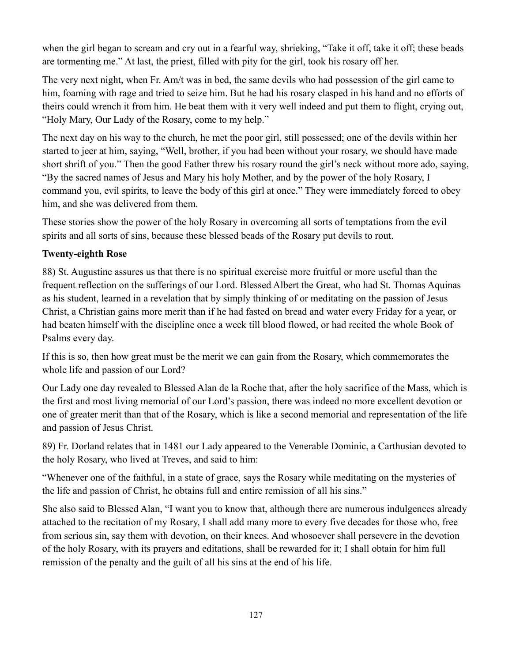when the girl began to scream and cry out in a fearful way, shrieking, "Take it off, take it off; these beads are tormenting me." At last, the priest, filled with pity for the girl, took his rosary off her.

The very next night, when Fr. Am/t was in bed, the same devils who had possession of the girl came to him, foaming with rage and tried to seize him. But he had his rosary clasped in his hand and no efforts of theirs could wrench it from him. He beat them with it very well indeed and put them to flight, crying out, "Holy Mary, Our Lady of the Rosary, come to my help."

The next day on his way to the church, he met the poor girl, still possessed; one of the devils within her started to jeer at him, saying, "Well, brother, if you had been without your rosary, we should have made short shrift of you." Then the good Father threw his rosary round the girl's neck without more ado, saying, "By the sacred names of Jesus and Mary his holy Mother, and by the power of the holy Rosary, I command you, evil spirits, to leave the body of this girl at once." They were immediately forced to obey him, and she was delivered from them.

These stories show the power of the holy Rosary in overcoming all sorts of temptations from the evil spirits and all sorts of sins, because these blessed beads of the Rosary put devils to rout.

## **Twenty-eighth Rose**

88) St. Augustine assures us that there is no spiritual exercise more fruitful or more useful than the frequent reflection on the sufferings of our Lord. Blessed Albert the Great, who had St. Thomas Aquinas as his student, learned in a revelation that by simply thinking of or meditating on the passion of Jesus Christ, a Christian gains more merit than if he had fasted on bread and water every Friday for a year, or had beaten himself with the discipline once a week till blood flowed, or had recited the whole Book of Psalms every day.

If this is so, then how great must be the merit we can gain from the Rosary, which commemorates the whole life and passion of our Lord?

Our Lady one day revealed to Blessed Alan de la Roche that, after the holy sacrifice of the Mass, which is the first and most living memorial of our Lord's passion, there was indeed no more excellent devotion or one of greater merit than that of the Rosary, which is like a second memorial and representation of the life and passion of Jesus Christ.

89) Fr. Dorland relates that in 1481 our Lady appeared to the Venerable Dominic, a Carthusian devoted to the holy Rosary, who lived at Treves, and said to him:

"Whenever one of the faithful, in a state of grace, says the Rosary while meditating on the mysteries of the life and passion of Christ, he obtains full and entire remission of all his sins."

She also said to Blessed Alan, "I want you to know that, although there are numerous indulgences already attached to the recitation of my Rosary, I shall add many more to every five decades for those who, free from serious sin, say them with devotion, on their knees. And whosoever shall persevere in the devotion of the holy Rosary, with its prayers and editations, shall be rewarded for it; I shall obtain for him full remission of the penalty and the guilt of all his sins at the end of his life.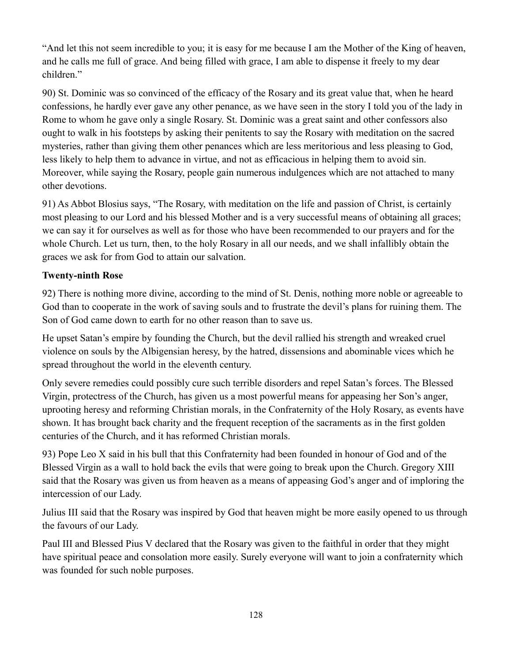"And let this not seem incredible to you; it is easy for me because I am the Mother of the King of heaven, and he calls me full of grace. And being filled with grace, I am able to dispense it freely to my dear children."

90) St. Dominic was so convinced of the efficacy of the Rosary and its great value that, when he heard confessions, he hardly ever gave any other penance, as we have seen in the story I told you of the lady in Rome to whom he gave only a single Rosary. St. Dominic was a great saint and other confessors also ought to walk in his footsteps by asking their penitents to say the Rosary with meditation on the sacred mysteries, rather than giving them other penances which are less meritorious and less pleasing to God, less likely to help them to advance in virtue, and not as efficacious in helping them to avoid sin. Moreover, while saying the Rosary, people gain numerous indulgences which are not attached to many other devotions.

91) As Abbot Blosius says, "The Rosary, with meditation on the life and passion of Christ, is certainly most pleasing to our Lord and his blessed Mother and is a very successful means of obtaining all graces; we can say it for ourselves as well as for those who have been recommended to our prayers and for the whole Church. Let us turn, then, to the holy Rosary in all our needs, and we shall infallibly obtain the graces we ask for from God to attain our salvation.

## **Twenty-ninth Rose**

92) There is nothing more divine, according to the mind of St. Denis, nothing more noble or agreeable to God than to cooperate in the work of saving souls and to frustrate the devil's plans for ruining them. The Son of God came down to earth for no other reason than to save us.

He upset Satan's empire by founding the Church, but the devil rallied his strength and wreaked cruel violence on souls by the Albigensian heresy, by the hatred, dissensions and abominable vices which he spread throughout the world in the eleventh century.

Only severe remedies could possibly cure such terrible disorders and repel Satan's forces. The Blessed Virgin, protectress of the Church, has given us a most powerful means for appeasing her Son's anger, uprooting heresy and reforming Christian morals, in the Confraternity of the Holy Rosary, as events have shown. It has brought back charity and the frequent reception of the sacraments as in the first golden centuries of the Church, and it has reformed Christian morals.

93) Pope Leo X said in his bull that this Confraternity had been founded in honour of God and of the Blessed Virgin as a wall to hold back the evils that were going to break upon the Church. Gregory XIII said that the Rosary was given us from heaven as a means of appeasing God's anger and of imploring the intercession of our Lady.

Julius III said that the Rosary was inspired by God that heaven might be more easily opened to us through the favours of our Lady.

Paul III and Blessed Pius V declared that the Rosary was given to the faithful in order that they might have spiritual peace and consolation more easily. Surely everyone will want to join a confraternity which was founded for such noble purposes.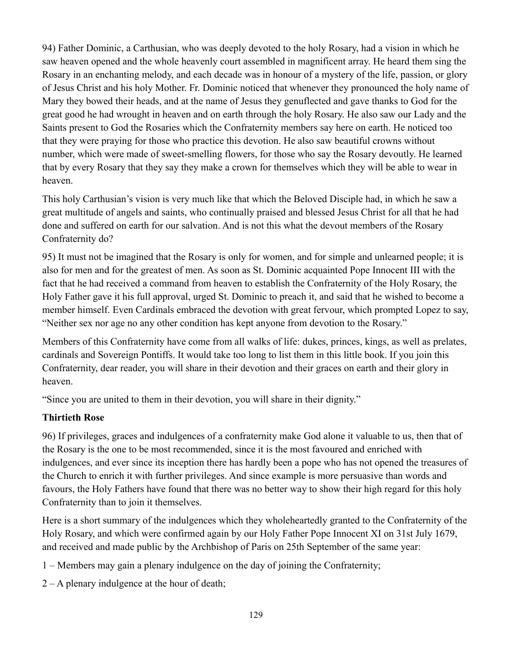94) Father Dominic, a Carthusian, who was deeply devoted to the holy Rosary, had a vision in which he saw heaven opened and the whole heavenly court assembled in magnificent array. He heard them sing the Rosary in an enchanting melody, and each decade was in honour of a mystery of the life, passion, or glory of Jesus Christ and his holy Mother. Fr. Dominic noticed that whenever they pronounced the holy name of Mary they bowed their heads, and at the name of Jesus they genuflected and gave thanks to God for the great good he had wrought in heaven and on earth through the holy Rosary. He also saw our Lady and the Saints present to God the Rosaries which the Confraternity members say here on earth. He noticed too that they were praying for those who practice this devotion. He also saw beautiful crowns without number, which were made of sweet-smelling flowers, for those who say the Rosary devoutly. He learned that by every Rosary that they say they make a crown for themselves which they will be able to wear in heaven.

This holy Carthusian's vision is very much like that which the Beloved Disciple had, in which he saw a great multitude of angels and saints, who continually praised and blessed Jesus Christ for all that he had done and suffered on earth for our salvation. And is not this what the devout members of the Rosary Confraternity do?

95) It must not be imagined that the Rosary is only for women, and for simple and unlearned people; it is also for men and for the greatest of men. As soon as St. Dominic acquainted Pope Innocent III with the fact that he had received a command from heaven to establish the Confraternity of the Holy Rosary, the Holy Father gave it his full approval, urged St. Dominic to preach it, and said that he wished to become a member himself. Even Cardinals embraced the devotion with great fervour, which prompted Lopez to say, "Neither sex nor age no any other condition has kept anyone from devotion to the Rosary."

Members of this Confraternity have come from all walks of life: dukes, princes, kings, as well as prelates, cardinals and Sovereign Pontiffs. It would take too long to list them in this little book. If you join this Confraternity, dear reader, you will share in their devotion and their graces on earth and their glory in heaven.

"Since you are united to them in their devotion, you will share in their dignity."

## **Thirtieth Rose**

96) If privileges, graces and indulgences of a confraternity make God alone it valuable to us, then that of the Rosary is the one to be most recommended, since it is the most favoured and enriched with indulgences, and ever since its inception there has hardly been a pope who has not opened the treasures of the Church to enrich it with further privileges. And since example is more persuasive than words and favours, the Holy Fathers have found that there was no better way to show their high regard for this holy Confraternity than to join it themselves.

Here is a short summary of the indulgences which they wholeheartedly granted to the Confraternity of the Holy Rosary, and which were confirmed again by our Holy Father Pope Innocent XI on 31st July 1679, and received and made public by the Archbishop of Paris on 25th September of the same year:

- 1 Members may gain a plenary indulgence on the day of joining the Confraternity;
- 2 A plenary indulgence at the hour of death;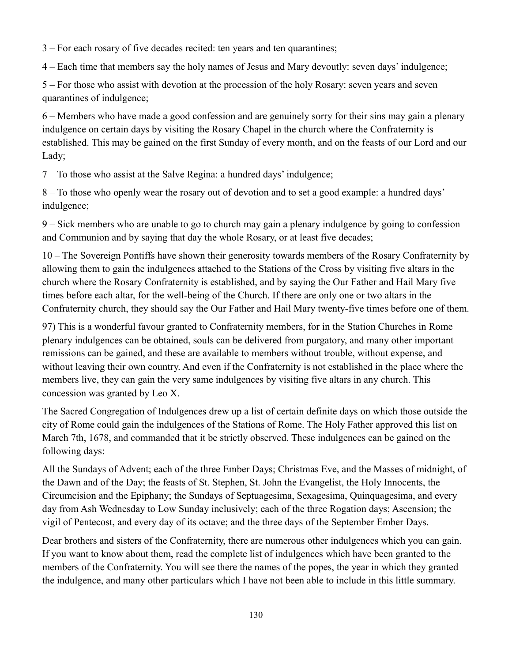3 – For each rosary of five decades recited: ten years and ten quarantines;

4 – Each time that members say the holy names of Jesus and Mary devoutly: seven days' indulgence;

5 – For those who assist with devotion at the procession of the holy Rosary: seven years and seven quarantines of indulgence;

6 – Members who have made a good confession and are genuinely sorry for their sins may gain a plenary indulgence on certain days by visiting the Rosary Chapel in the church where the Confraternity is established. This may be gained on the first Sunday of every month, and on the feasts of our Lord and our Lady;

7 – To those who assist at the Salve Regina: a hundred days' indulgence;

8 – To those who openly wear the rosary out of devotion and to set a good example: a hundred days' indulgence;

9 – Sick members who are unable to go to church may gain a plenary indulgence by going to confession and Communion and by saying that day the whole Rosary, or at least five decades;

10 – The Sovereign Pontiffs have shown their generosity towards members of the Rosary Confraternity by allowing them to gain the indulgences attached to the Stations of the Cross by visiting five altars in the church where the Rosary Confraternity is established, and by saying the Our Father and Hail Mary five times before each altar, for the well-being of the Church. If there are only one or two altars in the Confraternity church, they should say the Our Father and Hail Mary twenty-five times before one of them.

97) This is a wonderful favour granted to Confraternity members, for in the Station Churches in Rome plenary indulgences can be obtained, souls can be delivered from purgatory, and many other important remissions can be gained, and these are available to members without trouble, without expense, and without leaving their own country. And even if the Confraternity is not established in the place where the members live, they can gain the very same indulgences by visiting five altars in any church. This concession was granted by Leo X.

The Sacred Congregation of Indulgences drew up a list of certain definite days on which those outside the city of Rome could gain the indulgences of the Stations of Rome. The Holy Father approved this list on March 7th, 1678, and commanded that it be strictly observed. These indulgences can be gained on the following days:

All the Sundays of Advent; each of the three Ember Days; Christmas Eve, and the Masses of midnight, of the Dawn and of the Day; the feasts of St. Stephen, St. John the Evangelist, the Holy Innocents, the Circumcision and the Epiphany; the Sundays of Septuagesima, Sexagesima, Quinquagesima, and every day from Ash Wednesday to Low Sunday inclusively; each of the three Rogation days; Ascension; the vigil of Pentecost, and every day of its octave; and the three days of the September Ember Days.

Dear brothers and sisters of the Confraternity, there are numerous other indulgences which you can gain. If you want to know about them, read the complete list of indulgences which have been granted to the members of the Confraternity. You will see there the names of the popes, the year in which they granted the indulgence, and many other particulars which I have not been able to include in this little summary.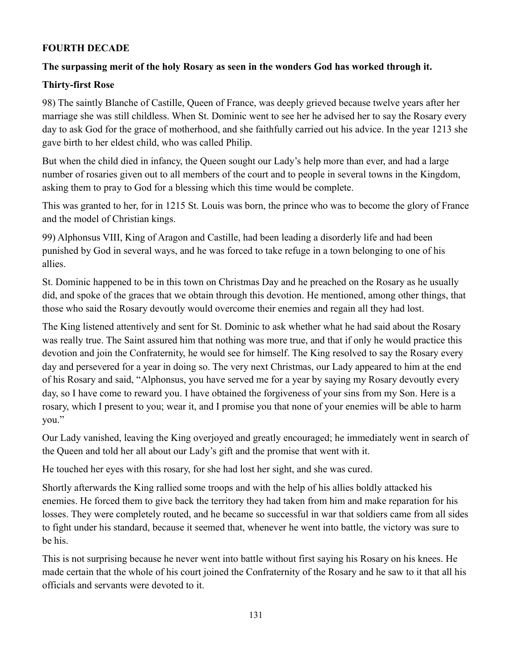#### **FOURTH DECADE**

#### **The surpassing merit of the holy Rosary as seen in the wonders God has worked through it.**

#### **Thirty-first Rose**

98) The saintly Blanche of Castille, Queen of France, was deeply grieved because twelve years after her marriage she was still childless. When St. Dominic went to see her he advised her to say the Rosary every day to ask God for the grace of motherhood, and she faithfully carried out his advice. In the year 1213 she gave birth to her eldest child, who was called Philip.

But when the child died in infancy, the Queen sought our Lady's help more than ever, and had a large number of rosaries given out to all members of the court and to people in several towns in the Kingdom, asking them to pray to God for a blessing which this time would be complete.

This was granted to her, for in 1215 St. Louis was born, the prince who was to become the glory of France and the model of Christian kings.

99) Alphonsus VIII, King of Aragon and Castille, had been leading a disorderly life and had been punished by God in several ways, and he was forced to take refuge in a town belonging to one of his allies.

St. Dominic happened to be in this town on Christmas Day and he preached on the Rosary as he usually did, and spoke of the graces that we obtain through this devotion. He mentioned, among other things, that those who said the Rosary devoutly would overcome their enemies and regain all they had lost.

The King listened attentively and sent for St. Dominic to ask whether what he had said about the Rosary was really true. The Saint assured him that nothing was more true, and that if only he would practice this devotion and join the Confraternity, he would see for himself. The King resolved to say the Rosary every day and persevered for a year in doing so. The very next Christmas, our Lady appeared to him at the end of his Rosary and said, "Alphonsus, you have served me for a year by saying my Rosary devoutly every day, so I have come to reward you. I have obtained the forgiveness of your sins from my Son. Here is a rosary, which I present to you; wear it, and I promise you that none of your enemies will be able to harm you."

Our Lady vanished, leaving the King overjoyed and greatly encouraged; he immediately went in search of the Queen and told her all about our Lady's gift and the promise that went with it.

He touched her eyes with this rosary, for she had lost her sight, and she was cured.

Shortly afterwards the King rallied some troops and with the help of his allies boldly attacked his enemies. He forced them to give back the territory they had taken from him and make reparation for his losses. They were completely routed, and he became so successful in war that soldiers came from all sides to fight under his standard, because it seemed that, whenever he went into battle, the victory was sure to be his.

This is not surprising because he never went into battle without first saying his Rosary on his knees. He made certain that the whole of his court joined the Confraternity of the Rosary and he saw to it that all his officials and servants were devoted to it.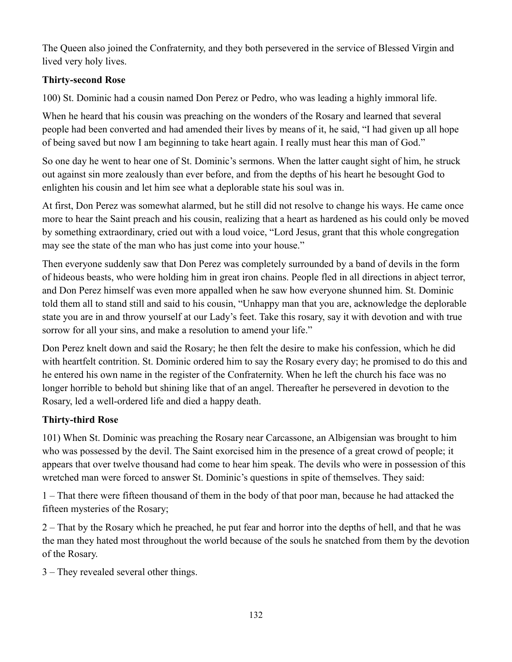The Queen also joined the Confraternity, and they both persevered in the service of Blessed Virgin and lived very holy lives.

# **Thirty-second Rose**

100) St. Dominic had a cousin named Don Perez or Pedro, who was leading a highly immoral life.

When he heard that his cousin was preaching on the wonders of the Rosary and learned that several people had been converted and had amended their lives by means of it, he said, "I had given up all hope of being saved but now I am beginning to take heart again. I really must hear this man of God."

So one day he went to hear one of St. Dominic's sermons. When the latter caught sight of him, he struck out against sin more zealously than ever before, and from the depths of his heart he besought God to enlighten his cousin and let him see what a deplorable state his soul was in.

At first, Don Perez was somewhat alarmed, but he still did not resolve to change his ways. He came once more to hear the Saint preach and his cousin, realizing that a heart as hardened as his could only be moved by something extraordinary, cried out with a loud voice, "Lord Jesus, grant that this whole congregation may see the state of the man who has just come into your house."

Then everyone suddenly saw that Don Perez was completely surrounded by a band of devils in the form of hideous beasts, who were holding him in great iron chains. People fled in all directions in abject terror, and Don Perez himself was even more appalled when he saw how everyone shunned him. St. Dominic told them all to stand still and said to his cousin, "Unhappy man that you are, acknowledge the deplorable state you are in and throw yourself at our Lady's feet. Take this rosary, say it with devotion and with true sorrow for all your sins, and make a resolution to amend your life."

Don Perez knelt down and said the Rosary; he then felt the desire to make his confession, which he did with heartfelt contrition. St. Dominic ordered him to say the Rosary every day; he promised to do this and he entered his own name in the register of the Confraternity. When he left the church his face was no longer horrible to behold but shining like that of an angel. Thereafter he persevered in devotion to the Rosary, led a well-ordered life and died a happy death.

# **Thirty-third Rose**

101) When St. Dominic was preaching the Rosary near Carcassone, an Albigensian was brought to him who was possessed by the devil. The Saint exorcised him in the presence of a great crowd of people; it appears that over twelve thousand had come to hear him speak. The devils who were in possession of this wretched man were forced to answer St. Dominic's questions in spite of themselves. They said:

1 – That there were fifteen thousand of them in the body of that poor man, because he had attacked the fifteen mysteries of the Rosary;

2 – That by the Rosary which he preached, he put fear and horror into the depths of hell, and that he was the man they hated most throughout the world because of the souls he snatched from them by the devotion of the Rosary.

3 – They revealed several other things.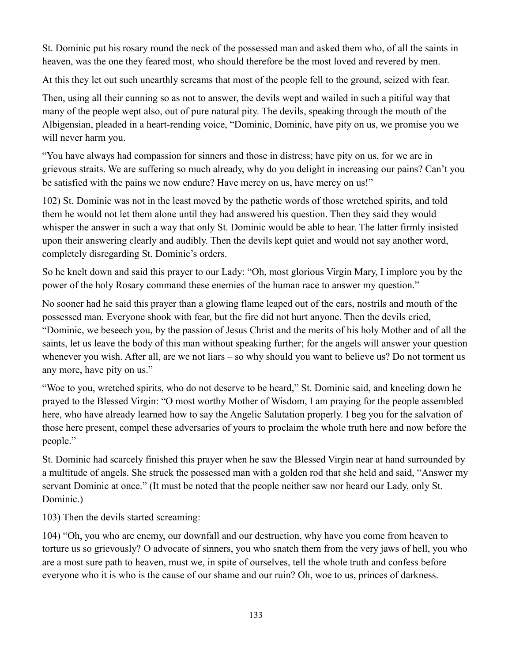St. Dominic put his rosary round the neck of the possessed man and asked them who, of all the saints in heaven, was the one they feared most, who should therefore be the most loved and revered by men.

At this they let out such unearthly screams that most of the people fell to the ground, seized with fear.

Then, using all their cunning so as not to answer, the devils wept and wailed in such a pitiful way that many of the people wept also, out of pure natural pity. The devils, speaking through the mouth of the Albigensian, pleaded in a heart-rending voice, "Dominic, Dominic, have pity on us, we promise you we will never harm you.

"You have always had compassion for sinners and those in distress; have pity on us, for we are in grievous straits. We are suffering so much already, why do you delight in increasing our pains? Can't you be satisfied with the pains we now endure? Have mercy on us, have mercy on us!"

102) St. Dominic was not in the least moved by the pathetic words of those wretched spirits, and told them he would not let them alone until they had answered his question. Then they said they would whisper the answer in such a way that only St. Dominic would be able to hear. The latter firmly insisted upon their answering clearly and audibly. Then the devils kept quiet and would not say another word, completely disregarding St. Dominic's orders.

So he knelt down and said this prayer to our Lady: "Oh, most glorious Virgin Mary, I implore you by the power of the holy Rosary command these enemies of the human race to answer my question."

No sooner had he said this prayer than a glowing flame leaped out of the ears, nostrils and mouth of the possessed man. Everyone shook with fear, but the fire did not hurt anyone. Then the devils cried, "Dominic, we beseech you, by the passion of Jesus Christ and the merits of his holy Mother and of all the saints, let us leave the body of this man without speaking further; for the angels will answer your question whenever you wish. After all, are we not liars – so why should you want to believe us? Do not torment us any more, have pity on us."

"Woe to you, wretched spirits, who do not deserve to be heard," St. Dominic said, and kneeling down he prayed to the Blessed Virgin: "O most worthy Mother of Wisdom, I am praying for the people assembled here, who have already learned how to say the Angelic Salutation properly. I beg you for the salvation of those here present, compel these adversaries of yours to proclaim the whole truth here and now before the people."

St. Dominic had scarcely finished this prayer when he saw the Blessed Virgin near at hand surrounded by a multitude of angels. She struck the possessed man with a golden rod that she held and said, "Answer my servant Dominic at once." (It must be noted that the people neither saw nor heard our Lady, only St. Dominic.)

103) Then the devils started screaming:

104) "Oh, you who are enemy, our downfall and our destruction, why have you come from heaven to torture us so grievously? O advocate of sinners, you who snatch them from the very jaws of hell, you who are a most sure path to heaven, must we, in spite of ourselves, tell the whole truth and confess before everyone who it is who is the cause of our shame and our ruin? Oh, woe to us, princes of darkness.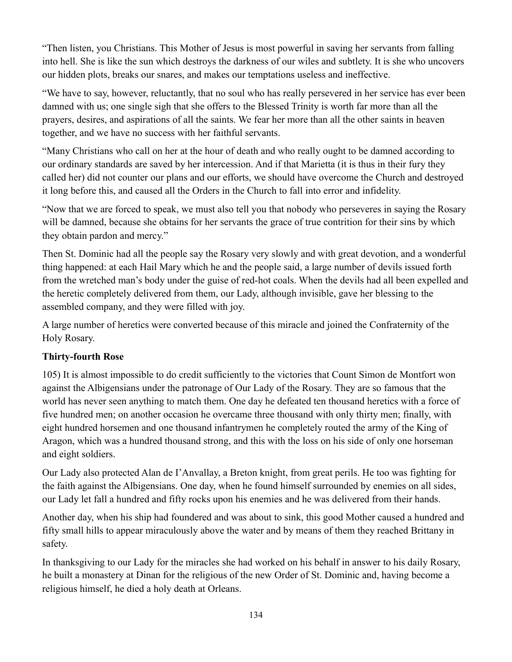"Then listen, you Christians. This Mother of Jesus is most powerful in saving her servants from falling into hell. She is like the sun which destroys the darkness of our wiles and subtlety. It is she who uncovers our hidden plots, breaks our snares, and makes our temptations useless and ineffective.

"We have to say, however, reluctantly, that no soul who has really persevered in her service has ever been damned with us; one single sigh that she offers to the Blessed Trinity is worth far more than all the prayers, desires, and aspirations of all the saints. We fear her more than all the other saints in heaven together, and we have no success with her faithful servants.

"Many Christians who call on her at the hour of death and who really ought to be damned according to our ordinary standards are saved by her intercession. And if that Marietta (it is thus in their fury they called her) did not counter our plans and our efforts, we should have overcome the Church and destroyed it long before this, and caused all the Orders in the Church to fall into error and infidelity.

"Now that we are forced to speak, we must also tell you that nobody who perseveres in saying the Rosary will be damned, because she obtains for her servants the grace of true contrition for their sins by which they obtain pardon and mercy."

Then St. Dominic had all the people say the Rosary very slowly and with great devotion, and a wonderful thing happened: at each Hail Mary which he and the people said, a large number of devils issued forth from the wretched man's body under the guise of red-hot coals. When the devils had all been expelled and the heretic completely delivered from them, our Lady, although invisible, gave her blessing to the assembled company, and they were filled with joy.

A large number of heretics were converted because of this miracle and joined the Confraternity of the Holy Rosary.

## **Thirty-fourth Rose**

105) It is almost impossible to do credit sufficiently to the victories that Count Simon de Montfort won against the Albigensians under the patronage of Our Lady of the Rosary. They are so famous that the world has never seen anything to match them. One day he defeated ten thousand heretics with a force of five hundred men; on another occasion he overcame three thousand with only thirty men; finally, with eight hundred horsemen and one thousand infantrymen he completely routed the army of the King of Aragon, which was a hundred thousand strong, and this with the loss on his side of only one horseman and eight soldiers.

Our Lady also protected Alan de I'Anvallay, a Breton knight, from great perils. He too was fighting for the faith against the Albigensians. One day, when he found himself surrounded by enemies on all sides, our Lady let fall a hundred and fifty rocks upon his enemies and he was delivered from their hands.

Another day, when his ship had foundered and was about to sink, this good Mother caused a hundred and fifty small hills to appear miraculously above the water and by means of them they reached Brittany in safety.

In thanksgiving to our Lady for the miracles she had worked on his behalf in answer to his daily Rosary, he built a monastery at Dinan for the religious of the new Order of St. Dominic and, having become a religious himself, he died a holy death at Orleans.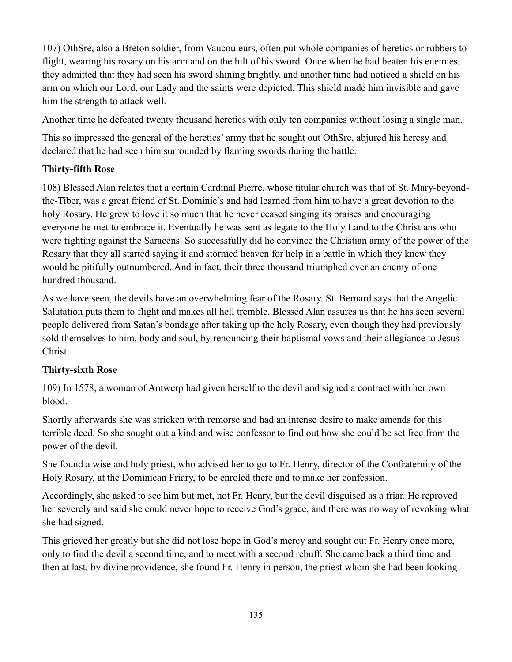107) OthSre, also a Breton soldier, from Vaucouleurs, often put whole companies of heretics or robbers to flight, wearing his rosary on his arm and on the hilt of his sword. Once when he had beaten his enemies, they admitted that they had seen his sword shining brightly, and another time had noticed a shield on his arm on which our Lord, our Lady and the saints were depicted. This shield made him invisible and gave him the strength to attack well.

Another time he defeated twenty thousand heretics with only ten companies without losing a single man.

This so impressed the general of the heretics' army that he sought out OthSre, abjured his heresy and declared that he had seen him surrounded by flaming swords during the battle.

## **Thirty-fifth Rose**

108) Blessed Alan relates that a certain Cardinal Pierre, whose titular church was that of St. Mary-beyondthe-Tiber, was a great friend of St. Dominic's and had learned from him to have a great devotion to the holy Rosary. He grew to love it so much that he never ceased singing its praises and encouraging everyone he met to embrace it. Eventually he was sent as legate to the Holy Land to the Christians who were fighting against the Saracens. So successfully did he convince the Christian army of the power of the Rosary that they all started saying it and stormed heaven for help in a battle in which they knew they would be pitifully outnumbered. And in fact, their three thousand triumphed over an enemy of one hundred thousand.

As we have seen, the devils have an overwhelming fear of the Rosary. St. Bernard says that the Angelic Salutation puts them to flight and makes all hell tremble. Blessed Alan assures us that he has seen several people delivered from Satan's bondage after taking up the holy Rosary, even though they had previously sold themselves to him, body and soul, by renouncing their baptismal vows and their allegiance to Jesus Christ.

## **Thirty-sixth Rose**

109) In 1578, a woman of Antwerp had given herself to the devil and signed a contract with her own blood.

Shortly afterwards she was stricken with remorse and had an intense desire to make amends for this terrible deed. So she sought out a kind and wise confessor to find out how she could be set free from the power of the devil.

She found a wise and holy priest, who advised her to go to Fr. Henry, director of the Confraternity of the Holy Rosary, at the Dominican Friary, to be enroled there and to make her confession.

Accordingly, she asked to see him but met, not Fr. Henry, but the devil disguised as a friar. He reproved her severely and said she could never hope to receive God's grace, and there was no way of revoking what she had signed.

This grieved her greatly but she did not lose hope in God's mercy and sought out Fr. Henry once more, only to find the devil a second time, and to meet with a second rebuff. She came back a third time and then at last, by divine providence, she found Fr. Henry in person, the priest whom she had been looking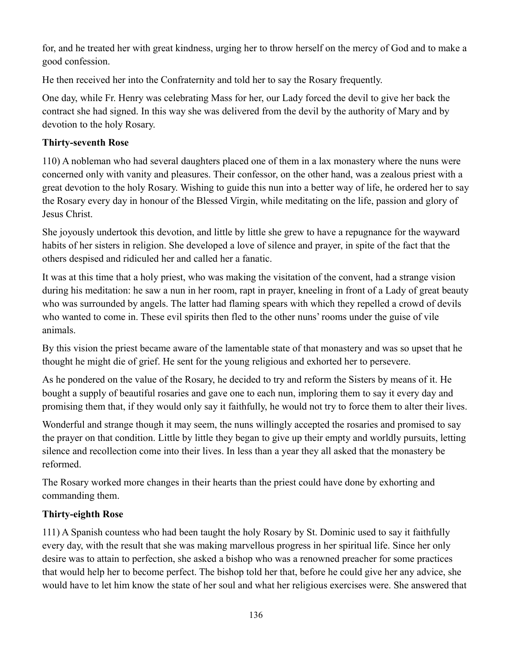for, and he treated her with great kindness, urging her to throw herself on the mercy of God and to make a good confession.

He then received her into the Confraternity and told her to say the Rosary frequently.

One day, while Fr. Henry was celebrating Mass for her, our Lady forced the devil to give her back the contract she had signed. In this way she was delivered from the devil by the authority of Mary and by devotion to the holy Rosary.

## **Thirty-seventh Rose**

110) A nobleman who had several daughters placed one of them in a lax monastery where the nuns were concerned only with vanity and pleasures. Their confessor, on the other hand, was a zealous priest with a great devotion to the holy Rosary. Wishing to guide this nun into a better way of life, he ordered her to say the Rosary every day in honour of the Blessed Virgin, while meditating on the life, passion and glory of Jesus Christ.

She joyously undertook this devotion, and little by little she grew to have a repugnance for the wayward habits of her sisters in religion. She developed a love of silence and prayer, in spite of the fact that the others despised and ridiculed her and called her a fanatic.

It was at this time that a holy priest, who was making the visitation of the convent, had a strange vision during his meditation: he saw a nun in her room, rapt in prayer, kneeling in front of a Lady of great beauty who was surrounded by angels. The latter had flaming spears with which they repelled a crowd of devils who wanted to come in. These evil spirits then fled to the other nuns' rooms under the guise of vile animals.

By this vision the priest became aware of the lamentable state of that monastery and was so upset that he thought he might die of grief. He sent for the young religious and exhorted her to persevere.

As he pondered on the value of the Rosary, he decided to try and reform the Sisters by means of it. He bought a supply of beautiful rosaries and gave one to each nun, imploring them to say it every day and promising them that, if they would only say it faithfully, he would not try to force them to alter their lives.

Wonderful and strange though it may seem, the nuns willingly accepted the rosaries and promised to say the prayer on that condition. Little by little they began to give up their empty and worldly pursuits, letting silence and recollection come into their lives. In less than a year they all asked that the monastery be reformed.

The Rosary worked more changes in their hearts than the priest could have done by exhorting and commanding them.

# **Thirty-eighth Rose**

111) A Spanish countess who had been taught the holy Rosary by St. Dominic used to say it faithfully every day, with the result that she was making marvellous progress in her spiritual life. Since her only desire was to attain to perfection, she asked a bishop who was a renowned preacher for some practices that would help her to become perfect. The bishop told her that, before he could give her any advice, she would have to let him know the state of her soul and what her religious exercises were. She answered that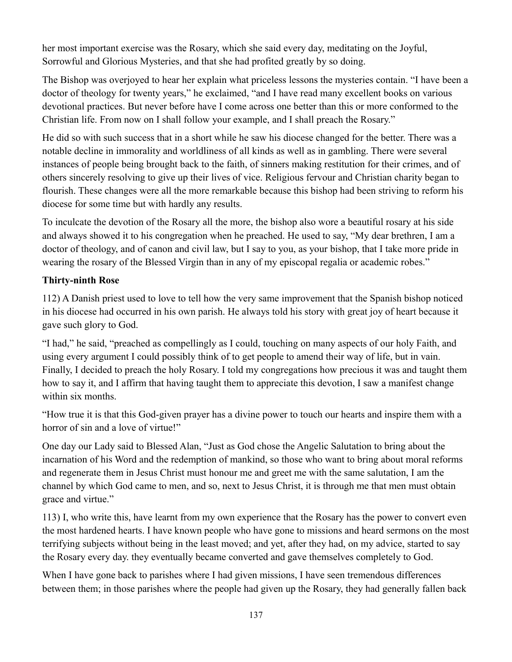her most important exercise was the Rosary, which she said every day, meditating on the Joyful, Sorrowful and Glorious Mysteries, and that she had profited greatly by so doing.

The Bishop was overjoyed to hear her explain what priceless lessons the mysteries contain. "I have been a doctor of theology for twenty years," he exclaimed, "and I have read many excellent books on various devotional practices. But never before have I come across one better than this or more conformed to the Christian life. From now on I shall follow your example, and I shall preach the Rosary."

He did so with such success that in a short while he saw his diocese changed for the better. There was a notable decline in immorality and worldliness of all kinds as well as in gambling. There were several instances of people being brought back to the faith, of sinners making restitution for their crimes, and of others sincerely resolving to give up their lives of vice. Religious fervour and Christian charity began to flourish. These changes were all the more remarkable because this bishop had been striving to reform his diocese for some time but with hardly any results.

To inculcate the devotion of the Rosary all the more, the bishop also wore a beautiful rosary at his side and always showed it to his congregation when he preached. He used to say, "My dear brethren, I am a doctor of theology, and of canon and civil law, but I say to you, as your bishop, that I take more pride in wearing the rosary of the Blessed Virgin than in any of my episcopal regalia or academic robes."

#### **Thirty-ninth Rose**

112) A Danish priest used to love to tell how the very same improvement that the Spanish bishop noticed in his diocese had occurred in his own parish. He always told his story with great joy of heart because it gave such glory to God.

"I had," he said, "preached as compellingly as I could, touching on many aspects of our holy Faith, and using every argument I could possibly think of to get people to amend their way of life, but in vain. Finally, I decided to preach the holy Rosary. I told my congregations how precious it was and taught them how to say it, and I affirm that having taught them to appreciate this devotion, I saw a manifest change within six months.

"How true it is that this God-given prayer has a divine power to touch our hearts and inspire them with a horror of sin and a love of virtue!"

One day our Lady said to Blessed Alan, "Just as God chose the Angelic Salutation to bring about the incarnation of his Word and the redemption of mankind, so those who want to bring about moral reforms and regenerate them in Jesus Christ must honour me and greet me with the same salutation, I am the channel by which God came to men, and so, next to Jesus Christ, it is through me that men must obtain grace and virtue."

113) I, who write this, have learnt from my own experience that the Rosary has the power to convert even the most hardened hearts. I have known people who have gone to missions and heard sermons on the most terrifying subjects without being in the least moved; and yet, after they had, on my advice, started to say the Rosary every day. they eventually became converted and gave themselves completely to God.

When I have gone back to parishes where I had given missions, I have seen tremendous differences between them; in those parishes where the people had given up the Rosary, they had generally fallen back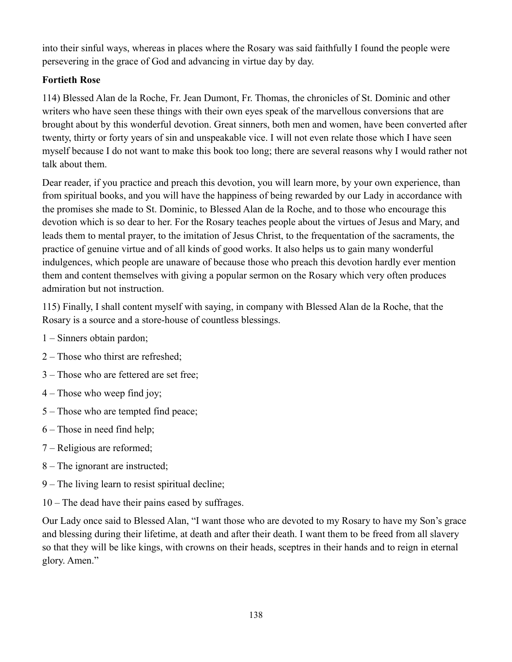into their sinful ways, whereas in places where the Rosary was said faithfully I found the people were persevering in the grace of God and advancing in virtue day by day.

# **Fortieth Rose**

114) Blessed Alan de la Roche, Fr. Jean Dumont, Fr. Thomas, the chronicles of St. Dominic and other writers who have seen these things with their own eyes speak of the marvellous conversions that are brought about by this wonderful devotion. Great sinners, both men and women, have been converted after twenty, thirty or forty years of sin and unspeakable vice. I will not even relate those which I have seen myself because I do not want to make this book too long; there are several reasons why I would rather not talk about them.

Dear reader, if you practice and preach this devotion, you will learn more, by your own experience, than from spiritual books, and you will have the happiness of being rewarded by our Lady in accordance with the promises she made to St. Dominic, to Blessed Alan de la Roche, and to those who encourage this devotion which is so dear to her. For the Rosary teaches people about the virtues of Jesus and Mary, and leads them to mental prayer, to the imitation of Jesus Christ, to the frequentation of the sacraments, the practice of genuine virtue and of all kinds of good works. It also helps us to gain many wonderful indulgences, which people are unaware of because those who preach this devotion hardly ever mention them and content themselves with giving a popular sermon on the Rosary which very often produces admiration but not instruction.

115) Finally, I shall content myself with saying, in company with Blessed Alan de la Roche, that the Rosary is a source and a store-house of countless blessings.

- 1 Sinners obtain pardon;
- 2 Those who thirst are refreshed;
- 3 Those who are fettered are set free;
- 4 Those who weep find joy;
- 5 Those who are tempted find peace;
- 6 Those in need find help;
- 7 Religious are reformed;
- 8 The ignorant are instructed;
- 9 The living learn to resist spiritual decline;
- 10 The dead have their pains eased by suffrages.

Our Lady once said to Blessed Alan, "I want those who are devoted to my Rosary to have my Son's grace and blessing during their lifetime, at death and after their death. I want them to be freed from all slavery so that they will be like kings, with crowns on their heads, sceptres in their hands and to reign in eternal glory. Amen."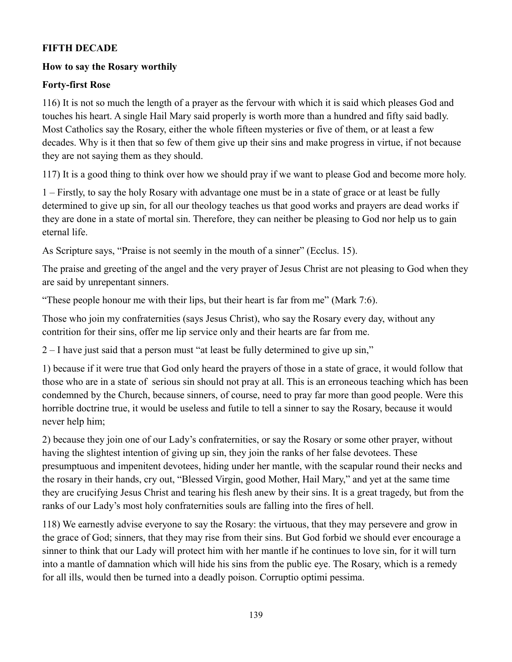## **FIFTH DECADE**

#### **How to say the Rosary worthily**

#### **Forty-first Rose**

116) It is not so much the length of a prayer as the fervour with which it is said which pleases God and touches his heart. A single Hail Mary said properly is worth more than a hundred and fifty said badly. Most Catholics say the Rosary, either the whole fifteen mysteries or five of them, or at least a few decades. Why is it then that so few of them give up their sins and make progress in virtue, if not because they are not saying them as they should.

117) It is a good thing to think over how we should pray if we want to please God and become more holy.

1 – Firstly, to say the holy Rosary with advantage one must be in a state of grace or at least be fully determined to give up sin, for all our theology teaches us that good works and prayers are dead works if they are done in a state of mortal sin. Therefore, they can neither be pleasing to God nor help us to gain eternal life.

As Scripture says, "Praise is not seemly in the mouth of a sinner" (Ecclus. 15).

The praise and greeting of the angel and the very prayer of Jesus Christ are not pleasing to God when they are said by unrepentant sinners.

"These people honour me with their lips, but their heart is far from me" (Mark 7:6).

Those who join my confraternities (says Jesus Christ), who say the Rosary every day, without any contrition for their sins, offer me lip service only and their hearts are far from me.

2 – I have just said that a person must "at least be fully determined to give up sin,"

1) because if it were true that God only heard the prayers of those in a state of grace, it would follow that those who are in a state of serious sin should not pray at all. This is an erroneous teaching which has been condemned by the Church, because sinners, of course, need to pray far more than good people. Were this horrible doctrine true, it would be useless and futile to tell a sinner to say the Rosary, because it would never help him;

2) because they join one of our Lady's confraternities, or say the Rosary or some other prayer, without having the slightest intention of giving up sin, they join the ranks of her false devotees. These presumptuous and impenitent devotees, hiding under her mantle, with the scapular round their necks and the rosary in their hands, cry out, "Blessed Virgin, good Mother, Hail Mary," and yet at the same time they are crucifying Jesus Christ and tearing his flesh anew by their sins. It is a great tragedy, but from the ranks of our Lady's most holy confraternities souls are falling into the fires of hell.

118) We earnestly advise everyone to say the Rosary: the virtuous, that they may persevere and grow in the grace of God; sinners, that they may rise from their sins. But God forbid we should ever encourage a sinner to think that our Lady will protect him with her mantle if he continues to love sin, for it will turn into a mantle of damnation which will hide his sins from the public eye. The Rosary, which is a remedy for all ills, would then be turned into a deadly poison. Corruptio optimi pessima.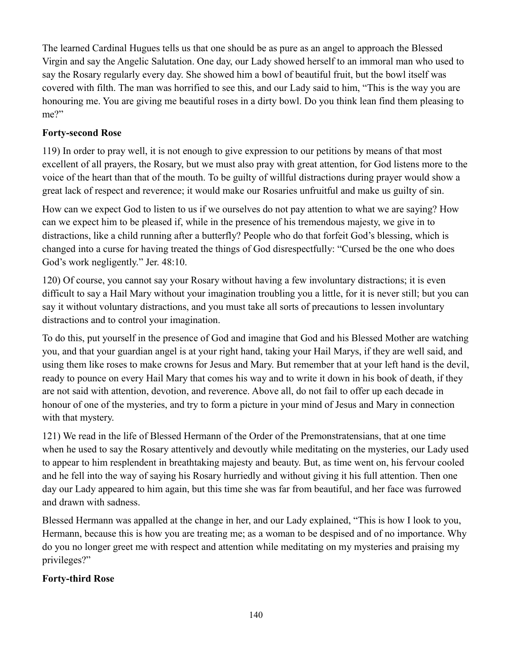The learned Cardinal Hugues tells us that one should be as pure as an angel to approach the Blessed Virgin and say the Angelic Salutation. One day, our Lady showed herself to an immoral man who used to say the Rosary regularly every day. She showed him a bowl of beautiful fruit, but the bowl itself was covered with filth. The man was horrified to see this, and our Lady said to him, "This is the way you are honouring me. You are giving me beautiful roses in a dirty bowl. Do you think lean find them pleasing to me?"

#### **Forty-second Rose**

119) In order to pray well, it is not enough to give expression to our petitions by means of that most excellent of all prayers, the Rosary, but we must also pray with great attention, for God listens more to the voice of the heart than that of the mouth. To be guilty of willful distractions during prayer would show a great lack of respect and reverence; it would make our Rosaries unfruitful and make us guilty of sin.

How can we expect God to listen to us if we ourselves do not pay attention to what we are saying? How can we expect him to be pleased if, while in the presence of his tremendous majesty, we give in to distractions, like a child running after a butterfly? People who do that forfeit God's blessing, which is changed into a curse for having treated the things of God disrespectfully: "Cursed be the one who does God's work negligently." Jer. 48:10.

120) Of course, you cannot say your Rosary without having a few involuntary distractions; it is even difficult to say a Hail Mary without your imagination troubling you a little, for it is never still; but you can say it without voluntary distractions, and you must take all sorts of precautions to lessen involuntary distractions and to control your imagination.

To do this, put yourself in the presence of God and imagine that God and his Blessed Mother are watching you, and that your guardian angel is at your right hand, taking your Hail Marys, if they are well said, and using them like roses to make crowns for Jesus and Mary. But remember that at your left hand is the devil, ready to pounce on every Hail Mary that comes his way and to write it down in his book of death, if they are not said with attention, devotion, and reverence. Above all, do not fail to offer up each decade in honour of one of the mysteries, and try to form a picture in your mind of Jesus and Mary in connection with that mystery.

121) We read in the life of Blessed Hermann of the Order of the Premonstratensians, that at one time when he used to say the Rosary attentively and devoutly while meditating on the mysteries, our Lady used to appear to him resplendent in breathtaking majesty and beauty. But, as time went on, his fervour cooled and he fell into the way of saying his Rosary hurriedly and without giving it his full attention. Then one day our Lady appeared to him again, but this time she was far from beautiful, and her face was furrowed and drawn with sadness.

Blessed Hermann was appalled at the change in her, and our Lady explained, "This is how I look to you, Hermann, because this is how you are treating me; as a woman to be despised and of no importance. Why do you no longer greet me with respect and attention while meditating on my mysteries and praising my privileges?"

#### **Forty-third Rose**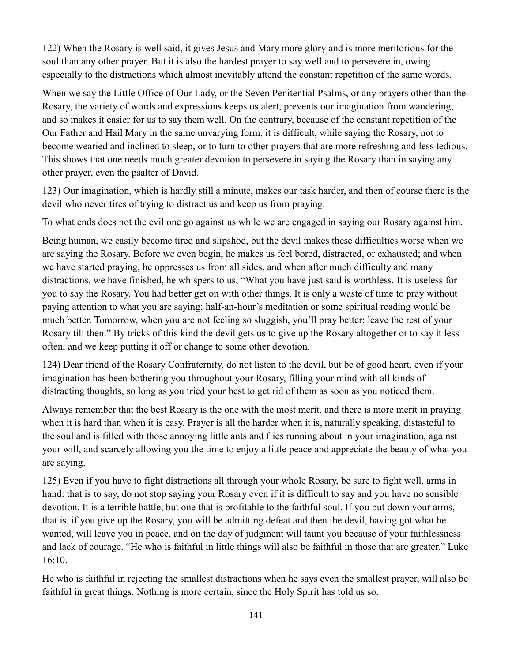122) When the Rosary is well said, it gives Jesus and Mary more glory and is more meritorious for the soul than any other prayer. But it is also the hardest prayer to say well and to persevere in, owing especially to the distractions which almost inevitably attend the constant repetition of the same words.

When we say the Little Office of Our Lady, or the Seven Penitential Psalms, or any prayers other than the Rosary, the variety of words and expressions keeps us alert, prevents our imagination from wandering, and so makes it easier for us to say them well. On the contrary, because of the constant repetition of the Our Father and Hail Mary in the same unvarying form, it is difficult, while saying the Rosary, not to become wearied and inclined to sleep, or to turn to other prayers that are more refreshing and less tedious. This shows that one needs much greater devotion to persevere in saying the Rosary than in saying any other prayer, even the psalter of David.

123) Our imagination, which is hardly still a minute, makes our task harder, and then of course there is the devil who never tires of trying to distract us and keep us from praying.

To what ends does not the evil one go against us while we are engaged in saying our Rosary against him.

Being human, we easily become tired and slipshod, but the devil makes these difficulties worse when we are saying the Rosary. Before we even begin, he makes us feel bored, distracted, or exhausted; and when we have started praying, he oppresses us from all sides, and when after much difficulty and many distractions, we have finished, he whispers to us, "What you have just said is worthless. It is useless for you to say the Rosary. You had better get on with other things. It is only a waste of time to pray without paying attention to what you are saying; half-an-hour's meditation or some spiritual reading would be much better. Tomorrow, when you are not feeling so sluggish, you'll pray better; leave the rest of your Rosary till then." By tricks of this kind the devil gets us to give up the Rosary altogether or to say it less often, and we keep putting it off or change to some other devotion.

124) Dear friend of the Rosary Confraternity, do not listen to the devil, but be of good heart, even if your imagination has been bothering you throughout your Rosary, filling your mind with all kinds of distracting thoughts, so long as you tried your best to get rid of them as soon as you noticed them.

Always remember that the best Rosary is the one with the most merit, and there is more merit in praying when it is hard than when it is easy. Prayer is all the harder when it is, naturally speaking, distasteful to the soul and is filled with those annoying little ants and flies running about in your imagination, against your will, and scarcely allowing you the time to enjoy a little peace and appreciate the beauty of what you are saying.

125) Even if you have to fight distractions all through your whole Rosary, be sure to fight well, arms in hand: that is to say, do not stop saying your Rosary even if it is difficult to say and you have no sensible devotion. It is a terrible battle, but one that is profitable to the faithful soul. If you put down your arms, that is, if you give up the Rosary, you will be admitting defeat and then the devil, having got what he wanted, will leave you in peace, and on the day of judgment will taunt you because of your faithlessness and lack of courage. "He who is faithful in little things will also be faithful in those that are greater." Luke 16:10.

He who is faithful in rejecting the smallest distractions when he says even the smallest prayer, will also be faithful in great things. Nothing is more certain, since the Holy Spirit has told us so.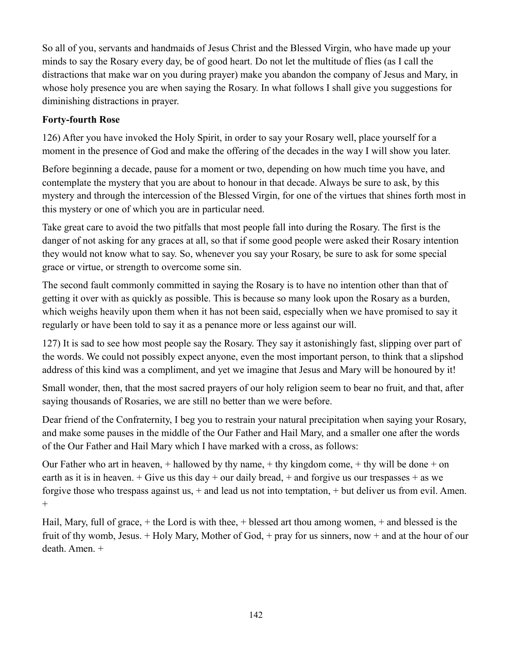So all of you, servants and handmaids of Jesus Christ and the Blessed Virgin, who have made up your minds to say the Rosary every day, be of good heart. Do not let the multitude of flies (as I call the distractions that make war on you during prayer) make you abandon the company of Jesus and Mary, in whose holy presence you are when saying the Rosary. In what follows I shall give you suggestions for diminishing distractions in prayer.

## **Forty-fourth Rose**

126) After you have invoked the Holy Spirit, in order to say your Rosary well, place yourself for a moment in the presence of God and make the offering of the decades in the way I will show you later.

Before beginning a decade, pause for a moment or two, depending on how much time you have, and contemplate the mystery that you are about to honour in that decade. Always be sure to ask, by this mystery and through the intercession of the Blessed Virgin, for one of the virtues that shines forth most in this mystery or one of which you are in particular need.

Take great care to avoid the two pitfalls that most people fall into during the Rosary. The first is the danger of not asking for any graces at all, so that if some good people were asked their Rosary intention they would not know what to say. So, whenever you say your Rosary, be sure to ask for some special grace or virtue, or strength to overcome some sin.

The second fault commonly committed in saying the Rosary is to have no intention other than that of getting it over with as quickly as possible. This is because so many look upon the Rosary as a burden, which weighs heavily upon them when it has not been said, especially when we have promised to say it regularly or have been told to say it as a penance more or less against our will.

127) It is sad to see how most people say the Rosary. They say it astonishingly fast, slipping over part of the words. We could not possibly expect anyone, even the most important person, to think that a slipshod address of this kind was a compliment, and yet we imagine that Jesus and Mary will be honoured by it!

Small wonder, then, that the most sacred prayers of our holy religion seem to bear no fruit, and that, after saying thousands of Rosaries, we are still no better than we were before.

Dear friend of the Confraternity, I beg you to restrain your natural precipitation when saying your Rosary, and make some pauses in the middle of the Our Father and Hail Mary, and a smaller one after the words of the Our Father and Hail Mary which I have marked with a cross, as follows:

Our Father who art in heaven,  $+$  hallowed by thy name,  $+$  thy kingdom come,  $+$  thy will be done  $+$  on earth as it is in heaven.  $+$  Give us this day  $+$  our daily bread,  $+$  and forgive us our trespasses  $+$  as we forgive those who trespass against us, + and lead us not into temptation, + but deliver us from evil. Amen.  $+$ 

Hail, Mary, full of grace, + the Lord is with thee, + blessed art thou among women, + and blessed is the fruit of thy womb, Jesus. + Holy Mary, Mother of God, + pray for us sinners, now + and at the hour of our death. Amen. +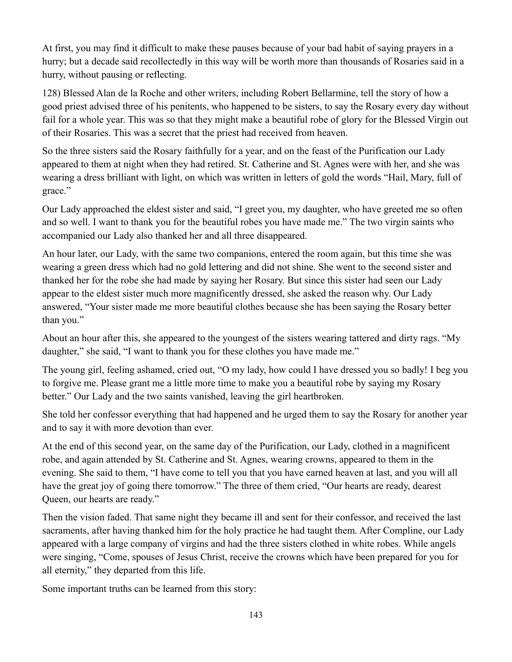At first, you may find it difficult to make these pauses because of your bad habit of saying prayers in a hurry; but a decade said recollectedly in this way will be worth more than thousands of Rosaries said in a hurry, without pausing or reflecting.

128) Blessed Alan de la Roche and other writers, including Robert Bellarmine, tell the story of how a good priest advised three of his penitents, who happened to be sisters, to say the Rosary every day without fail for a whole year. This was so that they might make a beautiful robe of glory for the Blessed Virgin out of their Rosaries. This was a secret that the priest had received from heaven.

So the three sisters said the Rosary faithfully for a year, and on the feast of the Purification our Lady appeared to them at night when they had retired. St. Catherine and St. Agnes were with her, and she was wearing a dress brilliant with light, on which was written in letters of gold the words "Hail, Mary, full of grace."

Our Lady approached the eldest sister and said, "I greet you, my daughter, who have greeted me so often and so well. I want to thank you for the beautiful robes you have made me." The two virgin saints who accompanied our Lady also thanked her and all three disappeared.

An hour later, our Lady, with the same two companions, entered the room again, but this time she was wearing a green dress which had no gold lettering and did not shine. She went to the second sister and thanked her for the robe she had made by saying her Rosary. But since this sister had seen our Lady appear to the eldest sister much more magnificently dressed, she asked the reason why. Our Lady answered, "Your sister made me more beautiful clothes because she has been saying the Rosary better than you."

About an hour after this, she appeared to the youngest of the sisters wearing tattered and dirty rags. "My daughter," she said, "I want to thank you for these clothes you have made me."

The young girl, feeling ashamed, cried out, "O my lady, how could I have dressed you so badly! I beg you to forgive me. Please grant me a little more time to make you a beautiful robe by saying my Rosary better." Our Lady and the two saints vanished, leaving the girl heartbroken.

She told her confessor everything that had happened and he urged them to say the Rosary for another year and to say it with more devotion than ever.

At the end of this second year, on the same day of the Purification, our Lady, clothed in a magnificent robe, and again attended by St. Catherine and St. Agnes, wearing crowns, appeared to them in the evening. She said to them, "I have come to tell you that you have earned heaven at last, and you will all have the great joy of going there tomorrow." The three of them cried, "Our hearts are ready, dearest Queen, our hearts are ready."

Then the vision faded. That same night they became ill and sent for their confessor, and received the last sacraments, after having thanked him for the holy practice he had taught them. After Compline, our Lady appeared with a large company of virgins and had the three sisters clothed in white robes. While angels were singing, "Come, spouses of Jesus Christ, receive the crowns which have been prepared for you for all eternity," they departed from this life.

Some important truths can be learned from this story: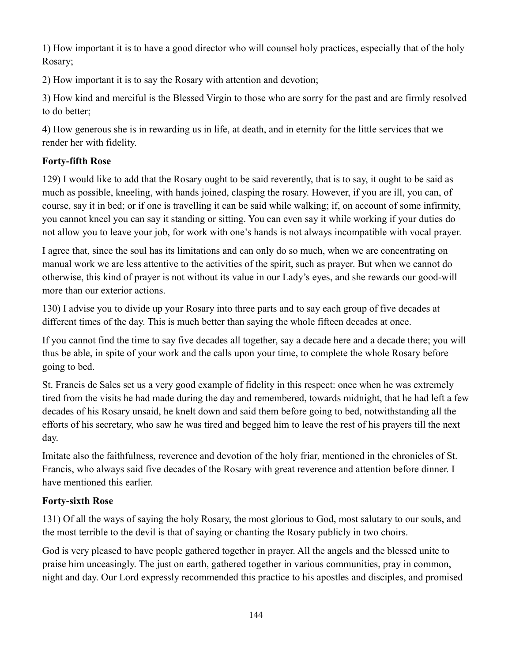1) How important it is to have a good director who will counsel holy practices, especially that of the holy Rosary;

2) How important it is to say the Rosary with attention and devotion;

3) How kind and merciful is the Blessed Virgin to those who are sorry for the past and are firmly resolved to do better;

4) How generous she is in rewarding us in life, at death, and in eternity for the little services that we render her with fidelity.

# **Forty-fifth Rose**

129) I would like to add that the Rosary ought to be said reverently, that is to say, it ought to be said as much as possible, kneeling, with hands joined, clasping the rosary. However, if you are ill, you can, of course, say it in bed; or if one is travelling it can be said while walking; if, on account of some infirmity, you cannot kneel you can say it standing or sitting. You can even say it while working if your duties do not allow you to leave your job, for work with one's hands is not always incompatible with vocal prayer.

I agree that, since the soul has its limitations and can only do so much, when we are concentrating on manual work we are less attentive to the activities of the spirit, such as prayer. But when we cannot do otherwise, this kind of prayer is not without its value in our Lady's eyes, and she rewards our good-will more than our exterior actions.

130) I advise you to divide up your Rosary into three parts and to say each group of five decades at different times of the day. This is much better than saying the whole fifteen decades at once.

If you cannot find the time to say five decades all together, say a decade here and a decade there; you will thus be able, in spite of your work and the calls upon your time, to complete the whole Rosary before going to bed.

St. Francis de Sales set us a very good example of fidelity in this respect: once when he was extremely tired from the visits he had made during the day and remembered, towards midnight, that he had left a few decades of his Rosary unsaid, he knelt down and said them before going to bed, notwithstanding all the efforts of his secretary, who saw he was tired and begged him to leave the rest of his prayers till the next day.

Imitate also the faithfulness, reverence and devotion of the holy friar, mentioned in the chronicles of St. Francis, who always said five decades of the Rosary with great reverence and attention before dinner. I have mentioned this earlier.

# **Forty-sixth Rose**

131) Of all the ways of saying the holy Rosary, the most glorious to God, most salutary to our souls, and the most terrible to the devil is that of saying or chanting the Rosary publicly in two choirs.

God is very pleased to have people gathered together in prayer. All the angels and the blessed unite to praise him unceasingly. The just on earth, gathered together in various communities, pray in common, night and day. Our Lord expressly recommended this practice to his apostles and disciples, and promised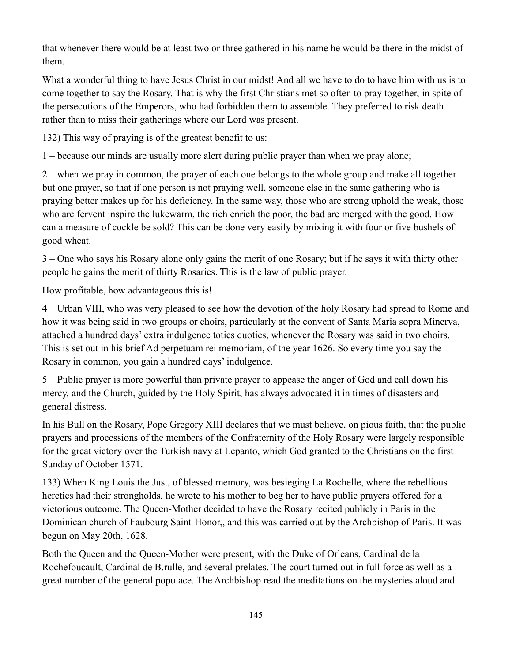that whenever there would be at least two or three gathered in his name he would be there in the midst of them.

What a wonderful thing to have Jesus Christ in our midst! And all we have to do to have him with us is to come together to say the Rosary. That is why the first Christians met so often to pray together, in spite of the persecutions of the Emperors, who had forbidden them to assemble. They preferred to risk death rather than to miss their gatherings where our Lord was present.

132) This way of praying is of the greatest benefit to us:

1 – because our minds are usually more alert during public prayer than when we pray alone;

2 – when we pray in common, the prayer of each one belongs to the whole group and make all together but one prayer, so that if one person is not praying well, someone else in the same gathering who is praying better makes up for his deficiency. In the same way, those who are strong uphold the weak, those who are fervent inspire the lukewarm, the rich enrich the poor, the bad are merged with the good. How can a measure of cockle be sold? This can be done very easily by mixing it with four or five bushels of good wheat.

3 – One who says his Rosary alone only gains the merit of one Rosary; but if he says it with thirty other people he gains the merit of thirty Rosaries. This is the law of public prayer.

How profitable, how advantageous this is!

4 – Urban VIII, who was very pleased to see how the devotion of the holy Rosary had spread to Rome and how it was being said in two groups or choirs, particularly at the convent of Santa Maria sopra Minerva, attached a hundred days' extra indulgence toties quoties, whenever the Rosary was said in two choirs. This is set out in his brief Ad perpetuam rei memoriam, of the year 1626. So every time you say the Rosary in common, you gain a hundred days' indulgence.

5 – Public prayer is more powerful than private prayer to appease the anger of God and call down his mercy, and the Church, guided by the Holy Spirit, has always advocated it in times of disasters and general distress.

In his Bull on the Rosary, Pope Gregory XIII declares that we must believe, on pious faith, that the public prayers and processions of the members of the Confraternity of the Holy Rosary were largely responsible for the great victory over the Turkish navy at Lepanto, which God granted to the Christians on the first Sunday of October 1571.

133) When King Louis the Just, of blessed memory, was besieging La Rochelle, where the rebellious heretics had their strongholds, he wrote to his mother to beg her to have public prayers offered for a victorious outcome. The Queen-Mother decided to have the Rosary recited publicly in Paris in the Dominican church of Faubourg Saint-Honor,, and this was carried out by the Archbishop of Paris. It was begun on May 20th, 1628.

Both the Queen and the Queen-Mother were present, with the Duke of Orleans, Cardinal de la Rochefoucault, Cardinal de B.rulle, and several prelates. The court turned out in full force as well as a great number of the general populace. The Archbishop read the meditations on the mysteries aloud and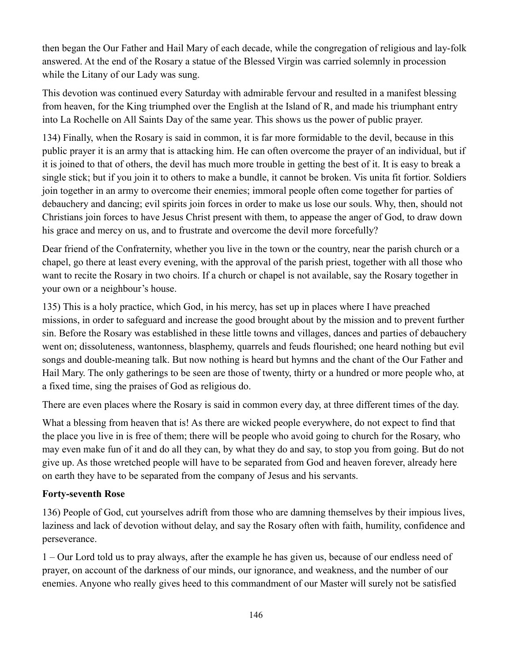then began the Our Father and Hail Mary of each decade, while the congregation of religious and lay-folk answered. At the end of the Rosary a statue of the Blessed Virgin was carried solemnly in procession while the Litany of our Lady was sung.

This devotion was continued every Saturday with admirable fervour and resulted in a manifest blessing from heaven, for the King triumphed over the English at the Island of R, and made his triumphant entry into La Rochelle on All Saints Day of the same year. This shows us the power of public prayer.

134) Finally, when the Rosary is said in common, it is far more formidable to the devil, because in this public prayer it is an army that is attacking him. He can often overcome the prayer of an individual, but if it is joined to that of others, the devil has much more trouble in getting the best of it. It is easy to break a single stick; but if you join it to others to make a bundle, it cannot be broken. Vis unita fit fortior. Soldiers join together in an army to overcome their enemies; immoral people often come together for parties of debauchery and dancing; evil spirits join forces in order to make us lose our souls. Why, then, should not Christians join forces to have Jesus Christ present with them, to appease the anger of God, to draw down his grace and mercy on us, and to frustrate and overcome the devil more forcefully?

Dear friend of the Confraternity, whether you live in the town or the country, near the parish church or a chapel, go there at least every evening, with the approval of the parish priest, together with all those who want to recite the Rosary in two choirs. If a church or chapel is not available, say the Rosary together in your own or a neighbour's house.

135) This is a holy practice, which God, in his mercy, has set up in places where I have preached missions, in order to safeguard and increase the good brought about by the mission and to prevent further sin. Before the Rosary was established in these little towns and villages, dances and parties of debauchery went on; dissoluteness, wantonness, blasphemy, quarrels and feuds flourished; one heard nothing but evil songs and double-meaning talk. But now nothing is heard but hymns and the chant of the Our Father and Hail Mary. The only gatherings to be seen are those of twenty, thirty or a hundred or more people who, at a fixed time, sing the praises of God as religious do.

There are even places where the Rosary is said in common every day, at three different times of the day.

What a blessing from heaven that is! As there are wicked people everywhere, do not expect to find that the place you live in is free of them; there will be people who avoid going to church for the Rosary, who may even make fun of it and do all they can, by what they do and say, to stop you from going. But do not give up. As those wretched people will have to be separated from God and heaven forever, already here on earth they have to be separated from the company of Jesus and his servants.

## **Forty-seventh Rose**

136) People of God, cut yourselves adrift from those who are damning themselves by their impious lives, laziness and lack of devotion without delay, and say the Rosary often with faith, humility, confidence and perseverance.

1 – Our Lord told us to pray always, after the example he has given us, because of our endless need of prayer, on account of the darkness of our minds, our ignorance, and weakness, and the number of our enemies. Anyone who really gives heed to this commandment of our Master will surely not be satisfied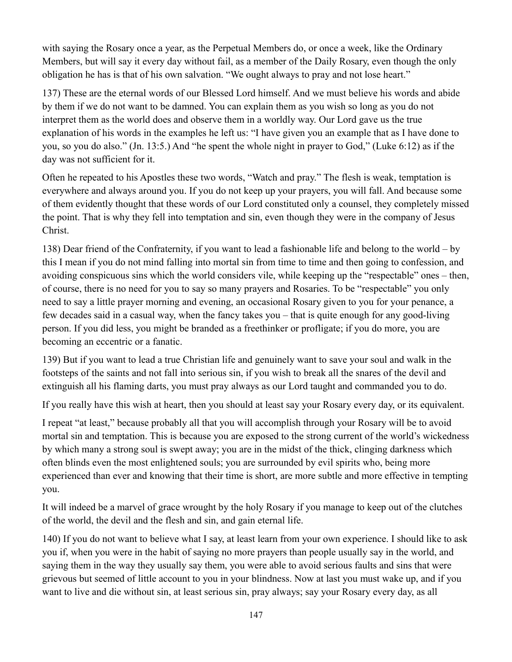with saying the Rosary once a year, as the Perpetual Members do, or once a week, like the Ordinary Members, but will say it every day without fail, as a member of the Daily Rosary, even though the only obligation he has is that of his own salvation. "We ought always to pray and not lose heart."

137) These are the eternal words of our Blessed Lord himself. And we must believe his words and abide by them if we do not want to be damned. You can explain them as you wish so long as you do not interpret them as the world does and observe them in a worldly way. Our Lord gave us the true explanation of his words in the examples he left us: "I have given you an example that as I have done to you, so you do also." (Jn. 13:5.) And "he spent the whole night in prayer to God," (Luke 6:12) as if the day was not sufficient for it.

Often he repeated to his Apostles these two words, "Watch and pray." The flesh is weak, temptation is everywhere and always around you. If you do not keep up your prayers, you will fall. And because some of them evidently thought that these words of our Lord constituted only a counsel, they completely missed the point. That is why they fell into temptation and sin, even though they were in the company of Jesus Christ.

138) Dear friend of the Confraternity, if you want to lead a fashionable life and belong to the world – by this I mean if you do not mind falling into mortal sin from time to time and then going to confession, and avoiding conspicuous sins which the world considers vile, while keeping up the "respectable" ones – then, of course, there is no need for you to say so many prayers and Rosaries. To be "respectable" you only need to say a little prayer morning and evening, an occasional Rosary given to you for your penance, a few decades said in a casual way, when the fancy takes you – that is quite enough for any good-living person. If you did less, you might be branded as a freethinker or profligate; if you do more, you are becoming an eccentric or a fanatic.

139) But if you want to lead a true Christian life and genuinely want to save your soul and walk in the footsteps of the saints and not fall into serious sin, if you wish to break all the snares of the devil and extinguish all his flaming darts, you must pray always as our Lord taught and commanded you to do.

If you really have this wish at heart, then you should at least say your Rosary every day, or its equivalent.

I repeat "at least," because probably all that you will accomplish through your Rosary will be to avoid mortal sin and temptation. This is because you are exposed to the strong current of the world's wickedness by which many a strong soul is swept away; you are in the midst of the thick, clinging darkness which often blinds even the most enlightened souls; you are surrounded by evil spirits who, being more experienced than ever and knowing that their time is short, are more subtle and more effective in tempting you.

It will indeed be a marvel of grace wrought by the holy Rosary if you manage to keep out of the clutches of the world, the devil and the flesh and sin, and gain eternal life.

140) If you do not want to believe what I say, at least learn from your own experience. I should like to ask you if, when you were in the habit of saying no more prayers than people usually say in the world, and saying them in the way they usually say them, you were able to avoid serious faults and sins that were grievous but seemed of little account to you in your blindness. Now at last you must wake up, and if you want to live and die without sin, at least serious sin, pray always; say your Rosary every day, as all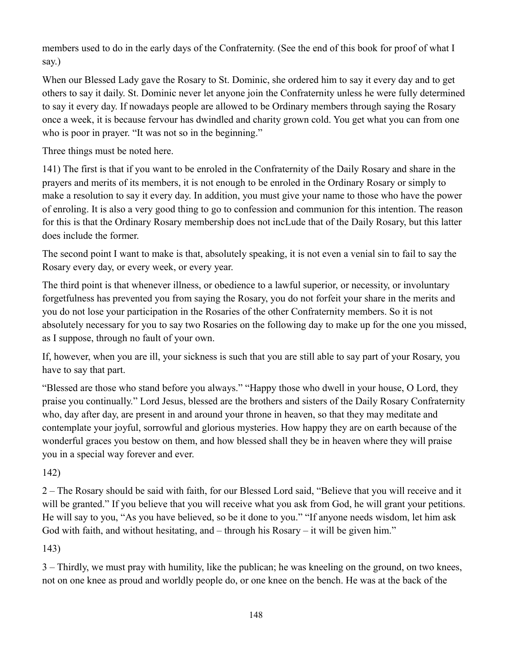members used to do in the early days of the Confraternity. (See the end of this book for proof of what I say.)

When our Blessed Lady gave the Rosary to St. Dominic, she ordered him to say it every day and to get others to say it daily. St. Dominic never let anyone join the Confraternity unless he were fully determined to say it every day. If nowadays people are allowed to be Ordinary members through saying the Rosary once a week, it is because fervour has dwindled and charity grown cold. You get what you can from one who is poor in prayer. "It was not so in the beginning."

Three things must be noted here.

141) The first is that if you want to be enroled in the Confraternity of the Daily Rosary and share in the prayers and merits of its members, it is not enough to be enroled in the Ordinary Rosary or simply to make a resolution to say it every day. In addition, you must give your name to those who have the power of enroling. It is also a very good thing to go to confession and communion for this intention. The reason for this is that the Ordinary Rosary membership does not incLude that of the Daily Rosary, but this latter does include the former.

The second point I want to make is that, absolutely speaking, it is not even a venial sin to fail to say the Rosary every day, or every week, or every year.

The third point is that whenever illness, or obedience to a lawful superior, or necessity, or involuntary forgetfulness has prevented you from saying the Rosary, you do not forfeit your share in the merits and you do not lose your participation in the Rosaries of the other Confraternity members. So it is not absolutely necessary for you to say two Rosaries on the following day to make up for the one you missed, as I suppose, through no fault of your own.

If, however, when you are ill, your sickness is such that you are still able to say part of your Rosary, you have to say that part.

"Blessed are those who stand before you always." "Happy those who dwell in your house, O Lord, they praise you continually." Lord Jesus, blessed are the brothers and sisters of the Daily Rosary Confraternity who, day after day, are present in and around your throne in heaven, so that they may meditate and contemplate your joyful, sorrowful and glorious mysteries. How happy they are on earth because of the wonderful graces you bestow on them, and how blessed shall they be in heaven where they will praise you in a special way forever and ever.

142)

2 – The Rosary should be said with faith, for our Blessed Lord said, "Believe that you will receive and it will be granted." If you believe that you will receive what you ask from God, he will grant your petitions. He will say to you, "As you have believed, so be it done to you." "If anyone needs wisdom, let him ask God with faith, and without hesitating, and – through his Rosary – it will be given him."

## 143)

3 – Thirdly, we must pray with humility, like the publican; he was kneeling on the ground, on two knees, not on one knee as proud and worldly people do, or one knee on the bench. He was at the back of the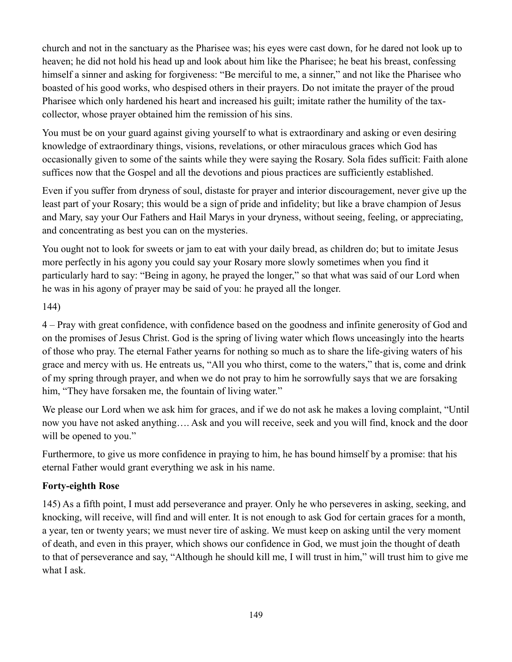church and not in the sanctuary as the Pharisee was; his eyes were cast down, for he dared not look up to heaven; he did not hold his head up and look about him like the Pharisee; he beat his breast, confessing himself a sinner and asking for forgiveness: "Be merciful to me, a sinner," and not like the Pharisee who boasted of his good works, who despised others in their prayers. Do not imitate the prayer of the proud Pharisee which only hardened his heart and increased his guilt; imitate rather the humility of the taxcollector, whose prayer obtained him the remission of his sins.

You must be on your guard against giving yourself to what is extraordinary and asking or even desiring knowledge of extraordinary things, visions, revelations, or other miraculous graces which God has occasionally given to some of the saints while they were saying the Rosary. Sola fides sufficit: Faith alone suffices now that the Gospel and all the devotions and pious practices are sufficiently established.

Even if you suffer from dryness of soul, distaste for prayer and interior discouragement, never give up the least part of your Rosary; this would be a sign of pride and infidelity; but like a brave champion of Jesus and Mary, say your Our Fathers and Hail Marys in your dryness, without seeing, feeling, or appreciating, and concentrating as best you can on the mysteries.

You ought not to look for sweets or jam to eat with your daily bread, as children do; but to imitate Jesus more perfectly in his agony you could say your Rosary more slowly sometimes when you find it particularly hard to say: "Being in agony, he prayed the longer," so that what was said of our Lord when he was in his agony of prayer may be said of you: he prayed all the longer.

#### 144)

4 – Pray with great confidence, with confidence based on the goodness and infinite generosity of God and on the promises of Jesus Christ. God is the spring of living water which flows unceasingly into the hearts of those who pray. The eternal Father yearns for nothing so much as to share the life-giving waters of his grace and mercy with us. He entreats us, "All you who thirst, come to the waters," that is, come and drink of my spring through prayer, and when we do not pray to him he sorrowfully says that we are forsaking him, "They have forsaken me, the fountain of living water."

We please our Lord when we ask him for graces, and if we do not ask he makes a loving complaint, "Until now you have not asked anything…. Ask and you will receive, seek and you will find, knock and the door will be opened to you."

Furthermore, to give us more confidence in praying to him, he has bound himself by a promise: that his eternal Father would grant everything we ask in his name.

## **Forty-eighth Rose**

145) As a fifth point, I must add perseverance and prayer. Only he who perseveres in asking, seeking, and knocking, will receive, will find and will enter. It is not enough to ask God for certain graces for a month, a year, ten or twenty years; we must never tire of asking. We must keep on asking until the very moment of death, and even in this prayer, which shows our confidence in God, we must join the thought of death to that of perseverance and say, "Although he should kill me, I will trust in him," will trust him to give me what I ask.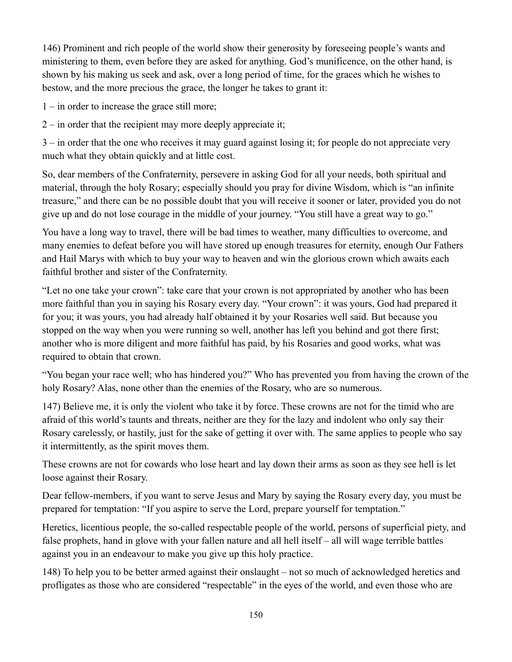146) Prominent and rich people of the world show their generosity by foreseeing people's wants and ministering to them, even before they are asked for anything. God's munificence, on the other hand, is shown by his making us seek and ask, over a long period of time, for the graces which he wishes to bestow, and the more precious the grace, the longer he takes to grant it:

1 – in order to increase the grace still more;

2 – in order that the recipient may more deeply appreciate it;

3 – in order that the one who receives it may guard against losing it; for people do not appreciate very much what they obtain quickly and at little cost.

So, dear members of the Confraternity, persevere in asking God for all your needs, both spiritual and material, through the holy Rosary; especially should you pray for divine Wisdom, which is "an infinite treasure," and there can be no possible doubt that you will receive it sooner or later, provided you do not give up and do not lose courage in the middle of your journey. "You still have a great way to go."

You have a long way to travel, there will be bad times to weather, many difficulties to overcome, and many enemies to defeat before you will have stored up enough treasures for eternity, enough Our Fathers and Hail Marys with which to buy your way to heaven and win the glorious crown which awaits each faithful brother and sister of the Confraternity.

"Let no one take your crown": take care that your crown is not appropriated by another who has been more faithful than you in saying his Rosary every day. "Your crown": it was yours, God had prepared it for you; it was yours, you had already half obtained it by your Rosaries well said. But because you stopped on the way when you were running so well, another has left you behind and got there first; another who is more diligent and more faithful has paid, by his Rosaries and good works, what was required to obtain that crown.

"You began your race well; who has hindered you?" Who has prevented you from having the crown of the holy Rosary? Alas, none other than the enemies of the Rosary, who are so numerous.

147) Believe me, it is only the violent who take it by force. These crowns are not for the timid who are afraid of this world's taunts and threats, neither are they for the lazy and indolent who only say their Rosary carelessly, or hastily, just for the sake of getting it over with. The same applies to people who say it intermittently, as the spirit moves them.

These crowns are not for cowards who lose heart and lay down their arms as soon as they see hell is let loose against their Rosary.

Dear fellow-members, if you want to serve Jesus and Mary by saying the Rosary every day, you must be prepared for temptation: "If you aspire to serve the Lord, prepare yourself for temptation."

Heretics, licentious people, the so-called respectable people of the world, persons of superficial piety, and false prophets, hand in glove with your fallen nature and all hell itself – all will wage terrible battles against you in an endeavour to make you give up this holy practice.

148) To help you to be better armed against their onslaught – not so much of acknowledged heretics and profligates as those who are considered "respectable" in the eyes of the world, and even those who are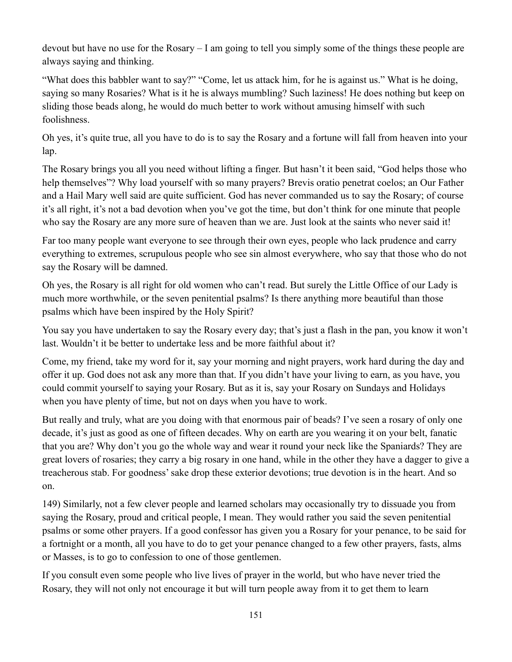devout but have no use for the Rosary – I am going to tell you simply some of the things these people are always saying and thinking.

"What does this babbler want to say?" "Come, let us attack him, for he is against us." What is he doing, saying so many Rosaries? What is it he is always mumbling? Such laziness! He does nothing but keep on sliding those beads along, he would do much better to work without amusing himself with such foolishness.

Oh yes, it's quite true, all you have to do is to say the Rosary and a fortune will fall from heaven into your lap.

The Rosary brings you all you need without lifting a finger. But hasn't it been said, "God helps those who help themselves"? Why load yourself with so many prayers? Brevis oratio penetrat coelos; an Our Father and a Hail Mary well said are quite sufficient. God has never commanded us to say the Rosary; of course it's all right, it's not a bad devotion when you've got the time, but don't think for one minute that people who say the Rosary are any more sure of heaven than we are. Just look at the saints who never said it!

Far too many people want everyone to see through their own eyes, people who lack prudence and carry everything to extremes, scrupulous people who see sin almost everywhere, who say that those who do not say the Rosary will be damned.

Oh yes, the Rosary is all right for old women who can't read. But surely the Little Office of our Lady is much more worthwhile, or the seven penitential psalms? Is there anything more beautiful than those psalms which have been inspired by the Holy Spirit?

You say you have undertaken to say the Rosary every day; that's just a flash in the pan, you know it won't last. Wouldn't it be better to undertake less and be more faithful about it?

Come, my friend, take my word for it, say your morning and night prayers, work hard during the day and offer it up. God does not ask any more than that. If you didn't have your living to earn, as you have, you could commit yourself to saying your Rosary. But as it is, say your Rosary on Sundays and Holidays when you have plenty of time, but not on days when you have to work.

But really and truly, what are you doing with that enormous pair of beads? I've seen a rosary of only one decade, it's just as good as one of fifteen decades. Why on earth are you wearing it on your belt, fanatic that you are? Why don't you go the whole way and wear it round your neck like the Spaniards? They are great lovers of rosaries; they carry a big rosary in one hand, while in the other they have a dagger to give a treacherous stab. For goodness' sake drop these exterior devotions; true devotion is in the heart. And so on.

149) Similarly, not a few clever people and learned scholars may occasionally try to dissuade you from saying the Rosary, proud and critical people, I mean. They would rather you said the seven penitential psalms or some other prayers. If a good confessor has given you a Rosary for your penance, to be said for a fortnight or a month, all you have to do to get your penance changed to a few other prayers, fasts, alms or Masses, is to go to confession to one of those gentlemen.

If you consult even some people who live lives of prayer in the world, but who have never tried the Rosary, they will not only not encourage it but will turn people away from it to get them to learn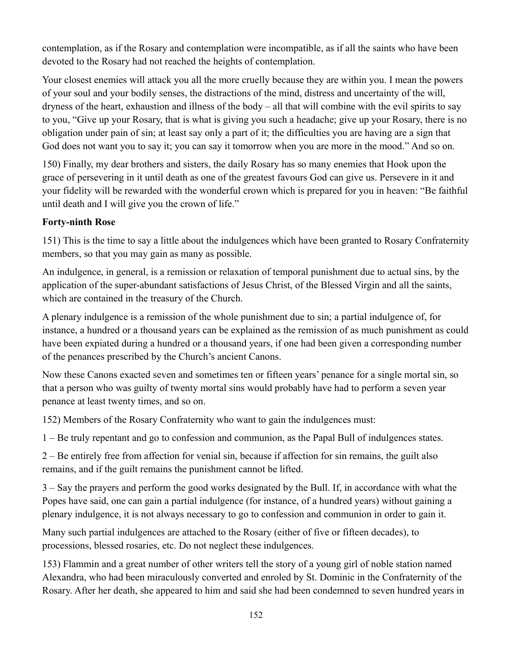contemplation, as if the Rosary and contemplation were incompatible, as if all the saints who have been devoted to the Rosary had not reached the heights of contemplation.

Your closest enemies will attack you all the more cruelly because they are within you. I mean the powers of your soul and your bodily senses, the distractions of the mind, distress and uncertainty of the will, dryness of the heart, exhaustion and illness of the body – all that will combine with the evil spirits to say to you, "Give up your Rosary, that is what is giving you such a headache; give up your Rosary, there is no obligation under pain of sin; at least say only a part of it; the difficulties you are having are a sign that God does not want you to say it; you can say it tomorrow when you are more in the mood." And so on.

150) Finally, my dear brothers and sisters, the daily Rosary has so many enemies that Hook upon the grace of persevering in it until death as one of the greatest favours God can give us. Persevere in it and your fidelity will be rewarded with the wonderful crown which is prepared for you in heaven: "Be faithful until death and I will give you the crown of life."

## **Forty-ninth Rose**

151) This is the time to say a little about the indulgences which have been granted to Rosary Confraternity members, so that you may gain as many as possible.

An indulgence, in general, is a remission or relaxation of temporal punishment due to actual sins, by the application of the super-abundant satisfactions of Jesus Christ, of the Blessed Virgin and all the saints, which are contained in the treasury of the Church.

A plenary indulgence is a remission of the whole punishment due to sin; a partial indulgence of, for instance, a hundred or a thousand years can be explained as the remission of as much punishment as could have been expiated during a hundred or a thousand years, if one had been given a corresponding number of the penances prescribed by the Church's ancient Canons.

Now these Canons exacted seven and sometimes ten or fifteen years' penance for a single mortal sin, so that a person who was guilty of twenty mortal sins would probably have had to perform a seven year penance at least twenty times, and so on.

152) Members of the Rosary Confraternity who want to gain the indulgences must:

1 – Be truly repentant and go to confession and communion, as the Papal Bull of indulgences states.

2 – Be entirely free from affection for venial sin, because if affection for sin remains, the guilt also remains, and if the guilt remains the punishment cannot be lifted.

3 – Say the prayers and perform the good works designated by the Bull. If, in accordance with what the Popes have said, one can gain a partial indulgence (for instance, of a hundred years) without gaining a plenary indulgence, it is not always necessary to go to confession and communion in order to gain it.

Many such partial indulgences are attached to the Rosary (either of five or fifteen decades), to processions, blessed rosaries, etc. Do not neglect these indulgences.

153) Flammin and a great number of other writers tell the story of a young girl of noble station named Alexandra, who had been miraculously converted and enroled by St. Dominic in the Confraternity of the Rosary. After her death, she appeared to him and said she had been condemned to seven hundred years in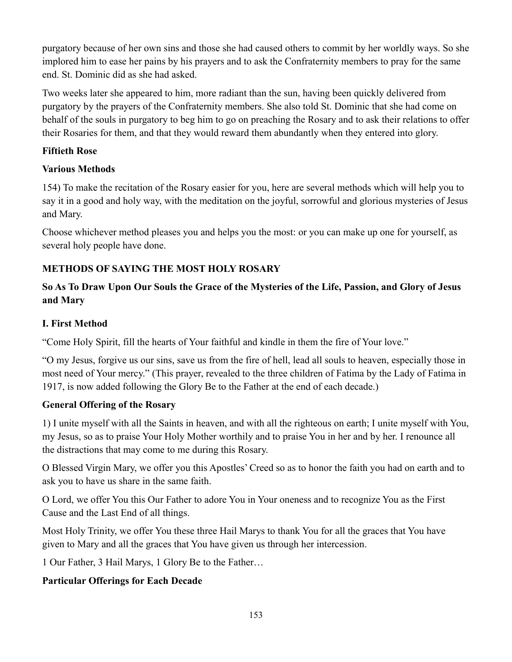purgatory because of her own sins and those she had caused others to commit by her worldly ways. So she implored him to ease her pains by his prayers and to ask the Confraternity members to pray for the same end. St. Dominic did as she had asked.

Two weeks later she appeared to him, more radiant than the sun, having been quickly delivered from purgatory by the prayers of the Confraternity members. She also told St. Dominic that she had come on behalf of the souls in purgatory to beg him to go on preaching the Rosary and to ask their relations to offer their Rosaries for them, and that they would reward them abundantly when they entered into glory.

## **Fiftieth Rose**

## **Various Methods**

154) To make the recitation of the Rosary easier for you, here are several methods which will help you to say it in a good and holy way, with the meditation on the joyful, sorrowful and glorious mysteries of Jesus and Mary.

Choose whichever method pleases you and helps you the most: or you can make up one for yourself, as several holy people have done.

## **METHODS OF SAYING THE MOST HOLY ROSARY**

## **So As To Draw Upon Our Souls the Grace of the Mysteries of the Life, Passion, and Glory of Jesus and Mary**

## **I. First Method**

"Come Holy Spirit, fill the hearts of Your faithful and kindle in them the fire of Your love."

"O my Jesus, forgive us our sins, save us from the fire of hell, lead all souls to heaven, especially those in most need of Your mercy." (This prayer, revealed to the three children of Fatima by the Lady of Fatima in 1917, is now added following the Glory Be to the Father at the end of each decade.)

## **General Offering of the Rosary**

1) I unite myself with all the Saints in heaven, and with all the righteous on earth; I unite myself with You, my Jesus, so as to praise Your Holy Mother worthily and to praise You in her and by her. I renounce all the distractions that may come to me during this Rosary.

O Blessed Virgin Mary, we offer you this Apostles' Creed so as to honor the faith you had on earth and to ask you to have us share in the same faith.

O Lord, we offer You this Our Father to adore You in Your oneness and to recognize You as the First Cause and the Last End of all things.

Most Holy Trinity, we offer You these three Hail Marys to thank You for all the graces that You have given to Mary and all the graces that You have given us through her intercession.

1 Our Father, 3 Hail Marys, 1 Glory Be to the Father…

## **Particular Offerings for Each Decade**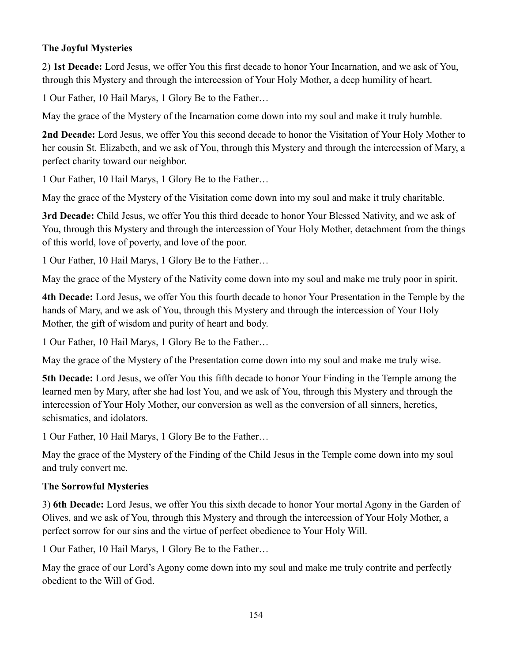## **The Joyful Mysteries**

2) **1st Decade:** Lord Jesus, we offer You this first decade to honor Your Incarnation, and we ask of You, through this Mystery and through the intercession of Your Holy Mother, a deep humility of heart.

1 Our Father, 10 Hail Marys, 1 Glory Be to the Father…

May the grace of the Mystery of the Incarnation come down into my soul and make it truly humble.

**2nd Decade:** Lord Jesus, we offer You this second decade to honor the Visitation of Your Holy Mother to her cousin St. Elizabeth, and we ask of You, through this Mystery and through the intercession of Mary, a perfect charity toward our neighbor.

1 Our Father, 10 Hail Marys, 1 Glory Be to the Father…

May the grace of the Mystery of the Visitation come down into my soul and make it truly charitable.

**3rd Decade:** Child Jesus, we offer You this third decade to honor Your Blessed Nativity, and we ask of You, through this Mystery and through the intercession of Your Holy Mother, detachment from the things of this world, love of poverty, and love of the poor.

1 Our Father, 10 Hail Marys, 1 Glory Be to the Father…

May the grace of the Mystery of the Nativity come down into my soul and make me truly poor in spirit.

**4th Decade:** Lord Jesus, we offer You this fourth decade to honor Your Presentation in the Temple by the hands of Mary, and we ask of You, through this Mystery and through the intercession of Your Holy Mother, the gift of wisdom and purity of heart and body.

1 Our Father, 10 Hail Marys, 1 Glory Be to the Father…

May the grace of the Mystery of the Presentation come down into my soul and make me truly wise.

**5th Decade:** Lord Jesus, we offer You this fifth decade to honor Your Finding in the Temple among the learned men by Mary, after she had lost You, and we ask of You, through this Mystery and through the intercession of Your Holy Mother, our conversion as well as the conversion of all sinners, heretics, schismatics, and idolators.

1 Our Father, 10 Hail Marys, 1 Glory Be to the Father…

May the grace of the Mystery of the Finding of the Child Jesus in the Temple come down into my soul and truly convert me.

## **The Sorrowful Mysteries**

3) **6th Decade:** Lord Jesus, we offer You this sixth decade to honor Your mortal Agony in the Garden of Olives, and we ask of You, through this Mystery and through the intercession of Your Holy Mother, a perfect sorrow for our sins and the virtue of perfect obedience to Your Holy Will.

1 Our Father, 10 Hail Marys, 1 Glory Be to the Father…

May the grace of our Lord's Agony come down into my soul and make me truly contrite and perfectly obedient to the Will of God.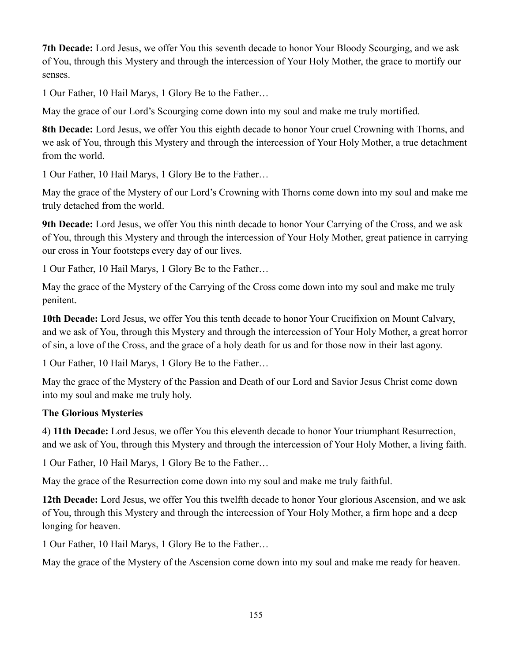**7th Decade:** Lord Jesus, we offer You this seventh decade to honor Your Bloody Scourging, and we ask of You, through this Mystery and through the intercession of Your Holy Mother, the grace to mortify our senses.

1 Our Father, 10 Hail Marys, 1 Glory Be to the Father…

May the grace of our Lord's Scourging come down into my soul and make me truly mortified.

**8th Decade:** Lord Jesus, we offer You this eighth decade to honor Your cruel Crowning with Thorns, and we ask of You, through this Mystery and through the intercession of Your Holy Mother, a true detachment from the world.

1 Our Father, 10 Hail Marys, 1 Glory Be to the Father…

May the grace of the Mystery of our Lord's Crowning with Thorns come down into my soul and make me truly detached from the world.

**9th Decade:** Lord Jesus, we offer You this ninth decade to honor Your Carrying of the Cross, and we ask of You, through this Mystery and through the intercession of Your Holy Mother, great patience in carrying our cross in Your footsteps every day of our lives.

1 Our Father, 10 Hail Marys, 1 Glory Be to the Father…

May the grace of the Mystery of the Carrying of the Cross come down into my soul and make me truly penitent.

**10th Decade:** Lord Jesus, we offer You this tenth decade to honor Your Crucifixion on Mount Calvary, and we ask of You, through this Mystery and through the intercession of Your Holy Mother, a great horror of sin, a love of the Cross, and the grace of a holy death for us and for those now in their last agony.

1 Our Father, 10 Hail Marys, 1 Glory Be to the Father…

May the grace of the Mystery of the Passion and Death of our Lord and Savior Jesus Christ come down into my soul and make me truly holy.

## **The Glorious Mysteries**

4) **11th Decade:** Lord Jesus, we offer You this eleventh decade to honor Your triumphant Resurrection, and we ask of You, through this Mystery and through the intercession of Your Holy Mother, a living faith.

1 Our Father, 10 Hail Marys, 1 Glory Be to the Father…

May the grace of the Resurrection come down into my soul and make me truly faithful.

**12th Decade:** Lord Jesus, we offer You this twelfth decade to honor Your glorious Ascension, and we ask of You, through this Mystery and through the intercession of Your Holy Mother, a firm hope and a deep longing for heaven.

1 Our Father, 10 Hail Marys, 1 Glory Be to the Father…

May the grace of the Mystery of the Ascension come down into my soul and make me ready for heaven.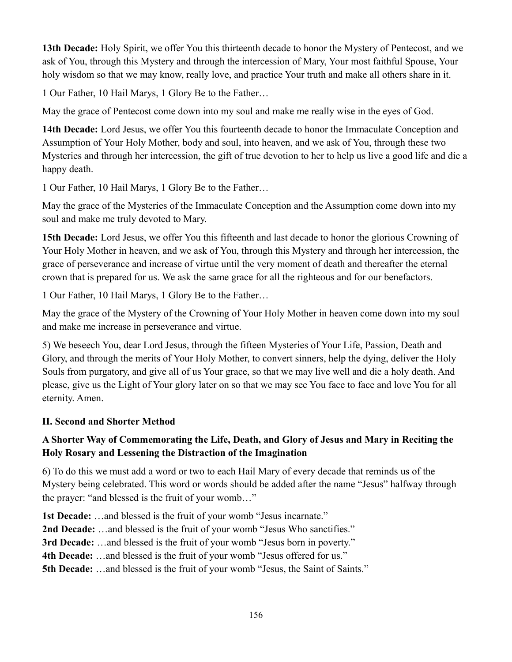**13th Decade:** Holy Spirit, we offer You this thirteenth decade to honor the Mystery of Pentecost, and we ask of You, through this Mystery and through the intercession of Mary, Your most faithful Spouse, Your holy wisdom so that we may know, really love, and practice Your truth and make all others share in it.

1 Our Father, 10 Hail Marys, 1 Glory Be to the Father…

May the grace of Pentecost come down into my soul and make me really wise in the eyes of God.

**14th Decade:** Lord Jesus, we offer You this fourteenth decade to honor the Immaculate Conception and Assumption of Your Holy Mother, body and soul, into heaven, and we ask of You, through these two Mysteries and through her intercession, the gift of true devotion to her to help us live a good life and die a happy death.

1 Our Father, 10 Hail Marys, 1 Glory Be to the Father…

May the grace of the Mysteries of the Immaculate Conception and the Assumption come down into my soul and make me truly devoted to Mary.

**15th Decade:** Lord Jesus, we offer You this fifteenth and last decade to honor the glorious Crowning of Your Holy Mother in heaven, and we ask of You, through this Mystery and through her intercession, the grace of perseverance and increase of virtue until the very moment of death and thereafter the eternal crown that is prepared for us. We ask the same grace for all the righteous and for our benefactors.

1 Our Father, 10 Hail Marys, 1 Glory Be to the Father…

May the grace of the Mystery of the Crowning of Your Holy Mother in heaven come down into my soul and make me increase in perseverance and virtue.

5) We beseech You, dear Lord Jesus, through the fifteen Mysteries of Your Life, Passion, Death and Glory, and through the merits of Your Holy Mother, to convert sinners, help the dying, deliver the Holy Souls from purgatory, and give all of us Your grace, so that we may live well and die a holy death. And please, give us the Light of Your glory later on so that we may see You face to face and love You for all eternity. Amen.

## **II. Second and Shorter Method**

## **A Shorter Way of Commemorating the Life, Death, and Glory of Jesus and Mary in Reciting the Holy Rosary and Lessening the Distraction of the Imagination**

6) To do this we must add a word or two to each Hail Mary of every decade that reminds us of the Mystery being celebrated. This word or words should be added after the name "Jesus" halfway through the prayer: "and blessed is the fruit of your womb…"

**1st Decade:** …and blessed is the fruit of your womb "Jesus incarnate."

**2nd Decade:** …and blessed is the fruit of your womb "Jesus Who sanctifies."

**3rd Decade:** …and blessed is the fruit of your womb "Jesus born in poverty."

**4th Decade:** …and blessed is the fruit of your womb "Jesus offered for us."

**5th Decade:** ...and blessed is the fruit of your womb "Jesus, the Saint of Saints."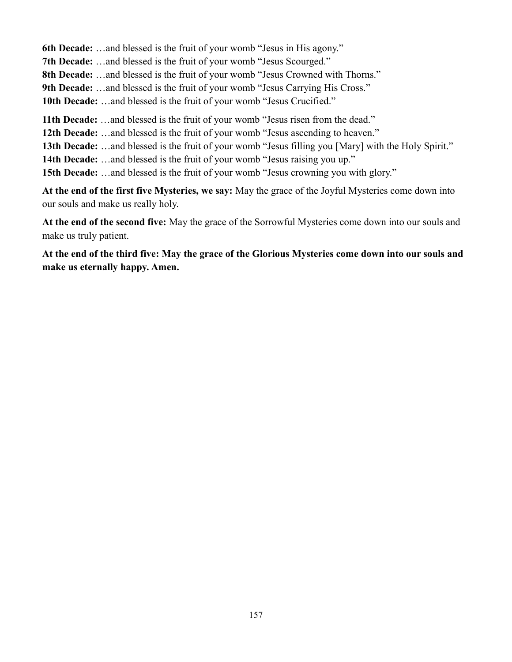**6th Decade:** …and blessed is the fruit of your womb "Jesus in His agony." **7th Decade:** …and blessed is the fruit of your womb "Jesus Scourged." **8th Decade:** …and blessed is the fruit of your womb "Jesus Crowned with Thorns." **9th Decade:** …and blessed is the fruit of your womb "Jesus Carrying His Cross." **10th Decade:** …and blessed is the fruit of your womb "Jesus Crucified." **11th Decade:** …and blessed is the fruit of your womb "Jesus risen from the dead." **12th Decade:** …and blessed is the fruit of your womb "Jesus ascending to heaven." **13th Decade:** …and blessed is the fruit of your womb "Jesus filling you [Mary] with the Holy Spirit."

**14th Decade:** …and blessed is the fruit of your womb "Jesus raising you up."

**15th Decade:** …and blessed is the fruit of your womb "Jesus crowning you with glory."

**At the end of the first five Mysteries, we say:** May the grace of the Joyful Mysteries come down into our souls and make us really holy.

**At the end of the second five:** May the grace of the Sorrowful Mysteries come down into our souls and make us truly patient.

**At the end of the third five: May the grace of the Glorious Mysteries come down into our souls and make us eternally happy. Amen.**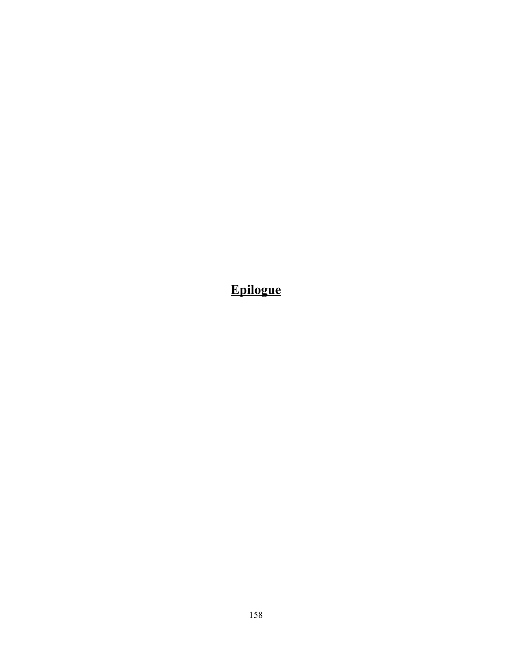**Epilogue**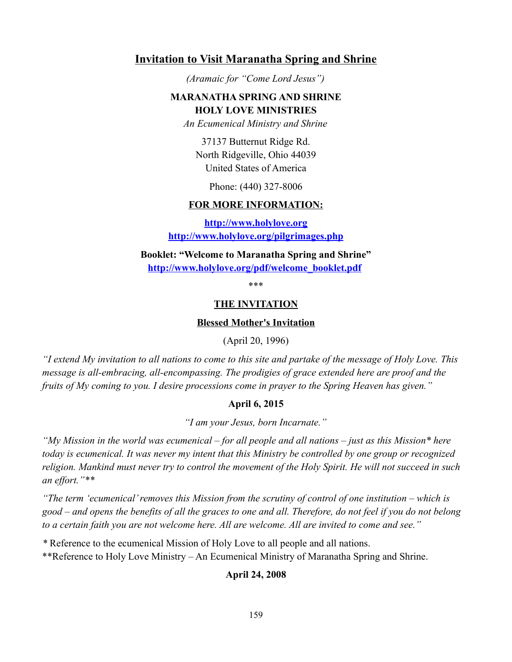## **Invitation to Visit Maranatha Spring and Shrine**

*(Aramaic for "Come Lord Jesus")*

## **MARANATHA SPRING AND SHRINE HOLY LOVE MINISTRIES**

*An Ecumenical Ministry and Shrine*

37137 Butternut Ridge Rd. North Ridgeville, Ohio 44039 United States of America

Phone: (440) 327-8006

#### **FOR MORE INFORMATION:**

**[http://www.holylove.org](http://www.holylove.org/) <http://www.holylove.org/pilgrimages.php>**

**Booklet: "Welcome to Maranatha Spring and Shrine" [http://www.holylove.org/pdf/welcome\\_booklet.pdf](http://www.holylove.org/pdf/welcome_booklet.pdf)**

\*\*\*

#### **THE INVITATION**

#### **Blessed Mother's Invitation**

(April 20, 1996)

*"I extend My invitation to all nations to come to this site and partake of the message of Holy Love. This message is all-embracing, all-encompassing. The prodigies of grace extended here are proof and the fruits of My coming to you. I desire processions come in prayer to the Spring Heaven has given."*

#### **April 6, 2015**

*"I am your Jesus, born Incarnate."*

*"My Mission in the world was ecumenical – for all people and all nations – just as this Mission\* here today is ecumenical. It was never my intent that this Ministry be controlled by one group or recognized religion. Mankind must never try to control the movement of the Holy Spirit. He will not succeed in such an effort."\*\**

*"The term 'ecumenical' removes this Mission from the scrutiny of control of one institution – which is good – and opens the benefits of all the graces to one and all. Therefore, do not feel if you do not belong to a certain faith you are not welcome here. All are welcome. All are invited to come and see."*

*\** Reference to the ecumenical Mission of Holy Love to all people and all nations.

\*\*Reference to Holy Love Ministry – An Ecumenical Ministry of Maranatha Spring and Shrine.

#### **April 24, 2008**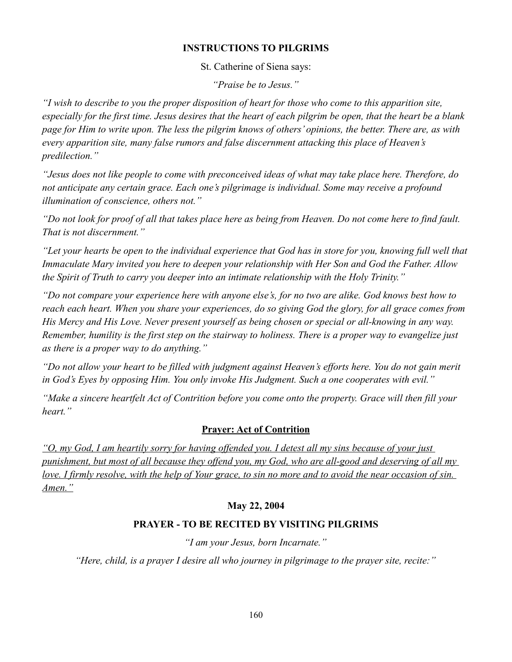#### **INSTRUCTIONS TO PILGRIMS**

St. Catherine of Siena says:

*"Praise be to Jesus."*

*"I wish to describe to you the proper disposition of heart for those who come to this apparition site, especially for the first time. Jesus desires that the heart of each pilgrim be open, that the heart be a blank page for Him to write upon. The less the pilgrim knows of others' opinions, the better. There are, as with every apparition site, many false rumors and false discernment attacking this place of Heaven's predilection."*

*"Jesus does not like people to come with preconceived ideas of what may take place here. Therefore, do not anticipate any certain grace. Each one's pilgrimage is individual. Some may receive a profound illumination of conscience, others not."*

*"Do not look for proof of all that takes place here as being from Heaven. Do not come here to find fault. That is not discernment."*

*"Let your hearts be open to the individual experience that God has in store for you, knowing full well that Immaculate Mary invited you here to deepen your relationship with Her Son and God the Father. Allow the Spirit of Truth to carry you deeper into an intimate relationship with the Holy Trinity."*

*"Do not compare your experience here with anyone else's, for no two are alike. God knows best how to reach each heart. When you share your experiences, do so giving God the glory, for all grace comes from His Mercy and His Love. Never present yourself as being chosen or special or all-knowing in any way. Remember, humility is the first step on the stairway to holiness. There is a proper way to evangelize just as there is a proper way to do anything."*

*"Do not allow your heart to be filled with judgment against Heaven's efforts here. You do not gain merit in God's Eyes by opposing Him. You only invoke His Judgment. Such a one cooperates with evil."*

*"Make a sincere heartfelt Act of Contrition before you come onto the property. Grace will then fill your heart."*

## **Prayer: Act of Contrition**

*"O, my God, I am heartily sorry for having offended you. I detest all my sins because of your just punishment, but most of all because they offend you, my God, who are all-good and deserving of all my love. I firmly resolve, with the help of Your grace, to sin no more and to avoid the near occasion of sin. Amen."*

## **May 22, 2004**

## **PRAYER - TO BE RECITED BY VISITING PILGRIMS**

*"I am your Jesus, born Incarnate."*

*"Here, child, is a prayer I desire all who journey in pilgrimage to the prayer site, recite:"*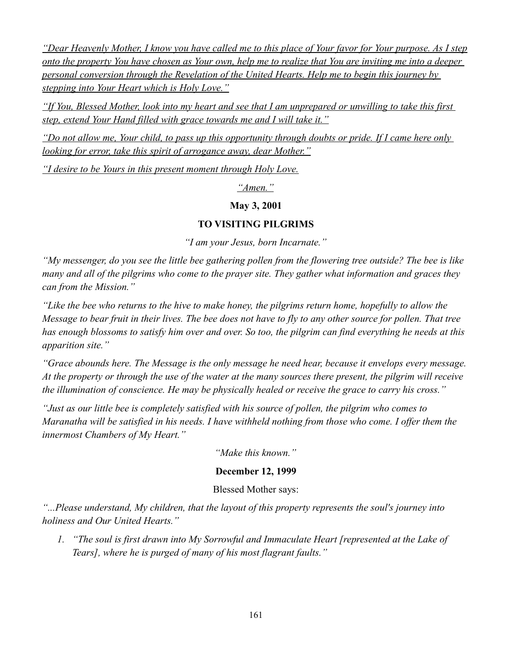*"Dear Heavenly Mother, I know you have called me to this place of Your favor for Your purpose. As I step onto the property You have chosen as Your own, help me to realize that You are inviting me into a deeper personal conversion through the Revelation of the United Hearts. Help me to begin this journey by stepping into Your Heart which is Holy Love."*

*"If You, Blessed Mother, look into my heart and see that I am unprepared or unwilling to take this first step, extend Your Hand filled with grace towards me and I will take it."*

*"Do not allow me, Your child, to pass up this opportunity through doubts or pride. If I came here only looking for error, take this spirit of arrogance away, dear Mother."*

*"I desire to be Yours in this present moment through Holy Love.*

*"Amen."*

#### **May 3, 2001**

## **TO VISITING PILGRIMS**

*"I am your Jesus, born Incarnate."*

*"My messenger, do you see the little bee gathering pollen from the flowering tree outside? The bee is like many and all of the pilgrims who come to the prayer site. They gather what information and graces they can from the Mission."*

*"Like the bee who returns to the hive to make honey, the pilgrims return home, hopefully to allow the Message to bear fruit in their lives. The bee does not have to fly to any other source for pollen. That tree has enough blossoms to satisfy him over and over. So too, the pilgrim can find everything he needs at this apparition site."*

*"Grace abounds here. The Message is the only message he need hear, because it envelops every message. At the property or through the use of the water at the many sources there present, the pilgrim will receive the illumination of conscience. He may be physically healed or receive the grace to carry his cross."*

*"Just as our little bee is completely satisfied with his source of pollen, the pilgrim who comes to Maranatha will be satisfied in his needs. I have withheld nothing from those who come. I offer them the innermost Chambers of My Heart."*

*"Make this known."*

## **December 12, 1999**

Blessed Mother says:

*"...Please understand, My children, that the layout of this property represents the soul's journey into holiness and Our United Hearts."*

*1. "The soul is first drawn into My Sorrowful and Immaculate Heart [represented at the Lake of Tears], where he is purged of many of his most flagrant faults."*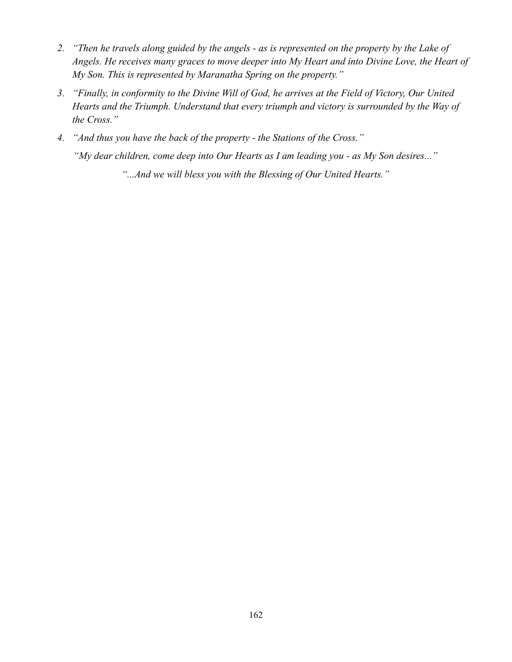- *2. "Then he travels along guided by the angels as is represented on the property by the Lake of Angels. He receives many graces to move deeper into My Heart and into Divine Love, the Heart of My Son. This is represented by Maranatha Spring on the property."*
- *3. "Finally, in conformity to the Divine Will of God, he arrives at the Field of Victory, Our United Hearts and the Triumph. Understand that every triumph and victory is surrounded by the Way of the Cross."*
- *4. "And thus you have the back of the property the Stations of the Cross." "My dear children, come deep into Our Hearts as I am leading you - as My Son desires..."*

*"...And we will bless you with the Blessing of Our United Hearts."*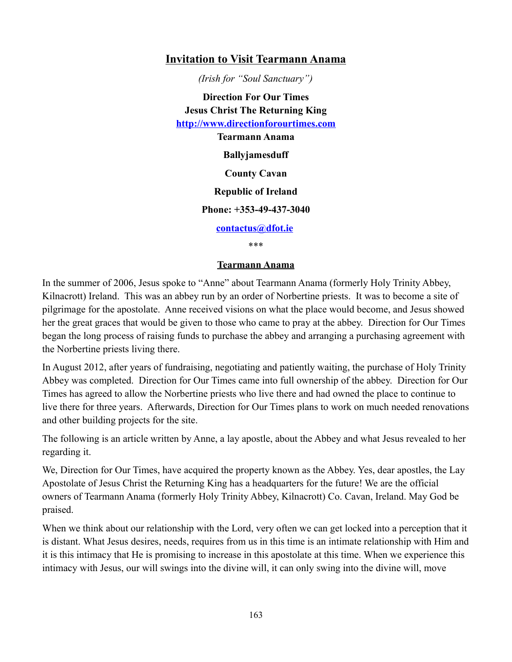## **Invitation to Visit Tearmann Anama**

*(Irish for "Soul Sanctuary")*

**Direction For Our Times Jesus Christ The Returning King [http://www.directionforourtimes.com](http://www.directionforourtimes.com/) Tearmann Anama Ballyjamesduff**

**County Cavan**

**Republic of Ireland**

**Phone: +353-49-437-3040**

**[contactus@dfot.ie](mailto:contactus@dfot.ie)**

\*\*\*

#### **Tearmann Anama**

In the summer of 2006, Jesus spoke to "Anne" about Tearmann Anama (formerly Holy Trinity Abbey, Kilnacrott) Ireland. This was an abbey run by an order of Norbertine priests. It was to become a site of pilgrimage for the apostolate. Anne received visions on what the place would become, and Jesus showed her the great graces that would be given to those who came to pray at the abbey. Direction for Our Times began the long process of raising funds to purchase the abbey and arranging a purchasing agreement with the Norbertine priests living there.

In August 2012, after years of fundraising, negotiating and patiently waiting, the purchase of Holy Trinity Abbey was completed. Direction for Our Times came into full ownership of the abbey. Direction for Our Times has agreed to allow the Norbertine priests who live there and had owned the place to continue to live there for three years. Afterwards, Direction for Our Times plans to work on much needed renovations and other building projects for the site.

The following is an article written by Anne, a lay apostle, about the Abbey and what Jesus revealed to her regarding it.

We, Direction for Our Times, have acquired the property known as the Abbey. Yes, dear apostles, the Lay Apostolate of Jesus Christ the Returning King has a headquarters for the future! We are the official owners of Tearmann Anama (formerly Holy Trinity Abbey, Kilnacrott) Co. Cavan, Ireland. May God be praised.

When we think about our relationship with the Lord, very often we can get locked into a perception that it is distant. What Jesus desires, needs, requires from us in this time is an intimate relationship with Him and it is this intimacy that He is promising to increase in this apostolate at this time. When we experience this intimacy with Jesus, our will swings into the divine will, it can only swing into the divine will, move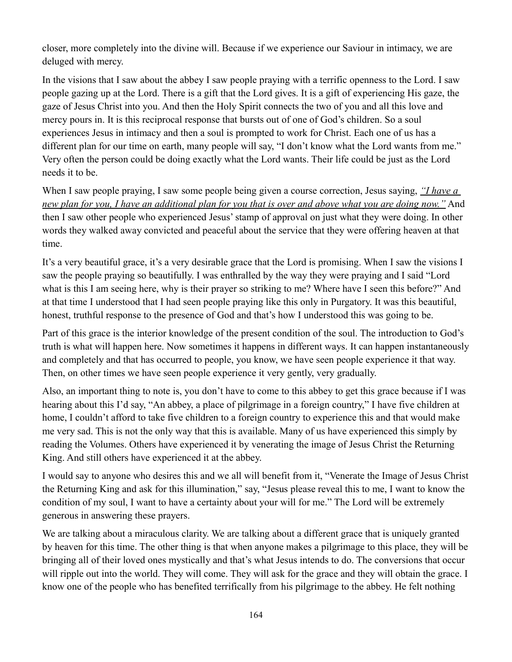closer, more completely into the divine will. Because if we experience our Saviour in intimacy, we are deluged with mercy.

In the visions that I saw about the abbey I saw people praying with a terrific openness to the Lord. I saw people gazing up at the Lord. There is a gift that the Lord gives. It is a gift of experiencing His gaze, the gaze of Jesus Christ into you. And then the Holy Spirit connects the two of you and all this love and mercy pours in. It is this reciprocal response that bursts out of one of God's children. So a soul experiences Jesus in intimacy and then a soul is prompted to work for Christ. Each one of us has a different plan for our time on earth, many people will say, "I don't know what the Lord wants from me." Very often the person could be doing exactly what the Lord wants. Their life could be just as the Lord needs it to be.

When I saw people praying, I saw some people being given a course correction, Jesus saying, *"I have a new plan for you, I have an additional plan for you that is over and above what you are doing now."* And then I saw other people who experienced Jesus' stamp of approval on just what they were doing. In other words they walked away convicted and peaceful about the service that they were offering heaven at that time.

It's a very beautiful grace, it's a very desirable grace that the Lord is promising. When I saw the visions I saw the people praying so beautifully. I was enthralled by the way they were praying and I said "Lord what is this I am seeing here, why is their prayer so striking to me? Where have I seen this before?" And at that time I understood that I had seen people praying like this only in Purgatory. It was this beautiful, honest, truthful response to the presence of God and that's how I understood this was going to be.

Part of this grace is the interior knowledge of the present condition of the soul. The introduction to God's truth is what will happen here. Now sometimes it happens in different ways. It can happen instantaneously and completely and that has occurred to people, you know, we have seen people experience it that way. Then, on other times we have seen people experience it very gently, very gradually.

Also, an important thing to note is, you don't have to come to this abbey to get this grace because if I was hearing about this I'd say, "An abbey, a place of pilgrimage in a foreign country," I have five children at home, I couldn't afford to take five children to a foreign country to experience this and that would make me very sad. This is not the only way that this is available. Many of us have experienced this simply by reading the Volumes. Others have experienced it by venerating the image of Jesus Christ the Returning King. And still others have experienced it at the abbey.

I would say to anyone who desires this and we all will benefit from it, "Venerate the Image of Jesus Christ the Returning King and ask for this illumination," say, "Jesus please reveal this to me, I want to know the condition of my soul, I want to have a certainty about your will for me." The Lord will be extremely generous in answering these prayers.

We are talking about a miraculous clarity. We are talking about a different grace that is uniquely granted by heaven for this time. The other thing is that when anyone makes a pilgrimage to this place, they will be bringing all of their loved ones mystically and that's what Jesus intends to do. The conversions that occur will ripple out into the world. They will come. They will ask for the grace and they will obtain the grace. I know one of the people who has benefited terrifically from his pilgrimage to the abbey. He felt nothing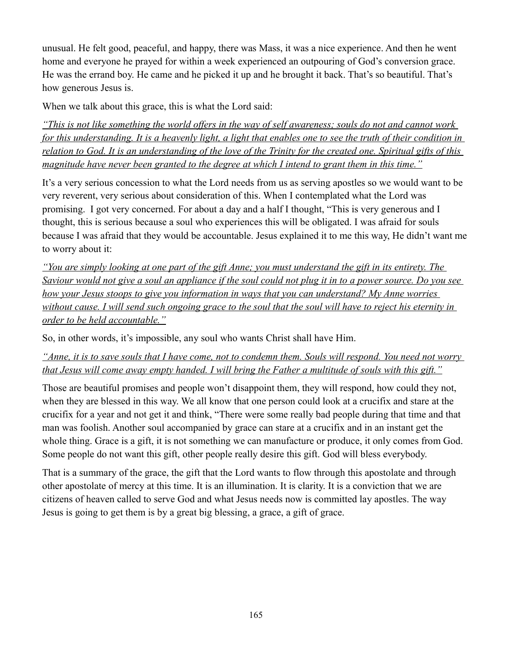unusual. He felt good, peaceful, and happy, there was Mass, it was a nice experience. And then he went home and everyone he prayed for within a week experienced an outpouring of God's conversion grace. He was the errand boy. He came and he picked it up and he brought it back. That's so beautiful. That's how generous Jesus is.

When we talk about this grace, this is what the Lord said:

*"This is not like something the world offers in the way of self awareness; souls do not and cannot work for this understanding. It is a heavenly light, a light that enables one to see the truth of their condition in relation to God. It is an understanding of the love of the Trinity for the created one. Spiritual gifts of this magnitude have never been granted to the degree at which I intend to grant them in this time."*

It's a very serious concession to what the Lord needs from us as serving apostles so we would want to be very reverent, very serious about consideration of this. When I contemplated what the Lord was promising. I got very concerned. For about a day and a half I thought, "This is very generous and I thought, this is serious because a soul who experiences this will be obligated. I was afraid for souls because I was afraid that they would be accountable. Jesus explained it to me this way, He didn't want me to worry about it:

*"You are simply looking at one part of the gift Anne; you must understand the gift in its entirety. The Saviour would not give a soul an appliance if the soul could not plug it in to a power source. Do you see how your Jesus stoops to give you information in ways that you can understand? My Anne worries without cause. I will send such ongoing grace to the soul that the soul will have to reject his eternity in order to be held accountable."*

So, in other words, it's impossible, any soul who wants Christ shall have Him.

*"Anne, it is to save souls that I have come, not to condemn them. Souls will respond. You need not worry that Jesus will come away empty handed. I will bring the Father a multitude of souls with this gift."*

Those are beautiful promises and people won't disappoint them, they will respond, how could they not, when they are blessed in this way. We all know that one person could look at a crucifix and stare at the crucifix for a year and not get it and think, "There were some really bad people during that time and that man was foolish. Another soul accompanied by grace can stare at a crucifix and in an instant get the whole thing. Grace is a gift, it is not something we can manufacture or produce, it only comes from God. Some people do not want this gift, other people really desire this gift. God will bless everybody.

That is a summary of the grace, the gift that the Lord wants to flow through this apostolate and through other apostolate of mercy at this time. It is an illumination. It is clarity. It is a conviction that we are citizens of heaven called to serve God and what Jesus needs now is committed lay apostles. The way Jesus is going to get them is by a great big blessing, a grace, a gift of grace.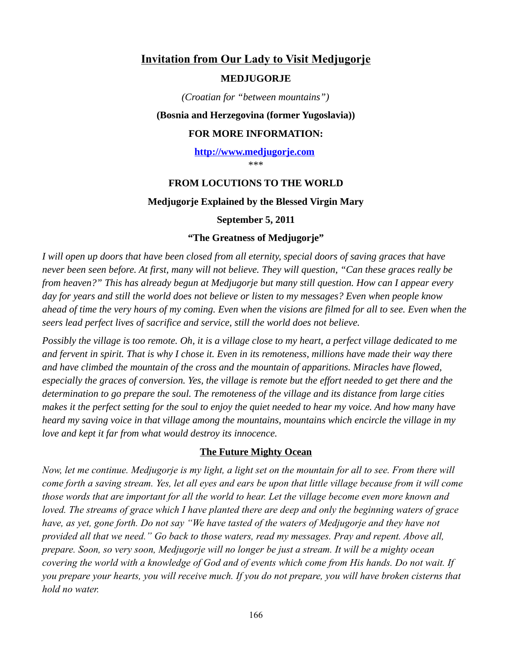# **Invitation from Our Lady to Visit Medjugorje**

#### **MEDJUGORJE**

*(Croatian for "between mountains")*

#### **(Bosnia and Herzegovina (former Yugoslavia))**

#### **FOR MORE INFORMATION:**

## **[http://www.medjugorje.com](http://www.medjugorje.com/)**

#### \*\*\*

#### **FROM LOCUTIONS TO THE WORLD**

#### **Medjugorje Explained by the Blessed Virgin Mary**

#### **September 5, 2011**

#### **"The Greatness of Medjugorje"**

*I will open up doors that have been closed from all eternity, special doors of saving graces that have never been seen before. At first, many will not believe. They will question, "Can these graces really be from heaven?" This has already begun at Medjugorje but many still question. How can I appear every day for years and still the world does not believe or listen to my messages? Even when people know ahead of time the very hours of my coming. Even when the visions are filmed for all to see. Even when the seers lead perfect lives of sacrifice and service, still the world does not believe.*

*Possibly the village is too remote. Oh, it is a village close to my heart, a perfect village dedicated to me and fervent in spirit. That is why I chose it. Even in its remoteness, millions have made their way there and have climbed the mountain of the cross and the mountain of apparitions. Miracles have flowed, especially the graces of conversion. Yes, the village is remote but the effort needed to get there and the determination to go prepare the soul. The remoteness of the village and its distance from large cities makes it the perfect setting for the soul to enjoy the quiet needed to hear my voice. And how many have heard my saving voice in that village among the mountains, mountains which encircle the village in my love and kept it far from what would destroy its innocence.*

#### **The Future Mighty Ocean**

*Now, let me continue. Medjugorje is my light, a light set on the mountain for all to see. From there will come forth a saving stream. Yes, let all eyes and ears be upon that little village because from it will come those words that are important for all the world to hear. Let the village become even more known and loved. The streams of grace which I have planted there are deep and only the beginning waters of grace have, as yet, gone forth. Do not say "We have tasted of the waters of Medjugorje and they have not provided all that we need." Go back to those waters, read my messages. Pray and repent. Above all, prepare. Soon, so very soon, Medjugorje will no longer be just a stream. It will be a mighty ocean covering the world with a knowledge of God and of events which come from His hands. Do not wait. If you prepare your hearts, you will receive much. If you do not prepare, you will have broken cisterns that hold no water.*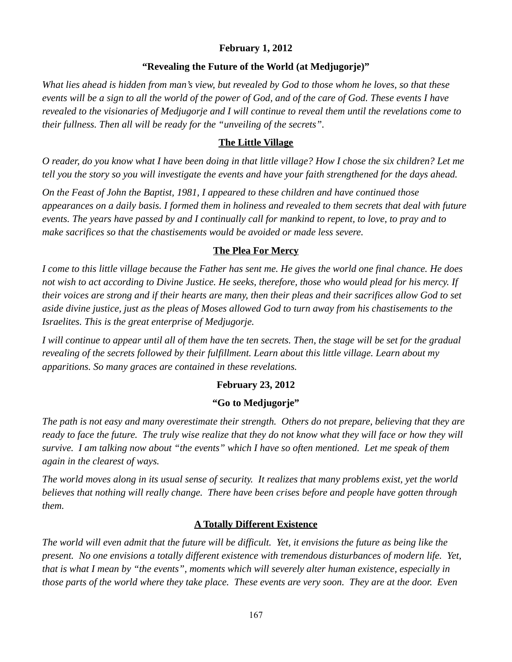## **February 1, 2012**

## **"Revealing the Future of the World (at Medjugorje)"**

*What lies ahead is hidden from man's view, but revealed by God to those whom he loves, so that these events will be a sign to all the world of the power of God, and of the care of God. These events I have revealed to the visionaries of Medjugorje and I will continue to reveal them until the revelations come to their fullness. Then all will be ready for the "unveiling of the secrets".*

## **The Little Village**

*O reader, do you know what I have been doing in that little village? How I chose the six children? Let me tell you the story so you will investigate the events and have your faith strengthened for the days ahead.*

*On the Feast of John the Baptist, 1981, I appeared to these children and have continued those appearances on a daily basis. I formed them in holiness and revealed to them secrets that deal with future events. The years have passed by and I continually call for mankind to repent, to love, to pray and to make sacrifices so that the chastisements would be avoided or made less severe.*

## **The Plea For Mercy**

*I come to this little village because the Father has sent me. He gives the world one final chance. He does not wish to act according to Divine Justice. He seeks, therefore, those who would plead for his mercy. If their voices are strong and if their hearts are many, then their pleas and their sacrifices allow God to set aside divine justice, just as the pleas of Moses allowed God to turn away from his chastisements to the Israelites. This is the great enterprise of Medjugorje.*

*I will continue to appear until all of them have the ten secrets. Then, the stage will be set for the gradual revealing of the secrets followed by their fulfillment. Learn about this little village. Learn about my apparitions. So many graces are contained in these revelations.*

## **February 23, 2012**

## **"Go to Medjugorje"**

*The path is not easy and many overestimate their strength. Others do not prepare, believing that they are ready to face the future. The truly wise realize that they do not know what they will face or how they will survive. I am talking now about "the events" which I have so often mentioned. Let me speak of them again in the clearest of ways.*

*The world moves along in its usual sense of security. It realizes that many problems exist, yet the world believes that nothing will really change. There have been crises before and people have gotten through them.*

## **A Totally Different Existence**

*The world will even admit that the future will be difficult. Yet, it envisions the future as being like the present. No one envisions a totally different existence with tremendous disturbances of modern life. Yet, that is what I mean by "the events", moments which will severely alter human existence, especially in those parts of the world where they take place. These events are very soon. They are at the door. Even*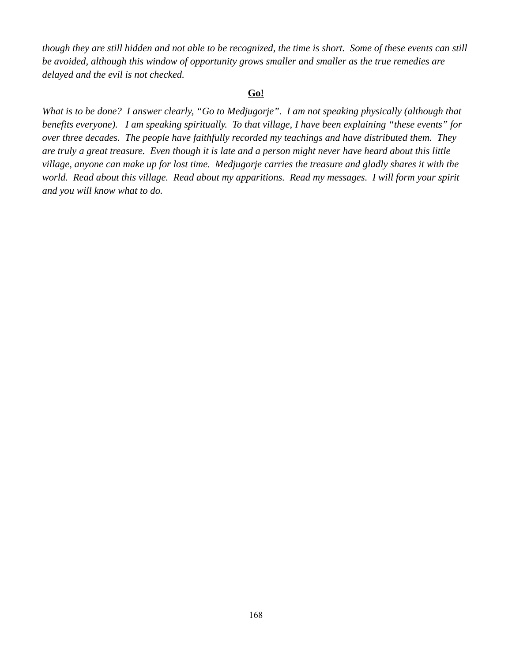*though they are still hidden and not able to be recognized, the time is short. Some of these events can still be avoided, although this window of opportunity grows smaller and smaller as the true remedies are delayed and the evil is not checked.*

#### **Go!**

*What is to be done? I answer clearly, "Go to Medjugorje". I am not speaking physically (although that benefits everyone). I am speaking spiritually. To that village, I have been explaining "these events" for over three decades. The people have faithfully recorded my teachings and have distributed them. They are truly a great treasure. Even though it is late and a person might never have heard about this little village, anyone can make up for lost time. Medjugorje carries the treasure and gladly shares it with the world. Read about this village. Read about my apparitions. Read my messages. I will form your spirit and you will know what to do.*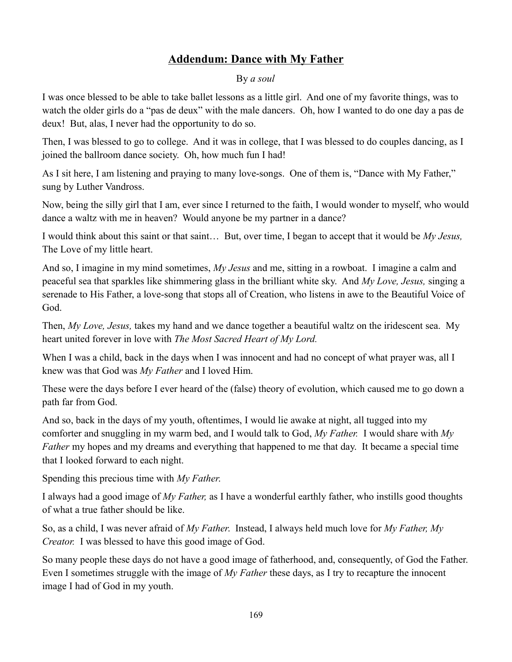## **Addendum: Dance with My Father**

## By *a soul*

I was once blessed to be able to take ballet lessons as a little girl. And one of my favorite things, was to watch the older girls do a "pas de deux" with the male dancers. Oh, how I wanted to do one day a pas de deux! But, alas, I never had the opportunity to do so.

Then, I was blessed to go to college. And it was in college, that I was blessed to do couples dancing, as I joined the ballroom dance society. Oh, how much fun I had!

As I sit here, I am listening and praying to many love-songs. One of them is, "Dance with My Father," sung by Luther Vandross.

Now, being the silly girl that I am, ever since I returned to the faith, I would wonder to myself, who would dance a waltz with me in heaven? Would anyone be my partner in a dance?

I would think about this saint or that saint… But, over time, I began to accept that it would be *My Jesus,* The Love of my little heart.

And so, I imagine in my mind sometimes, *My Jesus* and me, sitting in a rowboat. I imagine a calm and peaceful sea that sparkles like shimmering glass in the brilliant white sky. And *My Love, Jesus,* singing a serenade to His Father, a love-song that stops all of Creation, who listens in awe to the Beautiful Voice of God.

Then, *My Love, Jesus,* takes my hand and we dance together a beautiful waltz on the iridescent sea. My heart united forever in love with *The Most Sacred Heart of My Lord.*

When I was a child, back in the days when I was innocent and had no concept of what prayer was, all I knew was that God was *My Father* and I loved Him.

These were the days before I ever heard of the (false) theory of evolution, which caused me to go down a path far from God.

And so, back in the days of my youth, oftentimes, I would lie awake at night, all tugged into my comforter and snuggling in my warm bed, and I would talk to God, *My Father.* I would share with *My Father* my hopes and my dreams and everything that happened to me that day. It became a special time that I looked forward to each night.

Spending this precious time with *My Father*.

I always had a good image of *My Father,* as I have a wonderful earthly father, who instills good thoughts of what a true father should be like.

So, as a child, I was never afraid of *My Father*. Instead, I always held much love for *My Father, My Creator.* I was blessed to have this good image of God.

So many people these days do not have a good image of fatherhood, and, consequently, of God the Father. Even I sometimes struggle with the image of *My Father* these days, as I try to recapture the innocent image I had of God in my youth.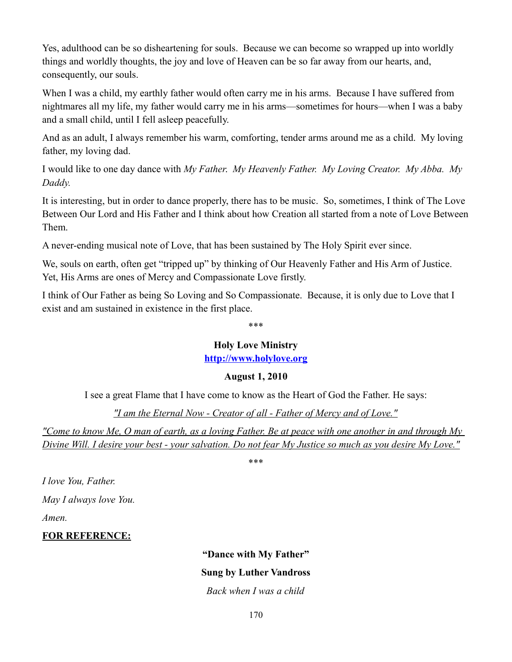Yes, adulthood can be so disheartening for souls. Because we can become so wrapped up into worldly things and worldly thoughts, the joy and love of Heaven can be so far away from our hearts, and, consequently, our souls.

When I was a child, my earthly father would often carry me in his arms. Because I have suffered from nightmares all my life, my father would carry me in his arms—sometimes for hours—when I was a baby and a small child, until I fell asleep peacefully.

And as an adult, I always remember his warm, comforting, tender arms around me as a child. My loving father, my loving dad.

I would like to one day dance with *My Father*. *My Heavenly Father. My Loving Creator. My Abba. My Daddy.*

It is interesting, but in order to dance properly, there has to be music. So, sometimes, I think of The Love Between Our Lord and His Father and I think about how Creation all started from a note of Love Between Them.

A never-ending musical note of Love, that has been sustained by The Holy Spirit ever since.

We, souls on earth, often get "tripped up" by thinking of Our Heavenly Father and His Arm of Justice. Yet, His Arms are ones of Mercy and Compassionate Love firstly.

I think of Our Father as being So Loving and So Compassionate. Because, it is only due to Love that I exist and am sustained in existence in the first place.

\*\*\*

## **Holy Love Ministry [http://www.holylove.org](http://www.holylove.org/)**

#### **August 1, 2010**

I see a great Flame that I have come to know as the Heart of God the Father. He says:

*"I am the Eternal Now - Creator of all - Father of Mercy and of Love."*

*"Come to know Me, O man of earth, as a loving Father. Be at peace with one another in and through My Divine Will. I desire your best - your salvation. Do not fear My Justice so much as you desire My Love."*

\*\*\*

*I love You, Father.*

*May I always love You.*

*Amen.*

**FOR REFERENCE:**

## **"Dance with My Father" Sung by Luther Vandross** *Back when I was a child*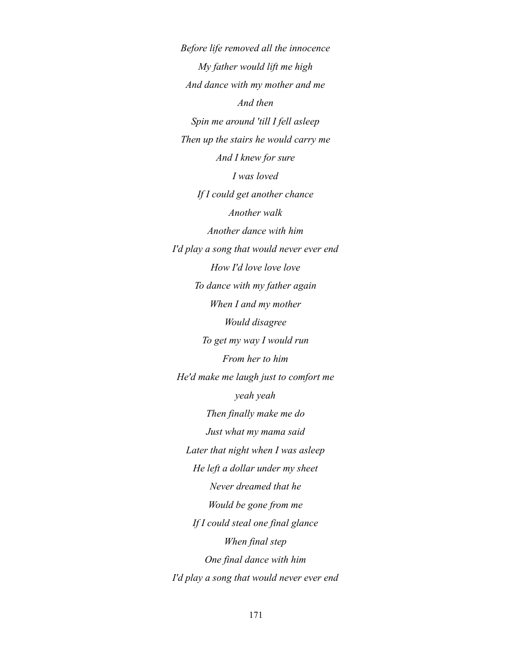*Before life removed all the innocence My father would lift me high And dance with my mother and me And then Spin me around 'till I fell asleep Then up the stairs he would carry me And I knew for sure I was loved If I could get another chance Another walk Another dance with him I'd play a song that would never ever end How I'd love love love To dance with my father again When I and my mother Would disagree To get my way I would run From her to him He'd make me laugh just to comfort me yeah yeah Then finally make me do Just what my mama said Later that night when I was asleep He left a dollar under my sheet Never dreamed that he Would be gone from me If I could steal one final glance When final step One final dance with him I'd play a song that would never ever end*